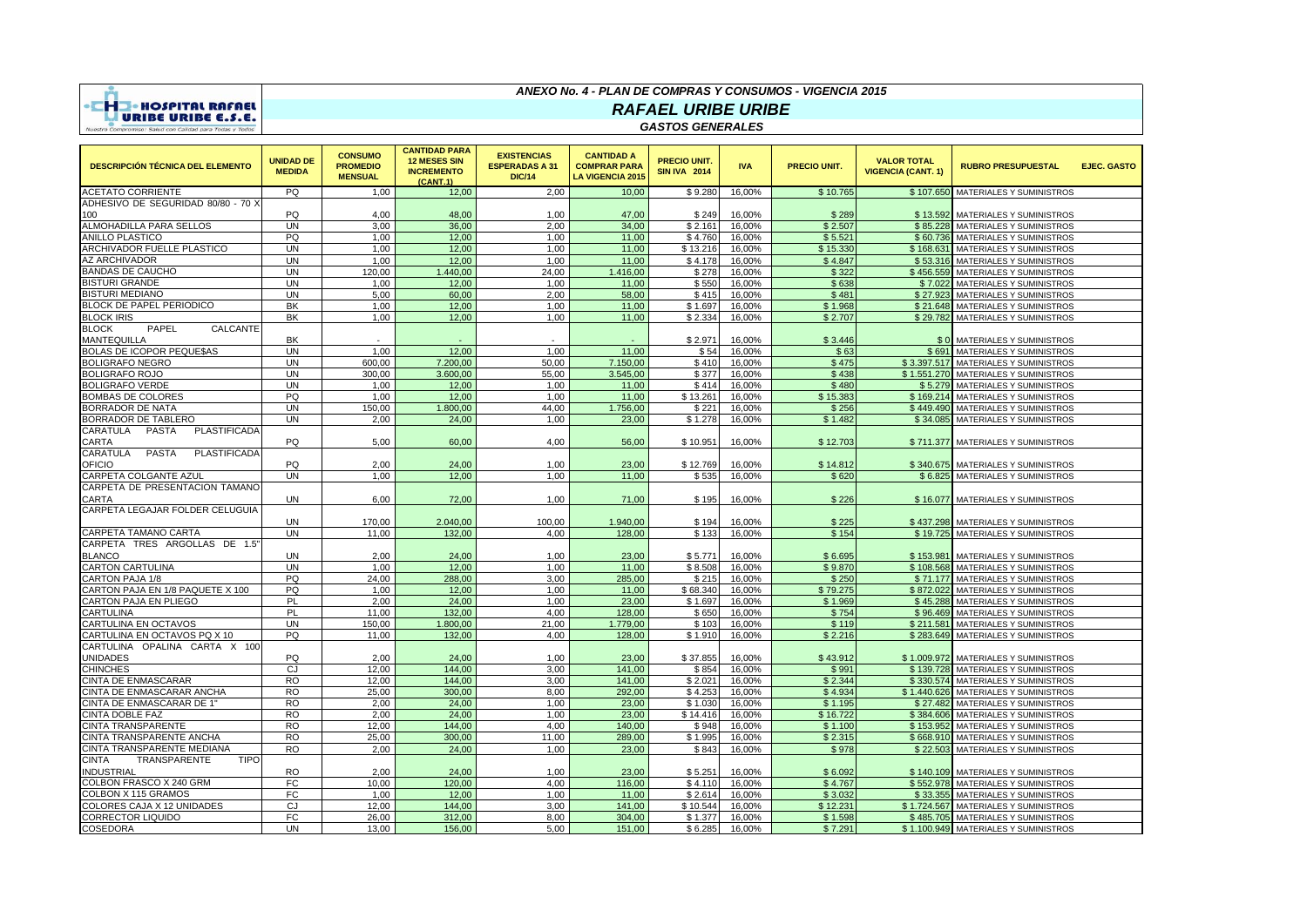

#### *ANEXO No. 4 - PLAN DE COMPRAS Y CONSUMOS - VIGENCIA 2015*

# *RAFAEL URIBE URIBE*

#### *GASTOS GENERALES*

| <b>DESCRIPCIÓN TÉCNICA DEL ELEMENTO</b>                | <b>UNIDAD DE</b><br><b>MEDIDA</b> | <b>CONSUMO</b><br><b>PROMEDIO</b><br><b>MENSUAL</b> | <b>CANTIDAD PARA</b><br><b>12 MESES SIN</b><br><b>INCREMENTO</b><br>(CANT.1) | <b>EXISTENCIAS</b><br><b>ESPERADAS A 31</b><br><b>DIC/14</b> | <b>CANTIDAD A</b><br><b>COMPRAR PARA</b><br><b>LA VIGENCIA 2015</b> | <b>PRECIO UNIT</b><br><b>SIN IVA 2014</b> | <b>IVA</b>       | <b>PRECIO UNIT.</b> | <b>VALOR TOTAL</b><br><b>VIGENCIA (CANT. 1)</b> | <b>RUBRO PRESUPUESTAL</b>             | <b>EJEC, GASTO</b> |
|--------------------------------------------------------|-----------------------------------|-----------------------------------------------------|------------------------------------------------------------------------------|--------------------------------------------------------------|---------------------------------------------------------------------|-------------------------------------------|------------------|---------------------|-------------------------------------------------|---------------------------------------|--------------------|
| <b>ACETATO CORRIENTE</b>                               | PQ                                | 1,00                                                | 12,00                                                                        | 2,00                                                         | 10,00                                                               | \$9.280                                   | 16,00%           | \$10.765            | \$107.650                                       | MATERIALES Y SUMINISTROS              |                    |
| ADHESIVO DE SEGURIDAD 80/80 - 70 X                     |                                   |                                                     |                                                                              |                                                              |                                                                     |                                           |                  |                     |                                                 |                                       |                    |
| 100                                                    | PQ                                | 4.00                                                | 48.00                                                                        | 1.00                                                         | 47.00                                                               | \$249                                     | 16.00%           | \$289               |                                                 | \$13.592 MATERIALES Y SUMINISTROS     |                    |
| ALMOHADILLA PARA SELLOS                                | UN.                               | 3.00                                                | 36,00                                                                        | 2,00                                                         | 34,00                                                               | \$2.161                                   | 16,00%           | \$2.507             |                                                 | \$85.228 MATERIALES Y SUMINISTROS     |                    |
| ANILLO PLASTICO                                        | PQ                                | 1,00                                                | 12,00                                                                        | 1,00                                                         | 11,00                                                               | \$4.760                                   | 16,00%           | \$5.521             |                                                 | \$60.736 MATERIALES Y SUMINISTROS     |                    |
| ARCHIVADOR FUELLE PLASTICO                             | <b>UN</b>                         | 1.00                                                | 12.00                                                                        | 1.00                                                         | 11.00                                                               | \$13.216                                  | 16,00%           | \$15.330            |                                                 | \$168.631 MATERIALES Y SUMINISTROS    |                    |
| <b>AZ ARCHIVADOR</b>                                   | UN.                               | 1,00                                                | 12,00                                                                        | 1.00                                                         | 11.00                                                               | \$4.178                                   | 16,00%           | \$4.847             | \$53.316                                        | MATERIALES Y SUMINISTROS              |                    |
| <b>BANDAS DE CAUCHO</b>                                | UN.                               | 120,00                                              | 1.440,00                                                                     | 24,00                                                        | 1.416,00                                                            | \$278                                     | 16,00%           | \$322               | \$456.559                                       | MATERIALES Y SUMINISTROS              |                    |
| <b>BISTURI GRANDE</b>                                  | <b>UN</b>                         | 1.00                                                | 12.00                                                                        | 1.00                                                         | 11.00                                                               | \$550                                     | 16.00%           | \$638               | \$7.022                                         | MATERIALES Y SUMINISTROS              |                    |
| <b>BISTURI MEDIANO</b>                                 | UN                                | 5.00                                                | 60,00                                                                        | 2,00                                                         | 58,00                                                               | \$415                                     | 16,00%           | \$481               | \$27.923                                        | MATERIALES Y SUMINISTROS              |                    |
| <b>BLOCK DE PAPEL PERIODICO</b>                        | <b>BK</b>                         | 1,00                                                | 12,00                                                                        | 1,00                                                         | 11,00                                                               | \$1.697                                   | 16,00%           | \$1.968             | \$21.648                                        | MATERIALES Y SUMINISTROS              |                    |
| <b>BLOCK IRIS</b>                                      | <b>BK</b>                         | 1.00                                                | 12.00                                                                        | 1.00                                                         | 11.00                                                               | \$2.334                                   | 16,00%           | \$2.707             |                                                 | \$29.782 MATERIALES Y SUMINISTROS     |                    |
| <b>CALCANTE</b><br><b>BLOCK</b><br>PAPEL               |                                   |                                                     |                                                                              |                                                              |                                                                     |                                           |                  |                     |                                                 |                                       |                    |
| <b>MANTEQUILLA</b>                                     | <b>BK</b>                         |                                                     |                                                                              |                                                              |                                                                     | \$2.971                                   | 16,00%           | \$3.446             |                                                 | \$0 MATERIALES Y SUMINISTROS          |                    |
| <b>BOLAS DE ICOPOR PEQUESAS</b>                        | <b>UN</b>                         | 1.00                                                | 12.00                                                                        | 1.00                                                         | 11.00                                                               | \$54                                      | 16.00%           | \$63                |                                                 | <b>\$691 MATERIALES Y SUMINISTROS</b> |                    |
| <b>BOLIGRAFO NEGRO</b>                                 | <b>UN</b>                         | 600.00                                              | 7.200,00                                                                     | 50.00                                                        | 7.150.00                                                            | \$410                                     | 16.00%           | \$475               |                                                 | \$3.397.517 MATERIALES Y SUMINISTROS  |                    |
| <b>BOLIGRAFO ROJO</b>                                  | <b>UN</b>                         | 300.00                                              | 3.600.00                                                                     | 55,00                                                        | 3.545.00                                                            | \$377                                     | 16.00%           | \$438               |                                                 | \$1.551.270 MATERIALES Y SUMINISTROS  |                    |
| <b>BOLIGRAFO VERDE</b>                                 | <b>UN</b>                         | 1.00                                                | 12.00                                                                        | 1.00                                                         | 11.00                                                               | \$414                                     | 16.00%           | \$480               |                                                 | \$5.279 MATERIALES Y SUMINISTROS      |                    |
| <b>BOMBAS DE COLORES</b>                               | PQ                                | 1.00                                                | 12.00                                                                        | 1.00                                                         | 11.00                                                               | \$13,261                                  | 16.00%           | \$15,383            |                                                 | \$169.214 MATERIALES Y SUMINISTROS    |                    |
| BORRADOR DE NATA                                       | <b>UN</b>                         | 150.00                                              | 1.800.00                                                                     | 44.00                                                        | 1.756.00                                                            | \$221                                     | 16.00%           | \$256               |                                                 | \$449.490 MATERIALES Y SUMINISTROS    |                    |
| BORRADOR DE TABLERO                                    | UN                                | 2.00                                                | 24.00                                                                        | 1.00                                                         | 23.00                                                               | \$1.278                                   | 16.00%           | \$1.482             |                                                 | \$34,085 MATERIALES Y SUMINISTROS     |                    |
| CARATULA<br>PASTA<br>PLASTIFICADA                      |                                   |                                                     |                                                                              |                                                              |                                                                     |                                           |                  |                     |                                                 |                                       |                    |
| <b>CARTA</b>                                           | PQ                                | 5,00                                                | 60,00                                                                        | 4,00                                                         | 56,00                                                               | \$10.951                                  | 16,00%           | \$12.703            |                                                 | \$711.377 MATERIALES Y SUMINISTROS    |                    |
| <b>CARATULA</b><br>PASTA<br><b>PLASTIFICADA</b>        |                                   |                                                     |                                                                              |                                                              |                                                                     |                                           |                  |                     |                                                 |                                       |                    |
| OFICIO                                                 | PQ                                | 2,00                                                | 24.00                                                                        | 1.00                                                         | 23.00                                                               | \$12.769                                  | 16,00%           | \$14.812            |                                                 | \$340.675 MATERIALES Y SUMINISTROS    |                    |
| CARPETA COLGANTE AZUL                                  | <b>UN</b>                         | 1,00                                                | 12,00                                                                        | 1,00                                                         | 11,00                                                               | \$535                                     | 16,00%           | \$620               | \$6.825                                         | MATERIALES Y SUMINISTROS              |                    |
| CARPETA DE PRESENTACION TAMANO                         |                                   |                                                     |                                                                              |                                                              |                                                                     |                                           |                  |                     |                                                 |                                       |                    |
| <b>CARTA</b>                                           | <b>UN</b>                         | 6,00                                                | 72.00                                                                        | 1.00                                                         | 71.00                                                               | \$195                                     | 16,00%           | \$226               |                                                 | \$16.077 MATERIALES Y SUMINISTROS     |                    |
| CARPETA LEGAJAR FOLDER CELUGUIA                        |                                   |                                                     |                                                                              |                                                              |                                                                     |                                           |                  |                     |                                                 |                                       |                    |
|                                                        | <b>UN</b>                         | 170.00                                              | 2.040.00                                                                     | 100.00                                                       | 1.940.00                                                            | \$194                                     | 16,00%           | \$225               |                                                 | \$437.298 MATERIALES Y SUMINISTROS    |                    |
| <b>CARPETA TAMANO CARTA</b>                            | UN.                               | 11.00                                               | 132.00                                                                       | 4.00                                                         | 128.00                                                              | \$133                                     | 16.00%           | \$154               |                                                 | \$19.725 MATERIALES Y SUMINISTROS     |                    |
| CARPETA TRES ARGOLLAS DE 1.5"                          |                                   |                                                     |                                                                              |                                                              |                                                                     |                                           |                  |                     |                                                 |                                       |                    |
| <b>BLANCO</b>                                          | UN.                               | 2.00                                                | 24.00                                                                        | 1.00                                                         | 23.00                                                               | \$5.771                                   | 16.00%           | \$6.695             |                                                 | \$153,981 MATERIALES Y SUMINISTROS    |                    |
| <b>CARTON CARTULINA</b>                                | <b>UN</b>                         | 1,00                                                | 12,00                                                                        | 1,00                                                         | 11,00                                                               | \$8.508                                   | 16,00%           | \$9.870             |                                                 | \$108.568 MATERIALES Y SUMINISTROS    |                    |
| CARTON PAJA 1/8                                        | PO                                | 24,00                                               | 288,00                                                                       | 3,00                                                         | 285,00                                                              | \$215                                     | 16,00%           | \$250               |                                                 | \$71.177 MATERIALES Y SUMINISTROS     |                    |
| CARTON PAJA EN 1/8 PAQUETE X 100                       | PQ                                | 1,00                                                | 12,00                                                                        | 1,00                                                         | 11,00                                                               | \$68.340                                  | 16,00%           | \$79.275            | \$872.022                                       | MATERIALES Y SUMINISTROS              |                    |
| CARTON PAJA EN PLIEGO                                  | PL                                | 2,00                                                | 24.00                                                                        | 1.00                                                         | 23,00                                                               | \$1.697                                   | 16,00%           | \$1.969             |                                                 | \$45.288 MATERIALES Y SUMINISTROS     |                    |
| <b>CARTULINA</b>                                       | PL                                | 11,00                                               | 132,00                                                                       | 4.00                                                         | 128,00                                                              | \$650                                     | 16,00%           | \$754               | \$96,469                                        | MATERIALES Y SUMINISTROS              |                    |
| CARTULINA EN OCTAVOS                                   | <b>UN</b><br>PO                   | 150,00                                              | 1.800,00                                                                     | 21,00                                                        | 1.779,00                                                            | \$103                                     | 16,00%           | \$119               |                                                 | \$211.581 MATERIALES Y SUMINISTROS    |                    |
| CARTULINA EN OCTAVOS PO X 10                           |                                   | 11.00                                               | 132.00                                                                       | 4.00                                                         | 128.00                                                              | \$1.910                                   | 16.00%           | \$2.216             |                                                 | \$283.649 MATERIALES Y SUMINISTROS    |                    |
| CARTULINA OPALINA CARTA X 100                          |                                   |                                                     |                                                                              |                                                              |                                                                     |                                           |                  |                     |                                                 |                                       |                    |
| <b>UNIDADES</b>                                        | <b>PQ</b><br>CJ                   | 2,00                                                | 24.00<br>144.00                                                              | 1,00                                                         | 23,00                                                               | \$37.855                                  | 16,00%           | \$43.912            |                                                 | \$1.009.972 MATERIALES Y SUMINISTROS  |                    |
| <b>CHINCHES</b>                                        |                                   | 12.00                                               |                                                                              | 3.00                                                         | 141.00                                                              | \$854                                     | 16.00%           | \$991               |                                                 | \$139,728 MATERIALES Y SUMINISTROS    |                    |
| <b>CINTA DE ENMASCARAR</b>                             | <b>RO</b>                         | 12,00                                               | 144.00                                                                       | 3,00                                                         | 141.00                                                              | \$2.021                                   | 16,00%           | \$2.344             |                                                 | \$330.574 MATERIALES Y SUMINISTROS    |                    |
| CINTA DE ENMASCARAR ANCHA<br>CINTA DE ENMASCARAR DE 1' | <b>RO</b><br>R <sub>O</sub>       | 25,00                                               | 300,00                                                                       | 8,00                                                         | 292,00                                                              | \$4.253                                   | 16,00%           | \$4.934             |                                                 | \$1.440.626 MATERIALES Y SUMINISTROS  |                    |
|                                                        |                                   | 2.00                                                | 24.00                                                                        | 1.00                                                         | 23.00                                                               | \$1.030                                   | 16.00%           | \$1.195             | \$27.482                                        | <b>MATERIALES Y SUMINISTROS</b>       |                    |
| <b>CINTA DOBLE FAZ</b>                                 | <b>RO</b>                         | 2.00                                                | 24.00                                                                        | 1.00                                                         | 23.00                                                               | \$14,416                                  | 16,00%           | \$16,722            |                                                 | \$384.606 MATERIALES Y SUMINISTROS    |                    |
| <b>CINTA TRANSPARENTE</b><br>CINTA TRANSPARENTE ANCHA  | <b>RO</b><br><b>RO</b>            | 12.00<br>25.00                                      | 144.00                                                                       | 4.00                                                         | 140.00                                                              | \$948                                     | 16.00%<br>16.00% | \$1.100<br>\$2.315  | \$153.952<br>\$668.910                          | MATERIALES Y SUMINISTROS              |                    |
|                                                        |                                   |                                                     | 300.00                                                                       | 11.00                                                        | 289.00                                                              | \$1.995                                   |                  |                     |                                                 | <b>MATERIALES Y SUMINISTROS</b>       |                    |
| <b>CINTA TRANSPARENTE MEDIANA</b>                      | <b>RO</b>                         | 2.00                                                | 24.00                                                                        | 1.00                                                         | 23.00                                                               | \$843                                     | 16.00%           | \$978               | \$22,503                                        | MATERIALES Y SUMINISTROS              |                    |
| <b>CINTA</b><br>TRANSPARENTE<br><b>TIPO</b>            |                                   |                                                     |                                                                              |                                                              |                                                                     |                                           |                  |                     |                                                 |                                       |                    |
| <b>INDUSTRIAL</b>                                      | R <sub>O</sub><br>FC              | 2.00                                                | 24.00                                                                        | 1.00                                                         | 23.00                                                               | \$5.251                                   | 16.00%           | \$6.092             |                                                 | \$140,109 MATERIALES Y SUMINISTROS    |                    |
| COLBON FRASCO X 240 GRM                                |                                   | 10,00                                               | 120.00                                                                       | 4,00                                                         | 116,00                                                              | \$4.110                                   | 16,00%           | \$4.767             |                                                 | \$552.978 MATERIALES Y SUMINISTROS    |                    |
| COLBON X 115 GRAMOS                                    | FC<br>CJ                          | 1,00<br>12.00                                       | 12,00<br>144.00                                                              | 1,00<br>3.00                                                 | 11,00<br>141.00                                                     | \$2.614<br>\$10.544                       | 16,00%<br>16.00% | \$3.032<br>\$12.231 | \$33.355<br>\$1.724.567                         | <b>MATERIALES Y SUMINISTROS</b>       |                    |
| COLORES CAJA X 12 UNIDADES<br><b>CORRECTOR LIQUIDO</b> | FC                                | 26.00                                               | 312.00                                                                       | 8.00                                                         | 304.00                                                              | \$1.377                                   | 16.00%           |                     |                                                 | MATERIALES Y SUMINISTROS              |                    |
| <b>COSEDORA</b>                                        | UN                                |                                                     |                                                                              |                                                              |                                                                     |                                           |                  | \$1.598             |                                                 | \$485.705 MATERIALES Y SUMINISTROS    |                    |
|                                                        |                                   | 13,00                                               | 156,00                                                                       | 5,00                                                         | 151,00                                                              | \$6.285                                   | 16,00%           | \$7.291             |                                                 | \$1.100.949 MATERIALES Y SUMINISTROS  |                    |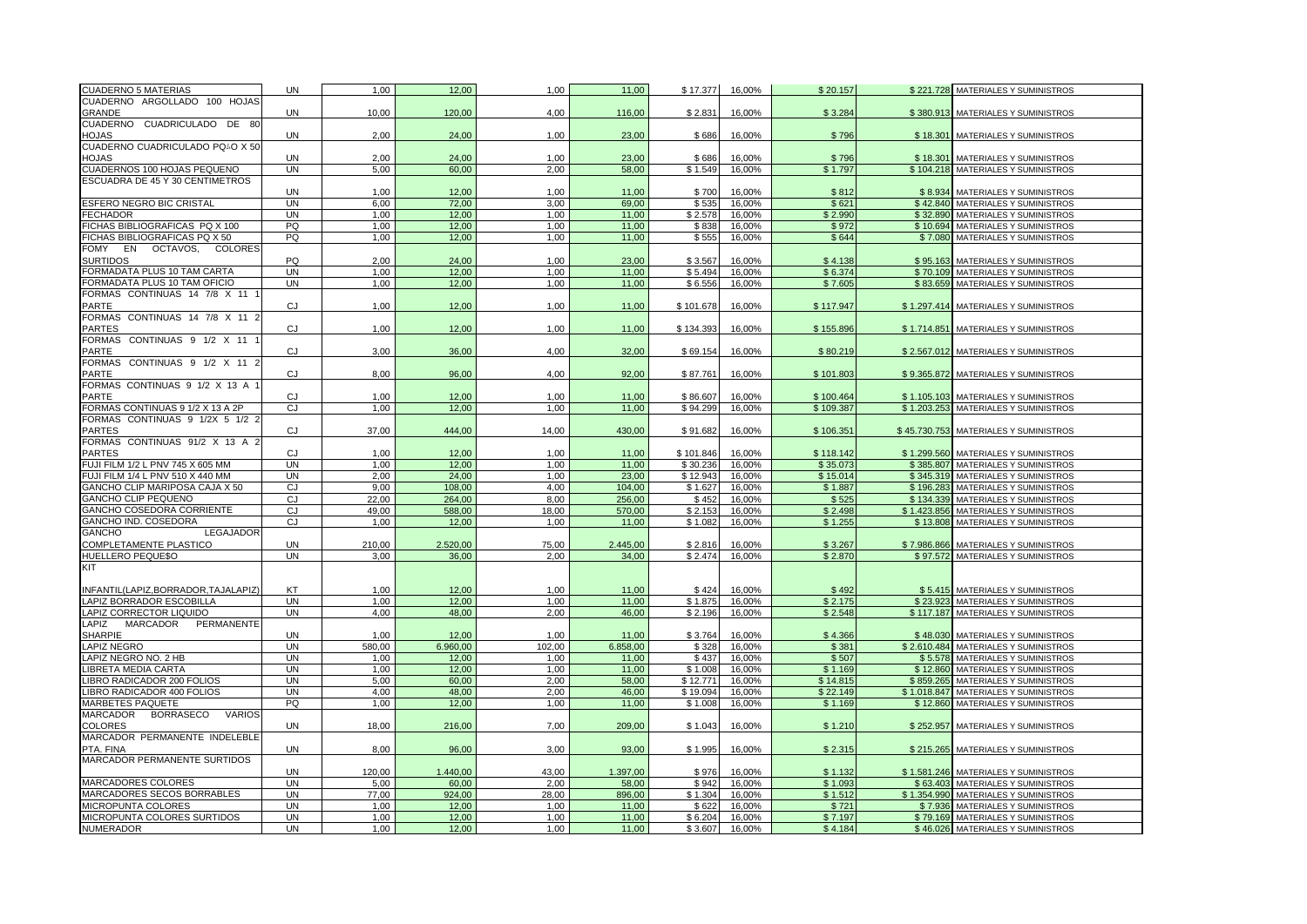| <b>CUADERNO 5 MATERIAS</b>                               | UN                     | 1,00           | 12,00             | 1,00           | 11,00             | \$17.377         | 16,00%           | \$20.157         |             | \$221.728 MATERIALES Y SUMINISTROS                                        |
|----------------------------------------------------------|------------------------|----------------|-------------------|----------------|-------------------|------------------|------------------|------------------|-------------|---------------------------------------------------------------------------|
| CUADERNO ARGOLLADO 100 HOJAS<br><b>GRANDE</b>            | <b>UN</b>              | 10,00          | 120,00            | 4,00           | 116,00            | \$2.831          | 16,00%           | \$3.284          |             | \$380.913 MATERIALES Y SUMINISTROS                                        |
| CUADERNO CUADRICULADO DE 80<br><b>OJAS</b>               | <b>UN</b>              | 2,00           | 24,00             | 1,00           | 23,00             | \$686            | 16,00%           | \$796            |             | \$18.301 MATERIALES Y SUMINISTROS                                         |
| CUADERNO CUADRICULADO PQ40 X 50                          |                        |                |                   |                |                   |                  |                  |                  |             |                                                                           |
| <b>HOJAS</b>                                             | <b>UN</b>              | 2,00           | 24,00             | 1,00           | 23,00             | \$686            | 16,00%           | \$796            |             | \$18.301 MATERIALES Y SUMINISTROS                                         |
| CUADERNOS 100 HOJAS PEQUENO                              | <b>UN</b>              | 5,00           | 60,00             | 2.00           | 58.00             | \$1.549          | 16,00%           | \$1.797          |             | \$104.218 MATERIALES Y SUMINISTROS                                        |
| ESCUADRA DE 45 Y 30 CENTIMETROS                          | <b>UN</b>              | 1.00           | 12.00             | 1.00           | 11.00             | \$700            | 16,00%           | \$812            |             | \$8.934 MATERIALES Y SUMINISTROS                                          |
| <b>ESFERO NEGRO BIC CRISTAL</b>                          | <b>UN</b>              | 6,00           | 72,00             | 3,00           | 69,00             | \$535            | 16,00%           | \$621            |             | \$42.840 MATERIALES Y SUMINISTROS                                         |
| <b>ECHADOR</b>                                           | <b>UN</b>              | 1.00           | 12.00             | 1.00           | 11.00             | \$2.578          | 16.00%           | \$2.990          |             | \$32,890 MATERIALES Y SUMINISTROS                                         |
| FICHAS BIBLIOGRAFICAS PQ X 100                           | PO                     | 1.00           | 12,00             | 1.00           | 11.00             | \$838            | 16,00%           | \$972            |             | \$10.694 MATERIALES Y SUMINISTROS                                         |
| FICHAS BIBLIOGRAFICAS PQ X 50                            | PQ                     | 1.00           | 12.00             | 1.00           | 11.00             | \$555            | 16,00%           | \$644            |             | \$7.080 MATERIALES Y SUMINISTROS                                          |
| <b>FOMY</b><br>EN OCTAVOS,<br>COLORES<br><b>SURTIDOS</b> | PQ                     | 2.00           | 24.00             | 1.00           | 23,00             | \$3.567          | 16,00%           | \$4.138          |             | \$95.163 MATERIALES Y SUMINISTROS                                         |
| ORMADATA PLUS 10 TAM CARTA                               | <b>UN</b>              | 1,00           | 12,00             | 1,00           | 11,00             | \$5.494          | 16,00%           | \$6.374          |             | \$70.109 MATERIALES Y SUMINISTROS                                         |
| FORMADATA PLUS 10 TAM OFICIO                             | <b>UN</b>              | 1,00           | 12,00             | 1.00           | 11.00             | \$6.556          | 16,00%           | \$7.605          |             | \$83.659 MATERIALES Y SUMINISTROS                                         |
| FORMAS CONTINUAS 14 7/8 X 11                             |                        |                |                   |                |                   |                  |                  |                  |             |                                                                           |
| <b>PARTE</b>                                             | CJ                     | 1,00           | 12,00             | 1,00           | 11,00             | \$101.678        | 16,00%           | \$117.947        |             | \$1.297.414 MATERIALES Y SUMINISTROS                                      |
| FORMAS CONTINUAS 14 7/8 X 11 2                           |                        |                |                   |                |                   |                  |                  |                  |             |                                                                           |
| <b>PARTES</b>                                            | <b>CJ</b>              | 1.00           | 12,00             | 1.00           | 11.00             | \$134.393        | 16,00%           | \$155.896        |             | \$1.714.851 MATERIALES Y SUMINISTROS                                      |
| FORMAS CONTINUAS 9 1/2 X 11<br><b>PARTE</b>              | CJ                     | 3,00           | 36,00             | 4.00           | 32,00             | \$69.154         | 16,00%           | \$80.219         |             | \$2.567.012 MATERIALES Y SUMINISTROS                                      |
| FORMAS CONTINUAS 9 1/2 X 11 2                            |                        |                |                   |                |                   |                  |                  |                  |             |                                                                           |
| <b>PARTE</b>                                             | CJ                     | 8,00           | 96,00             | 4,00           | 92,00             | \$87.761         | 16,00%           | \$101.803        |             | \$9.365.872 MATERIALES Y SUMINISTROS                                      |
| FORMAS CONTINUAS 9 1/2 X 13 A 1                          |                        |                |                   |                |                   |                  |                  |                  |             |                                                                           |
| <b>PARTE</b>                                             | CJ                     | 1.00           | 12,00             | 1.00           | 11.00             | \$86.607         | 16,00%           | \$100.464        |             | \$1.105.103 MATERIALES Y SUMINISTROS                                      |
| FORMAS CONTINUAS 9 1/2 X 13 A 2P                         | CJ                     | 1,00           | 12,00             | 1.00           | 11.00             | \$94.299         | 16,00%           | \$109.387        |             | \$1.203.253 MATERIALES Y SUMINISTROS                                      |
| FORMAS CONTINUAS 9 1/2X 5 1/2 2                          |                        |                |                   |                |                   |                  |                  |                  |             |                                                                           |
| <b>PARTES</b><br>FORMAS CONTINUAS 91/2 X 13 A 2          | CJ                     | 37,00          | 444,00            | 14,00          | 430,00            | \$91.682         | 16,00%           | \$106.35         |             | \$45.730.753 MATERIALES Y SUMINISTROS                                     |
| <b>PARTES</b>                                            | CJ.                    | 1,00           | 12,00             | 1.00           | 11,00             | \$101.846        | 16,00%           | \$118.142        |             | \$1.299.560 MATERIALES Y SUMINISTROS                                      |
| FUJI FILM 1/2 L PNV 745 X 605 MM                         | <b>UN</b>              | 1,00           | 12,00             | 1,00           | 11,00             | \$30.236         | 16,00%           | \$35.073         |             | \$385.807 MATERIALES Y SUMINISTROS                                        |
| FUJI FILM 1/4 L PNV 510 X 440 MM                         | <b>UN</b>              | 2.00           | 24.00             | 1.00           | 23.00             | \$12.943         | 16.00%           | \$15.014         |             | \$345,319 MATERIALES Y SUMINISTROS                                        |
| GANCHO CLIP MARIPOSA CAJA X 50                           | CJ                     | 9,00           | 108,00            | 4,00           | 104,00            | \$1.627          | 16,00%           | \$1.887          |             | \$196.283 MATERIALES Y SUMINISTROS                                        |
| <b>GANCHO CLIP PEQUENO</b>                               | <b>CJ</b>              | 22.00          | 264.00            | 8.00           | 256.00            | \$452            | 16.00%           | \$525            |             | \$134,339 MATERIALES Y SUMINISTROS                                        |
| GANCHO COSEDORA CORRIENTE                                | CJ                     | 49,00          | 588,00            | 18,00          | 570,00            | \$2.153          | 16,00%           | \$2.498          | \$1.423.856 | MATERIALES Y SUMINISTROS                                                  |
| GANCHO IND. COSEDORA                                     | <b>CJ</b>              | 1.00           | 12.00             | 1.00           | 11.00             | \$1.082          | 16,00%           | \$1.255          |             | \$13.808 MATERIALES Y SUMINISTROS                                         |
| LEGAJADOR<br><b>GANCHO</b><br>COMPLETAMENTE PLASTICO     | <b>UN</b>              | 210.00         | 2.520.00          | 75.00          | 2.445,00          | \$2.816          | 16,00%           | \$3.267          |             | \$7.986.866 MATERIALES Y SUMINISTROS                                      |
| HUELLERO PEQUE\$O                                        | <b>UN</b>              | 3,00           | 36,00             | 2.00           | 34,00             | \$2.474          | 16,00%           | \$2.870          |             | \$97.572 MATERIALES Y SUMINISTROS                                         |
| <b>KIT</b>                                               |                        |                |                   |                |                   |                  |                  |                  |             |                                                                           |
|                                                          |                        |                |                   |                |                   |                  |                  |                  |             |                                                                           |
| INFANTIL(LAPIZ,BORRADOR,TAJALAPIZ)                       | KT                     | 1.00           | 12.00             | 1.00           | 11.00             | \$424            | 16,00%           | \$492            |             | \$5.415 MATERIALES Y SUMINISTROS                                          |
| APIZ BORRADOR ESCOBILLA                                  | <b>UN</b>              | 1,00           | 12,00             | 1,00           | 11,00             | \$1.875          | 16,00%           | \$2.175          | \$23.923    | MATERIALES Y SUMINISTROS                                                  |
| APIZ CORRECTOR LIQUIDO                                   | <b>UN</b>              | 4,00           | 48,00             | 2,00           | 46,00             | \$2.196          | 16,00%           | \$2.548          |             | \$117.187 MATERIALES Y SUMINISTROS                                        |
| LAPIZ<br>MARCADOR PERMANENTE                             |                        |                |                   |                |                   |                  |                  |                  |             |                                                                           |
| <b>SHARPIE</b><br><b>APIZ NEGRO</b>                      | <b>UN</b><br><b>UN</b> | 1.00<br>580.00 | 12,00<br>6.960.00 | 1.00<br>102.00 | 11.00<br>6.858.00 | \$3.764<br>\$328 | 16,00%<br>16,00% | \$4.366<br>\$381 |             | \$48.030 MATERIALES Y SUMINISTROS<br>\$2.610.484 MATERIALES Y SUMINISTROS |
| APIZ NEGRO NO. 2 HB                                      | <b>UN</b>              | 1.00           | 12,00             | 1,00           | 11.00             | \$437            | 16,00%           | \$507            |             | \$5.578 MATERIALES Y SUMINISTROS                                          |
| <b>IBRETA MEDIA CARTA</b>                                | <b>UN</b>              | 1.00           | 12.00             | 1.00           | 11.00             | \$1.008          | 16,00%           | \$1.169          |             | \$12.860 MATERIALES Y SUMINISTROS                                         |
| IBRO RADICADOR 200 FOLIOS                                | <b>UN</b>              | 5,00           | 60,00             | 2,00           | 58,00             | \$12.771         | 16,00%           | \$14.815         | \$859.265   | MATERIALES Y SUMINISTROS                                                  |
| <b>IBRO RADICADOR 400 FOLIOS</b>                         | <b>UN</b>              | 4,00           | 48.00             | 2.00           | 46.00             | \$19.094         | 16,00%           | \$22,149         | \$1.018.847 | MATERIALES Y SUMINISTROS                                                  |
| MARBETES PAQUETE                                         | PQ                     | 1,00           | 12,00             | 1,00           | 11,00             | \$1.008          | 16,00%           | \$1.169          |             | \$12.860 MATERIALES Y SUMINISTROS                                         |
| MARCADOR<br><b>BORRASECO</b><br><b>VARIOS</b>            |                        |                |                   |                |                   |                  |                  |                  |             |                                                                           |
| COLORES<br>MARCADOR PERMANENTE INDELEBLE                 | UN                     | 18,00          | 216,00            | 7,00           | 209,00            | \$1.043          | 16,00%           | \$1.210          |             | \$252.957 MATERIALES Y SUMINISTROS                                        |
| PTA, FINA                                                | <b>UN</b>              | 8,00           | 96,00             | 3,00           | 93,00             | \$1.995          | 16,00%           | \$2.315          |             | \$215.265 MATERIALES Y SUMINISTROS                                        |
| MARCADOR PERMANENTE SURTIDOS                             |                        |                |                   |                |                   |                  |                  |                  |             |                                                                           |
|                                                          | <b>UN</b>              | 120,00         | 1.440.00          | 43,00          | 1.397,00          | \$976            | 16,00%           | \$1.132          |             | \$1.581.246 MATERIALES Y SUMINISTROS                                      |
| <b>MARCADORES COLORES</b>                                | <b>UN</b>              | 5,00           | 60,00             | 2,00           | 58,00             | \$942            | 16,00%           | \$1.093          |             | \$63.403 MATERIALES Y SUMINISTROS                                         |
| MARCADORES SECOS BORRABLES                               | <b>UN</b>              | 77.00          | 924,00            | 28,00          | 896,00            | \$1.304          | 16,00%           | \$1.512          |             | \$1.354.990 MATERIALES Y SUMINISTROS                                      |
| <b>MICROPUNTA COLORES</b>                                | <b>UN</b>              | 1,00           | 12,00             | 1,00           | 11,00             | \$622            | 16,00%           | \$721            | \$7.936     | MATERIALES Y SUMINISTROS                                                  |
| MICROPUNTA COLORES SURTIDOS                              | <b>UN</b>              | 1.00           | 12,00             | 1.00           | 11.00             | \$6.204          | 16,00%           | \$7.197          |             | \$79.169 MATERIALES Y SUMINISTROS                                         |
| <b>NUMERADOR</b>                                         | <b>UN</b>              | 1,00           | 12,00             | 1.00           | 11,00             | \$3.607          | 16,00%           | \$4.184          |             | \$46.026 MATERIALES Y SUMINISTROS                                         |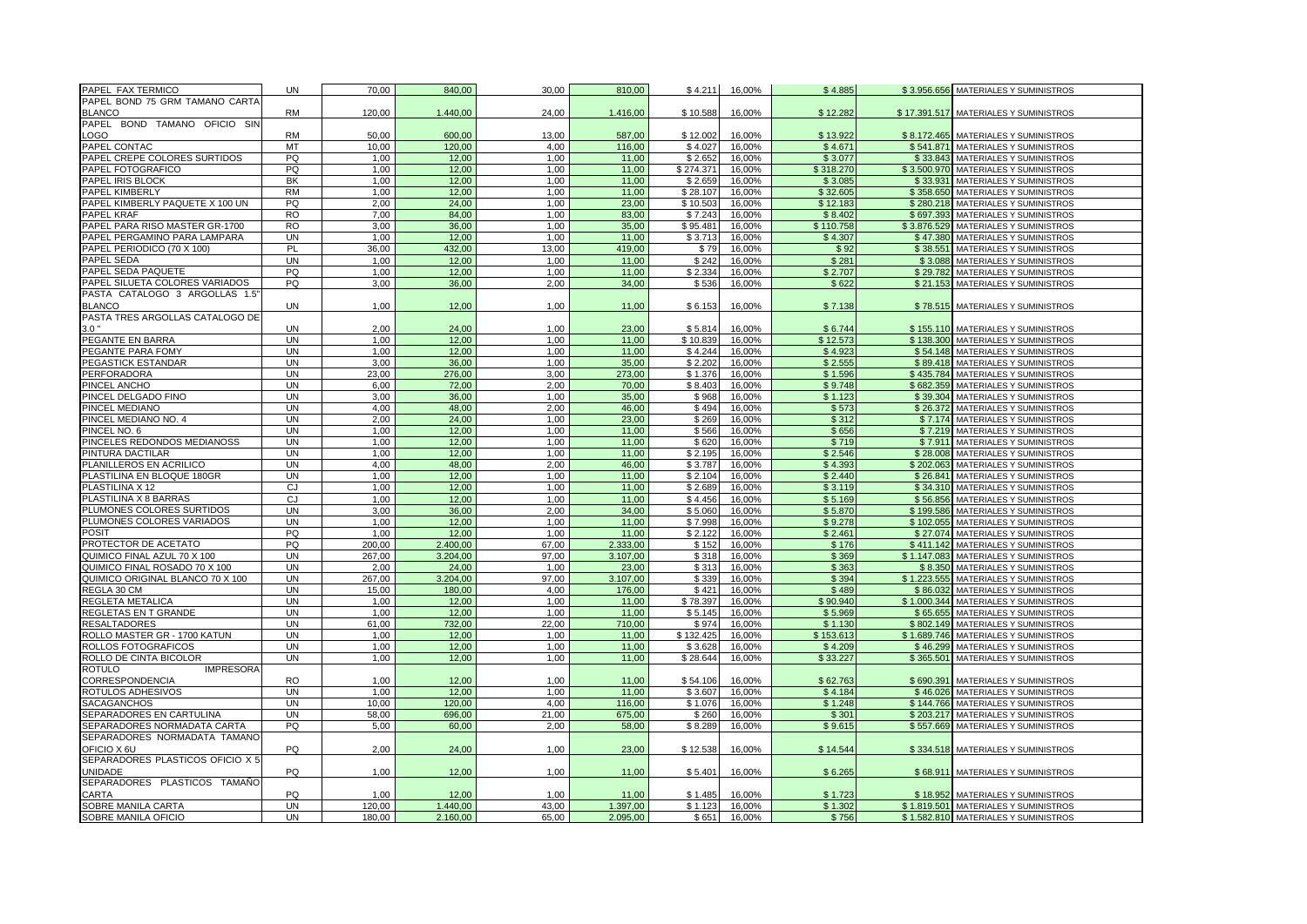| PAPEL FAX TERMICO                           | UN        | 70,00  | 840,00   | 30,00 | 810,00   | \$4.211   | 16,00% | \$4.885   |             | \$3.956.656 MATERIALES Y SUMINISTROS  |
|---------------------------------------------|-----------|--------|----------|-------|----------|-----------|--------|-----------|-------------|---------------------------------------|
| PAPEL BOND 75 GRM TAMANO CARTA              |           |        |          |       |          |           |        |           |             |                                       |
| <b>BLANCO</b>                               | <b>RM</b> | 120,00 | 1.440,00 | 24,00 | 1.416,00 | \$10.588  | 16,00% | \$12.282  |             | \$17.391.517 MATERIALES Y SUMINISTROS |
| PAPEL BOND TAMANO OFICIO SIN                |           |        |          |       |          |           |        |           |             |                                       |
| OGO.                                        | RM        | 50.00  | 600.00   | 13.00 | 587.00   | \$12,002  | 16.00% | \$13.922  |             | \$8.172.465 MATERIALES Y SUMINISTROS  |
| PAPEL CONTAC                                | MT        | 10.00  | 120,00   | 4,00  | 116,00   | \$4.027   | 16,00% | \$4.671   |             | \$541.871 MATERIALES Y SUMINISTROS    |
| PAPEL CREPE COLORES SURTIDOS                | PO        | 1,00   | 12,00    | 1,00  | 11.00    | \$2.652   | 16,00% | \$3.077   | \$33.843    | MATERIALES Y SUMINISTROS              |
| PAPEL FOTOGRAFICO                           | PQ        | 1,00   | 12,00    | 1,00  | 11,00    | \$274.371 | 16,00% | \$318.270 |             | \$3.500.970 MATERIALES Y SUMINISTROS  |
| PAPEL IRIS BLOCK                            | BK        | 1,00   | 12,00    | 1,00  | 11,00    | \$2.659   | 16,00% | \$3.085   | \$33.931    | MATERIALES Y SUMINISTROS              |
| PAPEL KIMBERLY                              | <b>RM</b> | 1.00   | 12.00    | 1.00  | 11.00    | \$28.107  | 16.00% | \$32,605  | \$358,650   | MATERIALES Y SUMINISTROS              |
| PAPEL KIMBERLY PAQUETE X 100 UN             | PQ        | 2,00   | 24,00    | 1,00  | 23,00    | \$10.503  | 16,00% | \$12.183  |             | \$280.218 MATERIALES Y SUMINISTROS    |
| <b>PAPEL KRAF</b>                           | <b>RO</b> | 7.00   | 84.00    | 1.00  | 83.00    | \$7.243   | 16.00% | \$8,402   | \$697.393   | MATERIALES Y SUMINISTROS              |
| PAPEL PARA RISO MASTER GR-1700              | <b>RO</b> | 3,00   | 36,00    | 1,00  | 35,00    | \$95.481  | 16,00% | \$110.758 | \$3.876.529 | MATERIALES Y SUMINISTROS              |
| PAPEL PERGAMINO PARA LAMPARA                | UN        | 1,00   | 12,00    | 1,00  | 11,00    | \$3.713   | 16,00% | \$4.307   | \$47.380    | MATERIALES Y SUMINISTROS              |
| PAPEL PERIODICO (70 X 100)                  | PL        | 36,00  | 432,00   | 13,00 | 419,00   | \$79      | 16,00% | \$92      | \$38.551    | MATERIALES Y SUMINISTROS              |
| PAPEL SEDA                                  | UN        | 1,00   | 12,00    | 1,00  | 11,00    | \$242     | 16,00% | \$281     | \$3.088     | MATERIALES Y SUMINISTROS              |
| PAPEL SEDA PAQUETE                          | PQ        | 1.00   | 12.00    | 1.00  | 11.00    | \$2.334   | 16,00% | \$2.707   | \$29.782    | MATERIALES Y SUMINISTROS              |
| PAPEL SILUETA COLORES VARIADOS              | PQ        | 3.00   | 36,00    | 2.00  | 34,00    | \$536     | 16,00% | \$622     |             | \$21.153 MATERIALES Y SUMINISTROS     |
| PASTA CATALOGO 3 ARGOLLAS 1.5"              |           |        |          |       |          |           |        |           |             |                                       |
| <b>BLANCO</b>                               | UN        | 1,00   | 12,00    | 1,00  | 11,00    | \$6.153   | 16,00% | \$7.138   | \$78.515    | MATERIALES Y SUMINISTROS              |
| PASTA TRES ARGOLLAS CATALOGO DE             |           |        |          |       |          |           |        |           |             |                                       |
| 3.0"                                        | UN        | 2,00   | 24,00    | 1,00  | 23,00    | \$5.814   | 16,00% | \$6.744   |             | \$155.110 MATERIALES Y SUMINISTROS    |
| PEGANTE EN BARRA                            | <b>UN</b> | 1,00   | 12,00    | 1,00  | 11.00    | \$10.839  | 16,00% | \$12.573  |             | \$138.300 MATERIALES Y SUMINISTROS    |
| PEGANTE PARA FOMY                           | UN        | 1.00   | 12.00    | 1.00  | 11.00    | \$4.244   | 16,00% | \$4.923   |             | \$54.148 MATERIALES Y SUMINISTROS     |
| PEGASTICK ESTANDAR                          | UN        | 3,00   | 36,00    | 1,00  | 35,00    | \$2.202   | 16,00% | \$2.555   | \$89.418    | MATERIALES Y SUMINISTROS              |
| PERFORADORA                                 | UN        | 23,00  | 276,00   | 3,00  | 273,00   | \$1.376   | 16,00% | \$1.596   | \$435.784   | MATERIALES Y SUMINISTROS              |
| PINCEL ANCHO                                | UN.       | 6.00   | 72.00    | 2.00  | 70.00    | \$8.403   | 16,00% | \$9.748   | \$682.359   | MATERIALES Y SUMINISTROS              |
| PINCEL DELGADO FINO                         | UN        | 3,00   | 36,00    | 1,00  | 35,00    | \$968     | 16,00% | \$1.123   | \$39.304    | MATERIALES Y SUMINISTROS              |
| PINCEL MEDIANO                              | UN        | 4,00   | 48,00    | 2,00  | 46,00    | \$494     | 16,00% | \$573     | \$26,372    | MATERIALES Y SUMINISTROS              |
| PINCEL MEDIANO NO. 4                        | <b>UN</b> | 2,00   | 24,00    | 1,00  | 23,00    | \$269     | 16,00% | \$312     | \$7.174     | MATERIALES Y SUMINISTROS              |
| PINCEL NO. 6                                | UN        | 1.00   | 12.00    | 1.00  | 11.00    | \$566     | 16,00% | \$656     |             | \$7.219 MATERIALES Y SUMINISTROS      |
| PINCELES REDONDOS MEDIANOSS                 | UN        | 1,00   | 12,00    | 1,00  | 11,00    | \$620     | 16,00% | \$719     | \$7.911     | MATERIALES Y SUMINISTROS              |
| PINTURA DACTILAR                            | UN        | 1,00   | 12,00    | 1,00  | 11,00    | \$2.195   | 16,00% | \$2.546   | \$28.008    | MATERIALES Y SUMINISTROS              |
| PLANILLEROS EN ACRILICO                     | UN.       | 4.00   | 48.00    | 2.00  | 46.00    | \$3.787   | 16,00% | \$4.393   | \$202.063   | MATERIALES Y SUMINISTROS              |
| PLASTILINA EN BLOQUE 180GR                  | <b>UN</b> | 1,00   | 12,00    | 1,00  | 11.00    | \$2.104   | 16,00% | \$2.440   | \$26.841    | MATERIALES Y SUMINISTROS              |
| PLASTILINA X 12                             | CJ        | 1,00   | 12,00    | 1,00  | 11,00    | \$2.689   | 16,00% | \$3.119   | \$34.310    | MATERIALES Y SUMINISTROS              |
| PLASTILINA X 8 BARRAS                       | <b>CJ</b> | 1.00   | 12.00    | 1.00  | 11.00    | \$4.456   | 16.00% | \$5.169   | \$56.856    | MATERIALES Y SUMINISTROS              |
| PLUMONES COLORES SURTIDOS                   | UN        | 3,00   | 36,00    | 2,00  | 34,00    | \$5.060   | 16,00% | \$5.870   | \$199.586   | MATERIALES Y SUMINISTROS              |
| PLUMONES COLORES VARIADOS                   | UN        | 1,00   | 12,00    | 1,00  | 11,00    | \$7.998   | 16,00% | \$9.278   | \$102.055   | MATERIALES Y SUMINISTROS              |
| POSIT                                       | PQ        | 1,00   | 12,00    | 1,00  | 11.00    | \$2.122   | 16,00% | \$2.461   | \$27.074    | MATERIALES Y SUMINISTROS              |
| PROTECTOR DE ACETATO                        | PQ        | 200.00 | 2.400,00 | 67.00 | 2.333,00 | \$152     | 16,00% | \$176     |             | \$411.142 MATERIALES Y SUMINISTROS    |
| QUIMICO FINAL AZUL 70 X 100                 | UN        | 267.00 | 3.204.00 | 97.00 | 3.107.00 | \$318     | 16,00% | \$369     | \$1.147.083 | <b>MATERIALES Y SUMINISTROS</b>       |
| QUIMICO FINAL ROSADO 70 X 100               | UN        | 2,00   | 24,00    | 1,00  | 23,00    | \$313     | 16,00% | \$363     | \$8.350     | MATERIALES Y SUMINISTROS              |
| QUIMICO ORIGINAL BLANCO 70 X 100            | <b>UN</b> | 267,00 | 3.204,00 | 97.00 | 3.107.00 | \$339     | 16,00% | \$394     | \$1.223.555 | MATERIALES Y SUMINISTROS              |
| REGLA 30 CM                                 | UN        | 15,00  | 180,00   | 4,00  | 176,00   | \$421     | 16,00% | \$489     | \$86.032    | MATERIALES Y SUMINISTROS              |
| REGLETA METALICA                            | UN        | 1,00   | 12,00    | 1,00  | 11,00    | \$78.397  | 16,00% | \$90.940  | \$1.000.344 | MATERIALES Y SUMINISTROS              |
| REGLETAS EN T GRANDE                        | UN        | 1,00   | 12,00    | 1,00  | 11.00    | \$5.145   | 16,00% | \$5.969   | \$65.655    | MATERIALES Y SUMINISTROS              |
| <b>RESALTADORES</b>                         | <b>UN</b> | 61,00  | 732,00   | 22,00 | 710.00   | \$974     | 16,00% | \$1.130   |             | \$802.149 MATERIALES Y SUMINISTROS    |
| ROLLO MASTER GR - 1700 KATUN                | UN        | 1,00   | 12,00    | 1,00  | 11.00    | \$132.425 | 16,00% | \$153,613 | \$1,689,746 | MATERIALES Y SUMINISTROS              |
| ROLLOS FOTOGRAFICOS                         | UN        | 1,00   | 12,00    | 1,00  | 11,00    | \$3.628   | 16,00% | \$4.209   | \$46.299    | MATERIALES Y SUMINISTROS              |
| ROLLO DE CINTA BICOLOR                      | UN        | 1,00   | 12,00    | 1,00  | 11,00    | \$28.644  | 16,00% | \$33.227  | \$365.501   | MATERIALES Y SUMINISTROS              |
| <b>ROTULO</b><br><b>IMPRESORA</b>           |           |        |          |       |          |           |        |           |             |                                       |
| <b>CORRESPONDENCIA</b>                      | <b>RO</b> | 1,00   | 12,00    | 1,00  | 11,00    | \$54.106  | 16,00% | \$62.763  |             | \$690.391 MATERIALES Y SUMINISTROS    |
| ROTULOS ADHESIVOS                           | UN.       | 1.00   | 12.00    | 1.00  | 11.00    | \$3.607   | 16.00% | \$4.184   | \$46.026    | MATERIALES Y SUMINISTROS              |
| SACAGANCHOS                                 | <b>UN</b> | 10.00  | 120.00   | 4.00  | 116.00   | \$1.076   | 16,00% | \$1.248   | \$144.766   | MATERIALES Y SUMINISTROS              |
| SEPARADORES EN CARTULINA                    | UN        | 58,00  | 696,00   | 21,00 | 675,00   | \$260     | 16,00% | \$301     |             | \$203.217 MATERIALES Y SUMINISTROS    |
| EPARADORES NORMADATA CARTA                  | PQ        | 5,00   | 60,00    | 2,00  | 58,00    | \$8.289   | 16,00% | \$9.615   | \$557.669   | MATERIALES Y SUMINISTROS              |
|                                             |           |        |          |       |          |           |        |           |             |                                       |
| SEPARADORES NORMADATA TAMANO<br>OFICIO X 6U | <b>PQ</b> |        |          | 1.00  | 23.00    |           |        | \$14.544  |             |                                       |
| SEPARADORES PLASTICOS OFICIO X 5            |           | 2,00   | 24,00    |       |          | \$12.538  | 16,00% |           |             | \$334.518 MATERIALES Y SUMINISTROS    |
|                                             |           |        |          |       |          |           |        |           |             |                                       |
| JNIDADE                                     | PQ.       | 1,00   | 12,00    | 1,00  | 11,00    | \$5.401   | 16,00% | \$6.265   |             | \$68.911 MATERIALES Y SUMINISTROS     |
| SEPARADORES PLASTICOS TAMAÑO                |           |        |          |       |          |           |        |           |             |                                       |
| CARTA                                       | PQ        | 1,00   | 12,00    | 1,00  | 11,00    | \$1.485   | 16,00% | \$1.723   |             | \$18.952 MATERIALES Y SUMINISTROS     |
| SOBRE MANILA CARTA                          | <b>UN</b> | 120,00 | 1.440,00 | 43.00 | 1.397,00 | \$1.123   | 16,00% | \$1.302   |             | \$1.819.501 MATERIALES Y SUMINISTROS  |
| SOBRE MANILA OFICIO                         | UN        | 180,00 | 2.160,00 | 65,00 | 2.095,00 | \$651     | 16,00% | \$756     |             | \$1.582.810 MATERIALES Y SUMINISTROS  |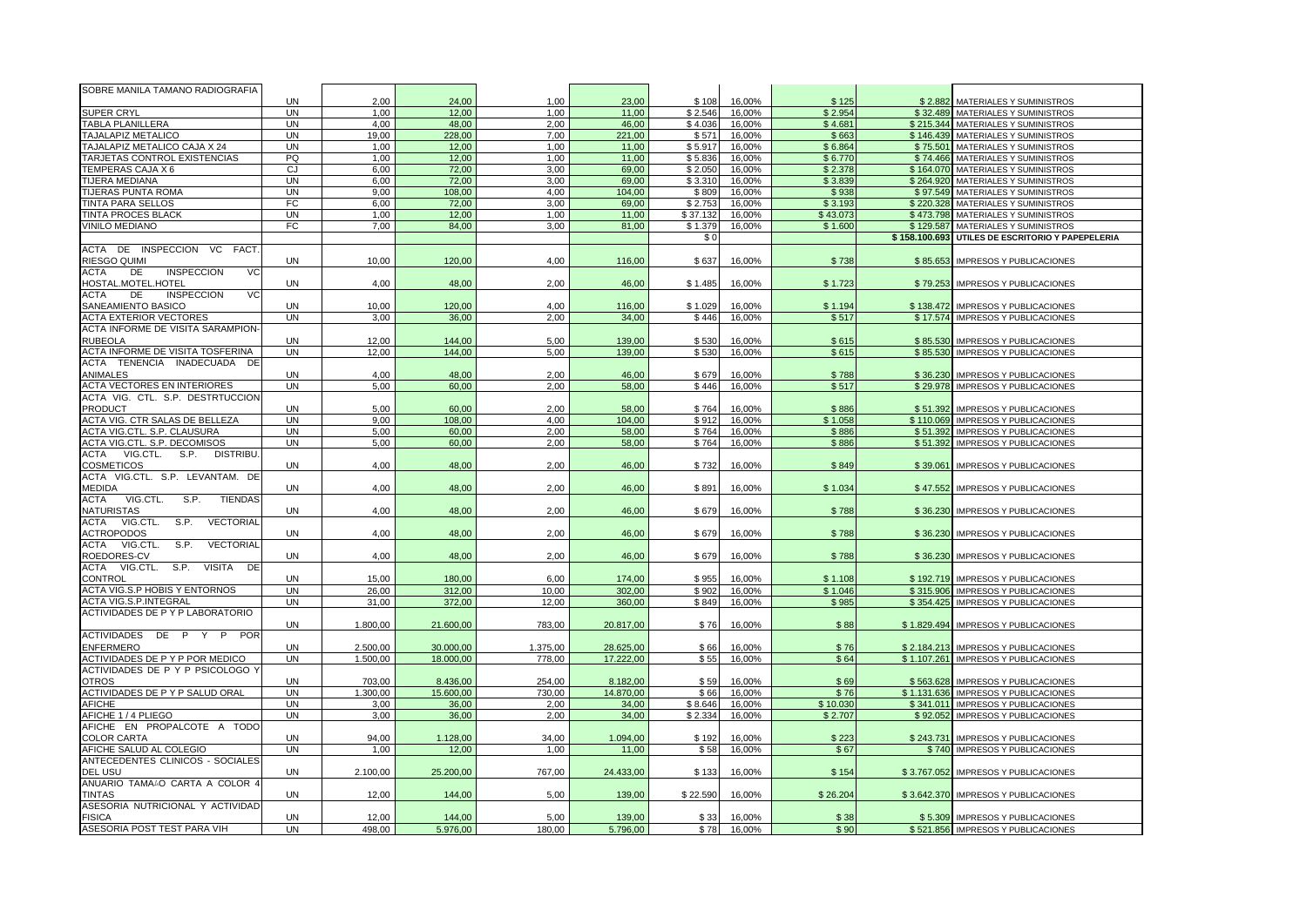| SOBRE MANILA TAMANO RADIOGRAFIA                     |           |          |           |          |           |          |        |          |               |                                      |
|-----------------------------------------------------|-----------|----------|-----------|----------|-----------|----------|--------|----------|---------------|--------------------------------------|
|                                                     | UN        | 2,00     | 24.00     | 1.00     | 23,00     | \$108    | 16,00% | \$125    |               | \$2.882 MATERIALES Y SUMINISTROS     |
| SUPER CRYL                                          | <b>UN</b> | 1,00     | 12,00     | 1,00     | 11,00     | \$2.546  | 16,00% | \$2.954  | \$32,489      | MATERIALES Y SUMINISTROS             |
| ABLA PLANILLERA                                     | <b>UN</b> | 4,00     | 48.00     | 2,00     | 46,00     | \$4.036  | 16,00% | \$4.681  | \$215.344     | MATERIALES Y SUMINISTROS             |
| <b>TAJALAPIZ METALICO</b>                           | UN        | 19,00    | 228,00    | 7.00     | 221,00    | \$571    | 16,00% | \$663    | \$146.439     | MATERIALES Y SUMINISTROS             |
| TAJALAPIZ METALICO CAJA X 24                        | <b>UN</b> | 1,00     | 12,00     | 1,00     | 11,00     | \$5.917  | 16,00% | \$6.864  | \$75.501      | MATERIALES Y SUMINISTROS             |
| <b>TARJETAS CONTROL EXISTENCIAS</b>                 | PQ        | 1,00     | 12,00     | 1,00     | 11,00     | \$5.836  | 16,00% | \$6.770  | \$74,466      | MATERIALES Y SUMINISTROS             |
| <b>FEMPERAS CAJA X 6</b>                            | <b>CJ</b> | 6,00     | 72,00     | 3,00     | 69,00     | \$2.050  | 16,00% | \$2.378  | \$164.070     | MATERIALES Y SUMINISTROS             |
| TIJERA MEDIANA                                      | <b>UN</b> | 6,00     | 72,00     | 3,00     | 69,00     | \$3.310  | 16,00% | \$3.839  | \$264.920     | MATERIALES Y SUMINISTROS             |
| <b>TIJERAS PUNTA ROMA</b>                           | UN        | 9.00     | 108.00    | 4.00     | 104.00    | \$809    | 16.00% | \$938    | \$97.549      | MATERIALES Y SUMINISTROS             |
| <b>TINTA PARA SELLOS</b>                            | FC        | 6,00     | 72,00     | 3,00     | 69,00     | \$2.75   | 16,00% | \$3.193  | \$220.328     | MATERIALES Y SUMINISTROS             |
| <b>TINTA PROCES BLACK</b>                           | UN        | 1.00     | 12.00     | 1,00     | 11.00     | \$37.132 | 16.00% | \$43.073 | \$473.798     | MATERIALES Y SUMINISTROS             |
| <b>VINILO MEDIANO</b>                               | FC        | 7,00     | 84,00     | 3,00     | 81,00     | \$1.379  | 16,00% | \$1.600  | \$129.587     | <b>MATERIALES Y SUMINISTROS</b>      |
|                                                     |           |          |           |          |           | \$0      |        |          | \$158.100.693 | UTILES DE ESCRITORIO Y PAPEPELERIA   |
| ACTA DE INSPECCION VC FACT.                         |           |          |           |          |           |          |        |          |               |                                      |
| RIESGO QUIMI                                        | UN        | 10,00    | 120,00    | 4,00     | 116,00    | \$637    | 16,00% | \$738    | \$85.653      | <b>IMPRESOS Y PUBLICACIONES</b>      |
| <b>ACTA</b><br>DE<br><b>INSPECCION</b><br>VC        |           |          |           |          |           |          |        |          |               |                                      |
| HOSTAL.MOTEL.HOTEL                                  | <b>UN</b> | 4,00     | 48,00     | 2,00     | 46,00     | \$1.485  | 16,00% | \$1.723  | \$79.253      | <b>IMPRESOS Y PUBLICACIONES</b>      |
| <b>ACTA</b><br><b>INSPECCION</b><br>VC<br>DE        |           |          |           |          |           |          |        |          |               |                                      |
| SANEAMIENTO BASICO                                  | <b>UN</b> | 10.00    | 120.00    | 4.00     | 116.00    | \$1.029  | 16.00% | \$1.194  | \$138,472     | <b>IMPRESOS Y PUBLICACIONES</b>      |
| <b>ACTA EXTERIOR VECTORES</b>                       | <b>UN</b> | 3,00     | 36.00     | 2.00     | 34.00     | \$446    | 16,00% | \$517    | \$17.574      | <b>IMPRESOS Y PUBLICACIONES</b>      |
| ACTA INFORME DE VISITA SARAMPION-                   |           |          |           |          |           |          |        |          |               |                                      |
| <b>RUBEOLA</b>                                      | <b>UN</b> | 12,00    | 144.00    | 5,00     | 139.00    | \$530    | 16,00% | \$615    | \$85.530      | <b>IMPRESOS Y PUBLICACIONES</b>      |
| ACTA INFORME DE VISITA TOSFERINA                    | <b>UN</b> | 12.00    | 144.00    | 5.00     | 139.00    | \$530    | 16,00% | \$615    | \$85.530      | IMPRESOS Y PUBLICACIONES             |
| TENENCIA INADECUADA<br>ACTA                         |           |          |           |          |           |          |        |          |               |                                      |
| <b>ANIMALES</b>                                     | UN        | 4,00     | 48.00     | 2,00     | 46,00     | \$679    | 16,00% | \$788    | \$36,230      | <b>IMPRESOS Y PUBLICACIONES</b>      |
| <b>ACTA VECTORES EN INTERIORES</b>                  | <b>UN</b> | 5,00     | 60,00     | 2.00     | 58,00     | \$446    | 16,00% | \$517    | \$29,978      | <b>IMPRESOS Y PUBLICACIONES</b>      |
| ACTA VIG. CTL. S.P. DESTRTUCCION                    |           |          |           |          |           |          |        |          |               |                                      |
| <b>PRODUCT</b>                                      | <b>UN</b> | 5,00     | 60,00     | 2.00     | 58,00     | \$764    | 16,00% | \$886    | \$51.392      | <b>IMPRESOS Y PUBLICACIONES</b>      |
| ACTA VIG. CTR SALAS DE BELLEZA                      | <b>UN</b> | 9,00     | 108,00    | 4,00     | 104,00    | \$912    | 16,00% | \$1.058  | \$110.069     | <b>IMPRESOS Y PUBLICACIONES</b>      |
| ACTA VIG.CTL. S.P. CLAUSURA                         | <b>UN</b> | 5,00     | 60,00     | 2,00     | 58,00     | \$764    | 16,00% | \$886    | \$51.392      | IMPRESOS Y PUBLICACIONES             |
| ACTA VIG.CTL, S.P. DECOMISOS                        | <b>UN</b> | 5.00     | 60.00     | 2.00     | 58.00     | \$764    | 16.00% | \$886    | \$51,392      | <b>IMPRESOS Y PUBLICACIONES</b>      |
| S.P.<br><b>DISTRIBU</b><br>ACTA<br>VIG.CTL.         |           |          |           |          |           |          |        |          |               |                                      |
| <b>COSMETICOS</b>                                   | <b>UN</b> | 4,00     | 48.00     | 2,00     | 46,00     | \$732    | 16,00% | \$849    | \$39.061      | <b>IMPRESOS Y PUBLICACIONES</b>      |
| ACTA<br>VIG.CTL. S.P. LEVANTAM. DE                  |           |          |           |          |           |          |        |          |               |                                      |
| <b>MEDIDA</b>                                       | <b>UN</b> | 4.00     | 48.00     | 2.00     | 46.00     | \$891    | 16,00% | \$1.034  | \$47.552      | <b>IMPRESOS Y PUBLICACIONES</b>      |
| <b>ACTA</b><br>S.P.<br><b>TIENDAS</b><br>VIG.CTL.   |           |          |           |          |           |          |        |          |               |                                      |
| <b>NATURISTAS</b>                                   | <b>UN</b> | 4,00     | 48,00     | 2,00     | 46,00     | \$679    | 16,00% | \$788    | \$36.230      | <b>IMPRESOS Y PUBLICACIONES</b>      |
| S.P.<br><b>VECTORIAL</b><br><b>ACTA</b><br>VIG.CTL. |           |          |           |          |           |          |        |          |               |                                      |
| <b>ACTROPODOS</b>                                   | <b>UN</b> | 4,00     | 48,00     | 2,00     | 46,00     | \$679    | 16,00% | \$788    | \$36.230      | IMPRESOS Y PUBLICACIONES             |
| VECTORIAL<br>VIG.CTL.<br>S.P.<br>ACTA               |           |          |           |          |           |          |        |          |               |                                      |
| ROEDORES-CV                                         | <b>UN</b> | 4,00     | 48,00     | 2,00     | 46,00     | \$679    | 16,00% | \$788    |               | \$36.230 IMPRESOS Y PUBLICACIONES    |
| S.P.<br>VISITA<br>ACTA<br>VIG.CTL.<br>DE            |           |          |           |          |           |          |        |          |               |                                      |
| <b>CONTROL</b>                                      | <b>UN</b> | 15,00    | 180,00    | 6,00     | 174,00    | \$955    | 16,00% | \$1.108  | \$192.719     | <b>IMPRESOS Y PUBLICACIONES</b>      |
| ACTA VIG.S.P HOBIS Y ENTORNOS                       | <b>UN</b> | 26,00    | 312,00    | 10,00    | 302,00    | \$902    | 16,00% | \$1.046  | \$315.906     | <b>IMPRESOS Y PUBLICACIONES</b>      |
| <b>ACTA VIG.S.P.INTEGRAL</b>                        | UN        | 31,00    | 372,00    | 12,00    | 360,00    | \$849    | 16,00% | \$985    | \$354.425     | <b>IMPRESOS Y PUBLICACIONES</b>      |
| ACTIVIDADES DE P Y P LABORATORIO                    |           |          |           |          |           |          |        |          |               |                                      |
|                                                     | <b>UN</b> | 1.800,00 | 21.600,00 | 783,00   | 20.817,00 | \$76     | 16,00% | \$88     | \$1.829.494   | IMPRESOS Y PUBLICACIONES             |
| <b>ACTIVIDADES</b><br>DE P Y P<br>POR               |           |          |           |          |           |          |        |          |               |                                      |
| <b>ENFERMERO</b>                                    | UN        | 2.500,00 | 30.000,00 | 1.375,00 | 28.625,00 | \$66     | 16,00% | \$76     | \$2.184.213   | <b>IMPRESOS Y PUBLICACIONES</b>      |
| ACTIVIDADES DE P Y P POR MEDICO                     | <b>UN</b> | 1.500.00 | 18.000.00 | 778.00   | 17.222.00 | \$55     | 16.00% | \$64     | \$1.107.261   | <b>IMPRESOS Y PUBLICACIONES</b>      |
| ACTIVIDADES DE P Y P PSICOLOGO \                    |           |          |           |          |           |          |        |          |               |                                      |
| <b>OTROS</b>                                        | <b>UN</b> | 703,00   | 8.436,00  | 254,00   | 8.182,00  | \$59     | 16,00% | \$69     | \$563.628     | <b>IMPRESOS Y PUBLICACIONES</b>      |
| ACTIVIDADES DE P Y P SALUD ORAL                     | <b>UN</b> | 1.300.00 | 15,600.00 | 730.00   | 14.870.00 | \$66     | 16,00% | \$76     | \$1.131.636   | <b>IMPRESOS Y PUBLICACIONES</b>      |
| <b>AFICHE</b>                                       | <b>UN</b> | 3,00     | 36,00     | 2,00     | 34,00     | \$8.646  | 16,00% | \$10.030 | \$341.011     | <b>IMPRESOS Y PUBLICACIONES</b>      |
| AFICHE 1 / 4 PLIEGO                                 | <b>UN</b> | 3,00     | 36,00     | 2.00     | 34,00     | \$2.334  | 16,00% | \$2.707  | \$92,052      | <b>IMPRESOS Y PUBLICACIONES</b>      |
| AFICHE EN PROPALCOTE A TODO                         |           |          |           |          |           |          |        |          |               |                                      |
| <b>COLOR CARTA</b>                                  | UN        | 94,00    | 1.128,00  | 34,00    | 1.094,00  | \$192    | 16,00% | \$223    | \$243.731     | <b>IMPRESOS Y PUBLICACIONES</b>      |
| AFICHE SALUD AL COLEGIO                             | <b>UN</b> | 1.00     | 12.00     | 1.00     | 11.00     | \$58     | 16,00% | \$67     | \$740         | <b>IMPRESOS Y PUBLICACIONES</b>      |
| ANTECEDENTES CLINICOS - SOCIALES                    |           |          |           |          |           |          |        |          |               |                                      |
| <b>DEL USU</b>                                      | <b>UN</b> | 2.100,00 | 25.200,00 | 767,00   | 24.433,00 | \$133    | 16,00% | \$154    |               | \$3.767.052 IMPRESOS Y PUBLICACIONES |
| ANUARIO TAMAAO CARTA A COLOR 4                      |           |          |           |          |           |          |        |          |               |                                      |
| <b>TINTAS</b>                                       | <b>UN</b> | 12,00    | 144,00    | 5,00     | 139,00    | \$22.590 | 16,00% | \$26.204 | \$3.642.370   | <b>IMPRESOS Y PUBLICACIONES</b>      |
| ASESORIA NUTRICIONAL Y ACTIVIDAD                    |           |          |           |          |           |          |        |          |               |                                      |
| <b>FISICA</b>                                       | <b>UN</b> | 12,00    | 144,00    | 5,00     | 139,00    | \$33     | 16,00% | \$38     |               | \$5.309 IMPRESOS Y PUBLICACIONES     |
| ASESORIA POST TEST PARA VIH                         | <b>UN</b> | 498.00   | 5.976.00  | 180.00   | 5.796.00  | \$78     | 16.00% | \$90     |               | \$521.856 IMPRESOS Y PUBLICACIONES   |
|                                                     |           |          |           |          |           |          |        |          |               |                                      |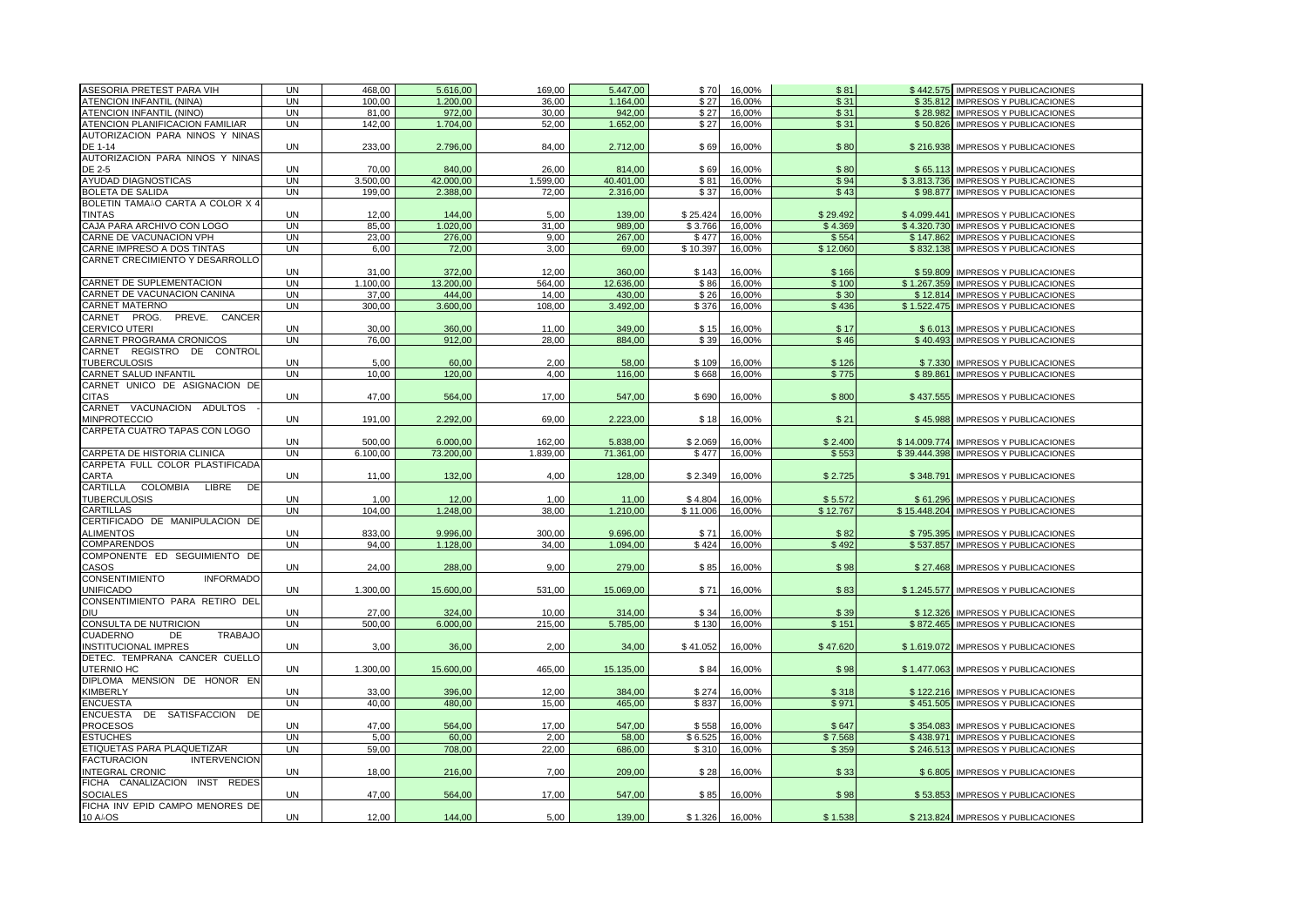| ASESORIA PRETEST PARA VIH                              | UN        | 468,00   | 5.616,00  | 169,00   | 5.447,00  | \$70     | 16,00% | \$81     |             | \$442.575 IMPRESOS Y PUBLICACIONES    |
|--------------------------------------------------------|-----------|----------|-----------|----------|-----------|----------|--------|----------|-------------|---------------------------------------|
| ATENCION INFANTIL (NINA)                               | <b>UN</b> | 100,00   | 1.200,00  | 36,00    | 1.164,00  | \$27     | 16,00% | \$31     | \$35.812    | <b>IMPRESOS Y PUBLICACIONES</b>       |
| ATENCION INFANTIL (NINO)                               | <b>UN</b> | 81,00    | 972,00    | 30,00    | 942,00    | \$27     | 16,00% | \$31     | \$28.982    | <b>IMPRESOS Y PUBLICACIONES</b>       |
| ATENCION PLANIFICACION FAMILIAR                        | <b>UN</b> | 142,00   | 1.704,00  | 52,00    | 1.652,00  | \$27     | 16,00% | \$31     |             | \$50.826 IMPRESOS Y PUBLICACIONES     |
| AUTORIZACION PARA NINOS Y NINAS<br>DE 1-14             | <b>UN</b> | 233,00   | 2.796,00  | 84,00    | 2.712,00  | \$69     | 16,00% | \$80     |             | \$216.938 IMPRESOS Y PUBLICACIONES    |
| AUTORIZACION PARA NINOS Y NINAS                        |           |          |           |          |           |          |        |          |             |                                       |
| DE 2-5                                                 | <b>UN</b> | 70.00    | 840.00    | 26.00    | 814.00    | \$69     | 16,00% | \$80     |             | \$65.113 IMPRESOS Y PUBLICACIONES     |
| AYUDAD DIAGNOSTICAS                                    | <b>UN</b> | 3.500,00 | 42.000,00 | 1.599,00 | 40.401,00 | \$81     | 16,00% | \$94     | \$3.813.736 | <b>IMPRESOS Y PUBLICACIONES</b>       |
| <b>BOLETA DE SALIDA</b>                                | <b>UN</b> | 199.00   | 2.388,00  | 72,00    | 2.316,00  | \$37     | 16,00% | \$43     |             | \$98.877 IMPRESOS Y PUBLICACIONES     |
| BOLETIN TAMAAO CARTA A COLOR X 4                       |           |          |           |          |           |          |        |          |             |                                       |
| <b>TINTAS</b>                                          | <b>UN</b> | 12,00    | 144.00    | 5,00     | 139,00    | \$25.424 | 16,00% | \$29.492 |             | \$4.099.441 IMPRESOS Y PUBLICACIONES  |
| CAJA PARA ARCHIVO CON LOGO                             | <b>UN</b> | 85,00    | 1.020,00  | 31.00    | 989,00    | \$3.766  | 16,00% | \$4.369  | \$4.320.730 | <b>IMPRESOS Y PUBLICACIONES</b>       |
| ARNE DE VACUNACION VPH                                 | <b>UN</b> | 23,00    | 276,00    | 9.00     | 267,00    | \$477    | 16,00% | \$554    |             | \$147.862 IMPRESOS Y PUBLICACIONES    |
| CARNE IMPRESO A DOS TINTAS                             | <b>UN</b> | 6,00     | 72.00     | 3.00     | 69.00     | \$10.397 | 16,00% | \$12,060 |             | \$832.138 IMPRESOS Y PUBLICACIONES    |
| CARNET CRECIMIENTO Y DESARROLLO                        |           |          |           |          |           |          |        |          |             |                                       |
|                                                        | <b>UN</b> | 31.00    | 372,00    | 12.00    | 360.00    | \$143    | 16,00% | \$166    |             | \$59.809 IMPRESOS Y PUBLICACIONES     |
| CARNET DE SUPLEMENTACION                               | <b>UN</b> | 1.100,00 | 13.200,00 | 564,00   | 12.636,00 | \$86     | 16,00% | \$100    |             | \$1.267.359 IMPRESOS Y PUBLICACIONES  |
| CARNET DE VACUNACION CANINA                            | <b>UN</b> | 37,00    | 444,00    | 14,00    | 430,00    | \$26     | 16,00% | \$30     | \$12.814    | IMPRESOS Y PUBLICACIONES              |
| <b>CARNET MATERNO</b><br>CARNET PROG. PREVE. CANCER    | <b>UN</b> | 300.00   | 3.600,00  | 108.00   | 3.492.00  | \$376    | 16,00% | \$436    | \$1,522,475 | <b>IMPRESOS Y PUBLICACIONES</b>       |
|                                                        |           |          |           |          |           |          |        |          |             |                                       |
| <b>CERVICO UTERI</b>                                   | <b>UN</b> | 30.00    | 360.00    | 11.00    | 349,00    | \$15     | 16,00% | \$17     |             | \$6.013 IMPRESOS Y PUBLICACIONES      |
| CARNET PROGRAMA CRONICOS<br>CARNET REGISTRO DE CONTROL | <b>UN</b> | 76,00    | 912,00    | 28,00    | 884,00    | \$39     | 16,00% | \$46     | \$40.493    | IMPRESOS Y PUBLICACIONES              |
| <b>TUBERCULOSIS</b>                                    | <b>UN</b> | 5.00     | 60.00     | 2.00     | 58.00     | \$109    | 16,00% | \$126    | \$7.330     | <b>IMPRESOS Y PUBLICACIONES</b>       |
| CARNET SALUD INFANTIL                                  | <b>UN</b> | 10,00    | 120,00    | 4,00     | 116,00    | \$668    | 16,00% | \$775    | \$89.861    | <b>IMPRESOS Y PUBLICACIONES</b>       |
| CARNET UNICO DE ASIGNACION DE                          |           |          |           |          |           |          |        |          |             |                                       |
| <b>CITAS</b>                                           | <b>UN</b> | 47,00    | 564,00    | 17,00    | 547,00    | \$690    | 16,00% | \$800    |             | \$437.555 IMPRESOS Y PUBLICACIONES    |
| CARNET VACUNACION ADULTOS                              |           |          |           |          |           |          |        |          |             |                                       |
| <b>MINPROTECCIO</b>                                    | <b>UN</b> | 191.00   | 2.292,00  | 69,00    | 2.223,00  | \$18     | 16,00% | \$21     |             | \$45.988 IMPRESOS Y PUBLICACIONES     |
| CARPETA CUATRO TAPAS CON LOGO                          |           |          |           |          |           |          |        |          |             |                                       |
|                                                        | <b>UN</b> | 500,00   | 6.000,00  | 162,00   | 5.838,00  | \$2.069  | 16,00% | \$2.400  |             | \$14.009.774 IMPRESOS Y PUBLICACIONES |
| CARPETA DE HISTORIA CLINICA                            | <b>UN</b> | 6.100,00 | 73.200,00 | 1.839.00 | 71.361,00 | \$477    | 16,00% | \$553    |             | \$39.444.398 IMPRESOS Y PUBLICACIONES |
| CARPETA FULL COLOR PLASTIFICADA                        |           |          |           |          |           |          |        |          |             |                                       |
| CARTA                                                  | <b>UN</b> | 11.00    | 132.00    | 4.00     | 128,00    | \$2.349  | 16,00% | \$2.725  |             | \$348.791 IMPRESOS Y PUBLICACIONES    |
| CARTILLA<br>COLOMBIA<br>LIBRE<br>DE                    |           |          |           |          |           |          |        |          |             |                                       |
| <b>TUBERCULOSIS</b>                                    | UN        | 1.00     | 12.00     | 1.00     | 11.00     | \$4.804  | 16,00% | \$5.572  |             | \$61.296 IMPRESOS Y PUBLICACIONES     |
| <b>CARTILLAS</b>                                       | <b>UN</b> | 104,00   | 1.248,00  | 38,00    | 1.210,00  | \$11.006 | 16,00% | \$12.767 |             | \$15.448.204 IMPRESOS Y PUBLICACIONES |
| CERTIFICADO DE MANIPULACION DE                         |           |          |           |          |           |          |        |          |             |                                       |
| <b>ALIMENTOS</b>                                       | <b>UN</b> | 833.00   | 9.996.00  | 300.00   | 9.696.00  | \$71     | 16,00% | \$82     | \$795.395   | <b>IMPRESOS Y PUBLICACIONES</b>       |
| <b>COMPARENDOS</b>                                     | <b>UN</b> | 94,00    | 1.128,00  | 34,00    | 1.094,00  | \$424    | 16,00% | \$492    |             | \$537.857 IMPRESOS Y PUBLICACIONES    |
| COMPONENTE ED SEGUIMIENTO DE                           |           |          |           |          |           |          |        |          |             |                                       |
| CASOS                                                  | <b>UN</b> | 24,00    | 288,00    | 9,00     | 279,00    | \$85     | 16,00% | \$98     |             | \$27.468 IMPRESOS Y PUBLICACIONES     |
| <b>CONSENTIMIENTO</b><br><b>INFORMADO</b>              |           |          |           |          |           |          |        |          |             |                                       |
| <b>UNIFICADO</b>                                       | <b>UN</b> | 1.300.00 | 15.600.00 | 531.00   | 15.069.00 | \$71     | 16.00% | \$83     |             | \$1,245,577 IMPRESOS Y PUBLICACIONES  |
| CONSENTIMIENTO PARA RETIRO DEL                         |           |          |           |          |           |          |        |          |             |                                       |
| <b>DIU</b>                                             | <b>UN</b> | 27.00    | 324.00    | 10,00    | 314.00    | \$34     | 16,00% | \$39     |             | \$12.326 IMPRESOS Y PUBLICACIONES     |
| CONSULTA DE NUTRICION                                  | <b>UN</b> | 500,00   | 6.000,00  | 215,00   | 5.785,00  | \$130    | 16,00% | \$151    |             | \$872.465 IMPRESOS Y PUBLICACIONES    |
| <b>CUADERNO</b><br><b>DE</b><br><b>TRABAJO</b>         |           |          |           |          |           |          |        |          |             |                                       |
| <b>NSTITUCIONAL IMPRES</b>                             | <b>UN</b> | 3,00     | 36,00     | 2.00     | 34,00     | \$41.052 | 16,00% | \$47.620 |             | \$1.619.072 IMPRESOS Y PUBLICACIONES  |
| DETEC. TEMPRANA CANCER CUELLO                          |           |          |           |          |           |          |        |          |             |                                       |
| UTERNIO HC                                             | <b>UN</b> | 1.300,00 | 15.600,00 | 465,00   | 15.135,00 | \$84     | 16,00% | \$98     |             | \$1.477.063 IMPRESOS Y PUBLICACIONES  |
| DIPLOMA MENSION DE HONOR EN                            |           |          |           |          |           |          |        |          |             |                                       |
| KIMBERLY                                               | <b>UN</b> | 33,00    | 396,00    | 12,00    | 384,00    | \$274    | 16,00% | \$318    |             | \$122.216 IMPRESOS Y PUBLICACIONES    |
| <b>ENCUESTA</b>                                        | <b>UN</b> | 40.00    | 480.00    | 15,00    | 465.00    | \$837    | 16,00% | \$971    |             | \$451.505 IMPRESOS Y PUBLICACIONES    |
| DE SATISFACCION<br><b>ENCUESTA</b><br>DE               |           |          |           |          |           |          |        |          |             |                                       |
| <b>PROCESOS</b>                                        | <b>UN</b> | 47.00    | 564,00    | 17.00    | 547,00    | \$558    | 16,00% | \$647    |             | \$354.083 IMPRESOS Y PUBLICACIONES    |
| <b>ESTUCHES</b>                                        | <b>UN</b> | 5,00     | 60.00     | 2.00     | 58.00     | \$6.525  | 16,00% | \$7.568  | \$438.971   | IMPRESOS Y PUBLICACIONES              |
| ETIQUETAS PARA PLAQUETIZAR                             | <b>UN</b> | 59,00    | 708,00    | 22.00    | 686,00    | \$310    | 16,00% | \$359    | \$246.513   | <b>IMPRESOS Y PUBLICACIONES</b>       |
| <b>INTERVENCION</b><br><b>FACTURACION</b>              |           |          |           |          |           |          |        |          |             |                                       |
| <b>INTEGRAL CRONIC</b>                                 | UN        | 18,00    | 216,00    | 7,00     | 209,00    | \$28     | 16,00% | \$33     |             | \$6.805 IMPRESOS Y PUBLICACIONES      |
| FICHA CANALIZACION INST REDES                          |           |          |           |          |           |          |        |          |             |                                       |
| <b>SOCIALES</b>                                        | <b>UN</b> | 47,00    | 564,00    | 17,00    | 547,00    | \$85     | 16,00% | \$98     |             | \$53.853 IMPRESOS Y PUBLICACIONES     |
| FICHA INV EPID CAMPO MENORES DE                        |           |          |           |          |           |          |        |          |             |                                       |
| 10 A A OS                                              | <b>UN</b> | 12.00    | 144,00    | 5.00     | 139,00    | \$1.326  | 16,00% | \$1.538  |             | \$213.824 IMPRESOS Y PUBLICACIONES    |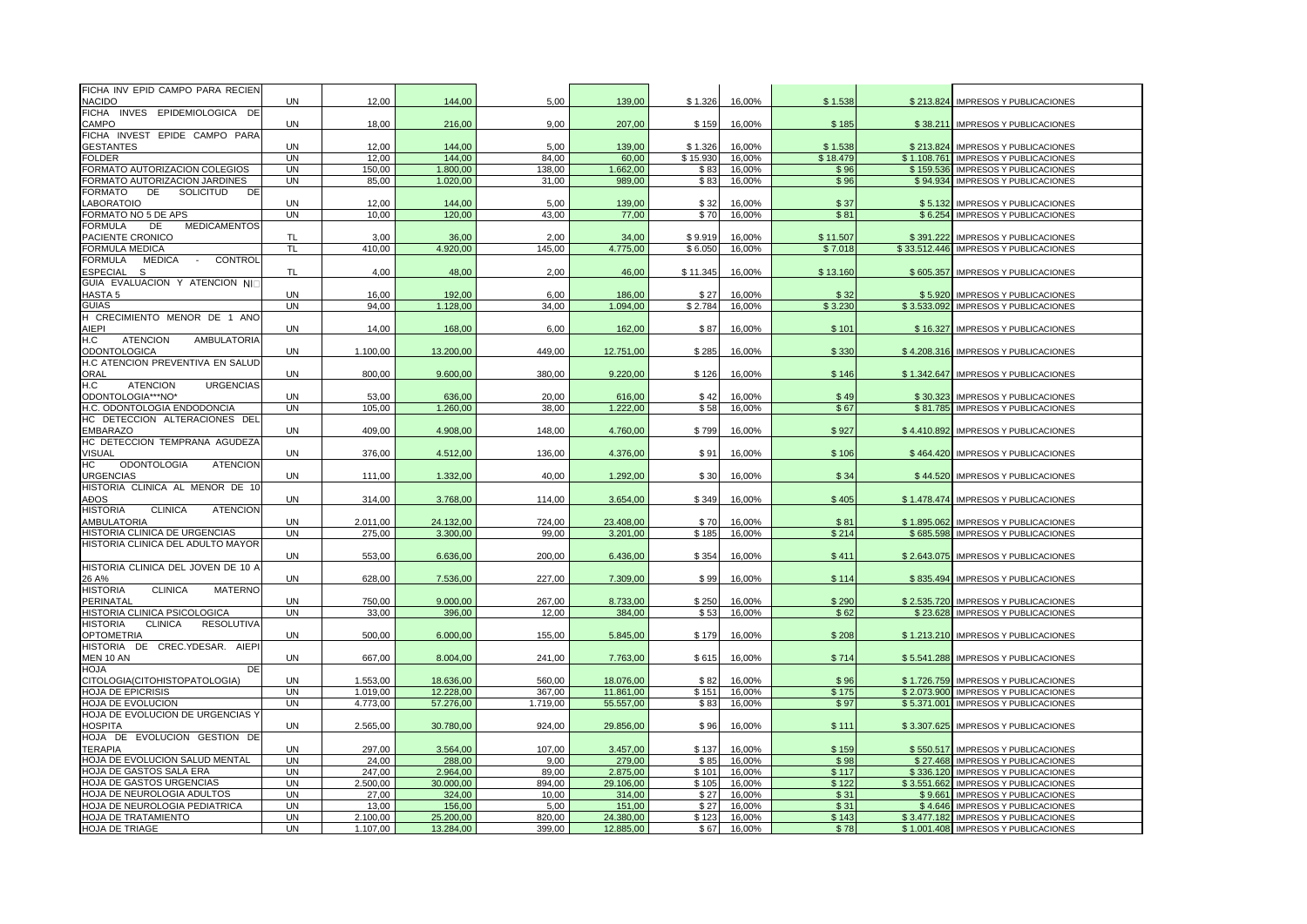| FICHA INV EPID CAMPO PARA RECIEN                       |           |          |           |          |           |          |        |          |              |                                      |
|--------------------------------------------------------|-----------|----------|-----------|----------|-----------|----------|--------|----------|--------------|--------------------------------------|
| <b>NACIDO</b>                                          | <b>UN</b> | 12,00    | 144,00    | 5,00     | 139,00    | \$1.326  | 16,00% | \$1.538  |              | \$213.824 IMPRESOS Y PUBLICACIONES   |
| FICHA INVES EPIDEMIOLOGICA DE                          |           |          |           |          |           |          |        |          |              |                                      |
| CAMPO                                                  | <b>UN</b> | 18,00    | 216,00    | 9,00     | 207,00    | \$159    | 16,00% | \$185    |              | \$38.211 IMPRESOS Y PUBLICACIONES    |
|                                                        |           |          |           |          |           |          |        |          |              |                                      |
| FICHA INVEST EPIDE CAMPO PARA                          |           |          |           |          |           |          |        |          |              |                                      |
| <b>GESTANTES</b>                                       | <b>UN</b> | 12,00    | 144,00    | 5,00     | 139,00    | \$1.326  | 16,00% | \$1.538  | \$213.824    | <b>IMPRESOS Y PUBLICACIONES</b>      |
| <b>FOLDER</b>                                          | <b>UN</b> | 12.00    | 144.00    | 84,00    | 60,00     | \$15,930 | 16,00% | \$18,479 | \$1.108.761  | <b>IMPRESOS Y PUBLICACIONES</b>      |
| FORMATO AUTORIZACION COLEGIOS                          | <b>UN</b> | 150,00   | 1.800,00  | 138,00   | 1.662,00  | \$83     | 16,00% | \$96     | \$159.536    | <b>IMPRESOS Y PUBLICACIONES</b>      |
| ORMATO AUTORIZACION JARDINES                           | <b>UN</b> | 85,00    | 1.020,00  | 31,00    | 989,00    | \$83     | 16,00% | \$96     | \$94.934     | <b>IMPRESOS Y PUBLICACIONES</b>      |
| ORMATO <sup>.</sup><br>DE<br>SOLICITUD<br>DE           |           |          |           |          |           |          |        |          |              |                                      |
| ABORATOIO                                              | <b>UN</b> | 12.00    | 144.00    | 5,00     | 139.00    | \$32     | 16.00% | \$37     | \$5.132      | <b>IMPRESOS Y PUBLICACIONES</b>      |
| ORMATO NO 5 DE APS                                     | <b>UN</b> | 10.00    | 120.00    | 43.00    | 77.00     | \$70     | 16,00% | \$81     | \$6.254      | IMPRESOS Y PUBLICACIONES             |
| FORMULA<br><b>DE</b><br><b>MEDICAMENTOS</b>            |           |          |           |          |           |          |        |          |              |                                      |
| PACIENTE CRONICO                                       | <b>TL</b> | 3,00     | 36,00     | 2,00     | 34,00     | \$9.919  | 16,00% | \$11.507 | \$391.222    | <b>IMPRESOS Y PUBLICACIONES</b>      |
| <b>FORMULA MEDICA</b>                                  | <b>TL</b> | 410.00   | 4.920,00  | 145,00   | 4.775,00  | \$6.050  | 16,00% | \$7.018  | \$33.512.446 | <b>IMPRESOS Y PUBLICACIONES</b>      |
| <b>CONTROL</b><br>MEDICA<br>FORMULA<br>$\sim 10^{-1}$  |           |          |           |          |           |          |        |          |              |                                      |
| <b>ESPECIAL</b><br>S                                   | <b>TL</b> | 4.00     | 48,00     | 2,00     | 46,00     | \$11.345 | 16,00% |          | \$605.357    | <b>IMPRESOS Y PUBLICACIONES</b>      |
|                                                        |           |          |           |          |           |          |        | \$13.160 |              |                                      |
| GUIA EVALUACION Y ATENCION NI                          |           |          |           |          |           |          |        |          |              |                                      |
| <b>HASTA 5</b>                                         | <b>UN</b> | 16,00    | 192,00    | 6,00     | 186,00    | \$27     | 16,00% | \$32     | \$5.920      | <b>IMPRESOS Y PUBLICACIONES</b>      |
| <b>GUIAS</b>                                           | <b>UN</b> | 94.00    | 1.128.00  | 34.00    | 1.094.00  | \$2.784  | 16.00% | \$3.230  | \$3.533.092  | <b>IMPRESOS Y PUBLICACIONES</b>      |
| H CRECIMIENTO MENOR DE 1 ANO                           |           |          |           |          |           |          |        |          |              |                                      |
| AIEPI                                                  | <b>UN</b> | 14.00    | 168.00    | 6,00     | 162,00    | \$87     | 16,00% | \$101    | \$16,327     | <b>IMPRESOS Y PUBLICACIONES</b>      |
| H.C<br><b>ATENCION</b><br>AMBULATORIA                  |           |          |           |          |           |          |        |          |              |                                      |
| <b>ODONTOLOGICA</b>                                    | <b>UN</b> | 1.100.00 | 13,200.00 | 449.00   | 12.751.00 | \$285    | 16.00% | \$330    | \$4.208.316  | <b>IMPRESOS Y PUBLICACIONES</b>      |
| H.C ATENCION PREVENTIVA EN SALUD                       |           |          |           |          |           |          |        |          |              |                                      |
| ORAL                                                   | <b>UN</b> | 800.00   | 9.600.00  | 380.00   | 9.220.00  | \$126    | 16,00% | \$146    | \$1.342.647  | <b>IMPRESOS Y PUBLICACIONES</b>      |
| H.C<br><b>ATENCION</b><br><b>URGENCIAS</b>             |           |          |           |          |           |          |        |          |              |                                      |
|                                                        |           |          |           |          |           |          |        |          |              |                                      |
| ODONTOLOGIA***NO*                                      | <b>UN</b> | 53.00    | 636.00    | 20.00    | 616.00    | \$42     | 16.00% | \$49     | \$30,323     | <b>IMPRESOS Y PUBLICACIONES</b>      |
| H.C. ODONTOLOGIA ENDODONCIA                            | <b>UN</b> | 105,00   | 1.260,00  | 38,00    | 1.222,00  | \$58     | 16,00% | \$67     | \$81.785     | <b>IMPRESOS Y PUBLICACIONES</b>      |
| HC DETECCION ALTERACIONES DEL                          |           |          |           |          |           |          |        |          |              |                                      |
| <b>EMBARAZO</b>                                        | <b>UN</b> | 409.00   | 4.908.00  | 148.00   | 4.760.00  | \$799    | 16,00% | \$927    | \$4.410.892  | <b>IMPRESOS Y PUBLICACIONES</b>      |
| HC DETECCION TEMPRANA AGUDEZA                          |           |          |           |          |           |          |        |          |              |                                      |
| VISUAL                                                 | <b>UN</b> | 376.00   | 4.512,00  | 136,00   | 4.376,00  | \$91     | 16,00% | \$106    | \$464.420    | <b>IMPRESOS Y PUBLICACIONES</b>      |
| HC.<br><b>ODONTOLOGIA</b><br><b>ATENCION</b>           |           |          |           |          |           |          |        |          |              |                                      |
| <b>URGENCIAS</b>                                       | <b>UN</b> | 111.00   | 1.332,00  | 40,00    | 1.292,00  | \$30     | 16,00% | \$34     | \$44,520     | IMPRESOS Y PUBLICACIONES             |
| HISTORIA CLINICA AL MENOR DE 10                        |           |          |           |          |           |          |        |          |              |                                      |
| AĐOS                                                   | UN        | 314,00   | 3.768,00  | 114,00   | 3.654,00  | \$349    | 16,00% | \$405    | \$1.478.474  | <b>IMPRESOS Y PUBLICACIONES</b>      |
| <b>CLINICA</b><br><b>HISTORIA</b><br><b>ATENCION</b>   |           |          |           |          |           |          |        |          |              |                                      |
|                                                        |           |          |           |          |           |          |        |          |              |                                      |
| AMBULATORIA                                            | UN        | 2.011.00 | 24.132,00 | 724,00   | 23.408,00 | \$70     | 16,00% | \$81     | \$1.895.062  | <b>IMPRESOS Y PUBLICACIONES</b>      |
| HISTORIA CLINICA DE URGENCIAS                          | <b>UN</b> | 275.00   | 3.300.00  | 99.00    | 3.201.00  | \$185    | 16,00% | \$214    | \$685.598    | <b>IMPRESOS Y PUBLICACIONES</b>      |
| HISTORIA CLINICA DEL ADULTO MAYOR                      |           |          |           |          |           |          |        |          |              |                                      |
|                                                        | <b>UN</b> | 553,00   | 6.636,00  | 200,00   | 6.436,00  | \$354    | 16,00% | \$411    | \$2.643.075  | IMPRESOS Y PUBLICACIONES             |
| HISTORIA CLINICA DEL JOVEN DE 10 A                     |           |          |           |          |           |          |        |          |              |                                      |
| 26 A%                                                  | <b>UN</b> | 628,00   | 7.536,00  | 227,00   | 7.309,00  | \$99     | 16,00% | \$114    | \$835.494    | <b>IMPRESOS Y PUBLICACIONES</b>      |
| <b>HISTORIA</b><br><b>CLINICA</b><br><b>MATERNO</b>    |           |          |           |          |           |          |        |          |              |                                      |
| PERINATAI                                              | <b>UN</b> | 750,00   | 9.000,00  | 267,00   | 8.733,00  | \$250    | 16,00% | \$290    | \$2.535.720  | <b>IMPRESOS Y PUBLICACIONES</b>      |
| HISTORIA CLINICA PSICOLOGICA                           | <b>UN</b> | 33,00    | 396,00    | 12,00    | 384,00    | \$53     | 16,00% | \$62     | \$23.628     | <b>IMPRESOS Y PUBLICACIONES</b>      |
| <b>HISTORIA</b><br><b>CLINICA</b><br><b>RESOLUTIVA</b> |           |          |           |          |           |          |        |          |              |                                      |
| <b>OPTOMETRIA</b>                                      | <b>UN</b> | 500.00   | 6.000.00  | 155,00   | 5.845,00  | \$179    | 16,00% | \$208    | \$1.213.210  | <b>IMPRESOS Y PUBLICACIONES</b>      |
| HISTORIA DE CREC.YDESAR. AIEPI                         |           |          |           |          |           |          |        |          |              |                                      |
| MEN 10 AN                                              | <b>UN</b> | 667.00   | 8.004.00  | 241.00   | 7.763.00  | \$615    | 16.00% | \$714    | \$5.541.288  | <b>IMPRESOS Y PUBLICACIONES</b>      |
|                                                        |           |          |           |          |           |          |        |          |              |                                      |
| <b>HOJA</b><br>DE                                      |           |          |           |          |           |          |        |          |              |                                      |
| CITOLOGIA/CITOHISTOPATOLOGIA)                          | <b>UN</b> | 1.553,00 | 18.636,00 | 560,00   | 18.076,00 | \$82     | 16,00% | \$96     | \$1.726.759  | <b>IMPRESOS Y PUBLICACIONES</b>      |
| <b>HOJA DE EPICRISIS</b>                               | <b>UN</b> | 1.019,00 | 12.228,00 | 367,00   | 11.861,00 | \$151    | 16,00% | \$175    | \$2.073.900  | <b>IMPRESOS Y PUBLICACIONES</b>      |
| <b>HOJA DE EVOLUCION</b>                               | <b>UN</b> | 4.773.00 | 57.276,00 | 1.719.00 | 55.557,00 | \$83     | 16,00% | \$97     | \$5.371.001  | <b>IMPRESOS Y PUBLICACIONES</b>      |
| HOJA DE EVOLUCION DE URGENCIAS Y                       |           |          |           |          |           |          |        |          |              |                                      |
| HOSPITA                                                | <b>UN</b> | 2.565,00 | 30.780,00 | 924,00   | 29.856,00 | \$96     | 16,00% | \$111    | \$3.307.625  | <b>IMPRESOS Y PUBLICACIONES</b>      |
| HOJA DE EVOLUCION GESTION DE                           |           |          |           |          |           |          |        |          |              |                                      |
| <b>TERAPIA</b>                                         | <b>UN</b> | 297,00   | 3.564,00  | 107,00   | 3.457,00  | \$137    | 16,00% | \$159    | \$550.517    | IMPRESOS Y PUBLICACIONES             |
| HOJA DE EVOLUCION SALUD MENTAL                         | <b>UN</b> | 24.00    | 288.00    | 9.00     | 279,00    | \$85     | 16.00% | \$98     | \$27.468     | <b>IMPRESOS Y PUBLICACIONES</b>      |
| HOJA DE GASTOS SALA ERA                                |           |          |           |          |           |          |        |          |              |                                      |
|                                                        | <b>UN</b> | 247,00   | 2.964,00  | 89,00    | 2.875,00  | \$101    | 16,00% | \$117    | \$336.120    | <b>IMPRESOS Y PUBLICACIONES</b>      |
| HOJA DE GASTOS URGENCIAS                               | <b>UN</b> | 2.500,00 | 30.000.00 | 894,00   | 29.106,00 | \$105    | 16,00% | \$122    | \$3.551.662  | <b>IMPRESOS Y PUBLICACIONES</b>      |
| HOJA DE NEUROLOGIA ADULTOS                             | <b>UN</b> | 27,00    | 324,00    | 10,00    | 314,00    | \$27     | 16,00% | \$31     | \$9.66'      | <b>IMPRESOS Y PUBLICACIONES</b>      |
| IOJA DE NEUROLOGIA PEDIATRICA                          | <b>UN</b> | 13.00    | 156.00    | 5,00     | 151.00    | \$27     | 16.00% | \$31     | \$4.646      | <b>IMPRESOS Y PUBLICACIONES</b>      |
| HOJA DE TRATAMIENTO                                    | UN        | 2.100,00 | 25.200,00 | 820,00   | 24.380,00 | \$123    | 16,00% | \$143    | \$3.477.182  | <b>IMPRESOS Y PUBLICACIONES</b>      |
| <b>HOJA DE TRIAGE</b>                                  | <b>UN</b> | 1.107.00 | 13.284,00 | 399,00   | 12.885,00 | \$67     | 16,00% | \$78     |              | \$1.001.408 IMPRESOS Y PUBLICACIONES |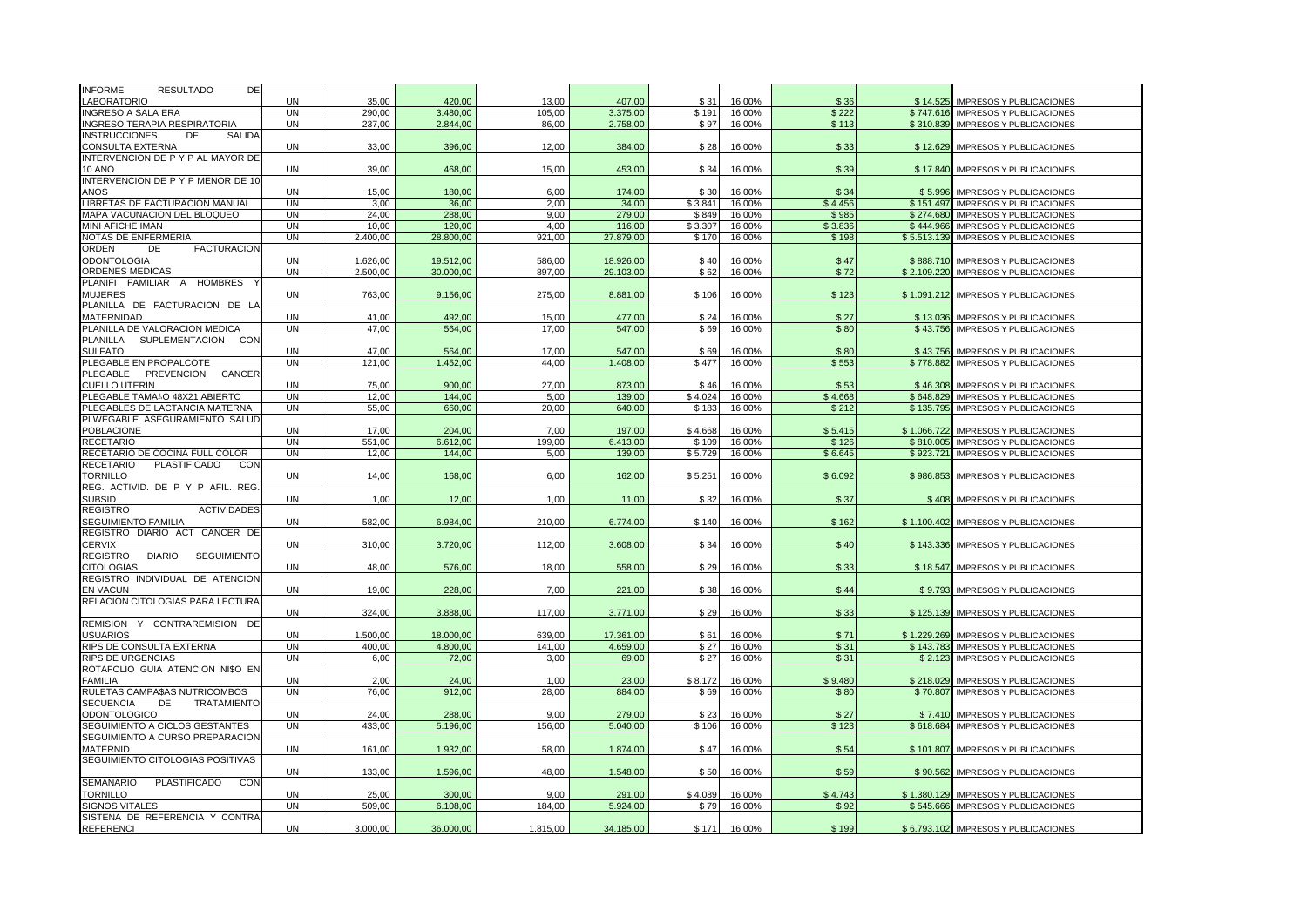| <b>INFORME</b><br><b>RESULTADO</b><br>DE                           |           |          |                    |                |                    |              |                  |                 |             |                                                                    |
|--------------------------------------------------------------------|-----------|----------|--------------------|----------------|--------------------|--------------|------------------|-----------------|-------------|--------------------------------------------------------------------|
| <b>ABORATORIO</b>                                                  | <b>UN</b> | 35.00    | 420.00             | 13.00          | 407,00             | \$31         | 16,00%           | \$36            | \$14.525    | <b>IMPRESOS Y PUBLICACIONES</b>                                    |
| NGRESO A SALA ERA                                                  | <b>UN</b> | 290,00   | 3.480,00           | 105,00         | 3.375,00           | \$191        | 16,00%           | \$222           | \$747.616   | <b>IMPRESOS Y PUBLICACIONES</b>                                    |
| <b>NGRESO TERAPIA RESPIRATORIA</b>                                 | <b>UN</b> | 237,00   | 2.844,00           | 86,00          | 2.758,00           | \$97         | 16,00%           | \$113           | \$310.839   | <b>IMPRESOS Y PUBLICACIONES</b>                                    |
| <b>INSTRUCCIONES</b><br>DE<br><b>SALIDA</b>                        |           |          |                    |                |                    |              |                  |                 |             |                                                                    |
| CONSULTA EXTERNA                                                   | <b>UN</b> | 33,00    | 396,00             | 12,00          | 384,00             | \$28         | 16,00%           | \$33            |             | \$12.629 IMPRESOS Y PUBLICACIONES                                  |
| INTERVENCION DE P Y P AL MAYOR DE                                  |           |          |                    |                |                    |              |                  |                 |             |                                                                    |
| 10 ANO                                                             | UN        | 39,00    | 468,00             | 15,00          | 453,00             | \$34         | 16,00%           | \$39            |             | \$17.840 IMPRESOS Y PUBLICACIONES                                  |
| INTERVENCION DE P Y P MENOR DE 10                                  |           |          |                    |                |                    |              |                  |                 |             |                                                                    |
| ANOS                                                               | <b>UN</b> | 15,00    | 180,00             | 6,00           | 174,00             | \$30         | 16,00%           | \$34            | \$5.996     | <b>IMPRESOS Y PUBLICACIONES</b>                                    |
| IBRETAS DE FACTURACION MANUAL                                      | <b>UN</b> | 3.00     | 36.00              | 2.00           | 34.00              | \$3.841      | 16.00%           | \$4.456         | \$151.497   | <b>IMPRESOS Y PUBLICACIONES</b>                                    |
| MAPA VACUNACION DEL BLOQUEO                                        | <b>UN</b> | 24,00    | 288,00             | 9,00           | 279,00             | \$849        | 16,00%           | \$985           | \$274.680   | <b>IMPRESOS Y PUBLICACIONES</b>                                    |
| MINI AFICHE IMAN                                                   | <b>UN</b> | 10.00    | 120.00             | 4.00           | 116.00             | \$3.307      | 16.00%           | \$3.836         | \$444.966   | <b>IMPRESOS Y PUBLICACIONES</b>                                    |
| NOTAS DE ENFERMERIA                                                | <b>UN</b> | 2.400,00 | 28.800,00          | 921,00         | 27.879,00          | \$170        | 16,00%           | \$198           | \$5.513.139 | IMPRESOS Y PUBLICACIONES                                           |
| <b>ORDEN</b><br><b>DE</b><br><b>FACTURACION</b>                    |           |          |                    |                |                    |              |                  |                 |             |                                                                    |
| ODONTOLOGIA                                                        | UN        | 1.626,00 | 19.512,00          | 586,00         | 18.926,00          | \$40         | 16,00%           | \$47            |             | \$888.710 IMPRESOS Y PUBLICACIONES                                 |
| ORDENES MEDICAS                                                    | <b>UN</b> | 2.500.00 | 30.000.00          | 897.00         | 29.103.00          | \$62         | 16,00%           | \$72            | \$2.109.220 | <b>IMPRESOS Y PUBLICACIONES</b>                                    |
| PLANIFI FAMILIAR A HOMBRES                                         |           |          |                    |                |                    |              |                  |                 |             |                                                                    |
| <b>MUJERES</b><br>PLANILLA DE FACTURACION DE LA                    | <b>UN</b> | 763,00   | 9.156,00           | 275,00         | 8.881,00           | \$106        | 16,00%           | \$123           |             | \$1.091.212 IMPRESOS Y PUBLICACIONES                               |
| <b>MATERNIDAD</b>                                                  | <b>UN</b> | 41.00    |                    |                |                    |              |                  |                 |             |                                                                    |
|                                                                    | <b>UN</b> | 47.00    | 492.00<br>564.00   | 15,00<br>17.00 | 477,00<br>547.00   | \$24<br>\$69 | 16,00%<br>16,00% | \$27<br>\$80    | \$13.036    | <b>IMPRESOS Y PUBLICACIONES</b>                                    |
| PLANILLA DE VALORACION MEDICA<br>SUPLEMENTACION<br>PLANILLA<br>CON |           |          |                    |                |                    |              |                  |                 |             | \$43.756 IMPRESOS Y PUBLICACIONES                                  |
| <b>SULFATO</b>                                                     | <b>UN</b> | 47.00    |                    |                |                    | \$69         |                  | \$80            | \$43.756    |                                                                    |
| PLEGABLE EN PROPALCOTE                                             | <b>UN</b> | 121.00   | 564,00<br>1.452,00 | 17,00<br>44,00 | 547,00<br>1.408,00 | \$477        | 16,00%<br>16,00% |                 | \$778.882   | <b>IMPRESOS Y PUBLICACIONES</b><br><b>IMPRESOS Y PUBLICACIONES</b> |
| PLEGABLE PREVENCION CANCER                                         |           |          |                    |                |                    |              |                  | \$553           |             |                                                                    |
| <b>CUELLO UTERIN</b>                                               | <b>UN</b> | 75,00    | 900,00             | 27,00          |                    | \$46         | 16,00%           |                 | \$46.308    |                                                                    |
| PLEGABLE TAMAAO 48X21 ABIERTO                                      | <b>UN</b> | 12.00    | 144.00             | 5,00           | 873,00<br>139,00   | \$4.024      | 16,00%           | \$53<br>\$4.668 | \$648.829   | IMPRESOS Y PUBLICACIONES<br><b>IMPRESOS Y PUBLICACIONES</b>        |
| PLEGABLES DE LACTANCIA MATERNA                                     | <b>UN</b> | 55,00    | 660.00             | 20.00          | 640.00             | \$183        | 16,00%           | \$212           | \$135.795   | <b>IMPRESOS Y PUBLICACIONES</b>                                    |
| PLWEGABLE ASEGURAMIENTO SALUD                                      |           |          |                    |                |                    |              |                  |                 |             |                                                                    |
| <b>POBLACIONE</b>                                                  | <b>UN</b> | 17.00    | 204.00             | 7.00           | 197.00             | \$4.668      | 16,00%           | \$5.415         |             | \$1.066.722 IMPRESOS Y PUBLICACIONES                               |
| RECETARIO                                                          | <b>UN</b> | 551,00   | 6.612,00           | 199,00         | 6.413,00           | \$109        | 16,00%           | \$126           | \$810.005   | IMPRESOS Y PUBLICACIONES                                           |
| RECETARIO DE COCINA FULL COLOR                                     | <b>UN</b> | 12.00    | 144,00             | 5,00           | 139,00             | \$5.729      | 16,00%           | \$6.645         | \$923.721   | <b>IMPRESOS Y PUBLICACIONES</b>                                    |
| RECETARIO<br>PLASTIFICADO<br><b>CON</b>                            |           |          |                    |                |                    |              |                  |                 |             |                                                                    |
| <b>TORNILLO</b>                                                    | <b>UN</b> | 14,00    | 168,00             | 6,00           | 162,00             | \$5.251      | 16,00%           | \$6.092         |             | \$986.853 IMPRESOS Y PUBLICACIONES                                 |
| REG. ACTIVID. DE P Y P AFIL. REG                                   |           |          |                    |                |                    |              |                  |                 |             |                                                                    |
| <b>SUBSID</b>                                                      | <b>UN</b> | 1,00     | 12,00              | 1,00           | 11,00              | \$32         | 16,00%           | \$37            |             | \$408 IMPRESOS Y PUBLICACIONES                                     |
| <b>REGISTRO</b><br><b>ACTIVIDADES</b>                              |           |          |                    |                |                    |              |                  |                 |             |                                                                    |
| SEGUIMIENTO FAMILIA                                                | UN        | 582,00   | 6.984,00           | 210,00         | 6.774,00           | \$140        | 16,00%           | \$162           |             | \$1.100.402 IMPRESOS Y PUBLICACIONES                               |
| REGISTRO DIARIO ACT CANCER DE                                      |           |          |                    |                |                    |              |                  |                 |             |                                                                    |
| CERVIX                                                             | <b>UN</b> | 310,00   | 3.720,00           | 112,00         | 3.608,00           | \$34         | 16,00%           | \$40            | \$143.336   | IMPRESOS Y PUBLICACIONES                                           |
| REGISTRO<br><b>DIARIO</b><br><b>SEGUIMIENTO</b>                    |           |          |                    |                |                    |              |                  |                 |             |                                                                    |
| CITOLOGIAS                                                         | UN        | 48,00    | 576,00             | 18,00          | 558,00             | \$29         | 16,00%           | \$33            |             | \$18.547 IMPRESOS Y PUBLICACIONES                                  |
| REGISTRO INDIVIDUAL DE ATENCION                                    |           |          |                    |                |                    |              |                  |                 |             |                                                                    |
| EN VACUN                                                           | UN        | 19,00    | 228,00             | 7,00           | 221,00             | \$38         | 16,00%           | \$44            | \$9.793     | <b>IMPRESOS Y PUBLICACIONES</b>                                    |
| RELACION CITOLOGIAS PARA LECTURA                                   |           |          |                    |                |                    |              |                  |                 |             |                                                                    |
|                                                                    | UN        | 324,00   | 3.888,00           | 117,00         | 3.771,00           | \$29         | 16,00%           | \$33            |             | \$125.139 IMPRESOS Y PUBLICACIONES                                 |
| REMISION Y CONTRAREMISION DE                                       |           |          |                    |                |                    |              |                  |                 |             |                                                                    |
| <b>JSUARIOS</b>                                                    | <b>UN</b> | 1.500.00 | 18.000.00          | 639,00         | 17.361.00          | \$61         | 16,00%           | \$71            | \$1.229.269 | <b>IMPRESOS Y PUBLICACIONES</b>                                    |
| RIPS DE CONSULTA EXTERNA                                           | UN        | 400,00   | 4.800,00           | 141,00         | 4.659,00           | \$27         | 16,00%           | \$31            | \$143.783   | <b>IMPRESOS Y PUBLICACIONES</b>                                    |
| RIPS DE URGENCIAS                                                  | <b>UN</b> | 6.00     | 72.00              | 3,00           | 69,00              | \$27         | 16,00%           | \$31            |             | \$2.123 IMPRESOS Y PUBLICACIONES                                   |
| ROTAFOLIO GUIA ATENCION NI\$O EN                                   |           |          |                    |                |                    |              |                  |                 |             |                                                                    |
| <b>FAMILIA</b>                                                     | <b>UN</b> | 2.00     | 24.00              | 1.00           | 23.00              | \$8.172      | 16.00%           | \$9.480         | \$218.029   | <b>IMPRESOS Y PUBLICACIONES</b>                                    |
| RULETAS CAMPA\$AS NUTRICOMBOS                                      | <b>UN</b> | 76,00    | 912,00             | 28,00          | 884,00             | \$69         | 16,00%           | \$80            |             | \$70.807 IMPRESOS Y PUBLICACIONES                                  |
| <b>SECUENCIA</b><br>DE.<br><b>TRATAMIENTO</b>                      |           |          |                    |                |                    |              |                  |                 |             |                                                                    |
| ODONTOLOGICO                                                       | UN        | 24.00    | 288,00             | 9,00           | 279,00             | \$23         | 16,00%           | \$27            | \$7.410     | IMPRESOS Y PUBLICACIONES                                           |
| SEGUIMIENTO A CICLOS GESTANTES                                     | <b>UN</b> | 433.00   | 5.196.00           | 156,00         | 5.040.00           | \$106        | 16,00%           | \$123           |             | \$618,684 IMPRESOS Y PUBLICACIONES                                 |
| SEGUIMIENTO A CURSO PREPARACION                                    |           |          |                    |                |                    |              |                  |                 |             |                                                                    |
| <b>MATERNID</b>                                                    | <b>UN</b> | 161.00   | 1.932.00           | 58.00          | 1.874.00           | \$47         | 16,00%           | \$54            |             | \$101.807 IMPRESOS Y PUBLICACIONES                                 |
| SEGUIMIENTO CITOLOGIAS POSITIVAS                                   |           |          |                    |                |                    |              |                  |                 |             |                                                                    |
|                                                                    | UN        | 133,00   | 1.596,00           | 48,00          | 1.548,00           | \$50         | 16,00%           | \$59            |             | \$90.562 IMPRESOS Y PUBLICACIONES                                  |
| <b>SEMANARIO</b><br>PLASTIFICADO<br>CON                            |           |          |                    |                |                    |              |                  |                 |             |                                                                    |
| TORNILLO                                                           | UN        | 25.00    | 300.00             | 9.00           | 291.00             | \$4.089      | 16,00%           | \$4.743         |             | \$1,380,129 IMPRESOS Y PUBLICACIONES                               |
| SIGNOS VITALES                                                     | <b>UN</b> | 509,00   | 6.108,00           | 184,00         | 5.924,00           | \$79         | 16,00%           | \$92            |             | \$545.666 IMPRESOS Y PUBLICACIONES                                 |
| SISTENA DE REFERENCIA Y CONTRA                                     |           |          |                    |                |                    |              |                  |                 |             |                                                                    |
| <b>REFERENCI</b>                                                   | <b>UN</b> | 3.000,00 | 36.000,00          | 1.815,00       | 34.185,00          | \$171        | 16,00%           | \$199           |             | \$6.793.102 IMPRESOS Y PUBLICACIONES                               |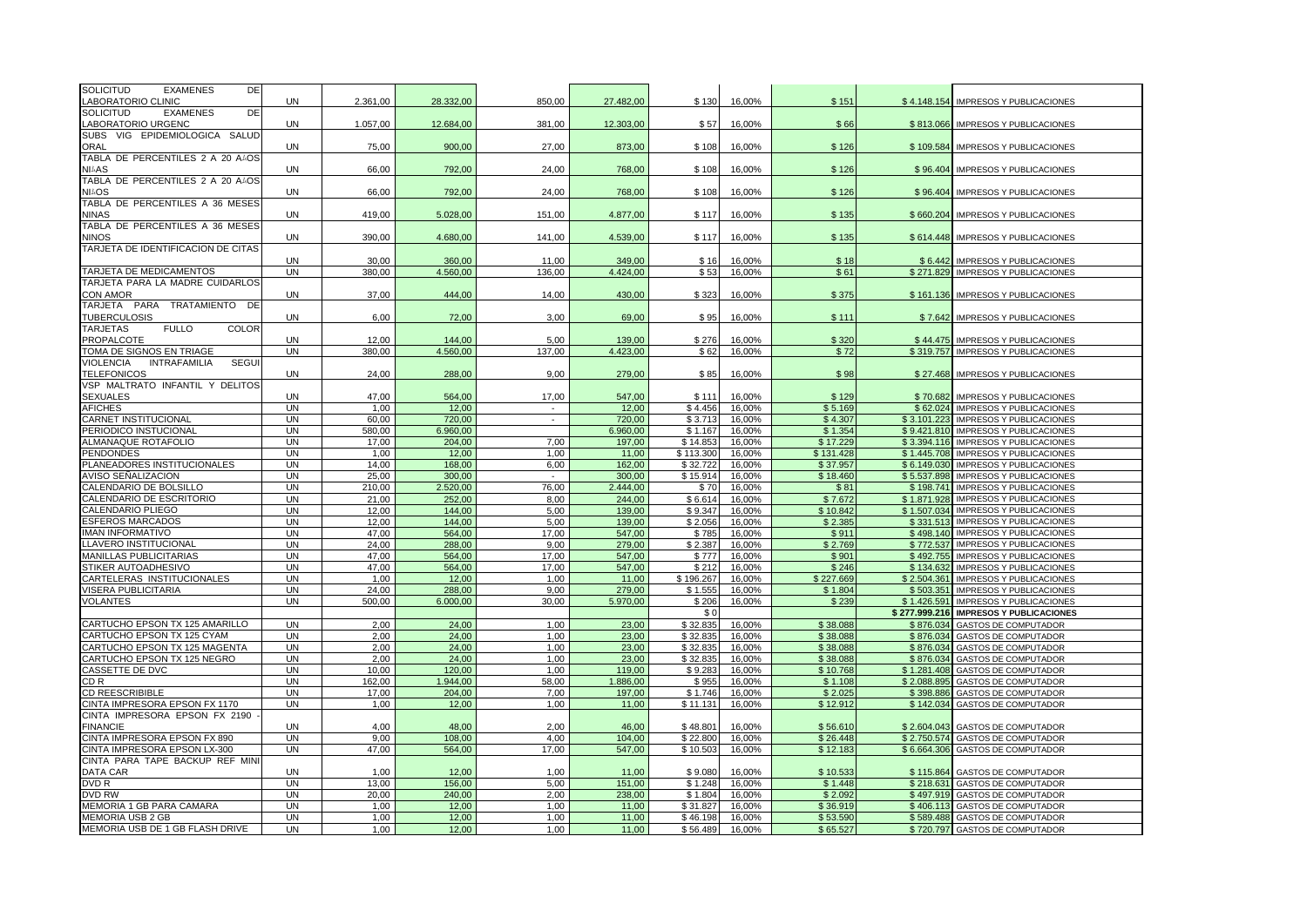| <b>SOLICITUD</b><br><b>EXAMENES</b><br><b>DE</b>       |           |          |           |                          |           |           |        |           |             |                                        |
|--------------------------------------------------------|-----------|----------|-----------|--------------------------|-----------|-----------|--------|-----------|-------------|----------------------------------------|
| ABORATORIO CLINIC                                      | UN        | 2.361,00 | 28.332,00 | 850,00                   | 27.482,00 | \$130     | 16,00% | \$151     |             | \$4.148.154 IMPRESOS Y PUBLICACIONES   |
| <b>SOLICITUD</b><br><b>DE</b><br><b>EXAMENES</b>       |           |          |           |                          |           |           |        |           |             |                                        |
| ABORATORIO URGENC                                      | <b>UN</b> | 1.057,00 | 12.684,00 | 381,00                   | 12.303,00 | \$57      | 16,00% | \$66      |             |                                        |
|                                                        |           |          |           |                          |           |           |        |           |             | \$813.066 IMPRESOS Y PUBLICACIONES     |
| SUBS VIG EPIDEMIOLOGICA SALUD                          |           |          |           |                          |           |           |        |           |             |                                        |
| ORAL                                                   | <b>UN</b> | 75,00    | 900,00    | 27,00                    | 873,00    | \$108     | 16,00% | \$126     |             | \$109.584 IMPRESOS Y PUBLICACIONES     |
| TABLA DE PERCENTILES 2 A 20 AAOS                       |           |          |           |                          |           |           |        |           |             |                                        |
| <b>NIAAS</b>                                           | <b>UN</b> | 66,00    | 792,00    | 24,00                    | 768,00    | \$108     | 16,00% | \$126     |             | \$96.404 IMPRESOS Y PUBLICACIONES      |
| TABLA DE PERCENTILES 2 A 20 AAOS                       |           |          |           |                          |           |           |        |           |             |                                        |
| <b>NIAOS</b>                                           | <b>UN</b> | 66,00    | 792,00    | 24,00                    | 768,00    | \$108     | 16,00% | \$126     |             | \$96.404 IMPRESOS Y PUBLICACIONES      |
| TABLA DE PERCENTILES A 36 MESES                        |           |          |           |                          |           |           |        |           |             |                                        |
| <b>NINAS</b>                                           | <b>UN</b> | 419,00   | 5.028,00  | 151,00                   | 4.877,00  | \$117     | 16,00% | \$135     |             | \$660.204 IMPRESOS Y PUBLICACIONES     |
| TABLA DE PERCENTILES A 36 MESES                        |           |          |           |                          |           |           |        |           |             |                                        |
| <b>NINOS</b>                                           | <b>UN</b> | 390.00   | 4.680,00  | 141.00                   | 4.539,00  | \$117     | 16,00% | \$135     |             | \$614.448 IMPRESOS Y PUBLICACIONES     |
| TARJETA DE IDENTIFICACION DE CITAS                     |           |          |           |                          |           |           |        |           |             |                                        |
|                                                        | <b>UN</b> | 30.00    | 360.00    | 11.00                    | 349.00    | \$16      | 16,00% | \$18      |             | \$6.442 IMPRESOS Y PUBLICACIONES       |
| TARJETA DE MEDICAMENTOS                                | <b>UN</b> | 380,00   | 4.560,00  | 136,00                   | 4.424,00  | \$53      | 16,00% | \$61      |             | \$271.829 IMPRESOS Y PUBLICACIONES     |
| TARJETA PARA LA MADRE CUIDARLOS                        |           |          |           |                          |           |           |        |           |             |                                        |
| CON AMOR                                               | <b>UN</b> | 37,00    | 444,00    | 14,00                    | 430,00    | \$323     | 16,00% | \$375     |             | \$161.136 IMPRESOS Y PUBLICACIONES     |
|                                                        |           |          |           |                          |           |           |        |           |             |                                        |
| TARJETA PARA TRATAMIENTO DE                            | <b>UN</b> |          |           |                          |           |           |        |           |             |                                        |
| <b>TUBERCULOSIS</b>                                    |           | 6.00     | 72.00     | 3.00                     | 69.00     | \$95      | 16.00% | \$111     |             | \$7.642 IMPRESOS Y PUBLICACIONES       |
| <b>FULLO</b><br><b>COLOR</b><br><b>TARJETAS</b>        |           |          |           |                          |           |           |        |           |             |                                        |
| <b>PROPALCOTE</b>                                      | <b>UN</b> | 12.00    | 144.00    | 5,00                     | 139.00    | \$276     | 16,00% | \$320     | \$44.475    | IMPRESOS Y PUBLICACIONES               |
| <b>TOMA DE SIGNOS EN TRIAGE</b>                        | <b>UN</b> | 380.00   | 4.560,00  | 137,00                   | 4.423,00  | \$62      | 16,00% | \$72      |             | \$319.757 IMPRESOS Y PUBLICACIONES     |
| <b>SEGU</b><br><b>VIOLENCIA</b><br><b>INTRAFAMILIA</b> |           |          |           |                          |           |           |        |           |             |                                        |
| <b>TELEFONICOS</b>                                     | <b>UN</b> | 24,00    | 288,00    | 9,00                     | 279,00    | \$85      | 16,00% | \$98      |             | \$27.468 IMPRESOS Y PUBLICACIONES      |
| VSP MALTRATO INFANTIL Y DELITOS                        |           |          |           |                          |           |           |        |           |             |                                        |
| <b>SEXUALES</b>                                        | <b>UN</b> | 47,00    | 564,00    | 17,00                    | 547,00    | \$111     | 16,00% | \$129     |             | \$70.682 IMPRESOS Y PUBLICACIONES      |
| <b>AFICHES</b>                                         | <b>UN</b> | 1,00     | 12,00     | $\omega$                 | 12,00     | \$4.456   | 16,00% | \$5.169   | \$62.024    | <b>IMPRESOS Y PUBLICACIONES</b>        |
| CARNET INSTITUCIONAL                                   | <b>UN</b> | 60,00    | 720,00    | $\sim$                   | 720,00    | \$3.713   | 16,00% | \$4.307   | \$3.101.223 | <b>IMPRESOS Y PUBLICACIONES</b>        |
| PERIODICO INSTUCIONAL                                  | <b>UN</b> | 580,00   | 6.960,00  |                          | 6.960,00  | \$1.167   | 16,00% | \$1.354   |             | \$9.421.810 IMPRESOS Y PUBLICACIONES   |
| ALMANAQUE ROTAFOLIO                                    | <b>UN</b> | 17,00    | 204,00    | 7,00                     | 197,00    | \$14.853  | 16,00% | \$17.229  | \$3.394.116 | <b>IMPRESOS Y PUBLICACIONES</b>        |
| <b>PENDONDES</b>                                       | <b>UN</b> | 1,00     | 12,00     | 1,00                     | 11,00     | \$113.300 | 16,00% | \$131.428 | \$1.445.708 | <b>IMPRESOS Y PUBLICACIONES</b>        |
|                                                        | <b>UN</b> |          |           |                          |           |           |        |           |             |                                        |
| PLANEADORES INSTITUCIONALES                            |           | 14,00    | 168,00    | 6,00                     | 162,00    | \$32.722  | 16,00% | \$37.957  | \$6.149.030 | IMPRESOS Y PUBLICACIONES               |
| AVISO SEÑALIZACION                                     | <b>UN</b> | 25,00    | 300,00    | $\overline{\phantom{a}}$ | 300,00    | \$15.914  | 16,00% | \$18.460  | \$5.537.898 | <b>IMPRESOS Y PUBLICACIONES</b>        |
| CALENDARIO DE BOLSILLO                                 | UN        | 210,00   | 2.520,00  | 76,00                    | 2.444,00  | \$70      | 16,00% | \$81      | \$198.741   | IMPRESOS Y PUBLICACIONES               |
| CALENDARIO DE ESCRITORIO                               | <b>UN</b> | 21,00    | 252,00    | 8,00                     | 244,00    | \$6.614   | 16,00% | \$7.672   | \$1.871.928 | <b>IMPRESOS Y PUBLICACIONES</b>        |
| CALENDARIO PLIEGO                                      | UN.       | 12.00    | 144.00    | 5.00                     | 139.00    | \$9.347   | 16,00% | \$10.842  | \$1.507.034 | <b>IMPRESOS Y PUBLICACIONES</b>        |
| <b>SFEROS MARCADOS</b>                                 | UN.       | 12,00    | 144.00    | 5,00                     | 139,00    | \$2.056   | 16,00% | \$2.385   | \$331.513   | IMPRESOS Y PUBLICACIONES               |
| <b>IMAN INFORMATIVO</b>                                | <b>UN</b> | 47,00    | 564,00    | 17,00                    | 547.00    | \$785     | 16.00% | \$911     | \$498.140   | <b>IMPRESOS Y PUBLICACIONES</b>        |
| LAVERO INSTITUCIONAL                                   | <b>UN</b> | 24,00    | 288,00    | 9,00                     | 279,00    | \$2.387   | 16,00% | \$2.769   | \$772.537   | <b>IMPRESOS Y PUBLICACIONES</b>        |
| <b>MANILLAS PUBLICITARIAS</b>                          | <b>UN</b> | 47.00    | 564.00    | 17.00                    | 547.00    | \$777     | 16.00% | \$901     | \$492.755   | <b>IMPRESOS Y PUBLICACIONES</b>        |
| STIKER AUTOADHESIVO                                    | UN.       | 47,00    | 564,00    | 17,00                    | 547,00    | \$212     | 16,00% | \$246     | \$134.632   | <b>IMPRESOS Y PUBLICACIONES</b>        |
| CARTELERAS INSTITUCIONALES                             | <b>UN</b> | 1.00     | 12.00     | 1.00                     | 11.00     | \$196.267 | 16.00% | \$227,669 | \$2,504.361 | <b>IMPRESOS Y PUBLICACIONES</b>        |
| <b>VISERA PUBLICITARIA</b>                             | <b>UN</b> | 24,00    | 288,00    | 9,00                     | 279,00    | \$1.555   | 16,00% | \$1.804   | \$503.351   | <b>IMPRESOS Y PUBLICACIONES</b>        |
| <b>VOLANTES</b>                                        | UN.       | 500,00   | 6.000,00  | 30,00                    | 5.970,00  | \$206     | 16,00% | \$239     | \$1.426.591 | <b>IMPRESOS Y PUBLICACIONES</b>        |
|                                                        |           |          |           |                          |           | \$0       |        |           |             | \$277.999.216 IMPRESOS Y PUBLICACIONES |
| CARTUCHO EPSON TX 125 AMARILLO                         | <b>UN</b> | 2,00     | 24,00     | 1,00                     | 23.00     | \$32.835  | 16,00% | \$38.088  | \$876.034   | <b>GASTOS DE COMPUTADOR</b>            |
|                                                        | <b>UN</b> | 2.00     |           |                          |           |           |        |           |             |                                        |
| CARTUCHO EPSON TX 125 CYAM                             |           |          | 24,00     | 1,00                     | 23,00     | \$32.835  | 16,00% | \$38.088  | \$876.034   | <b>GASTOS DE COMPUTADOR</b>            |
| ARTUCHO EPSON TX 125 MAGENTA:                          | <b>UN</b> | 2,00     | 24.00     | 1,00                     | 23.00     | \$32.835  | 16,00% | \$38.088  | \$876.034   | <b>GASTOS DE COMPUTADOR</b>            |
| CARTUCHO EPSON TX 125 NEGRO                            | <b>UN</b> | 2,00     | 24,00     | 1,00                     | 23,00     | \$32.835  | 16,00% | \$38.088  | \$876.034   | <b>GASTOS DE COMPUTADOR</b>            |
| CASSETTE DE DVC                                        | UN.       | 10.00    | 120,00    | 1,00                     | 119.00    | \$9.283   | 16,00% | \$10.768  | \$1.281.408 | <b>GASTOS DE COMPUTADOR</b>            |
| CD R                                                   | <b>UN</b> | 162,00   | 1.944,00  | 58,00                    | 1.886,00  | \$955     | 16,00% | \$1.108   | \$2.088.895 | <b>GASTOS DE COMPUTADOR</b>            |
| <b>CD REESCRIBIBLE</b>                                 | <b>UN</b> | 17,00    | 204,00    | 7.00                     | 197,00    | \$1.746   | 16,00% | \$2.025   | \$398.886   | <b>GASTOS DE COMPUTADOR</b>            |
| CINTA IMPRESORA EPSON FX 1170                          | <b>UN</b> | 1.00     | 12.00     | 1.00                     | 11.00     | \$11.131  | 16.00% | \$12.912  |             | \$142,034 GASTOS DE COMPUTADOR         |
| CINTA IMPRESORA EPSON FX 2190                          |           |          |           |                          |           |           |        |           |             |                                        |
| <b>FINANCIE</b>                                        | UN.       | 4,00     | 48.00     | 2,00                     | 46,00     | \$48,801  | 16,00% | \$56.610  |             | \$2.604.043 GASTOS DE COMPUTADOR       |
| CINTA IMPRESORA EPSON FX 890                           | <b>UN</b> | 9,00     | 108,00    | 4,00                     | 104,00    | \$22.800  | 16,00% | \$26.448  |             | \$2.750.574 GASTOS DE COMPUTADOR       |
| CINTA IMPRESORA EPSON LX-300                           | <b>UN</b> | 47.00    | 564.00    | 17.00                    | 547.00    | \$10.503  | 16.00% | \$12,183  |             | \$6.664.306 GASTOS DE COMPUTADOR       |
| CINTA PARA TAPE BACKUP REF MINI                        |           |          |           |                          |           |           |        |           |             |                                        |
| DATA CAR                                               | <b>UN</b> | 1,00     | 12,00     | 1,00                     | 11,00     | \$9.080   | 16,00% | \$10.533  |             | \$115.864 GASTOS DE COMPUTADOR         |
| DVD R                                                  | UN.       | 13,00    | 156,00    | 5,00                     | 151,00    | \$1.248   | 16,00% | \$1.448   |             | \$218.631 GASTOS DE COMPUTADOR         |
| DVD RW                                                 | <b>UN</b> | 20.00    | 240,00    | 2.00                     | 238.00    | \$1.804   | 16.00% | \$2.092   | \$497.919   | GASTOS DE COMPUTADOR                   |
| MEMORIA 1 GB PARA CAMARA                               | UN.       | 1,00     | 12,00     | 1,00                     | 11,00     | \$31.827  | 16,00% | \$36.919  | \$406.113   | <b>GASTOS DE COMPUTADOR</b>            |
|                                                        | <b>UN</b> |          |           |                          | 11.00     | \$46.198  |        |           |             |                                        |
| <b>MEMORIA USB 2 GB</b>                                |           | 1.00     | 12.00     | 1.00                     |           |           | 16.00% | \$53.590  |             | \$589.488 GASTOS DE COMPUTADOR         |
| MEMORIA USB DE 1 GB FLASH DRIVE                        | UN.       | 1,00     | 12,00     | 1,00                     | 11,00     | \$56.489  | 16,00% | \$65.527  |             | \$720.797 GASTOS DE COMPUTADOR         |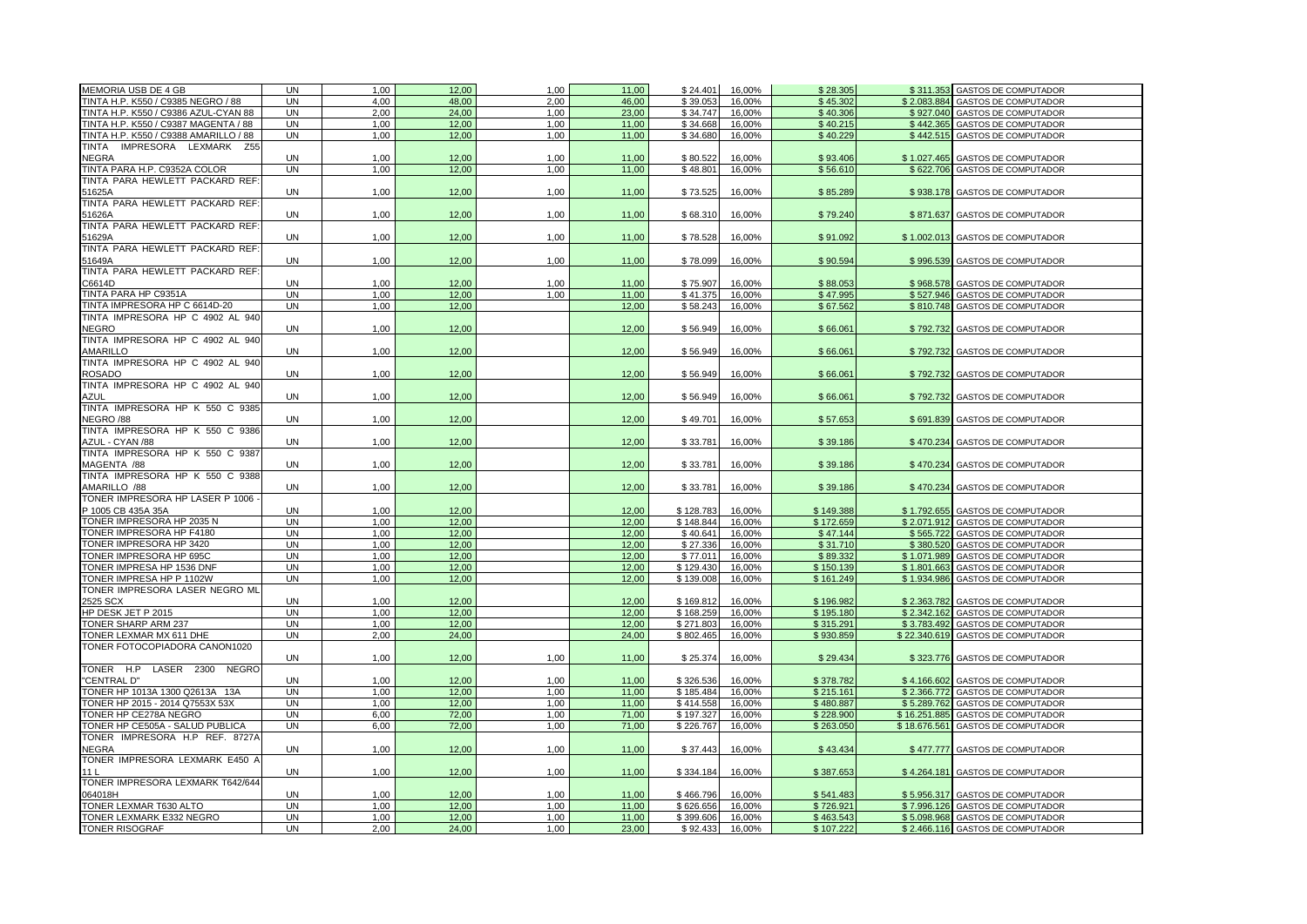| MEMORIA USB DE 4 GB                                  | UN                     | 1.00         | 12.00          | 1.00 | 11.00          | \$24,401              | 16.00%           | \$28,305              |                            | \$311.353 GASTOS DE COMPUTADOR                      |
|------------------------------------------------------|------------------------|--------------|----------------|------|----------------|-----------------------|------------------|-----------------------|----------------------------|-----------------------------------------------------|
| TINTA H.P. K550 / C9385 NEGRO / 88                   | <b>UN</b>              | 4,00         | 48,00          | 2.00 | 46,00          | \$39.053              | 16,00%           | \$45.302              | \$2.083.884                | GASTOS DE COMPUTADOR                                |
| TINTA H.P. K550 / C9386 AZUL-CYAN 88                 | <b>UN</b>              | 2.00         | 24.00          | 1.00 | 23.00          | \$34.747              | 16.00%           | \$40,306              | \$927.040                  | <b>GASTOS DE COMPUTADOR</b>                         |
| TINTA H.P. K550 / C9387 MAGENTA / 88                 | <b>UN</b>              | 1,00         | 12,00          | 1.00 | 11.00          | \$34.668              | 16,00%           | \$40.215              | \$442.365                  | GASTOS DE COMPUTADOR                                |
| TINTA H.P. K550 / C9388 AMARILLO / 88                | <b>UN</b>              | 1.00         | 12.00          | 1.00 | 11.00          | \$34,680              | 16.00%           | \$40,229              |                            | \$442.515 GASTOS DE COMPUTADOR                      |
| TINTA IMPRESORA LEXMARK Z55                          |                        |              |                |      |                |                       |                  |                       |                            |                                                     |
| NEGRA                                                | UN                     | 1,00         | 12,00          | 1,00 | 11.00          | \$80.522              | 16,00%           | \$93,406              | \$1.027.465                | <b>GASTOS DE COMPUTADOR</b>                         |
| TINTA PARA H.P. C9352A COLOR                         | UN                     | 1,00         | 12,00          | 1,00 | 11,00          | \$48.801              | 16,00%           | \$56.610              |                            | \$622.706 GASTOS DE COMPUTADOR                      |
| TINTA PARA HEWLETT PACKARD REF                       |                        |              |                |      |                |                       |                  |                       |                            |                                                     |
| 51625A                                               | UN                     | 1,00         | 12,00          | 1,00 | 11,00          | \$73.525              | 16,00%           | \$85.289              |                            | \$938.178 GASTOS DE COMPUTADOR                      |
| TINTA PARA HEWLETT PACKARD REF:                      |                        |              |                |      |                |                       |                  |                       |                            |                                                     |
| 51626A                                               | <b>UN</b>              | 1,00         | 12,00          | 1,00 | 11,00          | \$68.310              | 16,00%           | \$79.240              |                            | \$871.637 GASTOS DE COMPUTADOR                      |
| TINTA PARA HEWLETT PACKARD REF                       |                        |              |                |      |                |                       |                  |                       |                            |                                                     |
| 51629A<br>TINTA PARA HEWLETT PACKARD REF             | <b>UN</b>              | 1,00         | 12,00          | 1,00 | 11,00          | \$78.528              | 16,00%           | \$91.092              |                            | \$1.002.013 GASTOS DE COMPUTADOR                    |
| 51649A                                               | <b>UN</b>              | 1.00         | 12,00          | 1.00 | 11.00          | \$78,099              | 16,00%           | \$90.594              |                            | \$996.539 GASTOS DE COMPUTADOR                      |
| TINTA PARA HEWLETT PACKARD REF                       |                        |              |                |      |                |                       |                  |                       |                            |                                                     |
| C6614D                                               | <b>UN</b>              | 1,00         | 12,00          | 1,00 | 11,00          | \$75.907              | 16,00%           | \$88.053              | \$968.578                  | <b>GASTOS DE COMPUTADOR</b>                         |
| TINTA PARA HP C9351A                                 | <b>UN</b>              | 1.00         | 12.00          | 1,00 | 11.00          | \$41.375              | 16,00%           | \$47.995              |                            | \$527.946 GASTOS DE COMPUTADOR                      |
| TINTA IMPRESORA HP C 6614D-20                        | <b>UN</b>              | 1.00         | 12.00          |      | 12,00          | \$58.243              | 16,00%           | \$67.562              |                            | \$810.748 GASTOS DE COMPUTADOR                      |
| TINTA IMPRESORA HP C 4902 AL 940                     |                        |              |                |      |                |                       |                  |                       |                            |                                                     |
| NEGRO                                                | UN                     | 1,00         | 12,00          |      | 12,00          | \$56.949              | 16,00%           | \$66.06'              | \$792.732                  | <b>GASTOS DE COMPUTADOR</b>                         |
| TINTA IMPRESORA HP C 4902 AL 940                     |                        |              |                |      |                |                       |                  |                       |                            |                                                     |
| AMARILLO                                             | UN                     | 1,00         | 12,00          |      | 12,00          | \$56.949              | 16,00%           | \$66.061              |                            | \$792.732 GASTOS DE COMPUTADOR                      |
| TINTA IMPRESORA HP C 4902 AL 940                     |                        |              |                |      |                |                       |                  |                       |                            |                                                     |
| ROSADO                                               | <b>UN</b>              | 1,00         | 12,00          |      | 12,00          | \$56.949              | 16,00%           | \$66.061              |                            | \$792.732 GASTOS DE COMPUTADOR                      |
| TINTA IMPRESORA HP C 4902 AL 940                     |                        |              |                |      |                |                       |                  |                       |                            |                                                     |
| AZUL                                                 | UN                     | 1,00         | 12,00          |      | 12,00          | \$56.949              | 16,00%           | \$66.061              |                            | \$792.732 GASTOS DE COMPUTADOR                      |
| TINTA IMPRESORA HP K 550 C 9385                      |                        |              |                |      |                |                       |                  |                       |                            |                                                     |
| NEGRO /88                                            | UN                     | 1,00         | 12.00          |      | 12,00          | \$49.701              | 16,00%           | \$57.653              | \$691.839                  | <b>GASTOS DE COMPUTADOR</b>                         |
| TINTA IMPRESORA HP K 550 C 9386                      |                        |              |                |      |                |                       |                  |                       |                            |                                                     |
| AZUL - CYAN /88                                      | UN                     | 1,00         | 12,00          |      | 12,00          | \$33.781              | 16,00%           | \$39.186              |                            | \$470.234 GASTOS DE COMPUTADOR                      |
| TINTA IMPRESORA HP K 550 C 9387                      |                        |              |                |      |                |                       |                  |                       |                            |                                                     |
| MAGENTA /88                                          | UN                     | 1,00         | 12,00          |      | 12,00          | \$33.781              | 16,00%           | \$39.186              |                            | \$470.234 GASTOS DE COMPUTADOR                      |
| TINTA IMPRESORA HP K 550 C 9388                      |                        |              |                |      |                |                       |                  |                       |                            |                                                     |
| AMARILLO /88                                         | UN                     | 1,00         | 12,00          |      | 12,00          | \$33.781              | 16,00%           | \$39.186              |                            | \$470.234 GASTOS DE COMPUTADOR                      |
| TONER IMPRESORA HP LASER P 1006                      |                        |              |                |      |                |                       |                  |                       |                            |                                                     |
| P 1005 CB 435A 35A                                   | UN                     | 1.00         | 12.00          |      | 12.00          | \$128,783             | 16.00%           | \$149,388             | \$1.792.655                | <b>GASTOS DE COMPUTADOR</b>                         |
| TONER IMPRESORA HP 2035 N                            | <b>UN</b>              | 1,00         | 12,00          |      | 12,00          | \$148.844             | 16,00%           | \$172.659             |                            | \$2.071.912 GASTOS DE COMPUTADOR                    |
| TONER IMPRESORA HP F4180                             | <b>UN</b>              | 1.00         | 12.00          |      | 12.00          | \$40.641              | 16.00%           | \$47.144              |                            | \$565,722 GASTOS DE COMPUTADOR                      |
| TONER IMPRESORA HP 3420                              | <b>UN</b>              | 1,00         | 12,00          |      | 12,00          | \$27.336              | 16,00%           | \$31.710              | \$380.520                  | GASTOS DE COMPUTADOR                                |
| TONER IMPRESORA HP 695C<br>TONER IMPRESA HP 1536 DNF | <b>UN</b><br><b>UN</b> | 1.00<br>1,00 | 12.00<br>12,00 |      | 12.00<br>12,00 | \$77.011<br>\$129.430 | 16,00%<br>16,00% | \$89,332<br>\$150.139 | \$1.071.989                | <b>GASTOS DE COMPUTADOR</b>                         |
| TONER IMPRESA HP P 1102W                             | <b>UN</b>              | 1.00         | 12.00          |      | 12.00          | \$139.008             | 16.00%           | \$161.249             | \$1.801.663<br>\$1.934.986 | GASTOS DE COMPUTADOR<br><b>GASTOS DE COMPUTADOR</b> |
| TONER IMPRESORA LASER NEGRO ML                       |                        |              |                |      |                |                       |                  |                       |                            |                                                     |
| 2525 SCX                                             | <b>UN</b>              | 1.00         | 12.00          |      | 12.00          | \$169.812             | 16,00%           | \$196.982             | \$2.363.782                | <b>GASTOS DE COMPUTADOR</b>                         |
| IP DESK JET P 2015                                   | <b>UN</b>              | 1.00         | 12.00          |      | 12.00          | \$168.259             | 16,00%           | \$195.180             | \$2.342.162                | <b>GASTOS DE COMPUTADOR</b>                         |
| TONER SHARP ARM 237                                  | <b>UN</b>              | 1,00         | 12.00          |      | 12.00          | \$271.803             | 16.00%           | \$315.291             | \$3.783.492                | <b>GASTOS DE COMPUTADOR</b>                         |
| TONER LEXMAR MX 611 DHE                              | <b>UN</b>              | 2,00         | 24,00          |      | 24,00          | \$802.465             | 16,00%           | \$930.859             | \$22.340.619               | GASTOS DE COMPUTADOR                                |
| TONER FOTOCOPIADORA CANON1020                        |                        |              |                |      |                |                       |                  |                       |                            |                                                     |
|                                                      | UN                     | 1,00         | 12,00          | 1,00 | 11,00          | \$25.374              | 16,00%           | \$29.434              | \$323.776                  | <b>GASTOS DE COMPUTADOR</b>                         |
| TONER H.P LASER 2300 NEGRO                           |                        |              |                |      |                |                       |                  |                       |                            |                                                     |
| "CENTRAL D"                                          | <b>UN</b>              | 1,00         | 12,00          | 1,00 | 11.00          | \$326.536             | 16,00%           | \$378.782             | \$4.166.602                | <b>GASTOS DE COMPUTADOR</b>                         |
| TONER HP 1013A 1300 Q2613A 13A                       | <b>UN</b>              | 1.00         | 12.00          | 1,00 | 11.00          | \$185.484             | 16.00%           | \$215.161             | \$2.366.772                | <b>GASTOS DE COMPUTADOR</b>                         |
| TONER HP 2015 - 2014 Q7553X 53X                      | <b>UN</b>              | 1.00         | 12.00          | 1.00 | 11.00          | \$414.558             | 16.00%           | \$480.887             | \$5.289.762                | GASTOS DE COMPUTADOR                                |
| TONER HP CE278A NEGRO                                | UN                     | 6,00         | 72,00          | 1,00 | 71,00          | \$197.327             | 16,00%           | \$228.900             | \$16.251.885               | GASTOS DE COMPUTADOR                                |
| <b>TONER HP CE505A - SALUD PUBLICA</b>               | <b>UN</b>              | 6,00         | 72.00          | 1,00 | 71,00          | \$226.767             | 16,00%           | \$263.050             | \$18.676.561               | <b>GASTOS DE COMPUTADOR</b>                         |
| TONER IMPRESORA H.P REF. 8727A                       |                        |              |                |      |                |                       |                  |                       |                            |                                                     |
| NEGRA                                                | UN                     | 1,00         | 12,00          | 1,00 | 11.00          | \$37.443              | 16,00%           | \$43.434              |                            | \$477.777 GASTOS DE COMPUTADOR                      |
| TONER IMPRESORA LEXMARK E450 A                       |                        |              |                |      |                |                       |                  |                       |                            |                                                     |
| 11 I                                                 | UN                     | 1,00         | 12,00          | 1,00 | 11.00          | \$334.184             | 16,00%           | \$387.653             |                            | \$4.264.181 GASTOS DE COMPUTADOR                    |
| TONER IMPRESORA LEXMARK T642/644                     |                        |              |                |      |                |                       |                  |                       |                            |                                                     |
| 064018H                                              | UN                     | 1.00         | 12.00          | 1.00 | 11.00          | \$466.796             | 16,00%           | \$541.483             |                            | \$5.956.317 GASTOS DE COMPUTADOR                    |
| TONER LEXMAR T630 ALTO                               | UN                     | 1,00         | 12,00          | 1,00 | 11,00          | \$626.656             | 16,00%           | \$726.921             | \$7.996.126                | <b>GASTOS DE COMPUTADOR</b>                         |
| TONER LEXMARK E332 NEGRO                             | <b>UN</b>              | 1.00         | 12.00          | 1.00 | 11.00          | \$399.606             | 16.00%           | \$463.543             | \$5.098.968                | <b>GASTOS DE COMPUTADOR</b>                         |
| TONER RISOGRAF                                       | <b>UN</b>              | 2,00         | 24,00          | 1,00 | 23,00          | \$92.433              | 16,00%           | \$107.222             |                            | \$2.466.116 GASTOS DE COMPUTADOR                    |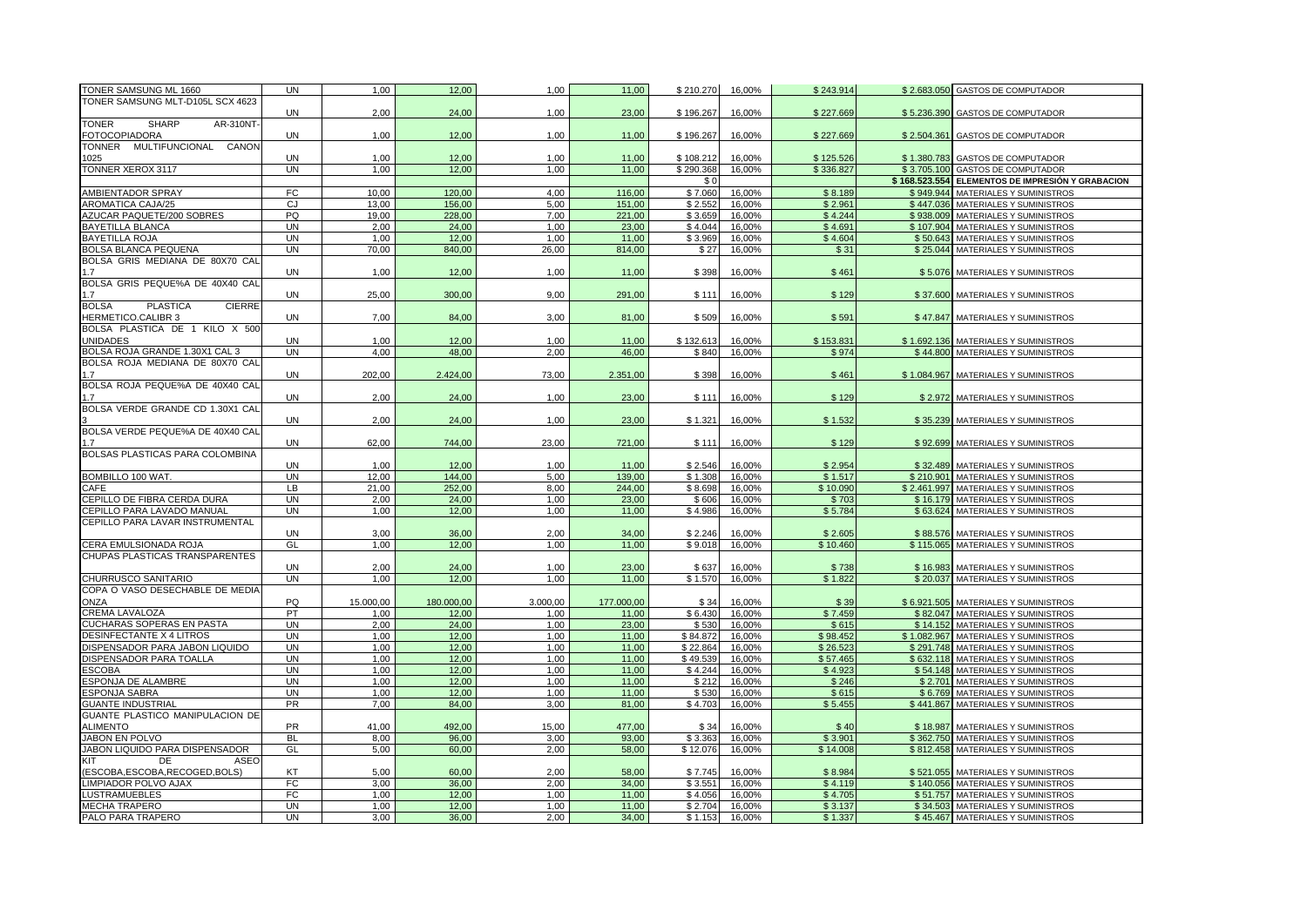| TONER SAMSUNG ML 1660                            | UN        | 1,00      | 12,00      | 1,00     | 11,00      | \$210.270 | 16,00% | \$243.914 |           | \$2.683.050 GASTOS DE COMPUTADOR                 |
|--------------------------------------------------|-----------|-----------|------------|----------|------------|-----------|--------|-----------|-----------|--------------------------------------------------|
| TONER SAMSUNG MLT-D105L SCX 4623                 |           |           |            |          |            |           |        |           |           |                                                  |
|                                                  | <b>UN</b> | 2,00      | 24.00      | 1,00     | 23,00      | \$196.267 | 16,00% | \$227.669 |           | \$5.236.390 GASTOS DE COMPUTADOR                 |
| <b>TONER</b><br><b>SHARP</b><br>AR-310NT-        |           |           |            |          |            |           |        |           |           |                                                  |
| FOTOCOPIADORA                                    | UN.       | 1.00      | 12.00      | 1.00     | 11.00      | \$196.267 | 16.00% | \$227,669 |           | \$2.504.361 GASTOS DE COMPUTADOR                 |
| TONNER MULTIFUNCIONAL CANON                      |           |           |            |          |            |           |        |           |           |                                                  |
| 1025                                             | UN        | 1,00      | 12,00      | 1.00     | 11,00      | \$108.212 | 16,00% | \$125.52  |           | \$1.380.783 GASTOS DE COMPUTADOR                 |
| TONNER XEROX 3117                                | <b>UN</b> | 1,00      | 12.00      | 1.00     | 11.00      | \$290.368 | 16,00% | \$336.827 |           | \$3.705.100 GASTOS DE COMPUTADOR                 |
|                                                  |           |           |            |          |            | \$C       |        |           |           | \$168.523.554 ELEMENTOS DE IMPRESIÓN Y GRABACION |
| AMBIENTADOR SPRAY                                | FC        | 10,00     | 120,00     | 4.00     | 116,00     | \$7.060   | 16,00% | \$8.189   |           | \$949.944 MATERIALES Y SUMINISTROS               |
| <b>AROMATICA CAJA/25</b>                         | <b>CJ</b> | 13.00     | 156.00     | 5.00     | 151.00     | \$2.552   | 16.00% | \$2.961   | \$447.036 | <b>MATERIALES Y SUMINISTROS</b>                  |
| AZUCAR PAQUETE/200 SOBRES                        | PQ        | 19,00     | 228,00     | 7,00     | 221,00     | \$3.659   | 16,00% | \$4.244   |           | \$938.009 MATERIALES Y SUMINISTROS               |
| <b>BAYETILLA BLANCA</b>                          | <b>UN</b> | 2.00      | 24.00      | 1.00     | 23.00      | \$4.044   | 16,00% | \$4.691   | \$107.904 | MATERIALES Y SUMINISTROS                         |
| <b>BAYETILLA ROJA</b>                            | <b>UN</b> | 1,00      | 12,00      | 1.00     | 11.00      | \$3.969   | 16,00% | \$4.604   |           | \$50.643 MATERIALES Y SUMINISTROS                |
| <b>BOLSA BLANCA PEQUENA</b>                      | <b>UN</b> | 70,00     | 840,00     | 26,00    | 814,00     | \$27      | 16,00% | \$31      |           | \$25.044 MATERIALES Y SUMINISTROS                |
| BOLSA GRIS MEDIANA DE 80X70 CAL                  |           |           |            |          |            |           |        |           |           |                                                  |
| 17                                               | UN        | 1,00      | 12,00      | 1,00     | 11,00      | \$398     | 16,00% | \$461     |           | \$5.076 MATERIALES Y SUMINISTROS                 |
| BOLSA GRIS PEQUE%A DE 40X40 CAL                  |           |           |            |          |            |           |        |           |           |                                                  |
| 1.7                                              | <b>UN</b> | 25,00     | 300,00     | 9,00     | 291,00     | \$111     | 16,00% | \$129     |           | \$37.600 MATERIALES Y SUMINISTROS                |
| <b>BOLSA</b><br><b>PLASTICA</b><br><b>CIERRE</b> |           |           |            |          |            |           |        |           |           |                                                  |
| HERMETICO.CALIBR 3                               | <b>UN</b> | 7,00      | 84,00      | 3,00     | 81,00      | \$509     | 16,00% | \$591     |           | \$47.847 MATERIALES Y SUMINISTROS                |
| BOLSA PLASTICA DE 1 KILO X 500                   |           |           |            |          |            |           |        |           |           |                                                  |
| UNIDADES                                         | UN        | 1,00      | 12,00      | 1,00     | 11,00      | \$132.613 | 16,00% | \$153.83  |           | \$1.692.136 MATERIALES Y SUMINISTROS             |
| BOLSA ROJA GRANDE 1.30X1 CAL 3                   | UN        | 4,00      | 48,00      | 2,00     | 46,00      | \$840     | 16,00% | \$974     |           | \$44.800 MATERIALES Y SUMINISTROS                |
| BOLSA ROJA MEDIANA DE 80X70 CAL                  |           |           |            |          |            |           |        |           |           |                                                  |
|                                                  | <b>UN</b> | 202,00    | 2.424,00   | 73,00    | 2.351,00   | \$398     | 16,00% | \$461     |           | \$1.084.967 MATERIALES Y SUMINISTROS             |
| BOLSA ROJA PEQUE%A DE 40X40 CAL                  |           |           |            |          |            |           |        |           |           |                                                  |
| 1.7                                              | <b>UN</b> | 2.00      | 24.00      | 1.00     | 23.00      | \$111     | 16,00% | \$129     |           | \$2.972 MATERIALES Y SUMINISTROS                 |
| BOLSA VERDE GRANDE CD 1.30X1 CAL                 |           |           |            |          |            |           |        |           |           |                                                  |
|                                                  | <b>UN</b> | 2,00      | 24,00      | 1,00     | 23,00      | \$1.321   | 16,00% | \$1.532   |           | \$35.239 MATERIALES Y SUMINISTROS                |
| BOLSA VERDE PEQUE%A DE 40X40 CAL                 |           |           |            |          |            |           |        |           |           |                                                  |
| 17                                               | <b>UN</b> | 62,00     | 744.00     | 23,00    | 721,00     | \$111     | 16,00% | \$129     |           | \$92.699 MATERIALES Y SUMINISTROS                |
| BOLSAS PLASTICAS PARA COLOMBINA                  |           |           |            |          |            |           |        |           |           |                                                  |
|                                                  | UN        | 1,00      | 12,00      | 1,00     | 11,00      | \$2.546   | 16,00% | \$2.954   |           | \$32.489 MATERIALES Y SUMINISTROS                |
| BOMBILLO 100 WAT.                                | <b>UN</b> | 12.00     | 144.00     | 5,00     | 139.00     | \$1.308   | 16,00% | \$1.517   |           | \$210.901 MATERIALES Y SUMINISTROS               |
| CAFE                                             | LB        | 21,00     | 252,00     | 8,00     | 244,00     | \$8.698   | 16,00% | \$10.090  |           | \$2.461.997 MATERIALES Y SUMINISTROS             |
| CEPILLO DE FIBRA CERDA DURA                      | <b>UN</b> | 2.00      | 24,00      | 1.00     | 23,00      | \$606     | 16,00% | \$703     |           | \$16.179 MATERIALES Y SUMINISTROS                |
| CEPILLO PARA LAVADO MANUAL                       | <b>UN</b> | 1.00      | 12.00      | 1.00     | 11.00      | \$4.986   | 16,00% | \$5.784   |           | \$63.624 MATERIALES Y SUMINISTROS                |
| CEPILLO PARA LAVAR INSTRUMENTAL                  |           |           |            |          |            |           |        |           |           |                                                  |
|                                                  | UN        | 3,00      | 36,00      | 2,00     | 34,00      | \$2.246   | 16,00% | \$2.605   | \$88.576  | MATERIALES Y SUMINISTROS                         |
| CERA EMULSIONADA ROJA                            | GL        | 1,00      | 12,00      | 1,00     | 11,00      | \$9.018   | 16,00% | \$10.460  |           | \$115.065 MATERIALES Y SUMINISTROS               |
| CHUPAS PLASTICAS TRANSPARENTES                   |           |           |            |          |            |           |        |           |           |                                                  |
|                                                  | <b>UN</b> | 2,00      | 24.00      | 1,00     | 23,00      | \$637     | 16,00% | \$738     | \$16.983  | MATERIALES Y SUMINISTROS                         |
| CHURRUSCO SANITARIO                              | <b>UN</b> | 1.00      | 12,00      | 1.00     | 11.00      | \$1.570   | 16,00% | \$1.822   |           | \$20.037 MATERIALES Y SUMINISTROS                |
| COPA O VASO DESECHABLE DE MEDIA                  |           |           |            |          |            |           |        |           |           |                                                  |
| ONZA                                             | PQ        | 15.000,00 | 180.000,00 | 3.000,00 | 177.000,00 | \$34      | 16,00% | \$39      |           | \$6.921.505 MATERIALES Y SUMINISTROS             |
| <b>CREMA LAVALOZA</b>                            | <b>PT</b> | 1,00      | 12.00      | 1,00     | 11.00      | \$6.430   | 16,00% | \$7.459   |           | \$82.047 MATERIALES Y SUMINISTROS                |
| <b>CUCHARAS SOPERAS EN PASTA</b>                 | <b>UN</b> | 2,00      | 24,00      | 1.00     | 23.00      | \$530     | 16,00% | \$615     |           | \$14.152 MATERIALES Y SUMINISTROS                |
| <b>DESINFECTANTE X 4 LITROS</b>                  | <b>UN</b> | 1,00      | 12,00      | 1,00     | 11.00      | \$84.872  | 16,00% | \$98.452  |           | \$1.082.967 MATERIALES Y SUMINISTROS             |
| DISPENSADOR PARA JABON LIQUIDO                   | <b>UN</b> | 1.00      | 12.00      | 1.00     | 11.00      | \$22.864  | 16.00% | \$26,523  | \$291.748 | MATERIALES Y SUMINISTROS                         |
| DISPENSADOR PARA TOALLA                          | UN        | 1,00      | 12,00      | 1,00     | 11,00      | \$49.539  | 16,00% | \$57.465  |           | \$632.118 MATERIALES Y SUMINISTROS               |
| <b>ESCOBA</b>                                    | <b>UN</b> | 1.00      | 12.00      | 1.00     | 11.00      | \$4.244   | 16,00% | \$4.923   |           | \$54.148 MATERIALES Y SUMINISTROS                |
| ESPONJA DE ALAMBRE                               | UN        | 1,00      | 12,00      | 1,00     | 11,00      | \$212     | 16,00% | \$246     | \$2.701   | MATERIALES Y SUMINISTROS                         |
| <b>ESPONJA SABRA</b>                             | <b>UN</b> | 1.00      | 12,00      | 1.00     | 11.00      | \$530     | 16,00% | \$615     | \$6.769   | MATERIALES Y SUMINISTROS                         |
| <b>GUANTE INDUSTRIAL</b>                         | <b>PR</b> | 7.00      | 84.00      | 3.00     | 81.00      | \$4.703   | 16.00% | \$5.455   |           | \$441,867 MATERIALES Y SUMINISTROS               |
| GUANTE PLASTICO MANIPULACION DE                  |           |           |            |          |            |           |        |           |           |                                                  |
| <b>ALIMENTO</b>                                  | <b>PR</b> | 41,00     | 492,00     | 15,00    | 477,00     | \$34      | 16,00% | \$40      | \$18.987  | MATERIALES Y SUMINISTROS                         |
| JABON EN POLVO                                   | <b>BL</b> | 8,00      | 96,00      | 3,00     | 93,00      | \$3.363   | 16,00% | \$3.901   |           | \$362.750 MATERIALES Y SUMINISTROS               |
| JABON LIQUIDO PARA DISPENSADOR                   | GL        | 5,00      | 60,00      | 2.00     | 58.00      | \$12,076  | 16,00% | \$14,008  |           | \$812,458 MATERIALES Y SUMINISTROS               |
| KIT<br>DE<br>ASEC                                |           |           |            |          |            |           |        |           |           |                                                  |
| (ESCOBA,ESCOBA,RECOGED,BOLS)                     | <b>KT</b> | 5,00      | 60,00      | 2,00     | 58,00      | \$7.745   | 16,00% | \$8.98    |           | \$521.055 MATERIALES Y SUMINISTROS               |
| LIMPIADOR POLVO AJAX                             | FC        | 3,00      | 36,00      | 2,00     | 34,00      | \$3.551   | 16,00% | \$4.119   |           | \$140.056 MATERIALES Y SUMINISTROS               |
| <b>LUSTRAMUEBLES</b>                             | FC        | 1,00      | 12,00      | 1,00     | 11,00      | \$4.056   | 16,00% | \$4.705   | \$51,757  | MATERIALES Y SUMINISTROS                         |
| <b>MECHA TRAPERO</b>                             | <b>UN</b> | 1.00      | 12,00      | 1.00     | 11.00      | \$2.704   | 16,00% | \$3.137   |           | \$34.503 MATERIALES Y SUMINISTROS                |
|                                                  |           | 3.00      | 36.00      | 2.00     | 34.00      | \$1.153   | 16,00% | \$1.337   |           | \$45.467 MATERIALES Y SUMINISTROS                |
| PALO PARA TRAPERO                                | <b>UN</b> |           |            |          |            |           |        |           |           |                                                  |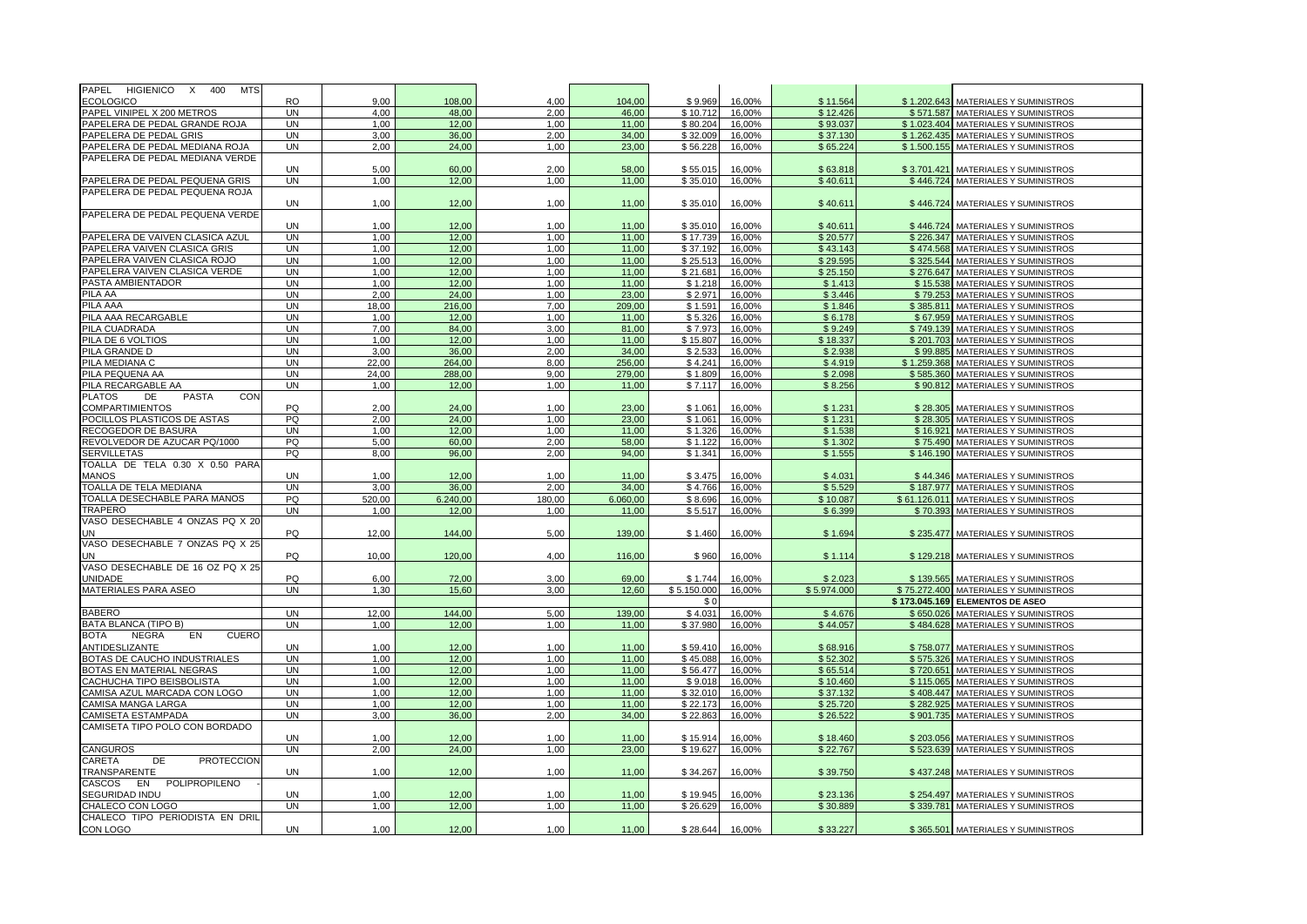| PAPEL<br>HIGIENICO X<br>400<br><b>MTS</b>         |           |        |          |        |          |             |        |            |              |                                       |
|---------------------------------------------------|-----------|--------|----------|--------|----------|-------------|--------|------------|--------------|---------------------------------------|
| <b>ECOLOGICO</b>                                  | RO.       | 9.00   | 108.00   | 4.00   | 104.00   | \$9.969     | 16,00% | \$11.564   |              | \$1.202.643 MATERIALES Y SUMINISTROS  |
| PAPEL VINIPEL X 200 METROS                        | <b>UN</b> | 4,00   | 48,00    | 2.00   | 46,00    | \$10.712    | 16,00% | \$12.426   | \$571.587    | MATERIALES Y SUMINISTROS              |
| PAPELERA DE PEDAL GRANDE ROJA                     | <b>UN</b> | 1.00   | 12.00    | 1.00   | 11.00    | \$80,204    | 16.00% | \$93.037   | \$1.023.404  | <b>MATERIALES Y SUMINISTROS</b>       |
| PAPELERA DE PEDAL GRIS                            | <b>UN</b> | 3,00   | 36,00    | 2,00   | 34,00    | \$32.009    | 16,00% | \$37.130   |              | \$1.262.435 MATERIALES Y SUMINISTROS  |
| PAPELERA DE PEDAL MEDIANA ROJA                    | <b>UN</b> | 2.00   | 24.00    | 1.00   | 23.00    | \$56.228    | 16.00% | \$65,224   |              | \$1.500.155 MATERIALES Y SUMINISTROS  |
| PAPELERA DE PEDAL MEDIANA VERDE                   |           |        |          |        |          |             |        |            |              |                                       |
|                                                   | UN        | 5,00   | 60,00    | 2,00   | 58,00    | \$55.015    | 16,00% | \$63.818   | \$3.701.421  | MATERIALES Y SUMINISTROS              |
| PAPELERA DE PEDAL PEQUENA GRIS                    | <b>UN</b> | 1,00   | 12.00    | 1.00   | 11.00    | \$35.010    | 16,00% | \$40.611   |              | \$446.724 MATERIALES Y SUMINISTROS    |
| PAPELERA DE PEDAL PEQUENA ROJA                    |           |        |          |        |          |             |        |            |              |                                       |
|                                                   | <b>UN</b> | 1,00   | 12,00    | 1,00   | 11,00    | \$35.010    | 16,00% | \$40.611   |              | \$446.724 MATERIALES Y SUMINISTROS    |
| PAPELERA DE PEDAL PEQUENA VERDE                   |           |        |          |        |          |             |        |            |              |                                       |
|                                                   | <b>UN</b> | 1,00   | 12,00    | 1,00   | 11,00    | \$35.010    | 16,00% | \$40.611   |              | \$446.724 MATERIALES Y SUMINISTROS    |
| PAPELERA DE VAIVEN CLASICA AZUL                   | <b>UN</b> | 1.00   | 12.00    | 1.00   | 11.00    | \$17,739    | 16,00% | \$20,577   |              | \$226.347 MATERIALES Y SUMINISTROS    |
| PAPELERA VAIVEN CLASICA GRIS                      | <b>UN</b> | 1,00   | 12,00    | 1,00   | 11,00    | \$37.192    | 16,00% | \$43.143   | \$474.568    | MATERIALES Y SUMINISTROS              |
| PAPELERA VAIVEN CLASICA ROJO                      | <b>UN</b> | 1,00   | 12,00    | 1,00   | 11.00    | \$25.513    | 16,00% | \$29.595   |              | \$325.544 MATERIALES Y SUMINISTROS    |
|                                                   | <b>UN</b> |        |          |        |          |             |        |            |              |                                       |
| PAPELERA VAIVEN CLASICA VERDE                     |           | 1,00   | 12,00    | 1,00   | 11,00    | \$21.681    | 16,00% | \$25.150   |              | \$276.647 MATERIALES Y SUMINISTROS    |
| PASTA AMBIENTADOR                                 | <b>UN</b> | 1,00   | 12,00    | 1.00   | 11.00    | \$1.218     | 16,00% | \$1.413    | \$15.538     | MATERIALES Y SUMINISTROS              |
| PILA AA                                           | <b>UN</b> | 2,00   | 24,00    | 1,00   | 23,00    | \$2.971     | 16,00% | \$3.446    | \$79.253     | MATERIALES Y SUMINISTROS              |
| PILA AAA                                          | <b>UN</b> | 18,00  | 216,00   | 7,00   | 209,00   | \$1.591     | 16,00% | \$1.846    |              | \$385.811 MATERIALES Y SUMINISTROS    |
| PILA AAA RECARGABLE                               | UN        | 1.00   | 12.00    | 1.00   | 11.00    | \$5.326     | 16.00% | \$6.178    |              | \$67.959 MATERIALES Y SUMINISTROS     |
| PILA CUADRADA                                     | <b>UN</b> | 7,00   | 84,00    | 3,00   | 81,00    | \$7.973     | 16,00% | \$9.249    |              | \$749.139 MATERIALES Y SUMINISTROS    |
| PILA DE 6 VOLTIOS                                 | <b>UN</b> | 1.00   | 12,00    | 1.00   | 11.00    | \$15.807    | 16,00% | \$18.337   | \$201.703    | MATERIALES Y SUMINISTROS              |
| PILA GRANDE D                                     | <b>UN</b> | 3,00   | 36,00    | 2,00   | 34,00    | \$2.533     | 16,00% | \$2.938    | \$99.885     | MATERIALES Y SUMINISTROS              |
| PILA MEDIANA C                                    | <b>UN</b> | 22.00  | 264,00   | 8,00   | 256,00   | \$4.241     | 16,00% | \$4.919    | \$1.259.368  | MATERIALES Y SUMINISTROS              |
| PILA PEQUENA AA                                   | <b>UN</b> | 24,00  | 288,00   | 9,00   | 279,00   | \$1.809     | 16,00% | \$2.098    | \$585.360    | MATERIALES Y SUMINISTROS              |
| PILA RECARGABLE AA                                | <b>UN</b> | 1,00   | 12,00    | 1,00   | 11,00    | \$7.117     | 16,00% | \$8.256    |              | \$90.812 MATERIALES Y SUMINISTROS     |
| <b>PLATOS</b><br>DE<br><b>PASTA</b><br><b>CON</b> |           |        |          |        |          |             |        |            |              |                                       |
| COMPARTIMIENTOS                                   | PO        | 2,00   | 24,00    | 1.00   | 23,00    | \$1.061     | 16,00% | \$1.231    |              | \$28.305 MATERIALES Y SUMINISTROS     |
| POCILLOS PLASTICOS DE ASTAS                       | PQ        | 2,00   | 24,00    | 1.00   | 23.00    | \$1.061     | 16,00% | \$1.231    | \$28.305     | MATERIALES Y SUMINISTROS              |
| RECOGEDOR DE BASURA                               | <b>UN</b> | 1,00   | 12,00    | 1,00   | 11,00    | \$1.326     | 16,00% | \$1.538    | \$16.921     | MATERIALES Y SUMINISTROS              |
| REVOLVEDOR DE AZUCAR PQ/1000                      | PQ        | 5,00   | 60,00    | 2,00   | 58,00    | \$1.122     | 16,00% | \$1.302    | \$75,490     | MATERIALES Y SUMINISTROS              |
| <b>ERVILLETAS</b>                                 | PQ        |        |          | 2,00   | 94,00    | \$1.341     |        | \$1.555    | \$146.190    | MATERIALES Y SUMINISTROS              |
|                                                   |           | 8,00   | 96,00    |        |          |             | 16,00% |            |              |                                       |
| OALLA DE TELA 0.30 X 0.50 PARA                    |           |        |          |        |          |             |        |            |              |                                       |
| <b>MANOS</b>                                      | <b>UN</b> | 1.00   | 12,00    | 1,00   | 11,00    | \$3.475     | 16,00% | \$4.031    |              | \$44.346 MATERIALES Y SUMINISTROS     |
| OALLA DE TELA MEDIANA                             | <b>UN</b> | 3,00   | 36,00    | 2,00   | 34,00    | \$4.766     | 16,00% | \$5.529    |              | \$187.977 MATERIALES Y SUMINISTROS    |
| TOALLA DESECHABLE PARA MANOS                      | PQ        | 520,00 | 6.240,00 | 180,00 | 6.060,00 | \$8.696     | 16,00% | \$10.087   |              | \$61.126.011 MATERIALES Y SUMINISTROS |
| <b>TRAPERO</b>                                    | <b>UN</b> | 1.00   | 12.00    | 1.00   | 11.00    | \$5.517     | 16,00% | \$6.399    | \$70.393     | MATERIALES Y SUMINISTROS              |
| VASO DESECHABLE 4 ONZAS PQ X 20                   |           |        |          |        |          |             |        |            |              |                                       |
| JN                                                | PQ        | 12,00  | 144,00   | 5,00   | 139,00   | \$1.460     | 16,00% | \$1.694    |              | \$235.477 MATERIALES Y SUMINISTROS    |
| VASO DESECHABLE 7 ONZAS PQ X 25                   |           |        |          |        |          |             |        |            |              |                                       |
| UN                                                | <b>PQ</b> | 10,00  | 120,00   | 4,00   | 116,00   | \$960       | 16,00% | \$1.114    |              | \$129.218 MATERIALES Y SUMINISTROS    |
| VASO DESECHABLE DE 16 OZ PQ X 25                  |           |        |          |        |          |             |        |            |              |                                       |
| <b>UNIDADE</b>                                    | PO        | 6,00   | 72.00    | 3.00   | 69.00    | \$1.744     | 16,00% | \$2.02     |              | \$139.565 MATERIALES Y SUMINISTROS    |
| <b>MATERIALES PARA ASEO</b>                       | <b>UN</b> | 1,30   | 15,60    | 3,00   | 12,60    | \$5.150.000 | 16,00% | \$5.974.00 | \$75.272.400 | MATERIALES Y SUMINISTROS              |
|                                                   |           |        |          |        |          | \$0         |        |            |              | \$173.045.169 ELEMENTOS DE ASEO       |
| <b>BABERO</b>                                     | <b>UN</b> | 12,00  | 144,00   | 5,00   | 139,00   | \$4.031     | 16,00% | \$4.676    | \$650.026    | MATERIALES Y SUMINISTROS              |
| <b>BATA BLANCA (TIPO B)</b>                       | <b>UN</b> | 1,00   | 12,00    | 1,00   | 11.00    | \$37.980    | 16,00% | \$44.057   |              | \$484.628 MATERIALES Y SUMINISTROS    |
| <b>BOTA</b><br>NEGRA<br>EN<br><b>CUERO</b>        |           |        |          |        |          |             |        |            |              |                                       |
| ANTIDESLIZANTE                                    | <b>UN</b> | 1.00   | 12,00    | 1.00   | 11,00    | \$59.410    | 16,00% | \$68.916   |              | \$758.077 MATERIALES Y SUMINISTROS    |
| <b>BOTAS DE CAUCHO INDUSTRIALES</b>               | UN        | 1.00   | 12.00    | 1.00   | 11.00    | \$45.088    | 16.00% | \$52.302   | \$575.326    | MATERIALES Y SUMINISTROS              |
|                                                   |           |        |          |        |          |             |        |            |              |                                       |
| BOTAS EN MATERIAL NEGRAS                          | <b>UN</b> | 1,00   | 12,00    | 1,00   | 11,00    | \$56.477    | 16,00% | \$65.514   |              | \$720.651 MATERIALES Y SUMINISTROS    |
| CACHUCHA TIPO BEISBOLISTA                         | <b>UN</b> | 1.00   | 12.00    | 1.00   | 11.00    | \$9.018     | 16.00% | \$10,460   | \$115,065    | MATERIALES Y SUMINISTROS              |
| CAMISA AZUL MARCADA CON LOGO                      | <b>UN</b> | 1,00   | 12,00    | 1,00   | 11,00    | \$32.010    | 16,00% | \$37.132   |              | \$408.447 MATERIALES Y SUMINISTROS    |
| CAMISA MANGA LARGA                                | <b>UN</b> | 1,00   | 12,00    | 1.00   | 11.00    | \$22,173    | 16,00% | \$25.720   | \$282.925    | MATERIALES Y SUMINISTROS              |
| <b>CAMISETA ESTAMPADA</b>                         | <b>UN</b> | 3,00   | 36,00    | 2,00   | 34,00    | \$22.863    | 16,00% | \$26.522   | \$901.735    | MATERIALES Y SUMINISTROS              |
| CAMISETA TIPO POLO CON BORDADO                    |           |        |          |        |          |             |        |            |              |                                       |
|                                                   | UN        | 1,00   | 12,00    | 1,00   | 11,00    | \$15.914    | 16,00% | \$18.460   | \$203.056    | MATERIALES Y SUMINISTROS              |
| <b>CANGUROS</b>                                   | <b>UN</b> | 2.00   | 24,00    | 1.00   | 23.00    | \$19.627    | 16,00% | \$22,767   |              | \$523.639 MATERIALES Y SUMINISTROS    |
| <b>PROTECCION</b><br>CARETA<br>DE                 |           |        |          |        |          |             |        |            |              |                                       |
| TRANSPARENTE                                      | <b>UN</b> | 1,00   | 12,00    | 1,00   | 11,00    | \$34.267    | 16,00% | \$39.750   |              | \$437.248 MATERIALES Y SUMINISTROS    |
| EN POLIPROPILENO<br>CASCOS                        |           |        |          |        |          |             |        |            |              |                                       |
| <b>EGURIDAD INDU</b>                              | UN        | 1,00   | 12,00    | 1,00   | 11,00    | \$19.945    | 16,00% | \$23.136   |              | \$254.497 MATERIALES Y SUMINISTROS    |
| CHALECO CON LOGO                                  | <b>UN</b> | 1.00   | 12.00    | 1.00   | 11.00    | \$26.629    | 16,00% | \$30.889   |              | \$339.781 MATERIALES Y SUMINISTROS    |
| CHALECO TIPO PERIODISTA EN DRIL                   |           |        |          |        |          |             |        |            |              |                                       |
| CON LOGO                                          | UN        | 1,00   | 12,00    | 1,00   | 11,00    | \$28.644    | 16,00% | \$33.227   |              | \$365.501 MATERIALES Y SUMINISTROS    |
|                                                   |           |        |          |        |          |             |        |            |              |                                       |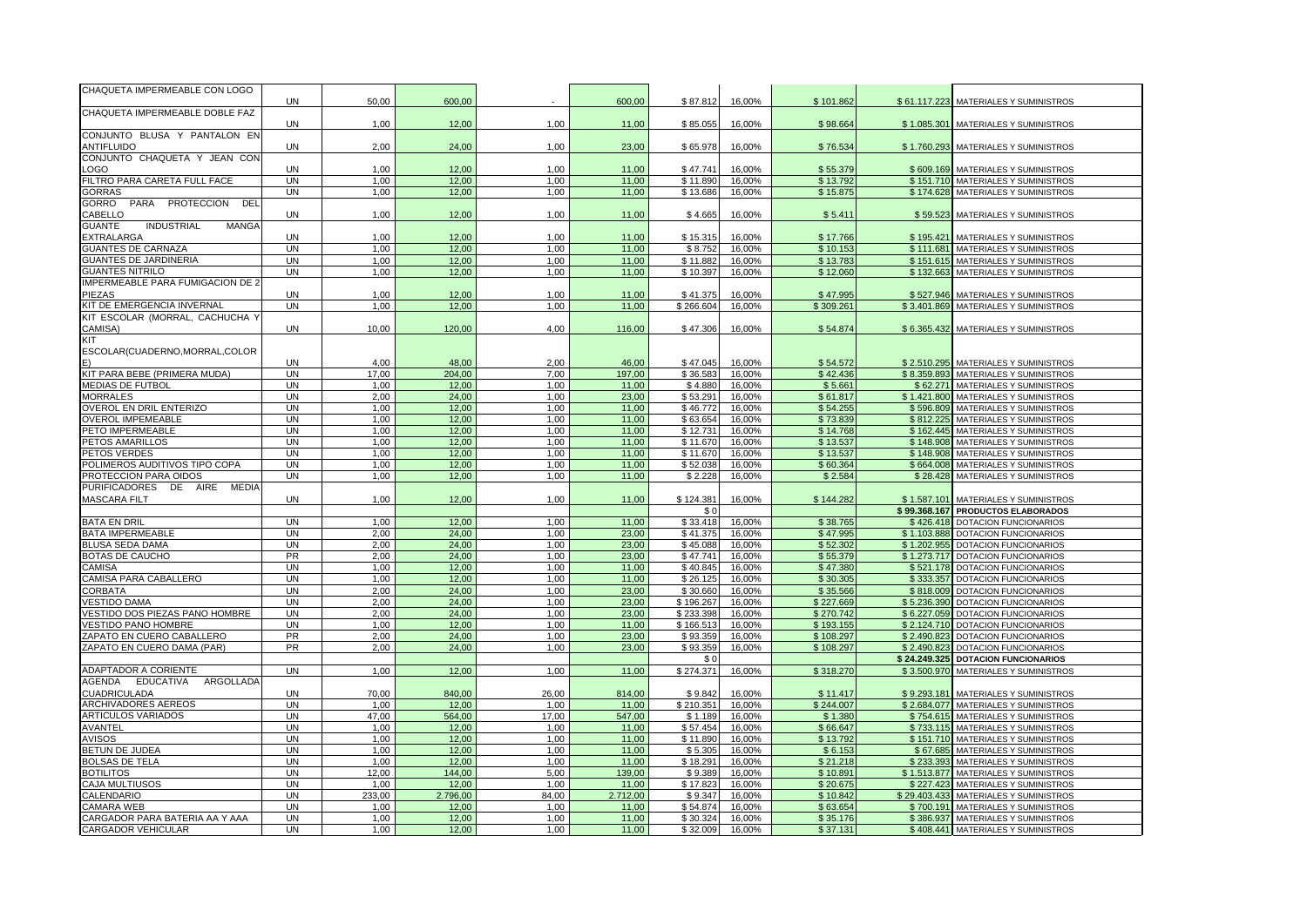| CHAQUETA IMPERMEABLE CON LOGO                      |           |        |          |       |          |                        |        |           |              |                                       |
|----------------------------------------------------|-----------|--------|----------|-------|----------|------------------------|--------|-----------|--------------|---------------------------------------|
|                                                    | <b>UN</b> | 50.00  | 600,00   |       | 600,00   | \$87.812               | 16,00% | \$101.862 |              | \$61.117.223 MATERIALES Y SUMINISTROS |
|                                                    |           |        |          |       |          |                        |        |           |              |                                       |
| CHAQUETA IMPERMEABLE DOBLE FAZ                     |           |        |          |       |          |                        |        |           |              |                                       |
|                                                    | <b>UN</b> | 1,00   | 12,00    | 1,00  | 11,00    | \$85.055               | 16,00% | \$98.664  |              | \$1.085.301 MATERIALES Y SUMINISTROS  |
| CONJUNTO BLUSA Y PANTALON EN                       |           |        |          |       |          |                        |        |           |              |                                       |
| <b>ANTIFLUIDO</b>                                  | <b>UN</b> | 2,00   | 24,00    | 1,00  | 23,00    | \$65.978               | 16,00% | \$76.534  |              | \$1.760.293 MATERIALES Y SUMINISTROS  |
| CONJUNTO CHAQUETA Y JEAN CON                       |           |        |          |       |          |                        |        |           |              |                                       |
| LOGO                                               | UN        | 1,00   | 12.00    | 1,00  | 11,00    | \$47.741               | 16,00% |           |              | \$609.169 MATERIALES Y SUMINISTROS    |
|                                                    |           |        |          |       |          |                        |        | \$55.379  |              |                                       |
| FILTRO PARA CARETA FULL FACE                       | <b>UN</b> | 1.00   | 12.00    | 1.00  | 11.00    | \$11,890               | 16.00% | \$13.792  |              | \$151,710 MATERIALES Y SUMINISTROS    |
| <b>SORRAS</b>                                      | UN        | 1,00   | 12,00    | 1,00  | 11,00    | \$13.686               | 16,00% | \$15.875  |              | \$174.628 MATERIALES Y SUMINISTROS    |
| PARA PROTECCION<br>DEL<br>GORRO                    |           |        |          |       |          |                        |        |           |              |                                       |
| CABELLO                                            | <b>UN</b> | 1,00   | 12,00    | 1,00  | 11,00    | \$4.665                | 16,00% | \$5.411   | \$59.523     | MATERIALES Y SUMINISTROS              |
| <b>GUANTE</b><br><b>INDUSTRIAL</b><br><b>MANGA</b> |           |        |          |       |          |                        |        |           |              |                                       |
|                                                    |           |        |          |       |          |                        |        |           |              |                                       |
| EXTRALARGA                                         | UN        | 1,00   | 12,00    | 1,00  | 11,00    | \$15.315               | 16,00% | \$17.766  | \$195.421    | MATERIALES Y SUMINISTROS              |
| <b>GUANTES DE CARNAZA</b>                          | <b>UN</b> | 1.00   | 12.00    | 1.00  | 11.00    | \$8.752                | 16,00% | \$10.153  | \$111.681    | MATERIALES Y SUMINISTROS              |
| <b>GUANTES DE JARDINERIA</b>                       | <b>UN</b> | 1.00   | 12.00    | 1.00  | 11.00    | \$11,882               | 16,00% | \$13,783  |              | \$151.615 MATERIALES Y SUMINISTROS    |
| <b>GUANTES NITRILO</b>                             | UN.       | 1,00   | 12,00    | 1,00  | 11,00    | \$10.397               | 16,00% | \$12.060  | \$132.663    | MATERIALES Y SUMINISTROS              |
| MPERMEABLE PARA FUMIGACION DE 2                    |           |        |          |       |          |                        |        |           |              |                                       |
| <b>PIEZAS</b>                                      | UN        | 1,00   | 12,00    | 1,00  | 11.00    | \$41.375               | 16,00% | \$47.995  |              | \$527.946 MATERIALES Y SUMINISTROS    |
|                                                    |           |        |          |       |          |                        |        |           |              |                                       |
| KIT DE EMERGENCIA INVERNAL                         | <b>UN</b> | 1.00   | 12.00    | 1.00  | 11.00    | \$266.604              | 16.00% | \$309.261 |              | \$3.401.869 MATERIALES Y SUMINISTROS  |
| KIT ESCOLAR (MORRAL, CACHUCHA Y                    |           |        |          |       |          |                        |        |           |              |                                       |
| CAMISA)                                            | UN        | 10,00  | 120,00   | 4,00  | 116,00   | \$47.306               | 16,00% | \$54.874  |              | \$6.365.432 MATERIALES Y SUMINISTROS  |
| <b>KIT</b>                                         |           |        |          |       |          |                        |        |           |              |                                       |
| ESCOLAR(CUADERNO, MORRAL, COLOR                    |           |        |          |       |          |                        |        |           |              |                                       |
|                                                    |           |        |          |       |          |                        |        |           |              |                                       |
|                                                    | <b>UN</b> | 4,00   | 48,00    | 2.00  | 46,00    | \$47.045               | 16,00% | \$54.572  |              | \$2.510.295 MATERIALES Y SUMINISTROS  |
| KIT PARA BEBE (PRIMERA MUDA)                       | <b>UN</b> | 17,00  | 204,00   | 7,00  | 197,00   | \$36.583               | 16,00% | \$42.436  | \$8.359.893  | MATERIALES Y SUMINISTROS              |
| <b>MEDIAS DE FUTBOL</b>                            | <b>UN</b> | 1,00   | 12,00    | 1,00  | 11,00    | \$4.880                | 16,00% | \$5.661   |              | \$62.271 MATERIALES Y SUMINISTROS     |
| <b>MORRALES</b>                                    | UN        | 2,00   | 24,00    | 1,00  | 23,00    | \$53.291               | 16,00% | \$61.817  | \$1.421.800  | MATERIALES Y SUMINISTROS              |
| OVEROL EN DRIL ENTERIZO                            | UN        | 1,00   | 12,00    | 1,00  | 11,00    | \$46.772               | 16,00% | \$54.255  | \$596.809    | MATERIALES Y SUMINISTROS              |
| <b>OVEROL IMPEMEABLE</b>                           | <b>UN</b> | 1.00   | 12.00    | 1.00  | 11.00    | \$63.654               | 16.00% | \$73.839  | \$812,225    |                                       |
|                                                    |           |        |          |       |          |                        |        |           |              | MATERIALES Y SUMINISTROS              |
| PETO IMPERMEABLE                                   | UN        | 1,00   | 12,00    | 1,00  | 11,00    | \$12.731               | 16,00% | \$14.768  |              | \$162.445 MATERIALES Y SUMINISTROS    |
| PETOS AMARILLOS                                    | <b>UN</b> | 1,00   | 12.00    | 1.00  | 11.00    | \$11,670               | 16.00% | \$13.537  | \$148,908    | MATERIALES Y SUMINISTROS              |
| PETOS VERDES                                       | UN        | 1,00   | 12,00    | 1,00  | 11,00    | \$11.670               | 16,00% | \$13.537  | \$148.908    | MATERIALES Y SUMINISTROS              |
| POLIMEROS AUDITIVOS TIPO COPA                      | UN.       | 1.00   | 12.00    | 1.00  | 11.00    | \$52.038               | 16.00% | \$60.364  | \$664,008    | MATERIALES Y SUMINISTROS              |
|                                                    |           |        |          |       |          |                        |        |           |              |                                       |
| PROTECCION PARA OIDOS                              | UN        | 1,00   | 12,00    | 1,00  | 11,00    | \$2.228                | 16,00% | \$2.584   |              | \$28.428 MATERIALES Y SUMINISTROS     |
| PURIFICADORES DE AIRE<br>MEDIA                     |           |        |          |       |          |                        |        |           |              |                                       |
| <b>MASCARA FILT</b>                                | UN        | 1,00   | 12,00    | 1,00  | 11.00    | \$124.381              | 16,00% | \$144.282 | \$1.587.101  | MATERIALES Y SUMINISTROS              |
|                                                    |           |        |          |       |          | \$0                    |        |           |              | \$99.368.167 PRODUCTOS ELABORADOS     |
| <b>BATA EN DRIL</b>                                | <b>UN</b> | 1.00   | 12.00    | 1.00  | 11.00    | \$33,418               | 16.00% | \$38,765  |              | \$426,418 DOTACION FUNCIONARIOS       |
|                                                    |           |        |          |       |          |                        |        |           |              |                                       |
| <b>BATA IMPERMEABLE</b>                            | UN        | 2,00   | 24,00    | 1,00  | 23,00    | \$41.375               | 16,00% | \$47.995  | \$1.103.888  | DOTACION FUNCIONARIOS                 |
| <b>BLUSA SEDA DAMA</b>                             | UN.       | 2.00   | 24.00    | 1.00  | 23.00    | \$45.088               | 16.00% | \$52,302  | \$1.202.955  | <b>DOTACION FUNCIONARIOS</b>          |
| BOTAS DE CAUCHO                                    | <b>PR</b> | 2,00   | 24,00    | 1,00  | 23,00    | \$47.741               | 16,00% | \$55.379  |              | \$1.273.717 DOTACION FUNCIONARIOS     |
| <b>CAMISA</b>                                      | UN        | 1.00   | 12.00    | 1.00  | 11.00    | \$40.845               | 16.00% | \$47,380  | \$521.178    | <b>DOTACION FUNCIONARIOS</b>          |
| AMISA PARA CABALLERO                               | UN        | 1,00   | 12,00    | 1,00  | 11,00    | \$26.125               | 16,00% | \$30.305  | \$333.357    | DOTACION FUNCIONARIOS                 |
| <b>CORBATA</b>                                     | <b>UN</b> | 2.00   | 24.00    | 1.00  | 23.00    | \$30,660               | 16.00% | \$35.566  | \$818,009    | <b>DOTACION FUNCIONARIOS</b>          |
|                                                    |           |        |          |       |          |                        |        |           |              |                                       |
| <b>VESTIDO DAMA</b>                                | <b>UN</b> | 2,00   | 24.00    | 1.00  | 23,00    | \$196.267              | 16.00% | \$227.669 | \$5.236.390  | <b>DOTACION FUNCIONARIOS</b>          |
| VESTIDO DOS PIEZAS PANO HOMBRE                     | UN        | 2,00   | 24,00    | 1,00  | 23,00    | \$233.398              | 16,00% | \$270.742 | \$6.227.059  | DOTACION FUNCIONARIOS                 |
| <b>ESTIDO PANO HOMBRE</b>                          | <b>UN</b> | 1,00   | 12,00    | 1.00  | 11.00    | \$166.513              | 16.00% | \$193.155 | \$2.124.710  | <b>DOTACION FUNCIONARIOS</b>          |
| ZAPATO EN CUERO CABALLERO                          | <b>PR</b> | 2.00   | 24.00    | 1.00  | 23,00    | \$93.359               | 16,00% | \$108.297 | \$2.490,823  | DOTACION FUNCIONARIOS                 |
| ZAPATO EN CUERO DAMA (PAR)                         | PR        | 2.00   | 24.00    | 1.00  | 23,00    | \$93.359               | 16,00% | \$108.297 | \$2.490.823  | DOTACION FUNCIONARIOS                 |
|                                                    |           |        |          |       |          | \$0                    |        |           |              | \$24.249.325 DOTACION FUNCIONARIOS    |
|                                                    |           |        |          |       |          |                        |        |           |              |                                       |
| <b>ADAPTADOR A CORIENTE</b>                        | <b>UN</b> | 1,00   | 12,00    | 1.00  | 11,00    | \$274.371              | 16,00% | \$318,270 |              | \$3.500.970 MATERIALES Y SUMINISTROS  |
| AGENDA<br>EDUCATIVA<br>ARGOLLADA                   |           |        |          |       |          |                        |        |           |              |                                       |
| <b>CUADRICULADA</b>                                | UN        | 70.00  | 840.00   | 26,00 | 814.00   | \$9.842                | 16,00% | \$11,417  |              | \$9.293.181 MATERIALES Y SUMINISTROS  |
| <b>ARCHIVADORES AEREOS</b>                         | UN        | 1,00   | 12,00    | 1.00  | 11.00    | \$210.351              | 16,00% | \$244.007 | \$2.684.077  | MATERIALES Y SUMINISTROS              |
| <b>ARTICULOS VARIADOS</b>                          | UN.       | 47,00  | 564,00   | 17,00 | 547.00   | \$1.189                | 16,00% | \$1.380   |              | \$754,615 MATERIALES Y SUMINISTROS    |
|                                                    |           |        |          |       |          |                        |        |           |              |                                       |
| <b>AVANTEL</b>                                     | <b>UN</b> | 1.00   | 12,00    | 1.00  | 11.00    | \$57.454               | 16,00% | \$66,647  |              | \$733.115 MATERIALES Y SUMINISTROS    |
| <b>AVISOS</b>                                      | UN        | 1,00   | 12,00    | 1,00  | 11,00    | \$11.890               | 16,00% | \$13.792  | \$151.710    | MATERIALES Y SUMINISTROS              |
| BETUN DE JUDEA                                     | UN        | 1,00   | 12,00    | 1,00  | 11.00    | \$5.305                | 16,00% | \$6.153   | \$67.685     | MATERIALES Y SUMINISTROS              |
| <b>BOLSAS DE TELA</b>                              | <b>UN</b> | 1,00   | 12.00    | 1.00  | 11.00    | \$18.291               | 16,00% | \$21.218  | \$233.393    | MATERIALES Y SUMINISTROS              |
| <b>BOTILITOS</b>                                   | <b>UN</b> | 12,00  | 144.00   | 5,00  | 139,00   | \$9.389                | 16,00% | \$10.891  | \$1.513.877  | MATERIALES Y SUMINISTROS              |
|                                                    |           |        |          |       |          |                        |        |           |              |                                       |
| <b>CAJA MULTIUSOS</b>                              | <b>UN</b> | 1,00   | 12,00    | 1,00  | 11,00    | $\overline{\$}$ 17.823 | 16.00% | \$20.675  | \$227,423    | MATERIALES Y SUMINISTROS              |
| ALENDARIO:                                         | UN        | 233,00 | 2.796,00 | 84,00 | 2.712,00 | \$9.347                | 16,00% | \$10.842  | \$29.403.433 | MATERIALES Y SUMINISTROS              |
| <b>CAMARA WEB</b>                                  | <b>UN</b> | 1,00   | 12.00    | 1.00  | 11.00    | \$54.874               | 16,00% | \$63.654  | \$700.191    | MATERIALES Y SUMINISTROS              |
| CARGADOR PARA BATERIA AA Y AAA                     | UN        | 1,00   | 12,00    | 1,00  | 11.00    | \$30.324               | 16,00% | \$35.176  |              | \$386.937 MATERIALES Y SUMINISTROS    |
| CARGADOR VEHICULAR                                 | UN        | 1.00   | 12.00    | 1.00  | 11.00    | \$32.009               | 16.00% | \$37.131  |              | \$408.441 MATERIALES Y SUMINISTROS    |
|                                                    |           |        |          |       |          |                        |        |           |              |                                       |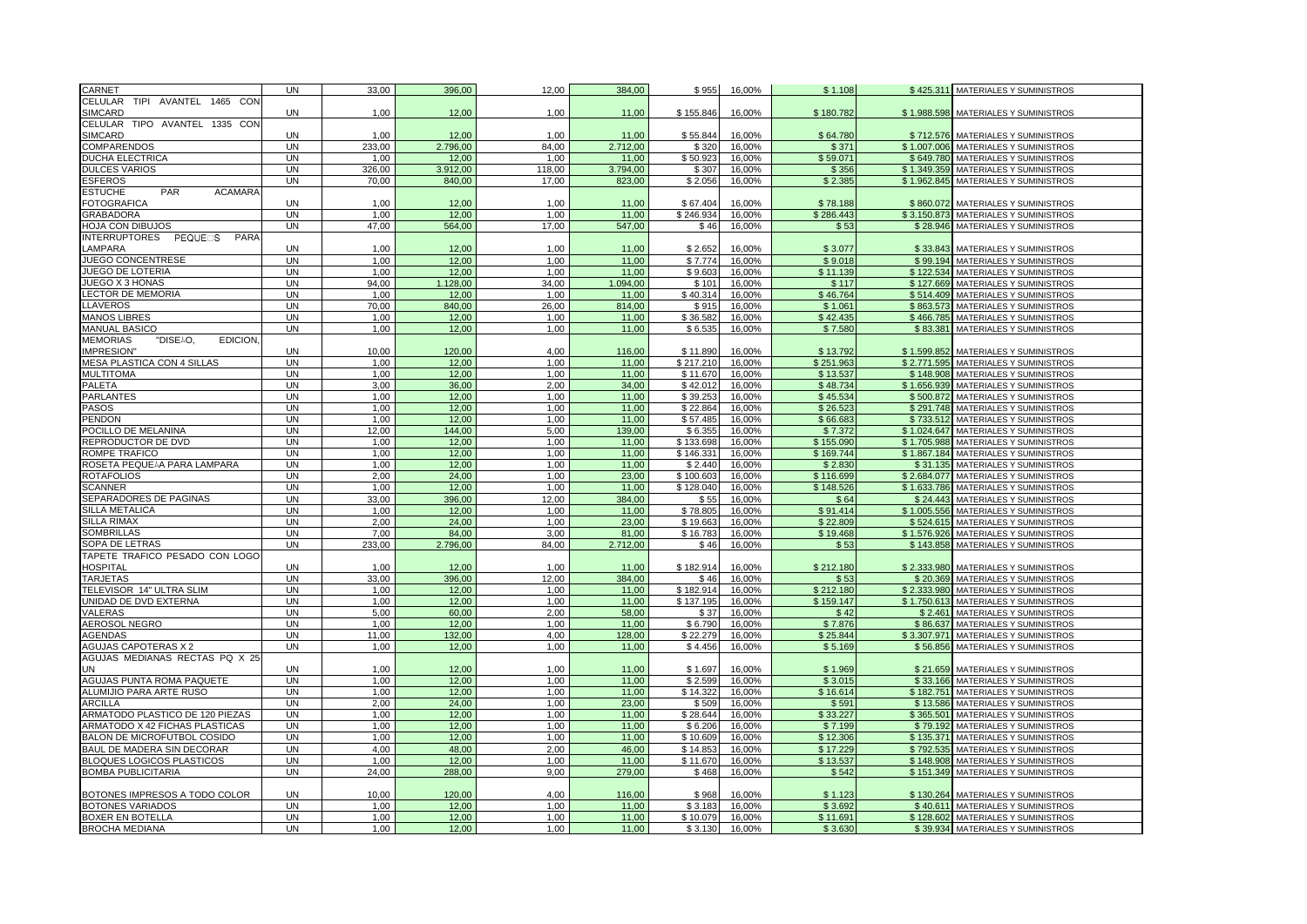| CARNET                                                | UN                     | 33,00          | 396,00            | 12,00          | 384,00            | \$955                 | 16,00%           | \$1.108               |                          | \$425.311 MATERIALES Y SUMINISTROS                   |
|-------------------------------------------------------|------------------------|----------------|-------------------|----------------|-------------------|-----------------------|------------------|-----------------------|--------------------------|------------------------------------------------------|
| <b>CELULAR</b><br>TIPI AVANTEL 1465<br>CON            |                        |                |                   |                |                   |                       |                  |                       |                          |                                                      |
| SIMCARD                                               | <b>UN</b>              | 1,00           | 12,00             | 1,00           | 11,00             | \$155.846             | 16,00%           | \$180.782             |                          | \$1.988.598 MATERIALES Y SUMINISTROS                 |
| CELULAR<br>TIPO AVANTEL 1335 CON                      |                        |                |                   |                |                   |                       |                  |                       |                          |                                                      |
| <b>SIMCARD</b>                                        | UN                     | 1,00           | 12,00             | 1,00           | 11,00             | \$55.844              | 16,00%           | \$64.780              |                          | \$712.576 MATERIALES Y SUMINISTROS                   |
| <b>COMPARENDOS</b>                                    | <b>UN</b>              | 233.00         | 2.796.00          | 84.00          | 2.712.00          | \$320                 | 16.00%           | \$371                 | \$1,007,006              | <b>MATERIALES Y SUMINISTROS</b>                      |
| <b>DUCHA ELECTRICA</b><br><b>DULCES VARIOS</b>        | <b>UN</b><br><b>UN</b> | 1,00<br>326.00 | 12,00<br>3.912.00 | 1,00<br>118.00 | 11,00<br>3.794.00 | \$50.923<br>\$307     | 16,00%<br>16.00% | \$59.071<br>\$356     | \$649.780<br>\$1.349.359 | MATERIALES Y SUMINISTROS                             |
| <b>ESFEROS</b>                                        | <b>UN</b>              |                | 840,00            | 17,00          | 823,00            | \$2.056               |                  | \$2.385               | \$1.962.845              | MATERIALES Y SUMINISTROS                             |
| <b>ESTUCHE</b><br><b>PAR</b><br><b>ACAMARA</b>        |                        | 70,00          |                   |                |                   |                       | 16,00%           |                       |                          | MATERIALES Y SUMINISTROS                             |
| <b>OTOGRAFICA</b>                                     | <b>UN</b>              | 1,00           | 12,00             | 1,00           | 11.00             | \$67.404              | 16,00%           | \$78.188              | \$860,072                | MATERIALES Y SUMINISTROS                             |
| <b>GRABADORA</b>                                      | <b>UN</b>              | 1.00           | 12.00             | 1,00           | 11.00             | \$246.934             | 16,00%           | \$286.443             | \$3.150.873              | MATERIALES Y SUMINISTROS                             |
| <b>HOJA CON DIBUJOS</b>                               | <b>UN</b>              | 47.00          | 564,00            | 17.00          | 547.00            | \$46                  | 16,00%           | \$53                  | \$28,946                 | MATERIALES Y SUMINISTROS                             |
| INTERRUPTORES PEQUEDS<br>PARA                         |                        |                |                   |                |                   |                       |                  |                       |                          |                                                      |
| <b>AMPARA</b>                                         | <b>UN</b>              | 1.00           | 12,00             | 1.00           | 11.00             | \$2.652               | 16,00%           | \$3.077               | \$33.843                 | MATERIALES Y SUMINISTROS                             |
| JUEGO CONCENTRESE                                     | <b>UN</b>              | 1,00           | 12,00             | 1,00           | 11.00             | \$7.774               | 16,00%           | \$9.018               | \$99.194                 | MATERIALES Y SUMINISTROS                             |
| <b>JUEGO DE LOTERIA</b>                               | <b>UN</b>              | 1,00           | 12,00             | 1,00           | 11,00             | \$9.603               | 16,00%           | \$11.139              | \$122.534                | MATERIALES Y SUMINISTROS                             |
| JUEGO X 3 HONAS                                       | <b>UN</b>              | 94,00          | 1.128,00          | 34,00          | 1.094,00          | \$101                 | 16,00%           | \$117                 | \$127.669                | MATERIALES Y SUMINISTROS                             |
| <b>ECTOR DE MEMORIA</b>                               | <b>UN</b>              | 1.00           | 12,00             | 1,00           | 11.00             | \$40.314              | 16,00%           | \$46.764              | \$514,409                | MATERIALES Y SUMINISTROS                             |
| <b>LLAVEROS</b>                                       | <b>UN</b>              | 70,00          | 840,00            | 26,00          | 814,00            | \$915                 | 16,00%           | \$1.061               | \$863.573                | MATERIALES Y SUMINISTROS                             |
| <b>MANOS LIBRES</b>                                   | <b>UN</b>              | 1,00           | 12,00             | 1,00           | 11,00             | \$36.582              | 16,00%           | \$42.435              | \$466.785                | MATERIALES Y SUMINISTROS                             |
| <b>MANUAL BASICO</b>                                  | UN                     | 1,00           | 12,00             | 1,00           | 11,00             | \$6.535               | 16,00%           | \$7.580               | \$83.381                 | MATERIALES Y SUMINISTROS                             |
| "DISEAO,<br><b>EDICION</b><br><b>MEMORIAS</b>         |                        |                |                   |                |                   |                       |                  |                       |                          |                                                      |
| <b>IMPRESION</b> "                                    | <b>UN</b>              | 10.00          | 120,00            | 4,00           | 116,00            | \$11,890              | 16,00%           | \$13.792              |                          | \$1.599.852 MATERIALES Y SUMINISTROS                 |
| <b>MESA PLASTICA CON 4 SILLAS</b><br><b>MULTITOMA</b> | <b>UN</b><br><b>UN</b> | 1.00<br>1,00   | 12.00<br>12,00    | 1.00<br>1,00   | 11.00<br>11,00    | \$217.210<br>\$11.670 | 16.00%           | \$251.963<br>\$13.537 | \$2.771.595<br>\$148.908 | <b>MATERIALES Y SUMINISTROS</b>                      |
| <b>PALETA</b>                                         | <b>UN</b>              | 3.00           | 36.00             | 2,00           | 34.00             | \$42.012              | 16,00%<br>16,00% | \$48.734              | \$1.656.939              | MATERIALES Y SUMINISTROS<br>MATERIALES Y SUMINISTROS |
| <b>PARLANTES</b>                                      | <b>UN</b>              | 1.00           | 12,00             | 1,00           | 11.00             | \$39.253              | 16,00%           | \$45.534              | \$500.872                | MATERIALES Y SUMINISTROS                             |
| <b>PASOS</b>                                          | <b>UN</b>              | 1.00           | 12.00             | 1.00           | 11.00             | \$22.864              | 16.00%           | \$26.52               | \$291.748                | MATERIALES Y SUMINISTROS                             |
| PENDON                                                | <b>UN</b>              | 1,00           | 12,00             | 1,00           | 11,00             | \$57.485              | 16,00%           | \$66.683              | \$733.512                | MATERIALES Y SUMINISTROS                             |
| POCILLO DE MELANINA                                   | <b>UN</b>              | 12.00          | 144,00            | 5,00           | 139,00            | \$6.355               | 16,00%           | \$7.372               | \$1.024.647              | MATERIALES Y SUMINISTROS                             |
| REPRODUCTOR DE DVD                                    | <b>UN</b>              | 1,00           | 12,00             | 1,00           | 11,00             | \$133.698             | 16,00%           | \$155.090             | \$1.705.988              | MATERIALES Y SUMINISTROS                             |
| <b>ROMPE TRAFICO</b>                                  | <b>UN</b>              | 1,00           | 12,00             | 1,00           | 11.00             | \$146.331             | 16.00%           | \$169.744             | \$1,867,184              | MATERIALES Y SUMINISTROS                             |
| ROSETA PEQUEAA PARA LAMPARA                           | <b>UN</b>              | 1,00           | 12,00             | 1,00           | 11,00             | \$2.440               | 16,00%           | \$2.830               | \$31.135                 | MATERIALES Y SUMINISTROS                             |
| <b>ROTAFOLIOS</b>                                     | <b>UN</b>              | 2,00           | 24,00             | 1,00           | 23,00             | \$100.603             | 16,00%           | \$116.699             | \$2.684.077              | MATERIALES Y SUMINISTROS                             |
| <b>SCANNER</b>                                        | <b>UN</b>              | 1,00           | 12,00             | 1,00           | 11,00             | \$128.040             | 16,00%           | \$148.526             | \$1.633.786              | MATERIALES Y SUMINISTROS                             |
| SEPARADORES DE PAGINAS                                | <b>UN</b>              | 33.00          | 396,00            | 12,00          | 384.00            | \$55                  | 16.00%           | \$64                  | \$24.443                 | MATERIALES Y SUMINISTROS                             |
| SILLA METALICA                                        | <b>UN</b>              | 1,00           | 12,00             | 1,00           | 11.00             | \$78.805              | 16,00%           | \$91.414              | \$1,005,556              | MATERIALES Y SUMINISTROS                             |
| SILLA RIMAX                                           | <b>UN</b>              | 2.00           | 24.00             | 1.00           | 23.00             | \$19,663              | 16.00%           | \$22.809              | \$524.615                | MATERIALES Y SUMINISTROS                             |
| SOMBRILLAS                                            | <b>UN</b>              | 7,00           | 84,00             | 3,00           | 81,00             | \$16.783              | 16,00%           | \$19.468              | \$1.576.926              | MATERIALES Y SUMINISTROS                             |
| SOPA DE LETRAS                                        | <b>UN</b>              | 233,00         | 2.796,00          | 84,00          | 2.712,00          | \$46                  | 16,00%           | \$53                  | \$143.858                | MATERIALES Y SUMINISTROS                             |
| TAPETE TRAFICO PESADO CON LOGO                        |                        |                |                   |                |                   |                       |                  |                       |                          |                                                      |
| HOSPITAL                                              | <b>UN</b>              | 1.00           | 12,00             | 1.00           | 11.00             | \$182.914             | 16,00%           | \$212.180             |                          | \$2.333.980 MATERIALES Y SUMINISTROS                 |
| <b>TARJETAS</b><br>TELEVISOR 14" ULTRA SLIM           | <b>UN</b><br><b>UN</b> | 33,00<br>1,00  | 396,00<br>12,00   | 12,00<br>1,00  | 384,00<br>11,00   | \$46<br>\$182.914     | 16,00%<br>16,00% | \$53<br>\$212.180     | \$20,369<br>\$2.333.980  | MATERIALES Y SUMINISTROS                             |
| UNIDAD DE DVD EXTERNA                                 | <b>UN</b>              | 1,00           | 12,00             | 1,00           | 11,00             | \$137.195             | 16,00%           | \$159.147             | \$1.750.613              | MATERIALES Y SUMINISTROS<br>MATERIALES Y SUMINISTROS |
| VALERAS                                               | <b>UN</b>              | 5,00           | 60,00             | 2,00           | 58,00             | \$37                  | 16,00%           | \$42                  | \$2.461                  | MATERIALES Y SUMINISTROS                             |
| <b>AEROSOL NEGRO</b>                                  | <b>UN</b>              | 1,00           | 12,00             | 1,00           | 11,00             | \$6.790               | 16,00%           | \$7.876               | \$86.637                 | MATERIALES Y SUMINISTROS                             |
| <b>AGENDAS</b>                                        | <b>UN</b>              | 11,00          | 132,00            | 4,00           | 128,00            | \$22.279              | 16,00%           | \$25.844              | \$3.307.971              | MATERIALES Y SUMINISTROS                             |
| <b>AGUJAS CAPOTERAS X 2</b>                           | <b>UN</b>              | 1.00           | 12.00             | 1.00           | 11.00             | \$4.456               | 16.00%           | \$5.169               | \$56,856                 | <b>MATERIALES Y SUMINISTROS</b>                      |
| AGUJAS MEDIANAS RECTAS PQ X 25                        |                        |                |                   |                |                   |                       |                  |                       |                          |                                                      |
| UN.                                                   | <b>UN</b>              | 1.00           | 12.00             | 1.00           | 11.00             | \$1.697               | 16.00%           | \$1.969               |                          | \$21.659 MATERIALES Y SUMINISTROS                    |
| AGUJAS PUNTA ROMA PAQUETE                             | <b>UN</b>              | 1,00           | 12,00             | 1,00           | 11,00             | \$2.599               | 16,00%           | \$3.015               | \$33.166                 | MATERIALES Y SUMINISTROS                             |
| ALUMIJIO PARA ARTE RUSO                               | <b>UN</b>              | 1.00           | 12.00             | 1.00           | 11.00             | \$14,322              | 16.00%           | \$16.614              | \$182.751                | MATERIALES Y SUMINISTROS                             |
| <b>ARCILLA</b>                                        | <b>UN</b>              | 2,00           | 24,00             | 1,00           | 23,00             | \$509                 | 16,00%           | \$591                 | \$13.586                 | MATERIALES Y SUMINISTROS                             |
| ARMATODO PLASTICO DE 120 PIEZAS                       | <b>UN</b>              | 1.00           | 12.00             | 1,00           | 11.00             | \$28.644              | 16.00%           | \$33.227              | \$365.501                | MATERIALES Y SUMINISTROS                             |
| ARMATODO X 42 FICHAS PLASTICAS                        | <b>UN</b>              | 1,00           | 12,00             | 1,00           | 11,00             | \$6.206               | 16,00%           | \$7.199               | \$79.192                 | MATERIALES Y SUMINISTROS                             |
| <b>BALON DE MICROFUTBOL COSIDO</b>                    | <b>UN</b>              | 1.00           | 12.00             | 1.00           | 11.00             | \$10,609              | 16.00%           | \$12,306              | \$135.371                | MATERIALES Y SUMINISTROS                             |
| BAUL DE MADERA SIN DECORAR                            | <b>UN</b>              | 4,00           | 48,00             | 2,00           | 46,00             | \$14.853              | 16,00%           | \$17.229              | \$792.535                | MATERIALES Y SUMINISTROS                             |
| <b>BLOQUES LOGICOS PLASTICOS</b>                      | <b>UN</b>              | 1.00           | 12.00             | 1.00           | 11.00             | \$11,670              | 16.00%           | \$13.537              | \$148,908                | MATERIALES Y SUMINISTROS                             |
| <b>BOMBA PUBLICITARIA</b>                             | <b>UN</b>              | 24.00          | 288,00            | 9.00           | 279.00            | \$468                 | 16,00%           | \$542                 | \$151.349                | MATERIALES Y SUMINISTROS                             |
|                                                       |                        |                |                   |                |                   |                       |                  |                       |                          |                                                      |
| BOTONES IMPRESOS A TODO COLOR                         | <b>UN</b>              | 10.00          | 120,00            | 4.00           | 116.00            | \$968                 | 16.00%           | \$1.123               |                          | \$130.264 MATERIALES Y SUMINISTROS                   |
| <b>BOTONES VARIADOS</b><br><b>BOXER EN BOTELLA</b>    | <b>UN</b><br><b>UN</b> | 1,00<br>1.00   | 12,00<br>12,00    | 1,00<br>1.00   | 11,00<br>11.00    | \$3.183<br>\$10.079   | 16.00%<br>16.00% | \$3.692<br>\$11.691   | \$40.611<br>\$128,602    | MATERIALES Y SUMINISTROS<br>MATERIALES Y SUMINISTROS |
| <b>BROCHA MEDIANA</b>                                 | <b>UN</b>              | 1,00           | 12,00             | 1,00           | 11,00             | \$3.130               | 16,00%           | \$3.630               | \$39.934                 | MATERIALES Y SUMINISTROS                             |
|                                                       |                        |                |                   |                |                   |                       |                  |                       |                          |                                                      |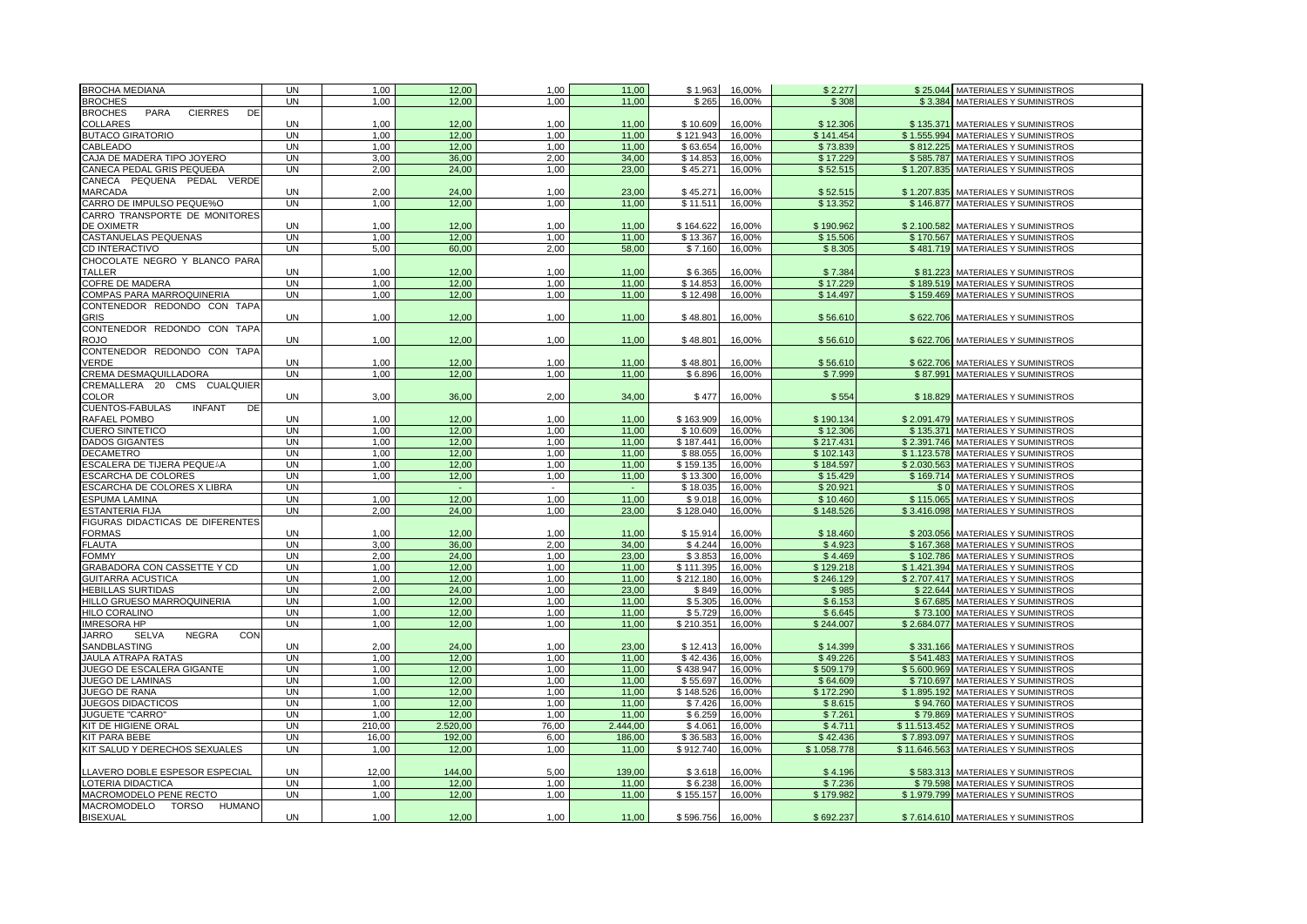| <b>BROCHA MEDIANA</b>                          | UN        | 1,00   | 12,00    | 1,00  | 11,00    | \$1.963   | 16,00% | \$2.277     |              | \$25.044 MATERIALES Y SUMINISTROS    |
|------------------------------------------------|-----------|--------|----------|-------|----------|-----------|--------|-------------|--------------|--------------------------------------|
| <b>BROCHES</b>                                 | <b>UN</b> | 1,00   | 12.00    | 1,00  | 11,00    | \$265     | 16,00% | \$308       |              | \$3.384 MATERIALES Y SUMINISTROS     |
| <b>BROCHES</b><br><b>CIERRES</b><br>DE<br>PARA |           |        |          |       |          |           |        |             |              |                                      |
| <b>COLLARES</b>                                | <b>UN</b> | 1.00   | 12,00    | 1,00  | 11.00    | \$10.609  | 16,00% | \$12.306    |              | \$135.371 MATERIALES Y SUMINISTROS   |
| <b>BUTACO GIRATORIO</b>                        | <b>UN</b> | 1.00   | 12.00    | 1.00  | 11.00    | \$121.943 | 16.00% | \$141.454   |              | \$1.555.994 MATERIALES Y SUMINISTROS |
| CABLEADO                                       | <b>UN</b> | 1,00   | 12,00    | 1,00  | 11,00    | \$63.654  | 16,00% | \$73.839    | \$812.225    | MATERIALES Y SUMINISTROS             |
| CAJA DE MADERA TIPO JOYERO                     | <b>UN</b> | 3.00   | 36.00    | 2,00  | 34.00    | \$14,853  | 16.00% | \$17,229    | \$585.787    | MATERIALES Y SUMINISTROS             |
| CANECA PEDAL GRIS PEQUEĐA                      | <b>UN</b> | 2.00   | 24.00    | 1.00  | 23.00    | \$45.271  | 16,00% | \$52.515    | \$1.207.835  | MATERIALES Y SUMINISTROS             |
| CANECA PEQUENA PEDAL<br>VERDE                  |           |        |          |       |          |           |        |             |              |                                      |
| <b>MARCADA</b>                                 | <b>UN</b> | 2,00   | 24,00    | 1,00  | 23,00    | \$45.271  | 16,00% | \$52.515    |              | \$1.207.835 MATERIALES Y SUMINISTROS |
| CARRO DE IMPULSO PEQUE%O                       | <b>UN</b> | 1,00   | 12,00    | 1,00  | 11,00    | \$11.511  | 16,00% | \$13.352    |              | \$146.877 MATERIALES Y SUMINISTROS   |
| CARRO TRANSPORTE DE MONITORES                  |           |        |          |       |          |           |        |             |              |                                      |
| DE OXIMETR                                     | UN        | 1,00   | 12,00    | 1,00  | 11,00    | \$164.622 | 16,00% | \$190.962   |              | \$2.100.582 MATERIALES Y SUMINISTROS |
|                                                | <b>UN</b> | 1.00   |          |       |          |           |        |             |              |                                      |
| CASTANUELAS PEQUENAS                           |           |        | 12,00    | 1,00  | 11,00    | \$13.367  | 16,00% | \$15.506    |              | \$170.567 MATERIALES Y SUMINISTROS   |
| CD INTERACTIVO                                 | <b>UN</b> | 5,00   | 60.00    | 2.00  | 58.00    | \$7.160   | 16,00% | \$8.305     |              | \$481,719 MATERIALES Y SUMINISTROS   |
| CHOCOLATE NEGRO Y BLANCO PARA                  |           |        |          |       |          |           |        |             |              |                                      |
| TALLER                                         | <b>UN</b> | 1.00   | 12.00    | 1,00  | 11.00    | \$6.365   | 16.00% | \$7.384     |              | \$81.223 MATERIALES Y SUMINISTROS    |
| COFRE DE MADERA                                | <b>UN</b> | 1.00   | 12.00    | 1.00  | 11,00    | \$14.853  | 16,00% | \$17.229    |              | \$189.519 MATERIALES Y SUMINISTROS   |
| COMPAS PARA MARROQUINERIA                      | <b>UN</b> | 1,00   | 12,00    | 1,00  | 11,00    | \$12.498  | 16,00% | \$14.497    |              | \$159.469 MATERIALES Y SUMINISTROS   |
| CONTENEDOR REDONDO CON TAPA                    |           |        |          |       |          |           |        |             |              |                                      |
| GRIS                                           | <b>UN</b> | 1,00   | 12,00    | 1,00  | 11,00    | \$48.801  | 16,00% | \$56.610    |              | \$622.706 MATERIALES Y SUMINISTROS   |
| CONTENEDOR REDONDO CON TAPA                    |           |        |          |       |          |           |        |             |              |                                      |
| ROJO                                           | <b>UN</b> | 1.00   | 12.00    | 1,00  | 11,00    | \$48.801  | 16,00% | \$56.610    |              | \$622.706 MATERIALES Y SUMINISTROS   |
| CONTENEDOR REDONDO CON TAPA                    |           |        |          |       |          |           |        |             |              |                                      |
| VERDE                                          | UN        | 1.00   | 12.00    | 1.00  | 11.00    | \$48.801  | 16.00% | \$56,610    |              | \$622.706 MATERIALES Y SUMINISTROS   |
| CREMA DESMAQUILLADORA                          | <b>UN</b> | 1,00   | 12,00    | 1,00  | 11,00    | \$6.896   | 16,00% | \$7.999     |              | \$87.991 MATERIALES Y SUMINISTROS    |
| CREMALLERA 20 CMS CUALQUIER                    |           |        |          |       |          |           |        |             |              |                                      |
| <b>COLOR</b>                                   | UN        | 3,00   | 36,00    | 2,00  | 34,00    | \$477     | 16,00% | \$554       |              | \$18.829 MATERIALES Y SUMINISTROS    |
| CUENTOS-FABULAS<br><b>INFANT</b><br>DE         |           |        |          |       |          |           |        |             |              |                                      |
| RAFAEL POMBO                                   | <b>UN</b> | 1.00   | 12.00    | 1.00  | 11.00    | \$163.909 | 16.00% | \$190.134   |              | \$2.091.479 MATERIALES Y SUMINISTROS |
| <b>CUERO SINTETICO</b>                         | <b>UN</b> | 1.00   | 12.00    | 1.00  | 11.00    | \$10,609  | 16,00% | \$12,306    |              | \$135.371 MATERIALES Y SUMINISTROS   |
| <b>DADOS GIGANTES</b>                          | <b>UN</b> | 1.00   | 12.00    | 1,00  | 11,00    | \$187.441 | 16,00% | \$217.431   |              | \$2.391.746 MATERIALES Y SUMINISTROS |
| DECAMETRO                                      | <b>UN</b> | 1.00   | 12.00    | 1.00  | 11.00    | \$88.055  | 16.00% | \$102.143   | \$1.123.578  | <b>MATERIALES Y SUMINISTROS</b>      |
| ESCALERA DE TIJERA PEQUEAA                     | <b>UN</b> | 1.00   | 12.00    | 1.00  | 11.00    | \$159.135 | 16.00% | \$184.597   | \$2.030.563  | MATERIALES Y SUMINISTROS             |
| ESCARCHA DE COLORES                            | <b>UN</b> | 1.00   | 12.00    | 1,00  | 11,00    | \$13.300  | 16,00% | \$15.429    |              | \$169.714 MATERIALES Y SUMINISTROS   |
| <b>ESCARCHA DE COLORES X LIBRA</b>             | <b>UN</b> |        |          |       |          | \$18.035  | 16,00% | \$20.921    |              |                                      |
|                                                |           |        |          |       |          |           |        |             | \$0          | MATERIALES Y SUMINISTROS             |
| ESPUMA LAMINA                                  | <b>UN</b> | 1.00   | 12,00    | 1,00  | 11,00    | \$9.018   | 16,00% | \$10.460    | \$115.065    | MATERIALES Y SUMINISTROS             |
| ESTANTERIA FIJA                                | <b>UN</b> | 2.00   | 24.00    | 1.00  | 23.00    | \$128.040 | 16.00% | \$148.526   | \$3,416,098  | MATERIALES Y SUMINISTROS             |
| FIGURAS DIDACTICAS DE DIFERENTES               |           |        |          |       |          |           |        |             |              |                                      |
| <b>FORMAS</b>                                  | <b>UN</b> | 1.00   | 12.00    | 1.00  | 11.00    | \$15.914  | 16.00% | \$18,460    |              | \$203,056 MATERIALES Y SUMINISTROS   |
| <b>FLAUTA</b>                                  | <b>UN</b> | 3.00   | 36.00    | 2.00  | 34.00    | \$4.244   | 16.00% | \$4.923     |              | \$167.368 MATERIALES Y SUMINISTROS   |
| <b>FOMMY</b>                                   | <b>UN</b> | 2,00   | 24.00    | 1,00  | 23.00    | \$3.853   | 16,00% | \$4.469     | \$102.786    | MATERIALES Y SUMINISTROS             |
| GRABADORA CON CASSETTE Y CD                    | <b>UN</b> | 1,00   | 12,00    | 1,00  | 11,00    | \$111.395 | 16,00% | \$129.218   | \$1.421.394  | MATERIALES Y SUMINISTROS             |
| GUITARRA ACUSTICA                              | <b>UN</b> | 1,00   | 12,00    | 1,00  | 11,00    | \$212.180 | 16,00% | \$246.129   |              | \$2.707.417 MATERIALES Y SUMINISTROS |
| <b>HEBILLAS SURTIDAS</b>                       | <b>UN</b> | 2,00   | 24.00    | 1,00  | 23.00    | \$849     | 16,00% | \$985       |              | \$22.644 MATERIALES Y SUMINISTROS    |
| HILLO GRUESO MARROQUINERIA                     | <b>UN</b> | 1.00   | 12,00    | 1,00  | 11,00    | \$5.305   | 16,00% | \$6.153     | \$67.685     | MATERIALES Y SUMINISTROS             |
| HILO CORALINO                                  | <b>UN</b> | 1.00   | 12.00    | 1.00  | 11.00    | \$5.729   | 16,00% | \$6.645     |              | \$73.100 MATERIALES Y SUMINISTROS    |
| <b>MRESORA HP</b>                              | <b>UN</b> | 1.00   | 12.00    | 1.00  | 11.00    | \$210.351 | 16,00% | \$244.007   |              | \$2.684.077 MATERIALES Y SUMINISTROS |
| <b>NEGRA</b><br>CON<br>JARRO<br>SELVA          |           |        |          |       |          |           |        |             |              |                                      |
| SANDBLASTING                                   | UN        | 2.00   | 24.00    | 1.00  | 23.00    | \$12,413  | 16.00% | \$14,399    |              | \$331,166 MATERIALES Y SUMINISTROS   |
| JAULA ATRAPA RATAS                             | <b>UN</b> | 1,00   | 12,00    | 1,00  | 11,00    | \$42.436  | 16,00% | \$49.226    |              | \$541.483 MATERIALES Y SUMINISTROS   |
| JUEGO DE ESCALERA GIGANTE                      | <b>UN</b> | 1,00   | 12,00    | 1,00  | 11,00    | \$438.947 | 16,00% | \$509.179   |              | \$5.600.969 MATERIALES Y SUMINISTROS |
| JUEGO DE LAMINAS                               | <b>UN</b> | 1.00   | 12.00    | 1,00  | 11.00    | \$55.697  | 16.00% | \$64.609    | \$710.697    | MATERIALES Y SUMINISTROS             |
| JUEGO DE RANA                                  | <b>UN</b> | 1,00   | 12,00    | 1,00  | 11,00    | \$148.526 | 16,00% | \$172.290   |              | \$1.895.192 MATERIALES Y SUMINISTROS |
| JUEGOS DIDACTICOS                              | <b>UN</b> | 1.00   | 12.00    | 1,00  | 11.00    | \$7.426   | 16,00% | \$8.615     | \$94,760     | MATERIALES Y SUMINISTROS             |
|                                                | <b>UN</b> | 1,00   | 12.00    | 1,00  | 11.00    |           |        | \$7.261     | \$79,869     |                                      |
| <b>JUGUETE "CARRO"</b><br>KIT DE HIGIENE ORAI  | <b>UN</b> |        |          |       |          | \$6.259   | 16,00% |             | \$11.513.452 | MATERIALES Y SUMINISTROS             |
|                                                |           | 210,00 | 2.520,00 | 76,00 | 2.444,00 | \$4.061   | 16,00% | \$4.711     |              | MATERIALES Y SUMINISTROS             |
| KIT PARA BEBE                                  | UN        | 16.00  | 192.00   | 6.00  | 186,00   | \$36.583  | 16.00% | \$42,436    | \$7.893.097  | MATERIALES Y SUMINISTROS             |
| KIT SALUD Y DERECHOS SEXUALES                  | <b>UN</b> | 1,00   | 12,00    | 1,00  | 11,00    | \$912.740 | 16,00% | \$1.058.778 | \$11.646.563 | MATERIALES Y SUMINISTROS             |
|                                                |           |        |          |       |          |           |        |             |              |                                      |
| LLAVERO DOBLE ESPESOR ESPECIAL                 | <b>UN</b> | 12,00  | 144,00   | 5,00  | 139,00   | \$3.618   | 16,00% | \$4.196     |              | \$583.313 MATERIALES Y SUMINISTROS   |
| OTERIA DIDACTICA                               | <b>UN</b> | 1,00   | 12,00    | 1,00  | 11,00    | \$6.238   | 16,00% | \$7.236     | \$79.598     | MATERIALES Y SUMINISTROS             |
| MACROMODELO PENE RECTO                         | <b>UN</b> | 1.00   | 12.00    | 1.00  | 11,00    | \$155.157 | 16,00% | \$179.982   |              | \$1.979.799 MATERIALES Y SUMINISTROS |
| MACROMODELO<br>TORSO<br><b>HUMANO</b>          |           |        |          |       |          |           |        |             |              |                                      |
| <b>BISEXUAL</b>                                | <b>UN</b> | 1.00   | 12.00    | 1.00  | 11.00    | \$596.756 | 16,00% | \$692.237   |              | \$7.614.610 MATERIALES Y SUMINISTROS |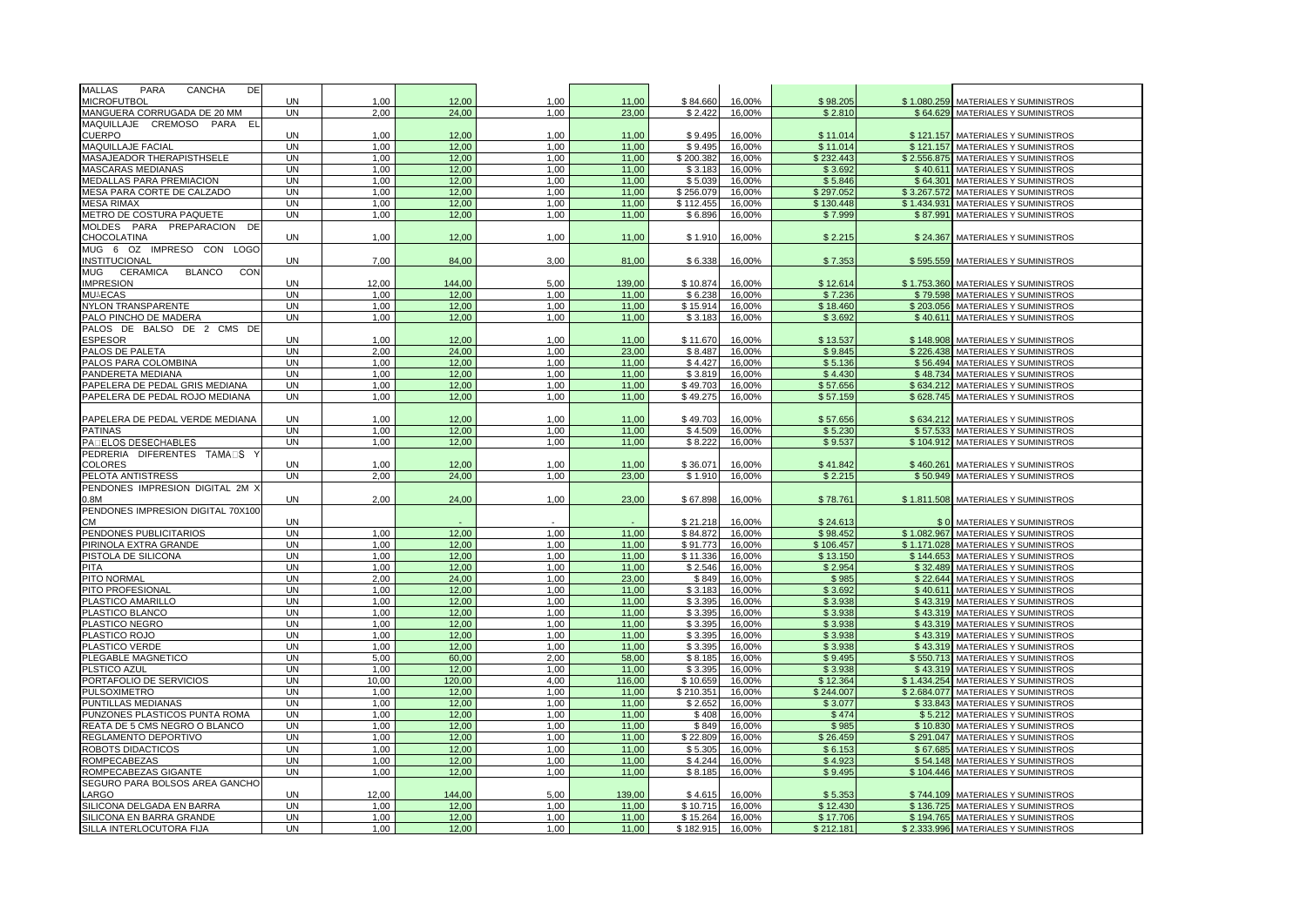| <b>MALLAS</b><br><b>CANCHA</b><br>DE<br>PARA   |           |       |        |      |        |           |        |           |             |                                      |
|------------------------------------------------|-----------|-------|--------|------|--------|-----------|--------|-----------|-------------|--------------------------------------|
| <b>MICROFUTBOL</b>                             | <b>UN</b> | 1.00  | 12.00  | 1.00 | 11.00  | \$84.660  | 16,00% | \$98.205  |             | \$1.080.259 MATERIALES Y SUMINISTROS |
| MANGUERA CORRUGADA DE 20 MM                    | <b>UN</b> | 2.00  | 24,00  | 1.00 | 23.00  | \$2.422   | 16,00% | \$2.810   |             | \$64.629 MATERIALES Y SUMINISTROS    |
| MAQUILLAJE CREMOSO PARA EL                     |           |       |        |      |        |           |        |           |             |                                      |
| <b>CUERPO</b>                                  | <b>UN</b> | 1.00  | 12.00  | 1,00 | 11.00  | \$9.495   | 16,00% | \$11.014  |             | \$121.157 MATERIALES Y SUMINISTROS   |
| <b>MAQUILLAJE FACIAL</b>                       | <b>UN</b> | 1.00  | 12.00  | 1.00 | 11.00  | \$9.495   | 16,00% | \$11.014  |             | \$121.157 MATERIALES Y SUMINISTROS   |
| MASAJEADOR THERAPISTHSELE                      | <b>UN</b> | 1.00  | 12,00  | 1.00 | 11.00  | \$200.382 | 16,00% | \$232,443 |             | \$2.556.875 MATERIALES Y SUMINISTROS |
| <b>MASCARAS MEDIANAS</b>                       | <b>UN</b> | 1,00  | 12,00  | 1,00 | 11,00  | \$3.183   | 16,00% | \$3.692   |             | \$40.611 MATERIALES Y SUMINISTROS    |
| MEDALLAS PARA PREMIACION                       | <b>UN</b> | 1.00  | 12,00  | 1,00 | 11.00  | \$5.039   | 16,00% | \$5.846   |             | \$64.301 MATERIALES Y SUMINISTROS    |
| MESA PARA CORTE DE CALZADO                     | <b>UN</b> | 1.00  | 12.00  | 1.00 | 11.00  | \$256.079 | 16,00% | \$297.052 | \$3.267.572 | MATERIALES Y SUMINISTROS             |
| <b>MESA RIMAX</b>                              | <b>UN</b> | 1,00  | 12,00  | 1,00 | 11,00  | \$112.455 | 16,00% | \$130.448 | \$1.434.931 | MATERIALES Y SUMINISTROS             |
| METRO DE COSTURA PAQUETE                       | <b>UN</b> | 1,00  | 12,00  | 1,00 | 11,00  | \$6.896   | 16,00% | \$7.999   |             | \$87.991 MATERIALES Y SUMINISTROS    |
| MOLDES PARA PREPARACION DE                     |           |       |        |      |        |           |        |           |             |                                      |
| <b>CHOCOLATINA</b>                             | <b>UN</b> | 1.00  | 12.00  | 1.00 | 11.00  | \$1.910   | 16.00% | \$2.215   |             | \$24.367 MATERIALES Y SUMINISTROS    |
|                                                |           |       |        |      |        |           |        |           |             |                                      |
| MUG 6 OZ IMPRESO CON LOGO                      |           |       |        | 3.00 |        |           |        |           |             |                                      |
| INSTITUCIONAL                                  | <b>UN</b> | 7,00  | 84,00  |      | 81,00  | \$6.338   | 16,00% | \$7.353   |             | \$595,559 MATERIALES Y SUMINISTROS   |
| <b>MUG</b><br><b>BLANCO</b><br>CON<br>CERAMICA |           |       |        |      |        |           |        |           |             |                                      |
| <b>IMPRESION</b>                               | <b>UN</b> | 12,00 | 144.00 | 5,00 | 139.00 | \$10.874  | 16,00% | \$12.614  |             | \$1.753.360 MATERIALES Y SUMINISTROS |
| <b>MUAECAS</b>                                 | <b>UN</b> | 1.00  | 12.00  | 1.00 | 11.00  | \$6.238   | 16.00% | \$7,236   |             | \$79.598 MATERIALES Y SUMINISTROS    |
| NYLON TRANSPARENTE                             | <b>UN</b> | 1.00  | 12.00  | 1.00 | 11.00  | \$15.914  | 16,00% | \$18.460  |             | \$203.056 MATERIALES Y SUMINISTROS   |
| PALO PINCHO DE MADERA                          | <b>UN</b> | 1.00  | 12.00  | 1.00 | 11.00  | \$3.183   | 16,00% | \$3.692   |             | \$40.611 MATERIALES Y SUMINISTROS    |
| PALOS DE BALSO DE 2 CMS DE                     |           |       |        |      |        |           |        |           |             |                                      |
| <b>ESPESOR</b>                                 | <b>UN</b> | 1.00  | 12.00  | 1.00 | 11.00  | \$11,670  | 16.00% | \$13.537  | \$148.908   | MATERIALES Y SUMINISTROS             |
| PALOS DE PALETA                                | <b>UN</b> | 2.00  | 24,00  | 1.00 | 23,00  | \$8.487   | 16,00% | \$9.845   |             | \$226.438 MATERIALES Y SUMINISTROS   |
| PALOS PARA COLOMBINA                           | <b>UN</b> | 1.00  | 12.00  | 1.00 | 11.00  | \$4.427   | 16,00% | \$5.136   |             | \$56,494 MATERIALES Y SUMINISTROS    |
| PANDERETA MEDIANA                              | <b>UN</b> | 1,00  | 12,00  | 1,00 | 11,00  | \$3.819   | 16,00% | \$4.430   |             | \$48.734 MATERIALES Y SUMINISTROS    |
| PAPELERA DE PEDAL GRIS MEDIANA                 | <b>UN</b> | 1.00  | 12.00  | 1.00 | 11.00  | \$49.703  | 16.00% | \$57,656  | \$634.212   | <b>MATERIALES Y SUMINISTROS</b>      |
| PAPELERA DE PEDAL ROJO MEDIANA                 | <b>UN</b> | 1.00  | 12,00  | 1.00 | 11.00  | \$49.275  | 16,00% | \$57.159  |             | \$628.745 MATERIALES Y SUMINISTROS   |
|                                                |           |       |        |      |        |           |        |           |             |                                      |
| PAPELERA DE PEDAL VERDE MEDIANA                | <b>UN</b> | 1,00  | 12,00  | 1,00 | 11,00  | \$49.703  | 16,00% | \$57.656  |             | \$634.212 MATERIALES Y SUMINISTROS   |
| <b>PATINAS</b>                                 | <b>UN</b> | 1.00  | 12.00  | 1.00 | 11.00  | \$4.509   | 16,00% | \$5.230   | \$57.533    |                                      |
|                                                | <b>UN</b> |       |        | 1,00 |        |           |        |           |             | MATERIALES Y SUMINISTROS             |
| <b>PADELOS DESECHABLES</b>                     |           | 1,00  | 12,00  |      | 11,00  | \$8.222   | 16,00% | \$9.537   |             | \$104.912 MATERIALES Y SUMINISTROS   |
| PEDRERIA DIFERENTES TAMADS                     |           |       |        |      |        |           |        |           |             |                                      |
| <b>COLORES</b>                                 | <b>UN</b> | 1,00  | 12,00  | 1,00 | 11,00  | \$36.071  | 16,00% | \$41.842  | \$460.261   | MATERIALES Y SUMINISTROS             |
| PELOTA ANTISTRESS                              | <b>UN</b> | 2.00  | 24.00  | 1.00 | 23.00  | \$1.910   | 16,00% | \$2.215   |             | \$50.949 MATERIALES Y SUMINISTROS    |
| PENDONES IMPRESION DIGITAL 2M X                |           |       |        |      |        |           |        |           |             |                                      |
| 0.8M                                           | <b>UN</b> | 2.00  | 24.00  | 1,00 | 23,00  | \$67.898  | 16,00% | \$78.761  |             | \$1.811.508 MATERIALES Y SUMINISTROS |
| PENDONES IMPRESION DIGITAL 70X100              |           |       |        |      |        |           |        |           |             |                                      |
| CM                                             | <b>UN</b> |       |        |      |        | \$21.218  | 16,00% | \$24.613  |             | \$ 0 MATERIALES Y SUMINISTROS        |
| PENDONES PUBLICITARIOS                         | <b>UN</b> | 1,00  | 12,00  | 1,00 | 11,00  | \$84.872  | 16,00% | \$98.452  | \$1.082.967 | MATERIALES Y SUMINISTROS             |
| PIRINOLA EXTRA GRANDE                          | <b>UN</b> | 1.00  | 12,00  | 1.00 | 11.00  | \$91.773  | 16,00% | \$106.457 |             | \$1.171.028 MATERIALES Y SUMINISTROS |
| PISTOLA DE SILICONA                            | <b>UN</b> | 1,00  | 12,00  | 1,00 | 11,00  | \$11.336  | 16,00% | \$13.150  | \$144.653   | MATERIALES Y SUMINISTROS             |
| <b>PITA</b>                                    | <b>UN</b> | 1.00  | 12,00  | 1.00 | 11.00  | \$2.546   | 16,00% | \$2.954   |             | \$32.489 MATERIALES Y SUMINISTROS    |
| PITO NORMAL                                    | <b>UN</b> | 2.00  | 24.00  | 1.00 | 23.00  | \$849     | 16.00% | \$985     | \$22.644    | <b>MATERIALES Y SUMINISTROS</b>      |
| PITO PROFESIONAL                               | UN        | 1,00  | 12,00  | 1,00 | 11,00  | \$3.183   | 16,00% | \$3.692   |             | \$40.611 MATERIALES Y SUMINISTROS    |
| PLASTICO AMARILLO                              | <b>UN</b> | 1.00  | 12.00  | 1.00 | 11.00  | \$3.395   | 16,00% | \$3.93    | \$43.319    | MATERIALES Y SUMINISTROS             |
| PLASTICO BLANCO                                | <b>UN</b> | 1,00  | 12,00  | 1,00 | 11,00  | \$3.395   | 16,00% | \$3.938   |             | \$43.319 MATERIALES Y SUMINISTROS    |
| PLASTICO NEGRO                                 | <b>UN</b> | 1.00  | 12.00  | 1.00 | 11.00  | \$3.395   | 16.00% | \$3.938   |             | \$43.319 MATERIALES Y SUMINISTROS    |
| PLASTICO ROJO                                  | <b>UN</b> | 1.00  | 12,00  | 1,00 | 11.00  | \$3.395   | 16,00% | \$3.938   |             | \$43.319 MATERIALES Y SUMINISTROS    |
| <b>PLASTICO VERDE</b>                          | <b>UN</b> | 1.00  | 12.00  | 1.00 | 11.00  | \$3.395   | 16.00% | \$3.938   | \$43.319    | MATERIALES Y SUMINISTROS             |
| PLEGABLE MAGNETICO                             | UN        |       | 60.00  | 2,00 | 58.00  |           |        | \$9.495   |             |                                      |
|                                                |           | 5,00  |        |      |        | \$8.185   | 16,00% |           |             | \$550.713 MATERIALES Y SUMINISTROS   |
| PLSTICO AZUL                                   | <b>UN</b> | 1.00  | 12.00  | 1.00 | 11.00  | \$3.395   | 16,00% | \$3.938   |             | \$43.319 MATERIALES Y SUMINISTROS    |
| PORTAFOLIO DE SERVICIOS                        | <b>UN</b> | 10,00 | 120,00 | 4.00 | 116.00 | \$10.659  | 16,00% | \$12,364  | \$1.434.254 | MATERIALES Y SUMINISTROS             |
| PULSOXIMETRO                                   | <b>UN</b> | 1.00  | 12,00  | 1.00 | 11.00  | \$210.351 | 16,00% | \$244.007 | \$2.684.077 | MATERIALES Y SUMINISTROS             |
| PUNTILLAS MEDIANAS                             | <b>UN</b> | 1.00  | 12,00  | 1.00 | 11.00  | \$2.652   | 16,00% | \$3.077   | \$33.843    | MATERIALES Y SUMINISTROS             |
| PUNZONES PLASTICOS PUNTA ROMA                  | <b>UN</b> | 1,00  | 12,00  | 1,00 | 11,00  | \$408     | 16,00% | \$474     | \$5.212     | MATERIALES Y SUMINISTROS             |
| REATA DE 5 CMS NEGRO O BLANCO                  | <b>UN</b> | 1.00  | 12,00  | 1.00 | 11.00  | \$849     | 16,00% | \$985     | \$10,830    | MATERIALES Y SUMINISTROS             |
| REGLAMENTO DEPORTIVO                           | <b>UN</b> | 1.00  | 12.00  | 1.00 | 11.00  | \$22.809  | 16,00% | \$26,459  |             | \$291.047 MATERIALES Y SUMINISTROS   |
| ROBOTS DIDACTICOS                              | <b>UN</b> | 1,00  | 12,00  | 1.00 | 11.00  | \$5.305   | 16,00% | \$6.153   | \$67.685    | MATERIALES Y SUMINISTROS             |
| <b>ROMPECABEZAS</b>                            | <b>UN</b> | 1.00  | 12.00  | 1.00 | 11.00  | \$4.244   | 16,00% | \$4.923   | \$54.148    | MATERIALES Y SUMINISTROS             |
| ROMPECABEZAS GIGANTE                           | <b>UN</b> | 1,00  | 12,00  | 1,00 | 11.00  | \$8.185   | 16,00% | \$9.495   | \$104.446   | MATERIALES Y SUMINISTROS             |
| SEGURO PARA BOLSOS AREA GANCHO                 |           |       |        |      |        |           |        |           |             |                                      |
| ARGO.                                          | UN        | 12,00 | 144,00 | 5.00 | 139,00 | \$4.615   | 16,00% | \$5.353   |             | \$744.109 MATERIALES Y SUMINISTROS   |
| <b>SILICONA DELGADA EN BARRA</b>               | <b>UN</b> | 1,00  | 12,00  | 1,00 | 11.00  | \$10.715  | 16,00% | \$12.430  |             | \$136.725 MATERIALES Y SUMINISTROS   |
| SILICONA EN BARRA GRANDE                       | UN        | 1.00  | 12.00  | 1.00 | 11.00  | \$15.264  | 16.00% | \$17,706  |             | \$194,765 MATERIALES Y SUMINISTROS   |
| SILLA INTERLOCUTORA FIJA                       | <b>UN</b> | 1,00  | 12,00  | 1,00 | 11,00  | \$182.915 | 16,00% | \$212.181 |             | \$2.333.996 MATERIALES Y SUMINISTROS |
|                                                |           |       |        |      |        |           |        |           |             |                                      |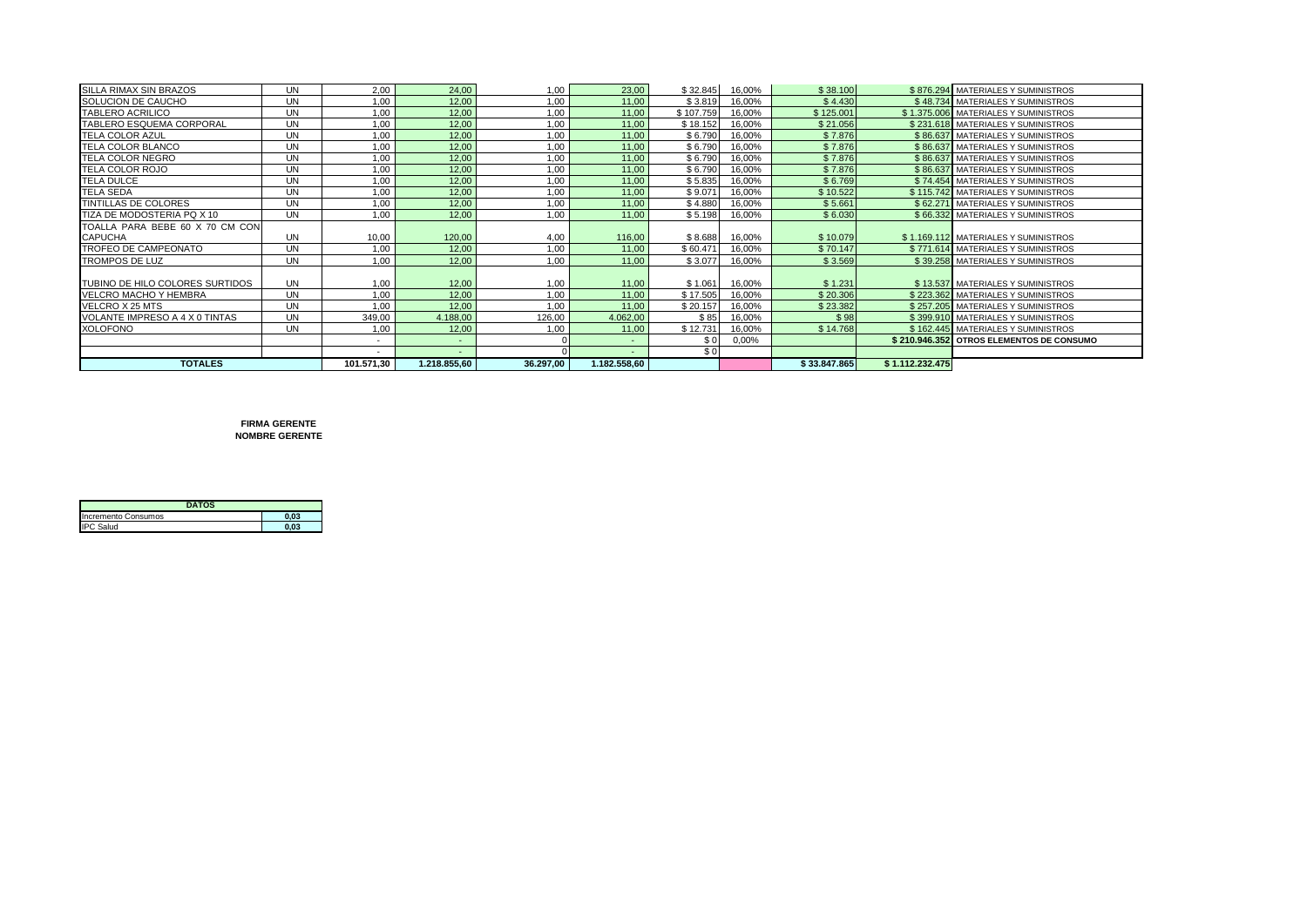| SILLA RIMAX SIN BRAZOS          | <b>UN</b> | 2.00           | 24.00        | 1.00      | 23.00        | \$32.845  | 16.00% | \$38,100     |                 | \$876.294 MATERIALES Y SUMINISTROS       |
|---------------------------------|-----------|----------------|--------------|-----------|--------------|-----------|--------|--------------|-----------------|------------------------------------------|
| SOLUCION DE CAUCHO              | UN        | 1,00           | 12,00        | 1.00      | 11,00        | \$3.819   | 16,00% | \$4.430      |                 | \$48.734 MATERIALES Y SUMINISTROS        |
| <b>TABLERO ACRILICO</b>         | <b>UN</b> | 1.00           | 12,00        | 1.00      | 11,00        | \$107.759 | 16.00% | \$125.001    |                 | \$1.375.006 MATERIALES Y SUMINISTROS     |
| TABLERO ESQUEMA CORPORAL        | <b>UN</b> | 1,00           | 12,00        | 1.00      | 11,00        | \$18.152  | 16.00% | \$21.056     |                 | \$231,618 MATERIALES Y SUMINISTROS       |
| <b>TELA COLOR AZUL</b>          | UN        | 1.00           | 12,00        | 1.00      | 11.00        | \$6.790   | 16.00% | \$7,876      |                 | \$86,637 MATERIALES Y SUMINISTROS        |
| TELA COLOR BLANCO               | <b>UN</b> | 1,00           | 12,00        | 1,00      | 11,00        | \$6.790   | 16,00% | \$7.876      |                 | \$86,637 MATERIALES Y SUMINISTROS        |
| TELA COLOR NEGRO                | UN        | 1.00           | 12,00        | 1.00      | 11.00        | \$6.790   | 16.00% | \$7.876      |                 | \$86.637 MATERIALES Y SUMINISTROS        |
| TELA COLOR ROJO                 | UN        | 1.00           | 12,00        | 1.00      | 11.00        | \$6.790   | 16.00% | \$7.876      |                 | \$86,637 MATERIALES Y SUMINISTROS        |
| TELA DULCE                      | UN        | 1,00           | 12,00        | 1,00      | 11,00        | \$5.835   | 16,00% | \$6.769      |                 | \$74.454 MATERIALES Y SUMINISTROS        |
| <b>TELA SEDA</b>                | <b>UN</b> | 1.00           | 12,00        | 1.00      | 11,00        | \$9.071   | 16.00% | \$10.522     |                 | \$115,742 MATERIALES Y SUMINISTROS       |
| TINTILLAS DE COLORES            | UN        | 1,00           | 12,00        | 1.00      | 11,00        | \$4.880   | 16.00% | \$5.661      |                 | \$62.271 MATERIALES Y SUMINISTROS        |
| TIZA DE MODOSTERIA PQ X 10      | <b>UN</b> | 1.00           | 12,00        | 1.00      | 11,00        | \$5.198   | 16.00% | \$6.030      |                 | \$66.332 MATERIALES Y SUMINISTROS        |
| TOALLA PARA BEBE 60 X 70 CM CON |           |                |              |           |              |           |        |              |                 |                                          |
| <b>CAPUCHA</b>                  | <b>UN</b> | 10,00          | 120,00       | 4.00      | 116,00       | \$8.688   | 16.00% | \$10.079     |                 | \$1.169.112 MATERIALES Y SUMINISTROS     |
| TROFEO DE CAMPEONATO            | UN        | 1.00           | 12,00        | 1.00      | 11,00        | \$60.471  | 16,00% | \$70.147     |                 | \$771,614 MATERIALES Y SUMINISTROS       |
| <b>TROMPOS DE LUZ</b>           | <b>UN</b> | 1,00           | 12,00        | 1.00      | 11,00        | \$3.077   | 16,00% | \$3.569      |                 | \$39.258 MATERIALES Y SUMINISTROS        |
|                                 |           |                |              |           |              |           |        |              |                 |                                          |
| TUBINO DE HILO COLORES SURTIDOS | <b>UN</b> | 1.00           | 12,00        | 1.00      | 11.00        | \$1.061   | 16.00% | \$1.231      |                 | \$13.537 MATERIALES Y SUMINISTROS        |
| <b>VELCRO MACHO Y HEMBRA</b>    | <b>UN</b> | 1,00           | 12,00        | 1,00      | 11,00        | \$17.505  | 16,00% | \$20.306     |                 | \$223.362 MATERIALES Y SUMINISTROS       |
| VELCRO X 25 MTS                 | <b>UN</b> | 1.00           | 12,00        | 1.00      | 11.00        | \$20.157  | 16.00% | \$23.382     |                 | \$257.205 MATERIALES Y SUMINISTROS       |
| VOLANTE IMPRESO A 4 X 0 TINTAS  | UN        | 349,00         | 4.188,00     | 126,00    | 4.062,00     | \$85      | 16,00% | \$98         |                 | \$399.910 MATERIALES Y SUMINISTROS       |
| <b>XOLOFONO</b>                 | <b>UN</b> | 1,00           | 12,00        | 1.00      | 11.00        | \$12.731  | 16.00% | \$14.768     |                 | \$162,445 MATERIALES Y SUMINISTROS       |
|                                 |           | $\overline{a}$ | ۰            |           |              | \$0       | 0,00%  |              |                 | \$210.946.352 OTROS ELEMENTOS DE CONSUMO |
|                                 |           | $\overline{a}$ |              |           |              | \$0       |        |              |                 |                                          |
| <b>TOTALES</b>                  |           | 101.571,30     | 1.218.855,60 | 36.297,00 | 1.182.558,60 |           |        | \$33.847.865 | \$1.112.232.475 |                                          |

**NOMBRE GERENTE FIRMA GERENTE**

| <b>DATOS</b>        |      |
|---------------------|------|
| Incremento Consumos | 0.03 |
| <b>IPC Salud</b>    | 0.03 |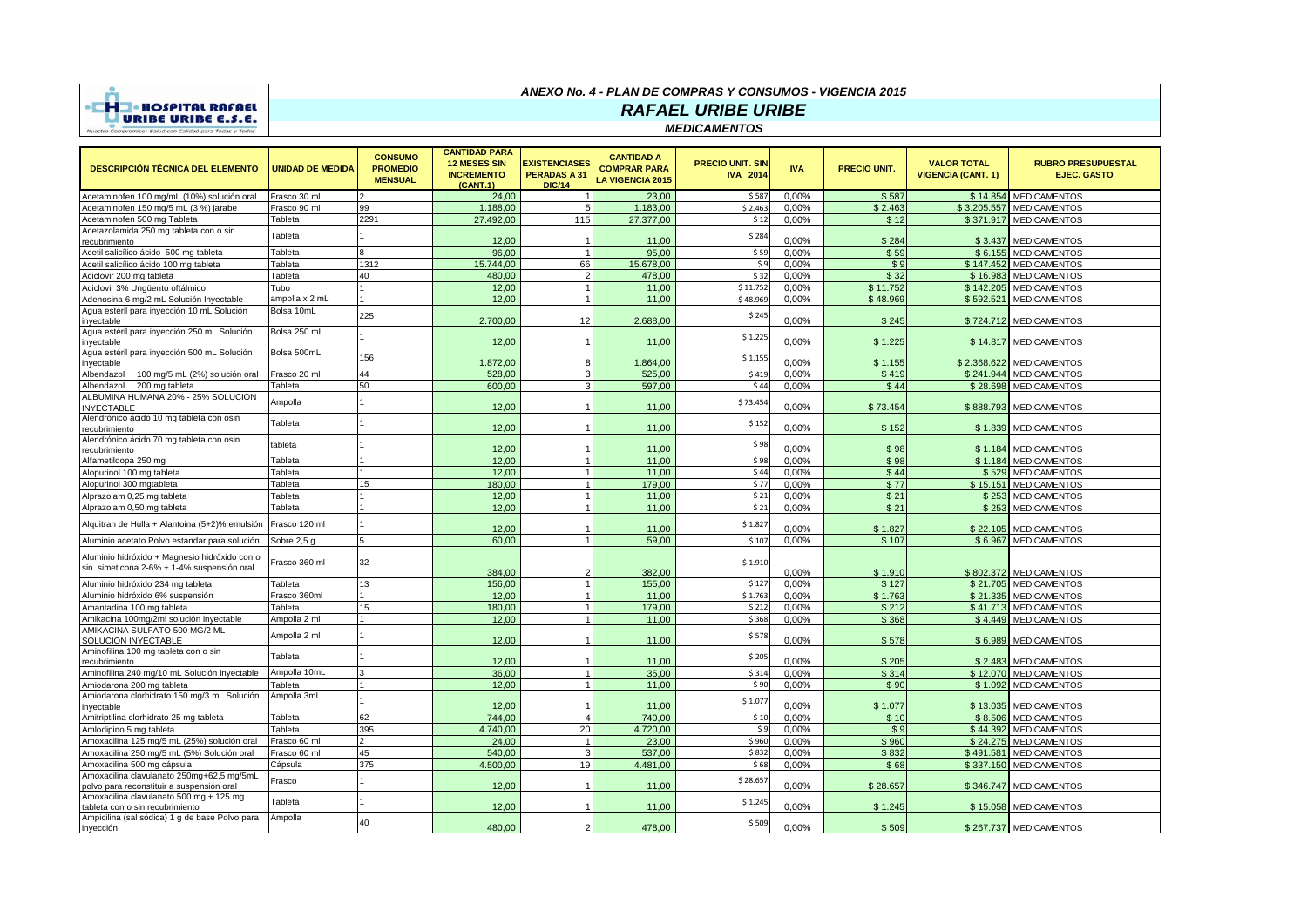

### *ANEXO No. 4 - PLAN DE COMPRAS Y CONSUMOS - VIGENCIA 2015*

# *RAFAEL URIBE URIBE*

*MEDICAMENTOS*

| DESCRIPCIÓN TÉCNICA DEL ELEMENTO                                                            | <b>UNIDAD DE MEDIDA</b> | <b>CONSUMO</b><br><b>PROMEDIO</b><br><b>MENSUAL</b> | <b>CANTIDAD PARA</b><br><b>12 MESES SIN</b><br><b>INCREMENTO</b><br>(CANT.1) | <b>EXISTENCIASES</b><br><b>PERADAS A 31</b><br><b>DIC/14</b> | <b>CANTIDAD A</b><br><b>COMPRAR PARA</b><br><b>LA VIGENCIA 2015</b> | <b>PRECIO UNIT. SIN</b><br><b>IVA 2014</b> | <b>IVA</b> | PRECIO UNIT. | <b>VALOR TOTAL</b><br><b>VIGENCIA (CANT. 1)</b> | <b>RUBRO PRESUPUESTAL</b><br><b>EJEC. GASTO</b> |
|---------------------------------------------------------------------------------------------|-------------------------|-----------------------------------------------------|------------------------------------------------------------------------------|--------------------------------------------------------------|---------------------------------------------------------------------|--------------------------------------------|------------|--------------|-------------------------------------------------|-------------------------------------------------|
| Acetaminofen 100 mg/mL (10%) solución oral                                                  | Frasco 30 ml            |                                                     | 24,00                                                                        |                                                              | 23,00                                                               | \$587                                      | 0,00%      | \$587        | \$14.854                                        | <b>MEDICAMENTOS</b>                             |
| Acetaminofen 150 mg/5 mL (3 %) jarabe                                                       | Frasco 90 ml            | 99                                                  | 1.188,00                                                                     | $5\overline{5}$                                              | 1.183,00                                                            | \$2.463                                    | 0,00%      | \$2.463      | \$3.205.557                                     | <b>MEDICAMENTOS</b>                             |
| Acetaminofen 500 mg Tableta                                                                 | Tableta                 | 2291                                                | 27.492.00                                                                    | 115                                                          | 27.377.00                                                           | \$12                                       | 0.00%      | \$12         | \$371.917                                       | <b>MEDICAMENTOS</b>                             |
| Acetazolamida 250 mg tableta con o sin<br>ecubrimiento                                      | Tableta                 |                                                     | 12,00                                                                        |                                                              | 11,00                                                               | \$284                                      | 0.00%      | \$284        |                                                 | \$3.437 MEDICAMENTOS                            |
| Acetil salicílico ácido 500 mg tableta                                                      | Tableta                 |                                                     | 96.00                                                                        |                                                              | 95.00                                                               | \$59                                       | 0.00%      | \$59         | \$6.155                                         | <b>MEDICAMENTOS</b>                             |
| Acetil salicílico ácido 100 mg tableta                                                      | Tableta                 | 1312                                                | 15.744.00                                                                    | 66                                                           | 15,678,00                                                           | \$9                                        | 0.00%      | \$9          | \$147.452                                       | <b>MEDICAMENTOS</b>                             |
| Aciclovir 200 mg tableta                                                                    | Tableta                 | 40                                                  | 480,00                                                                       | $\mathcal{D}$                                                | 478.00                                                              | \$32                                       | 0.00%      | \$32         | \$16,983                                        | <b>MEDICAMENTOS</b>                             |
| Aciclovir 3% Ungüento oftálmico                                                             | Tubo                    |                                                     | 12.00                                                                        |                                                              | 11.00                                                               | \$11.752                                   | 0.00%      | \$11,752     | \$142.205                                       | <b>MEDICAMENTOS</b>                             |
| Adenosina 6 mg/2 mL Solución Inyectable                                                     | ampolla x 2 mL          |                                                     | 12.00                                                                        |                                                              | 11.00                                                               | \$48.969                                   | 0,00%      | \$48.969     | \$592.521                                       | <b>MEDICAMENTOS</b>                             |
| Agua estéril para inyección 10 mL Solución<br>invectable                                    | Bolsa 10mL              | 225                                                 | 2.700.00                                                                     | 12                                                           | 2.688.00                                                            | \$245                                      | 0.00%      | \$245        | \$724.712                                       | <b>MEDICAMENTOS</b>                             |
| Agua estéril para inyección 250 mL Solución<br>inyectable                                   | Bolsa 250 mL            |                                                     | 12,00                                                                        |                                                              | 11,00                                                               | \$1.225                                    | 0,00%      | \$1.225      |                                                 | \$14.817 MEDICAMENTOS                           |
| Aqua estéril para inyección 500 mL Solución<br>inyectable                                   | Bolsa 500mL             | 156                                                 | 1.872.00                                                                     | 8                                                            | 1.864.00                                                            | \$1.155                                    | 0.00%      | \$1.155      | \$2.368.622                                     | <b>MEDICAMENTOS</b>                             |
| 100 mg/5 mL (2%) solución oral<br>Albendazol                                                | Frasco 20 ml            | 44                                                  | 528,00                                                                       |                                                              | 525.00                                                              | \$419                                      | 0.00%      | \$419        | \$241.944                                       | <b>MEDICAMENTOS</b>                             |
| 200 mg tableta<br>Albendazol                                                                | Tableta                 | 50                                                  | 600,00                                                                       |                                                              | 597,00                                                              | \$44                                       | 0.00%      | \$44         | \$28.698                                        | <b>MEDICAMENTOS</b>                             |
| ALBUMINA HUMANA 20% - 25% SOLUCION<br><b>INYECTABLE</b>                                     | Ampolla                 |                                                     | 12,00                                                                        |                                                              | 11,00                                                               | \$73.454                                   | 0,00%      | \$73.454     | \$888.793                                       | <b>MEDICAMENTOS</b>                             |
| Alendrónico ácido 10 mg tableta con osin<br>recubrimiento                                   | Tableta                 |                                                     | 12.00                                                                        |                                                              | 11,00                                                               | \$152                                      | 0.00%      | \$152        | \$1.839                                         | <b>MEDICAMENTOS</b>                             |
| Alendrónico ácido 70 mg tableta con osin<br>recubrimiento                                   | tableta                 |                                                     | 12,00                                                                        |                                                              | 11,00                                                               | \$98                                       | 0,00%      | \$98         | \$1.184                                         | <b>MEDICAMENTOS</b>                             |
| Alfametildopa 250 mg                                                                        | Tableta                 |                                                     | 12.00                                                                        |                                                              | 11.00                                                               | \$98                                       | 0.00%      | \$98         | \$1.184                                         | <b>MEDICAMENTOS</b>                             |
| Alopurinol 100 mg tableta                                                                   | Tableta                 |                                                     | 12.00                                                                        |                                                              | 11,00                                                               | \$44                                       | 0.00%      | \$44         | \$529                                           | <b>MEDICAMENTOS</b>                             |
| Alopurinol 300 mgtableta                                                                    | Tableta                 | 15                                                  | 180,00                                                                       |                                                              | 179,00                                                              | \$77                                       | 0.00%      | \$77         | \$15.151                                        | <b>MEDICAMENTOS</b>                             |
| Alprazolam 0,25 mg tableta                                                                  | Tableta                 |                                                     | 12,00                                                                        |                                                              | 11.00                                                               | \$21                                       | 0.00%      | \$21         | \$253                                           | <b>MEDICAMENTOS</b>                             |
| Alprazolam 0,50 mg tableta                                                                  | Tableta                 |                                                     | 12,00                                                                        |                                                              | 11,00                                                               | \$21                                       | 0,00%      | \$21         | \$253                                           | <b>MEDICAMENTOS</b>                             |
| Alquitran de Hulla + Alantoina (5+2)% emulsión                                              | Frasco 120 ml           |                                                     | 12.00                                                                        |                                                              | 11.00                                                               | \$1.827                                    | 0.00%      | \$1.827      | \$22,105                                        | <b>MEDICAMENTOS</b>                             |
| Aluminio acetato Polvo estandar para solución                                               | Sobre 2,5 g             |                                                     | 60.00                                                                        |                                                              | 59.00                                                               | \$107                                      | 0.00%      | \$107        | \$6.967                                         | <b>MEDICAMENTOS</b>                             |
| Aluminio hidróxido + Magnesio hidróxido con o<br>sin simeticona 2-6% + 1-4% suspensión oral | Frasco 360 ml           | 32                                                  | 384.00                                                                       |                                                              | 382.00                                                              | \$1.910                                    | 0.00%      | \$1.910      | \$802.372                                       | <b>MEDICAMENTOS</b>                             |
| Aluminio hidróxido 234 mg tableta                                                           | Tableta                 | 13                                                  | 156,00                                                                       |                                                              | 155,00                                                              | \$127                                      | 0.00%      | \$127        | \$21.705                                        | <b>MEDICAMENTOS</b>                             |
| Aluminio hidróxido 6% suspensión                                                            | Frasco 360ml            |                                                     | 12.00                                                                        |                                                              | 11.00                                                               | \$1.763                                    | 0.00%      | \$1.763      | \$21.335                                        | <b>MEDICAMENTOS</b>                             |
| Amantadina 100 mg tableta                                                                   | Tableta                 | 15                                                  | 180.00                                                                       |                                                              | 179.00                                                              | \$212                                      | 0.00%      | \$212        | \$41.713                                        | <b>MEDICAMENTOS</b>                             |
| Amikacina 100mg/2ml solución inyectable                                                     | Ampolla 2 ml            |                                                     | 12.00                                                                        |                                                              | 11.00                                                               | \$368                                      | 0.00%      | \$368        | \$4.449                                         | <b>MEDICAMENTOS</b>                             |
| AMIKACINA SULFATO 500 MG/2 ML<br>SOLUCION INYECTABLE                                        | Ampolla 2 ml            |                                                     | 12,00                                                                        |                                                              | 11,00                                                               | \$578                                      | 0.00%      | \$578        | \$6.989                                         | <b>MEDICAMENTOS</b>                             |
| Aminofilina 100 mg tableta con o sin<br>recubrimiento                                       | Tableta                 |                                                     | 12.00                                                                        |                                                              | 11.00                                                               | \$205                                      | 0.00%      | \$205        | \$2.483                                         | <b>MEDICAMENTOS</b>                             |
| Aminofilina 240 mg/10 mL Solución inyectable                                                | Ampolla 10mL            |                                                     | 36.00                                                                        |                                                              | 35.00                                                               | \$314                                      | 0.00%      | \$314        | \$12.070                                        | <b>MEDICAMENTOS</b>                             |
| Amiodarona 200 mg tableta                                                                   | Tableta                 |                                                     | 12.00                                                                        |                                                              | 11,00                                                               | \$90                                       | 0,00%      | \$90         | \$1.092                                         | <b>MEDICAMENTOS</b>                             |
| Amiodarona clorhidrato 150 mg/3 mL Solución<br>inyectable                                   | Ampolla 3mL             |                                                     | 12.00                                                                        |                                                              | 11.00                                                               | \$1.077                                    | 0.00%      | \$1.077      | \$13.035                                        | <b>MEDICAMENTOS</b>                             |
| Amitriptilina clorhidrato 25 mg tableta                                                     | Tableta                 | 62                                                  | 744.00                                                                       |                                                              | 740.00                                                              | \$10                                       | 0.00%      | \$10         | \$8.506                                         | <b>MEDICAMENTOS</b>                             |
| Amlodipino 5 mg tableta                                                                     | Tableta                 | 395                                                 | 4.740,00                                                                     | 20                                                           | 4.720,00                                                            | \$9                                        | 0,00%      | \$9          | \$44.392                                        | <b>MEDICAMENTOS</b>                             |
| Amoxacilina 125 mq/5 mL (25%) solución oral                                                 | Frasco 60 ml            |                                                     | 24,00                                                                        |                                                              | 23,00                                                               | \$960                                      | 0.00%      | \$960        | \$24.275                                        | <b>MEDICAMENTOS</b>                             |
| Amoxacilina 250 mg/5 mL (5%) Solución oral                                                  | Frasco 60 ml            | 45                                                  | 540,00                                                                       | 3                                                            | 537,00                                                              | \$832                                      | 0,00%      | \$832        | \$491.581                                       | <b>MEDICAMENTOS</b>                             |
| Amoxacilina 500 mg cápsula                                                                  | Cápsula                 | 375                                                 | 4.500.00                                                                     | 19                                                           | 4.481.00                                                            | \$68                                       | 0.00%      | \$68         | \$337.150                                       | <b>MEDICAMENTOS</b>                             |
| Amoxacilina clavulanato 250mg+62,5 mg/5mL<br>polvo para reconstituir a suspensión oral      | Frasco                  |                                                     | 12.00                                                                        |                                                              | 11,00                                                               | \$28.657                                   | 0,00%      | \$28.657     |                                                 | \$346.747 MEDICAMENTOS                          |
| Amoxacilina clavulanato 500 mg + 125 mg<br>tableta con o sin recubrimiento                  | Tableta                 |                                                     | 12.00                                                                        |                                                              | 11.00                                                               | \$1.245                                    | 0.00%      | \$1.245      |                                                 | \$15,058 MEDICAMENTOS                           |
| Ampicilina (sal sódica) 1 g de base Polvo para<br>inyección                                 | Ampolla                 | 40                                                  | 480,00                                                                       |                                                              | 478,00                                                              | \$509                                      | 0,00%      | \$509        |                                                 | \$267.737 MEDICAMENTOS                          |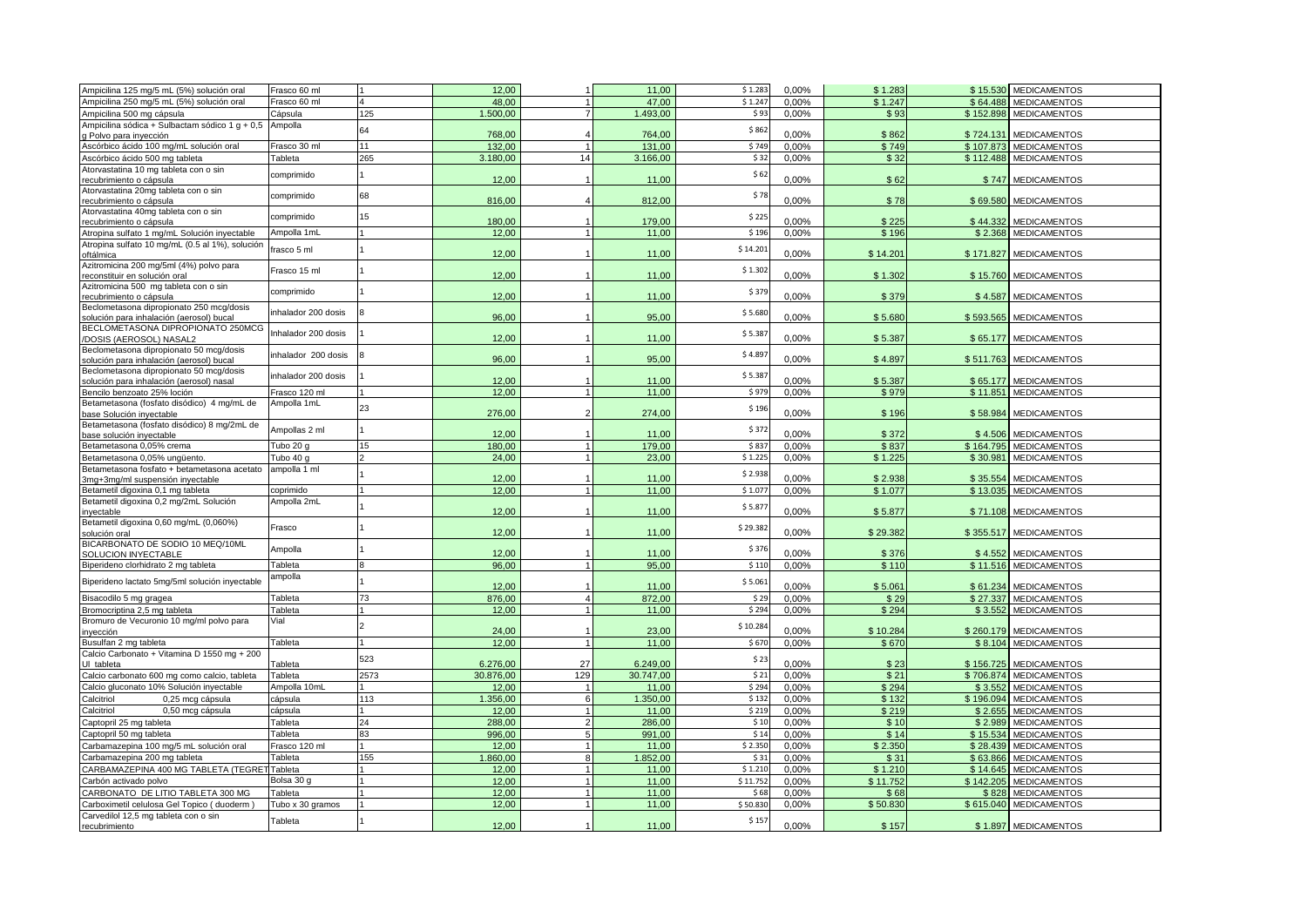| Ampicilina 125 mg/5 mL (5%) solución oral                                       | Frasco 60 ml        |      | 12,00     |               | 11,00     | \$1.283  | 0,00% | \$1.283  |           | \$15.530 MEDICAMENTOS |
|---------------------------------------------------------------------------------|---------------------|------|-----------|---------------|-----------|----------|-------|----------|-----------|-----------------------|
| Ampicilina 250 mg/5 mL (5%) solución oral                                       | rasco 60 ml         |      | 48.00     |               | 47.00     | \$1.247  | 0.00% | \$1.247  | \$64,488  | <b>MEDICAMENTOS</b>   |
| Ampicilina 500 mg cápsula                                                       | Cápsula             | 125  | 1.500,00  |               | 1.493,00  | \$93     | 0,00% | \$93     | \$152.898 | <b>MEDICAMENTOS</b>   |
| Ampicilina sódica + Sulbactam sódico 1 g + 0,5                                  | Ampolla             |      |           |               |           |          |       |          |           |                       |
| g Polvo para inyección                                                          |                     | 64   | 768.00    |               | 764.00    | \$862    | 0.00% | \$862    | \$724.131 | <b>MEDICAMENTOS</b>   |
| Ascórbico ácido 100 mg/mL solución oral                                         | Frasco 30 ml        | 11   | 132,00    |               | 131,00    | \$749    | 0,00% | \$749    | \$107.873 | <b>MEDICAMENTOS</b>   |
| Ascórbico ácido 500 mg tableta                                                  | Tableta             | 265  | 3.180,00  | 14            | 3.166,00  | \$32     | 0,00% | \$32     | \$112.488 | <b>MEDICAMENTOS</b>   |
| Atorvastatina 10 mg tableta con o sin                                           | comprimido          |      |           |               |           | \$62     |       |          |           |                       |
| recubrimiento o cápsula                                                         |                     |      | 12,00     |               | 11,00     |          | 0,00% | \$62     | \$747     | <b>MEDICAMENTOS</b>   |
| Atorvastatina 20mg tableta con o sin                                            | comprimido          | 68   |           |               |           | \$78     |       |          |           |                       |
| recubrimiento o cápsula                                                         |                     |      | 816,00    |               | 812,00    |          | 0,00% | \$78     | \$69.580  | <b>MEDICAMENTOS</b>   |
| Atorvastatina 40mg tableta con o sin                                            | comprimido          | 15   | 180,00    |               | 179,00    | \$225    | 0,00% | \$225    | \$44.332  | <b>MEDICAMENTOS</b>   |
| recubrimiento o cápsula<br>Atropina sulfato 1 mg/mL Solución inyectable         | Ampolla 1mL         |      | 12,00     |               | 11,00     | \$196    | 0,00% | \$196    | \$2.368   | <b>MEDICAMENTOS</b>   |
| Atropina sulfato 10 mg/mL (0.5 al 1%), solución                                 |                     |      |           |               |           |          |       |          |           |                       |
| oftálmica                                                                       | frasco 5 ml         |      | 12,00     |               | 11,00     | \$14.201 | 0,00% | \$14.201 | \$171.827 | <b>MEDICAMENTOS</b>   |
| Azitromicina 200 mg/5ml (4%) polvo para                                         |                     |      |           |               |           |          |       |          |           |                       |
| reconstituir en solución oral                                                   | Frasco 15 ml        |      | 12,00     |               | 11,00     | \$1.302  | 0,00% | \$1.302  | \$15.760  | <b>MEDICAMENTOS</b>   |
| Azitromicina 500 mg tableta con o sin                                           | comprimido          |      |           |               |           | \$379    |       |          |           |                       |
| recubrimiento o cápsula                                                         |                     |      | 12,00     |               | 11,00     |          | 0,00% | \$379    |           | \$4.587 MEDICAMENTOS  |
| Beclometasona dipropionato 250 mcg/dosis                                        | nhalador 200 dosis  |      |           |               |           | \$5.680  |       |          |           |                       |
| solución para inhalación (aerosol) bucal                                        |                     |      | 96,00     |               | 95,00     |          | 0,00% | \$5.680  | \$593.565 | <b>MEDICAMENTOS</b>   |
| BECLOMETASONA DIPROPIONATO 250MCG                                               | Inhalador 200 dosis |      | 12,00     |               | 11,00     | \$5.387  | 0,00% | \$5.387  | \$65.177  | <b>MEDICAMENTOS</b>   |
| /DOSIS (AEROSOL) NASAL2<br>Beclometasona dipropionato 50 mcg/dosis              |                     |      |           |               |           |          |       |          |           |                       |
| solución para inhalación (aerosol) bucal                                        | inhalador 200 dosis |      | 96,00     |               | 95,00     | \$4.897  | 0,00% | \$4.897  | \$511.763 | <b>MEDICAMENTOS</b>   |
| Beclometasona dipropionato 50 mcg/dosis                                         |                     |      |           |               |           |          |       |          |           |                       |
| solución para inhalación (aerosol) nasal                                        | inhalador 200 dosis |      | 12,00     |               | 11,00     | \$5.387  | 0,00% | \$5.387  | \$65.177  | <b>MEDICAMENTOS</b>   |
| Bencilo benzoato 25% loción                                                     | Frasco 120 ml       |      | 12,00     |               | 11,00     | \$979    | 0,00% | \$979    | \$11.851  | <b>MEDICAMENTOS</b>   |
| Betametasona (fosfato disódico) 4 mg/mL de                                      | Ampolla 1mL         | 23   |           |               |           | \$196    |       |          |           |                       |
| base Solución inyectable                                                        |                     |      | 276,00    |               | 274,00    |          | 0,00% | \$196    | \$58.984  | <b>MEDICAMENTOS</b>   |
| Betametasona (fosfato disódico) 8 mg/2mL de                                     | Ampollas 2 ml       |      |           |               |           | \$372    |       |          |           |                       |
| base solución inyectable                                                        |                     |      | 12,00     |               | 11,00     |          | 0.00% | \$372    | \$4.506   | <b>MEDICAMENTOS</b>   |
| Betametasona 0,05% crema                                                        | Tubo 20 g           | 15   | 180,00    |               | 179,00    | \$83     | 0,00% | \$837    | \$164.795 | <b>MEDICAMENTOS</b>   |
| Betametasona 0,05% unqüento.                                                    | Tubo 40 g           |      | 24,00     |               | 23,00     | \$1.225  | 0,00% | \$1.225  | \$30.981  | <b>MEDICAMENTOS</b>   |
| Betametasona fosfato + betametasona acetato<br>3mg+3mg/ml suspensión inyectable | ampolla 1 ml        |      | 12,00     |               | 11,00     | \$2.938  | 0,00% | \$2.938  | \$35.554  | <b>MEDICAMENTOS</b>   |
| Betametil digoxina 0,1 mg tableta                                               | coprimido           |      | 12,00     |               | 11,00     | \$1.077  | 0,00% | \$1.077  | \$13.035  | <b>MEDICAMENTOS</b>   |
| Betametil digoxina 0,2 mg/2mL Solución                                          | Ampolla 2mL         |      |           |               |           |          |       |          |           |                       |
| inyectable                                                                      |                     |      | 12,00     |               | 11,00     | \$5.877  | 0,00% | \$5.877  | \$71.108  | <b>MEDICAMENTOS</b>   |
| Betametil digoxina 0,60 mg/mL (0,060%)                                          |                     |      |           |               |           |          |       |          |           |                       |
| solución oral                                                                   | Frasco              |      | 12,00     |               | 11,00     | \$29.382 | 0,00% | \$29.382 | \$355.517 | <b>MEDICAMENTOS</b>   |
| BICARBONATO DE SODIO 10 MEQ/10ML                                                | Ampolla             |      |           |               |           | \$376    |       |          |           |                       |
| SOLUCION INYECTABLE                                                             |                     |      | 12,00     |               | 11,00     |          | 0,00% | \$376    | \$4.552   | <b>MEDICAMENTOS</b>   |
| Biperideno clorhidrato 2 mg tableta                                             | Tableta             |      | 96,00     |               | 95,00     | \$110    | 0,00% | \$110    |           | \$11.516 MEDICAMENTOS |
| Biperideno lactato 5mg/5ml solución inyectable                                  | ampolla             |      |           |               |           | \$5.061  |       |          |           |                       |
|                                                                                 |                     |      | 12,00     |               | 11,00     |          | 0,00% | \$5.061  | \$61.234  | <b>MEDICAMENTOS</b>   |
| Bisacodilo 5 mg gragea                                                          | Tableta             | 73   | 876,00    |               | 872,00    | \$29     | 0,00% | \$29     | \$27.337  | <b>MEDICAMENTOS</b>   |
| Bromocriptina 2,5 mg tableta                                                    | Tableta             |      | 12,00     |               | 11,00     | \$294    | 0,00% | \$294    |           | \$3.552 MEDICAMENTOS  |
| Bromuro de Vecuronio 10 mg/ml polvo para<br>inyección                           | Vial                |      | 24,00     |               | 23,00     | \$10.284 | 0,00% | \$10.284 | \$260.179 | <b>MEDICAMENTOS</b>   |
| Busulfan 2 mg tableta                                                           | Tableta             |      | 12.00     |               | 11.00     | \$670    | 0,00% | \$670    | \$8.104   | <b>MEDICAMENTOS</b>   |
| Calcio Carbonato + Vitamina D 1550 mg + 200                                     |                     |      |           |               |           |          |       |          |           |                       |
| UI tableta                                                                      | Tableta             | 523  | 6.276,00  | 27            | 6.249,00  | \$23     | 0,00% | \$23     | \$156.725 | <b>MEDICAMENTOS</b>   |
| Calcio carbonato 600 mg como calcio, tableta                                    | Tableta             | 2573 | 30.876.00 | 129           | 30.747.00 | \$21     | 0.00% | \$21     | \$706.874 | <b>MEDICAMENTOS</b>   |
| Calcio gluconato 10% Solución inyectable                                        | Ampolla 10mL        |      | 12,00     |               | 11,00     | \$294    | 0,00% | \$294    | \$3.552   | <b>MEDICAMENTOS</b>   |
| Calcitriol<br>0,25 mcg cápsula                                                  | cápsula             | 113  | 1.356,00  |               | 1.350,00  | \$132    | 0,00% | \$132    | \$196.094 | <b>MEDICAMENTOS</b>   |
| Calcitriol<br>0,50 mcg cápsula                                                  | cápsula             |      | 12,00     |               | 11,00     | \$219    | 0,00% | \$219    | \$2.655   | <b>MEDICAMENTOS</b>   |
| Captopril 25 mg tableta                                                         | Tableta             | 24   | 288,00    | $\mathcal{P}$ | 286,00    | \$10     | 0,00% | \$10     | \$2.989   | <b>MEDICAMENTOS</b>   |
| Captopril 50 mg tableta                                                         | Tableta             | 83   | 996,00    | 5             | 991,00    | \$14     | 0,00% | \$14     | \$15.534  | <b>MEDICAMENTOS</b>   |
| Carbamazepina 100 mg/5 mL solución oral                                         | Frasco 120 ml       |      | 12,00     |               | 11,00     | \$2.350  | 0,00% | \$2.350  | \$28.439  | <b>MEDICAMENTOS</b>   |
| Carbamazepina 200 mg tableta                                                    | Tableta             | 155  | 1.860.00  | 8             | 1.852.00  | \$31     | 0.00% | \$31     | \$63.866  | <b>MEDICAMENTOS</b>   |
| CARBAMAZEPINA 400 MG TABLETA (TEGRET                                            | Tableta             |      | 12,00     |               | 11.00     | \$1.210  | 0.00% | \$1.210  | \$14.645  | <b>MEDICAMENTOS</b>   |
| Carbón activado polvo                                                           | Bolsa 30 g          |      | 12,00     | $\mathbf{1}$  | 11,00     | \$11.752 | 0,00% | \$11.752 | \$142.205 | <b>MEDICAMENTOS</b>   |
| CARBONATO DE LITIO TABLETA 300 MG                                               | Tableta             |      | 12.00     |               | 11.00     | \$68     | 0.00% | \$68     | \$828     | <b>MEDICAMENTOS</b>   |
| Carboximetil celulosa Gel Topico (duoderm)                                      | Tubo x 30 gramos    |      | 12,00     |               | 11,00     | \$50.830 | 0,00% | \$50.830 | \$615.040 | <b>MEDICAMENTOS</b>   |
| Carvedilol 12,5 mg tableta con o sin                                            |                     |      |           |               |           |          |       |          |           |                       |
| recubrimiento                                                                   | Tableta             |      | 12.00     |               | 11,00     | \$157    | 0.00% | \$157    |           | \$1.897 MEDICAMENTOS  |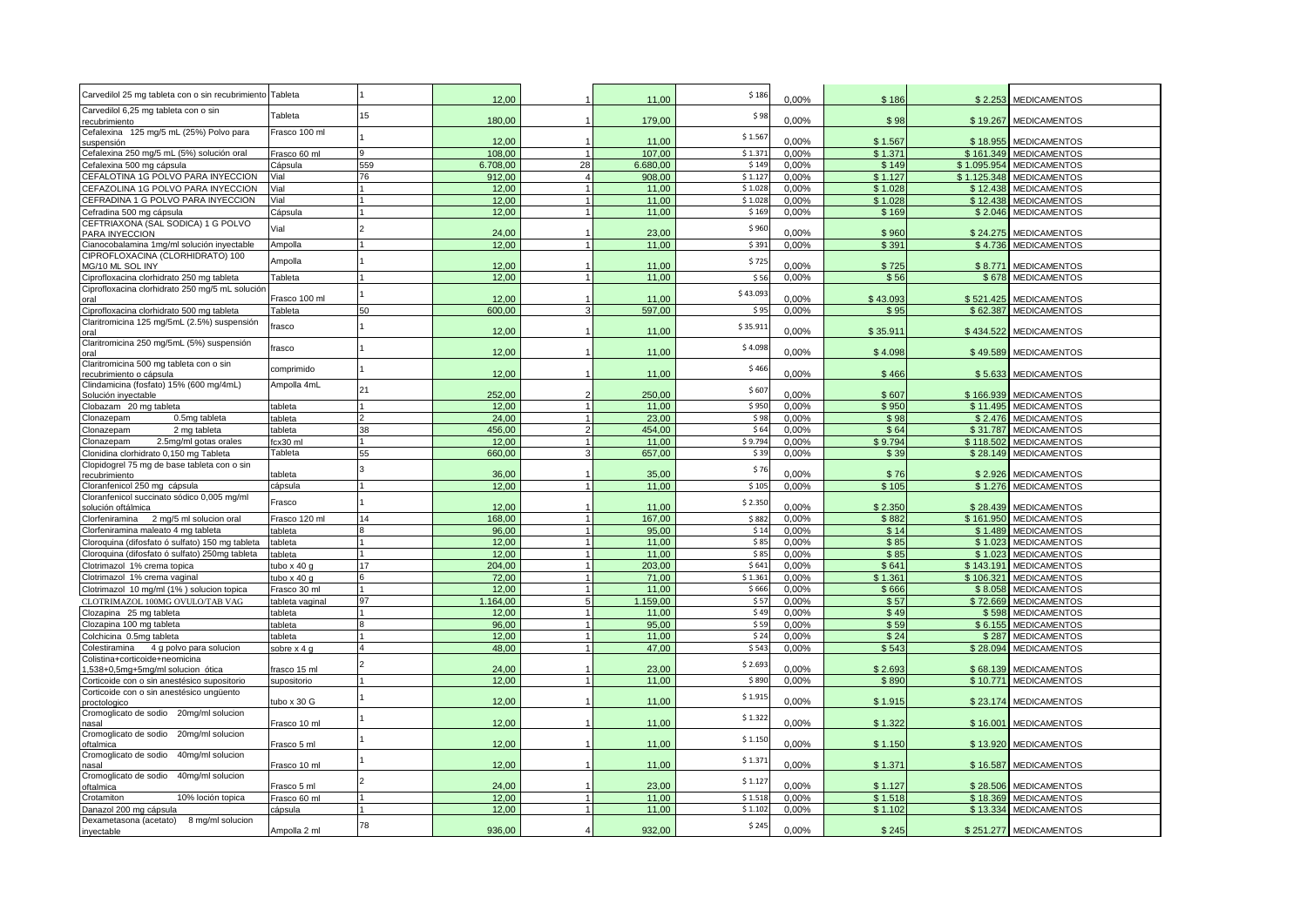| Carvedilol 25 mg tableta con o sin recubrimiento Tableta           |                           |     | 12,00    |    | 11,00    | \$186    | 0,00% | \$186    | \$2.253            | <b>MEDICAMENTOS</b>    |
|--------------------------------------------------------------------|---------------------------|-----|----------|----|----------|----------|-------|----------|--------------------|------------------------|
| Carvedilol 6,25 mg tableta con o sin<br>ecubrimiento               | Tableta                   | 15  | 180,00   |    | 179,00   | \$98     | 0,00% | \$98     | \$19.267           | <b>MEDICAMENTOS</b>    |
| Cefalexina 125 mg/5 mL (25%) Polvo para<br>suspensión              | Frasco 100 ml             |     | 12,00    |    | 11,00    | \$1.567  | 0,00% | \$1.567  | \$18.955           | <b>MEDICAMENTOS</b>    |
| Cefalexina 250 mg/5 mL (5%) solución oral                          | Frasco 60 ml              |     | 108.00   |    | 107.00   | \$1.371  | 0.00% | \$1.371  | \$161.349          | <b>MEDICAMENTOS</b>    |
| Cefalexina 500 mg cápsula                                          | Cápsula                   | 559 | 6.708,00 | 28 | 6.680,00 | \$149    | 0,00% | \$149    | \$1.095.954        | <b>MEDICAMENTOS</b>    |
| CEFALOTINA 1G POLVO PARA INYECCION                                 | Vial                      | 76  | 912,00   | 4  | 908,00   | \$1.127  | 0,00% | \$1.127  | \$1.125.348        | <b>MEDICAMENTOS</b>    |
| CEFAZOLINA 1G POLVO PARA INYECCION                                 | Vial                      |     | 12.00    |    | 11.00    | \$1.028  | 0.00% | \$1.028  | \$12.438           | <b>MEDICAMENTOS</b>    |
| CEFRADINA 1 G POLVO PARA INYECCION                                 | Vial                      |     | 12,00    |    | 11,00    | \$1.028  | 0,00% | \$1.028  | \$12.438           | <b>MEDICAMENTOS</b>    |
| Cefradina 500 mg cápsula                                           | Cápsula                   |     | 12,00    |    | 11,00    | \$169    | 0,00% | \$169    | \$2.046            | <b>MEDICAMENTOS</b>    |
| CEFTRIAXONA (SAL SODICA) 1 G POLVO                                 |                           |     |          |    |          |          |       |          |                    |                        |
| PARA INYECCION                                                     | Vial                      |     | 24,00    |    | 23,00    | \$960    | 0,00% | \$960    | \$24,275           | <b>MEDICAMENTOS</b>    |
| Cianocobalamina 1mg/ml solución inyectable                         | Ampolla                   |     | 12,00    |    | 11,00    | \$391    | 0,00% | \$391    | \$4.736            | <b>MEDICAMENTOS</b>    |
| CIPROFLOXACINA (CLORHIDRATO) 100                                   | Ampolla                   |     |          |    |          | \$725    |       |          |                    |                        |
| MG/10 ML SOL INY                                                   |                           |     | 12,00    |    | 11,00    |          | 0.00% | \$725    | \$8.771            | <b>MEDICAMENTOS</b>    |
| Ciprofloxacina clorhidrato 250 mg tableta                          | Tableta                   |     | 12,00    |    | 11,00    | \$56     | 0,00% | \$56     | \$678              | <b>MEDICAMENTOS</b>    |
| Ciprofloxacina clorhidrato 250 mg/5 mL solución<br>oral            | Frasco 100 ml             |     | 12,00    |    | 11,00    | \$43.093 | 0,00% | \$43.093 | \$521.425          | <b>MEDICAMENTOS</b>    |
| Ciprofloxacina clorhidrato 500 mg tableta                          | Tableta                   | 50  | 600,00   |    | 597,00   | \$95     | 0,00% | \$95     | \$62.387           | <b>MEDICAMENTOS</b>    |
| Claritromicina 125 mg/5mL (2.5%) suspensión<br>oral                | rasco                     |     | 12,00    |    | 11,00    | \$35.911 | 0,00% | \$35.911 | \$434.522          | <b>MEDICAMENTOS</b>    |
| Claritromicina 250 mg/5mL (5%) suspensión                          | frasco                    |     |          |    |          | \$4.098  |       |          |                    |                        |
| oral<br>Claritromicina 500 mg tableta con o sin                    |                           |     | 12,00    |    | 11,00    |          | 0,00% | \$4.098  | \$49.589           | <b>MEDICAMENTOS</b>    |
| recubrimiento o cápsula<br>Clindamicina (fosfato) 15% (600 mg/4mL) | comprimido<br>Ampolla 4mL |     | 12,00    |    | 11,00    | \$466    | 0,00% | \$466    | \$5.633            | <b>MEDICAMENTOS</b>    |
| Solución inyectable                                                |                           | 21  | 252.00   |    | 250.00   | \$607    | 0.00% | \$607    | \$166.939          | <b>MEDICAMENTOS</b>    |
| Clobazam 20 mg tableta                                             | tableta                   |     | 12,00    |    | 11,00    | \$950    | 0,00% | \$950    | \$11.495           | <b>MEDICAMENTOS</b>    |
| Clonazepam<br>0.5mg tableta                                        | tableta                   |     | 24.00    |    | 23,00    | \$98     | 0,00% | \$98     | \$2.476            | <b>MEDICAMENTOS</b>    |
| Clonazepam<br>2 mg tableta                                         | tableta                   | 38  | 456,00   |    | 454,00   | \$64     | 0,00% | \$64     | \$31,787           | <b>MEDICAMENTOS</b>    |
| 2.5mg/ml gotas orales<br>Clonazepam                                | icx30 ml                  |     | 12,00    |    | 11,00    | \$9.794  | 0,00% | \$9.794  | \$118.502          | <b>MEDICAMENTOS</b>    |
| Clonidina clorhidrato 0,150 mg Tableta                             | Tableta                   | 55  | 660,00   | 3  | 657,00   | \$39     | 0,00% | \$39     | \$28.149           | <b>MEDICAMENTOS</b>    |
| Clopidogrel 75 mg de base tableta con o sin                        |                           |     | 36,00    |    | 35,00    | \$76     | 0,00% | \$76     |                    | <b>MEDICAMENTOS</b>    |
| recubrimiento<br>Cloranfenicol 250 mg cápsula                      | tableta<br>cápsula        |     | 12.00    |    | 11,00    | \$105    | 0.00% | \$105    | \$2.926<br>\$1.276 | <b>MEDICAMENTOS</b>    |
| Cloranfenicol succinato sódico 0,005 mg/ml                         |                           |     |          |    |          |          |       |          |                    |                        |
| solución oftálmica                                                 | Frasco                    |     | 12,00    |    | 11,00    | \$2.350  | 0.00% | \$2.350  | \$28,439           | <b>MEDICAMENTOS</b>    |
| Clorfeniramina 2 mg/5 ml solucion oral                             | Frasco 120 ml             | 14  | 168,00   |    | 167,00   | \$882    | 0,00% | \$882    | \$161.950          | <b>MEDICAMENTOS</b>    |
| Clorfeniramina maleato 4 mg tableta                                | tableta                   |     | 96,00    |    | 95,00    | \$14     | 0,00% | \$14     | \$1.489            | <b>MEDICAMENTOS</b>    |
| Cloroquina (difosfato ó sulfato) 150 mg tableta                    | tableta                   |     | 12,00    |    | 11,00    | \$85     | 0,00% | \$85     | \$1.023            | <b>MEDICAMENTOS</b>    |
| Cloroquina (difosfato ó sulfato) 250mq tableta                     | tableta                   |     | 12.00    |    | 11.00    | \$85     | 0.00% | \$85     | \$1.023            | <b>MEDICAMENTOS</b>    |
| Clotrimazol 1% crema topica                                        | ubo x 40 q                | 17  | 204,00   |    | 203,00   | \$641    | 0,00% | \$641    | \$143.191          | <b>MEDICAMENTOS</b>    |
| Clotrimazol 1% crema vaginal                                       | tubo $x$ 40 g             |     | 72.00    |    | 71,00    | \$1.361  | 0.00% | \$1.361  | \$106.321          | <b>MEDICAMENTOS</b>    |
| Clotrimazol 10 mg/ml (1%) solucion topica                          | Frasco 30 ml              |     | 12.00    |    | 11.00    | \$666    | 0,00% | \$666    | \$8.058            | <b>MEDICAMENTOS</b>    |
| CLOTRIMAZOL 100MG OVULO/TAB VAG                                    | tableta vaginal           | 97  | 1.164,00 |    | 1.159,00 | \$57     | 0,00% | \$57     | \$72.669           | <b>MEDICAMENTOS</b>    |
| Clozapina 25 mg tableta                                            | tableta                   |     | 12,00    |    | 11,00    | \$49     | 0.00% | \$49     | \$598              | <b>MEDICAMENTOS</b>    |
| Clozapina 100 mg tableta                                           | tableta                   |     | 96,00    |    | 95,00    | \$59     | 0,00% | \$59     | \$6.155            | <b>MEDICAMENTOS</b>    |
| Colchicina 0.5mg tableta                                           | tableta                   |     | 12,00    |    | 11,00    | \$24     | 0.00% | \$24     | \$287              | <b>MEDICAMENTOS</b>    |
| Colestiramina<br>4 g polvo para solucion                           | sobre x 4 g               |     | 48,00    |    | 47,00    | \$543    | 0,00% | \$543    | \$28.094           | <b>MEDICAMENTOS</b>    |
| Colistina+corticoide+neomicina<br>,538+0,5mg+5mg/ml solucion ótica | rasco 15 ml               |     | 24,00    |    | 23,00    | \$2.693  | 0,00% | \$2.693  | \$68.139           | <b>MEDICAMENTOS</b>    |
| Corticoide con o sin anestésico supositorio                        | supositorio               |     | 12,00    |    | 11,00    | \$890    | 0,00% | \$890    | \$10.771           | <b>MEDICAMENTOS</b>    |
| Corticoide con o sin anestésico ungüento                           |                           |     |          |    |          |          |       |          |                    |                        |
| proctologico                                                       | ubo x 30 G                |     | 12,00    |    | 11,00    | \$1.915  | 0,00% | \$1.915  | \$23.174           | <b>MEDICAMENTOS</b>    |
| Cromoglicato de sodio 20mg/ml solucion<br>nasal                    | Frasco 10 ml              |     | 12,00    |    | 11,00    | \$1.322  | 0,00% | \$1.322  | \$16.001           | <b>MEDICAMENTOS</b>    |
| Cromoglicato de sodio 20mg/ml solucion<br>oftalmica                | Frasco 5 ml               |     | 12,00    |    | 11,00    | \$1.150  | 0,00% | \$1.150  | \$13.920           | <b>MEDICAMENTOS</b>    |
| Cromoglicato de sodio 40mg/ml solucion<br>nasal                    | Frasco 10 ml              |     | 12,00    |    | 11,00    | \$1.371  | 0,00% | \$1.371  | \$16.587           | <b>MEDICAMENTOS</b>    |
| Cromoglicato de sodio<br>40mg/ml solucion<br>oftalmica             | Frasco 5 ml               |     | 24.00    |    | 23,00    | \$1.127  | 0.00% | \$1.127  | \$28,506           | <b>MEDICAMENTOS</b>    |
| 10% loción topica<br>Crotamiton                                    | Frasco 60 ml              |     | 12,00    |    | 11,00    | \$1.51   | 0,00% | \$1.518  | \$18.369           | <b>MEDICAMENTOS</b>    |
| Danazol 200 mg cápsula                                             | cápsula                   |     | 12,00    |    | 11,00    | \$1.102  | 0,00% | \$1.102  |                    | \$13.334 MEDICAMENTOS  |
| Dexametasona (acetato) 8 mg/ml solucion                            |                           |     |          |    |          |          |       |          |                    |                        |
| inyectable                                                         | Ampolla 2 ml              | 78  | 936,00   |    | 932,00   | \$245    | 0,00% | \$245    |                    | \$251.277 MEDICAMENTOS |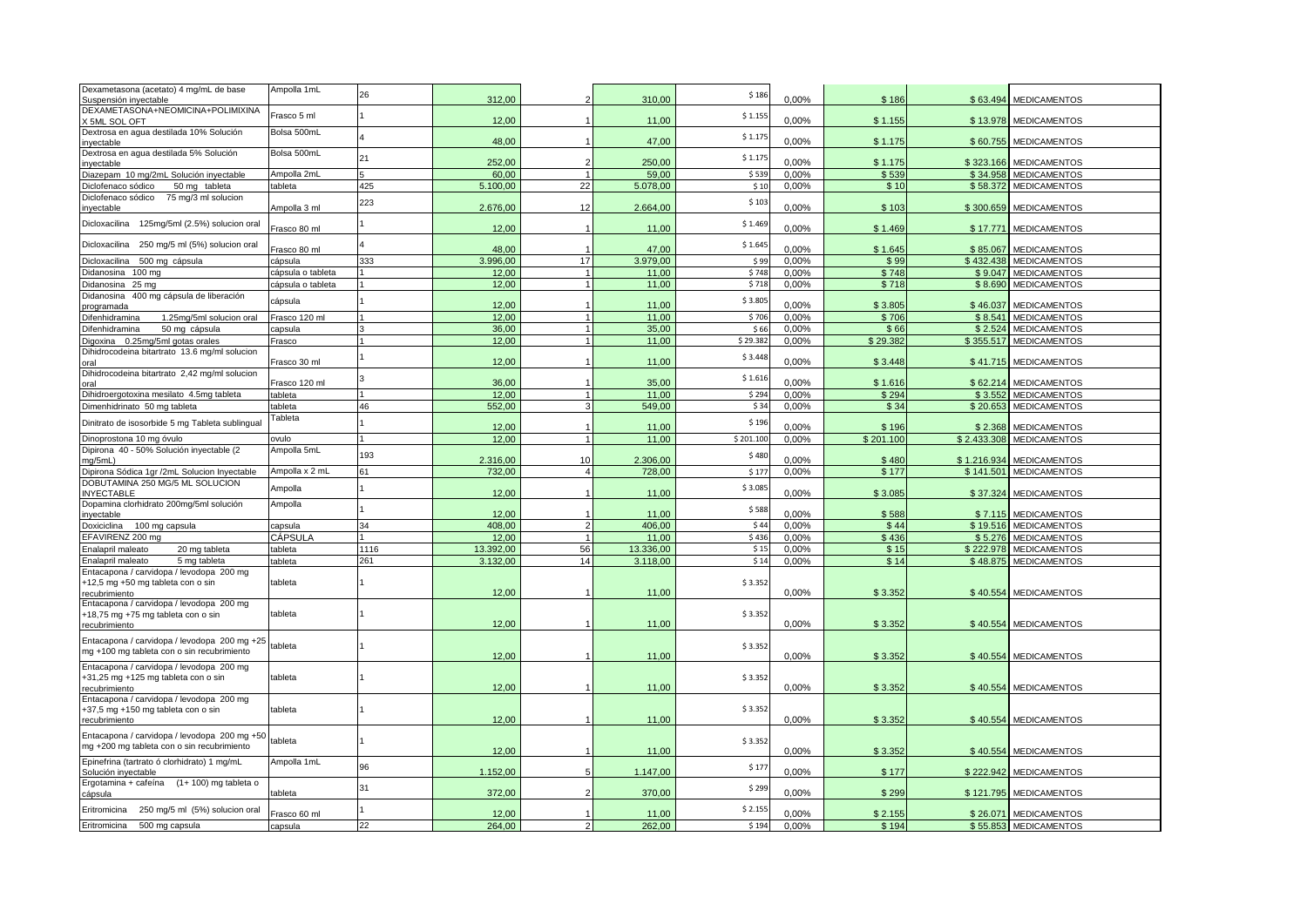| 26<br>\$186<br>312,00<br>310,00<br>0,00%<br>\$186<br>\$63.494<br><b>MEDICAMENTOS</b><br>Suspensión inyectable<br>DEXAMETASONA+NEOMICINA+POLIMIXINA<br>Frasco 5 ml<br>\$1.155<br>0,00%<br>12,00<br>11,00<br>\$1.155<br>5ML SOL OFT<br>\$13.978<br><b>MEDICAMENTOS</b><br>Dextrosa en agua destilada 10% Solución<br>Bolsa 500mL<br>\$1.175<br>48,00<br>47,00<br>0,00%<br>\$1.175<br>\$60.755<br><b>MEDICAMENTOS</b><br>inyectable<br>Dextrosa en agua destilada 5% Solución<br>Bolsa 500mL<br>21<br>\$1.175<br>252,00<br>0,00%<br>250,00<br>\$1.175<br>\$323.166<br><b>MEDICAMENTOS</b><br>inyectable<br>Diazepam 10 mg/2mL Solución inyectable<br>Ampolla 2mL<br>60,00<br>59,00<br>\$539<br>0,00%<br>\$539<br>\$34.958<br><b>MEDICAMENTOS</b><br>$\mathbf{1}$<br>$\overline{22}$<br>425<br>5.100,00<br>5.078,00<br>\$10<br>0,00%<br>\$58.372<br>\$10<br><b>MEDICAMENTOS</b><br>Diclofenaco sódico<br>50 mg tableta<br>tableta<br>75 mg/3 ml solucion<br>Diclofenaco sódico<br>223<br>\$103<br>2.676,00<br>12<br>2.664,00<br>0,00%<br>\$103<br>\$300.659<br><b>MEDICAMENTOS</b><br>Ampolla 3 ml<br>inyectable<br>125mg/5ml (2.5%) solucion oral<br>\$1.469<br>Dicloxacilina<br>12,00<br>11,00<br>0.00%<br>\$1.469<br>\$17,771<br><b>MEDICAMENTOS</b><br>Frasco 80 ml<br>Dicloxacilina<br>250 mg/5 ml (5%) solucion oral<br>\$1.645<br>48.00<br>47.00<br>0.00%<br>\$1.645<br>\$85.067<br><b>MEDICAMENTOS</b><br>Frasco 80 ml<br>333<br>3.996,00<br>17<br>3.979.00<br>\$99<br>\$99<br>500 mg cápsula<br>0.00%<br>\$432,438<br>Dicloxacilina<br><b>MEDICAMENTOS</b><br>cápsula<br>11,00<br>\$748<br>12,00<br>0,00%<br>\$748<br>\$9.047<br><b>MEDICAMENTOS</b><br>Didanosina 100 mg<br>cápsula o tableta<br>12.00<br>\$718<br>11.00<br>\$718<br>0.00%<br>\$8.690<br><b>MEDICAMENTOS</b><br>Didanosina 25 mg<br>cápsula o tableta<br>$\overline{1}$<br>Didanosina 400 mg cápsula de liberación<br>\$3.805<br>cápsula<br>12,00<br>11,00<br>0,00%<br>\$3.805<br>\$46.037<br><b>MEDICAMENTOS</b><br>programada<br>12.00<br>\$706<br>1.25mg/5ml solucion oral<br>11,00<br>0,00%<br>\$706<br>\$8.541<br><b>MEDICAMENTOS</b><br>Difenhidramina<br>Frasco 120 ml<br>$\mathbf{1}$<br>36,00<br>35,00<br>\$66<br>50 mg cápsula<br>0,00%<br>\$66<br>\$2.524<br>Difenhidramina<br>capsula<br><b>MEDICAMENTOS</b><br>Digoxina 0.25mg/5ml gotas orales<br>12,00<br>$\overline{1}$<br>11,00<br>\$29.382<br>0,00%<br>\$29.382<br>\$355.517<br><b>MEDICAMENTOS</b><br>Frasco<br>Dihidrocodeina bitartrato 13.6 mg/ml solucion<br>\$3.448<br>12,00<br>0,00%<br>11,00<br>\$3.448<br><b>MEDICAMENTOS</b><br>Frasco 30 ml<br>\$41.715<br>oral<br>Dihidrocodeina bitartrato 2,42 mg/ml solucion<br>\$1.616<br>36,00<br>35,00<br>0,00%<br>\$1.616<br>\$62.214<br><b>MEDICAMENTOS</b><br>Frasco 120 ml<br>oral<br>\$294<br>12.00<br>0.00%<br>\$294<br>Dihidroergotoxina mesilato 4.5mg tableta<br>tableta<br>11.00<br>\$3.552<br><b>MEDICAMENTOS</b><br>46<br>552,00<br>549,00<br>0,00%<br>\$34<br>Dimenhidrinato 50 mg tableta<br>\$34<br>\$20.653<br><b>MEDICAMENTOS</b><br>tableta<br>Tableta<br>\$196<br>Dinitrato de isosorbide 5 mg Tableta sublingual<br>12.00<br>11.00<br>0.00%<br>\$196<br>\$2.368<br><b>MEDICAMENTOS</b><br>12,00<br>11,00<br>\$201.100<br>0,00%<br>\$201.100<br>\$2.433.308<br><b>MEDICAMENTOS</b><br>Dinoprostona 10 mg óvulo<br>ovulo<br>Dipirona 40 - 50% Solución inyectable (2<br>Ampolla 5mL<br>193<br>\$480<br>2.316,00<br>10<br>2.306.00<br>0.00%<br>\$480<br>\$1.216.934<br><b>MEDICAMENTOS</b><br>mg/5mL<br>732,00<br>\$17<br>\$177<br>Ampolla x 2 mL<br>61<br>728,00<br>0,00%<br>\$141.501<br>Dipirona Sódica 1gr /2mL Solucion Inyectable<br><b>MEDICAMENTOS</b><br>DOBUTAMINA 250 MG/5 ML SOLUCION<br>\$3.085<br>Ampolla<br>12,00<br>11,00<br>0,00%<br>\$3.085<br><b>MEDICAMENTOS</b><br><b>INYECTABLE</b><br>\$37.324<br>Dopamina clorhidrato 200mg/5ml solución<br>Ampolla<br>\$588<br>12,00<br>0,00%<br>11,00<br>\$588<br>\$7.115<br><b>MEDICAMENTOS</b><br>inyectable<br>408,00<br>100 mg capsula<br>34<br>$\mathfrak{p}$<br>406,00<br>\$44<br>0,00%<br>\$44<br>\$19.516<br><b>MEDICAMENTOS</b><br>Doxiciclina<br>capsula<br>12,00<br>\$436<br>0,00%<br>\$436<br>EFAVIRENZ 200 mg<br><b>CÁPSULA</b><br>11,00<br>\$5.276<br><b>MEDICAMENTOS</b><br>$\overline{1}$<br>13.392,00<br>56<br>13.336,00<br>\$15<br>0.00%<br>\$15<br>\$222.978<br>tableta<br>1116<br><b>MEDICAMENTOS</b><br>Enalapril maleato<br>20 mg tableta<br>261<br>3.132,00<br>14<br>3.118,00<br>\$14<br>0,00%<br>\$14<br>\$48.875<br>Enalapril maleato<br>5 mg tableta<br>tableta<br><b>MEDICAMENTOS</b><br>Entacapona / carvidopa / levodopa 200 mg<br>+12,5 mg +50 mg tableta con o sin<br>tableta<br>\$3.352<br>12,00<br>11,00<br>0,00%<br>\$3.352<br>\$40.554<br><b>MEDICAMENTOS</b><br>recubrimiento<br>Entacapona / carvidopa / levodopa 200 mg<br>\$3.352<br>+18,75 mg +75 mg tableta con o sin<br>tableta<br>12,00<br>11,00<br>0,00%<br>\$3.352<br>\$40.554 MEDICAMENTOS<br>recubrimiento<br>Entacapona / carvidopa / levodopa 200 mg +25<br>tableta<br>\$3.352<br>mg +100 mg tableta con o sin recubrimiento<br>12.00<br>11.00<br>0.00%<br>\$3.352<br>\$40.554 MEDICAMENTOS<br>Entacapona / carvidopa / levodopa 200 mg<br>tableta<br>\$3.352<br>+31,25 mg +125 mg tableta con o sin<br>12,00<br>0,00%<br>11,00<br>\$3.352<br>\$40.554<br><b>MEDICAMENTOS</b><br>recubrimiento<br>Entacapona / carvidopa / levodopa 200 mg<br>\$3.352<br>+37,5 mg +150 mg tableta con o sin<br>tableta<br>12,00<br>11,00<br>0,00%<br>\$3.352<br>\$40.554 MEDICAMENTOS<br>recubrimiento<br>Entacapona / carvidopa / levodopa 200 mg +50<br>tableta<br>\$3.352<br>mg +200 mg tableta con o sin recubrimiento<br>12,00<br>0,00%<br>11,00<br>\$3.352<br>\$40.554<br><b>MEDICAMENTOS</b><br>Epinefrina (tartrato ó clorhidrato) 1 mg/mL<br>Ampolla 1mL<br>96<br>\$177<br>1.152,00<br>1.147,00<br>0,00%<br>\$177<br>\$222.942 MEDICAMENTOS<br>-5<br>Solución inyectable<br>Ergotamina + cafeína (1+ 100) mg tableta o<br>31<br>\$ 299<br>372,00<br>0,00%<br>370,00<br>\$299<br><b>MEDICAMENTOS</b><br>\$121.795<br>cápsula<br>ableta<br>\$2.155<br>Eritromicina<br>250 mg/5 ml (5%) solucion oral<br>12,00<br>0.00%<br>\$2.155<br>\$26.071 MEDICAMENTOS<br>Frasco 60 ml<br>11,00<br>22<br>264,00<br>262,00<br>\$194<br>Eritromicina 500 mg capsula<br>\$194<br>0,00%<br>\$55.853 MEDICAMENTOS<br>capsula<br>$\mathcal{P}$ |                                        |             |  |  |  |  |  |
|-------------------------------------------------------------------------------------------------------------------------------------------------------------------------------------------------------------------------------------------------------------------------------------------------------------------------------------------------------------------------------------------------------------------------------------------------------------------------------------------------------------------------------------------------------------------------------------------------------------------------------------------------------------------------------------------------------------------------------------------------------------------------------------------------------------------------------------------------------------------------------------------------------------------------------------------------------------------------------------------------------------------------------------------------------------------------------------------------------------------------------------------------------------------------------------------------------------------------------------------------------------------------------------------------------------------------------------------------------------------------------------------------------------------------------------------------------------------------------------------------------------------------------------------------------------------------------------------------------------------------------------------------------------------------------------------------------------------------------------------------------------------------------------------------------------------------------------------------------------------------------------------------------------------------------------------------------------------------------------------------------------------------------------------------------------------------------------------------------------------------------------------------------------------------------------------------------------------------------------------------------------------------------------------------------------------------------------------------------------------------------------------------------------------------------------------------------------------------------------------------------------------------------------------------------------------------------------------------------------------------------------------------------------------------------------------------------------------------------------------------------------------------------------------------------------------------------------------------------------------------------------------------------------------------------------------------------------------------------------------------------------------------------------------------------------------------------------------------------------------------------------------------------------------------------------------------------------------------------------------------------------------------------------------------------------------------------------------------------------------------------------------------------------------------------------------------------------------------------------------------------------------------------------------------------------------------------------------------------------------------------------------------------------------------------------------------------------------------------------------------------------------------------------------------------------------------------------------------------------------------------------------------------------------------------------------------------------------------------------------------------------------------------------------------------------------------------------------------------------------------------------------------------------------------------------------------------------------------------------------------------------------------------------------------------------------------------------------------------------------------------------------------------------------------------------------------------------------------------------------------------------------------------------------------------------------------------------------------------------------------------------------------------------------------------------------------------------------------------------------------------------------------------------------------------------------------------------------------------------------------------------------------------------------------------------------------------------------------------------------------------------------------------------------------------------------------------------------------------------------------------------------------------------------------------------------------------------------------------------------------------------------------------------------------------------------------------------------------------------------------------------------------------------------------------------------------------------------------------------------------------------------------------------------------------------------------------------------------------------------------------------------------------------------------------------------------------------------------------------------------------------------------------------------------------------------------------------------------------------------------------------------------------------------------------------------------------------------------------------------------------------------------------------------------------------------------------------------------------------------------------------------------------------------------------------------------------------------------------------------------------------------------------------------------------------------------------------------------------------------------------------------|----------------------------------------|-------------|--|--|--|--|--|
|                                                                                                                                                                                                                                                                                                                                                                                                                                                                                                                                                                                                                                                                                                                                                                                                                                                                                                                                                                                                                                                                                                                                                                                                                                                                                                                                                                                                                                                                                                                                                                                                                                                                                                                                                                                                                                                                                                                                                                                                                                                                                                                                                                                                                                                                                                                                                                                                                                                                                                                                                                                                                                                                                                                                                                                                                                                                                                                                                                                                                                                                                                                                                                                                                                                                                                                                                                                                                                                                                                                                                                                                                                                                                                                                                                                                                                                                                                                                                                                                                                                                                                                                                                                                                                                                                                                                                                                                                                                                                                                                                                                                                                                                                                                                                                                                                                                                                                                                                                                                                                                                                                                                                                                                                                                                                                                                                                                                                                                                                                                                                                                                                                                                                                                                                                                                                                                                                                                                                                                                                                                                                                                                                                                                                                                                                                                                                                                           | Dexametasona (acetato) 4 mg/mL de base | Ampolla 1mL |  |  |  |  |  |
|                                                                                                                                                                                                                                                                                                                                                                                                                                                                                                                                                                                                                                                                                                                                                                                                                                                                                                                                                                                                                                                                                                                                                                                                                                                                                                                                                                                                                                                                                                                                                                                                                                                                                                                                                                                                                                                                                                                                                                                                                                                                                                                                                                                                                                                                                                                                                                                                                                                                                                                                                                                                                                                                                                                                                                                                                                                                                                                                                                                                                                                                                                                                                                                                                                                                                                                                                                                                                                                                                                                                                                                                                                                                                                                                                                                                                                                                                                                                                                                                                                                                                                                                                                                                                                                                                                                                                                                                                                                                                                                                                                                                                                                                                                                                                                                                                                                                                                                                                                                                                                                                                                                                                                                                                                                                                                                                                                                                                                                                                                                                                                                                                                                                                                                                                                                                                                                                                                                                                                                                                                                                                                                                                                                                                                                                                                                                                                                           |                                        |             |  |  |  |  |  |
|                                                                                                                                                                                                                                                                                                                                                                                                                                                                                                                                                                                                                                                                                                                                                                                                                                                                                                                                                                                                                                                                                                                                                                                                                                                                                                                                                                                                                                                                                                                                                                                                                                                                                                                                                                                                                                                                                                                                                                                                                                                                                                                                                                                                                                                                                                                                                                                                                                                                                                                                                                                                                                                                                                                                                                                                                                                                                                                                                                                                                                                                                                                                                                                                                                                                                                                                                                                                                                                                                                                                                                                                                                                                                                                                                                                                                                                                                                                                                                                                                                                                                                                                                                                                                                                                                                                                                                                                                                                                                                                                                                                                                                                                                                                                                                                                                                                                                                                                                                                                                                                                                                                                                                                                                                                                                                                                                                                                                                                                                                                                                                                                                                                                                                                                                                                                                                                                                                                                                                                                                                                                                                                                                                                                                                                                                                                                                                                           |                                        |             |  |  |  |  |  |
|                                                                                                                                                                                                                                                                                                                                                                                                                                                                                                                                                                                                                                                                                                                                                                                                                                                                                                                                                                                                                                                                                                                                                                                                                                                                                                                                                                                                                                                                                                                                                                                                                                                                                                                                                                                                                                                                                                                                                                                                                                                                                                                                                                                                                                                                                                                                                                                                                                                                                                                                                                                                                                                                                                                                                                                                                                                                                                                                                                                                                                                                                                                                                                                                                                                                                                                                                                                                                                                                                                                                                                                                                                                                                                                                                                                                                                                                                                                                                                                                                                                                                                                                                                                                                                                                                                                                                                                                                                                                                                                                                                                                                                                                                                                                                                                                                                                                                                                                                                                                                                                                                                                                                                                                                                                                                                                                                                                                                                                                                                                                                                                                                                                                                                                                                                                                                                                                                                                                                                                                                                                                                                                                                                                                                                                                                                                                                                                           |                                        |             |  |  |  |  |  |
|                                                                                                                                                                                                                                                                                                                                                                                                                                                                                                                                                                                                                                                                                                                                                                                                                                                                                                                                                                                                                                                                                                                                                                                                                                                                                                                                                                                                                                                                                                                                                                                                                                                                                                                                                                                                                                                                                                                                                                                                                                                                                                                                                                                                                                                                                                                                                                                                                                                                                                                                                                                                                                                                                                                                                                                                                                                                                                                                                                                                                                                                                                                                                                                                                                                                                                                                                                                                                                                                                                                                                                                                                                                                                                                                                                                                                                                                                                                                                                                                                                                                                                                                                                                                                                                                                                                                                                                                                                                                                                                                                                                                                                                                                                                                                                                                                                                                                                                                                                                                                                                                                                                                                                                                                                                                                                                                                                                                                                                                                                                                                                                                                                                                                                                                                                                                                                                                                                                                                                                                                                                                                                                                                                                                                                                                                                                                                                                           |                                        |             |  |  |  |  |  |
|                                                                                                                                                                                                                                                                                                                                                                                                                                                                                                                                                                                                                                                                                                                                                                                                                                                                                                                                                                                                                                                                                                                                                                                                                                                                                                                                                                                                                                                                                                                                                                                                                                                                                                                                                                                                                                                                                                                                                                                                                                                                                                                                                                                                                                                                                                                                                                                                                                                                                                                                                                                                                                                                                                                                                                                                                                                                                                                                                                                                                                                                                                                                                                                                                                                                                                                                                                                                                                                                                                                                                                                                                                                                                                                                                                                                                                                                                                                                                                                                                                                                                                                                                                                                                                                                                                                                                                                                                                                                                                                                                                                                                                                                                                                                                                                                                                                                                                                                                                                                                                                                                                                                                                                                                                                                                                                                                                                                                                                                                                                                                                                                                                                                                                                                                                                                                                                                                                                                                                                                                                                                                                                                                                                                                                                                                                                                                                                           |                                        |             |  |  |  |  |  |
|                                                                                                                                                                                                                                                                                                                                                                                                                                                                                                                                                                                                                                                                                                                                                                                                                                                                                                                                                                                                                                                                                                                                                                                                                                                                                                                                                                                                                                                                                                                                                                                                                                                                                                                                                                                                                                                                                                                                                                                                                                                                                                                                                                                                                                                                                                                                                                                                                                                                                                                                                                                                                                                                                                                                                                                                                                                                                                                                                                                                                                                                                                                                                                                                                                                                                                                                                                                                                                                                                                                                                                                                                                                                                                                                                                                                                                                                                                                                                                                                                                                                                                                                                                                                                                                                                                                                                                                                                                                                                                                                                                                                                                                                                                                                                                                                                                                                                                                                                                                                                                                                                                                                                                                                                                                                                                                                                                                                                                                                                                                                                                                                                                                                                                                                                                                                                                                                                                                                                                                                                                                                                                                                                                                                                                                                                                                                                                                           |                                        |             |  |  |  |  |  |
|                                                                                                                                                                                                                                                                                                                                                                                                                                                                                                                                                                                                                                                                                                                                                                                                                                                                                                                                                                                                                                                                                                                                                                                                                                                                                                                                                                                                                                                                                                                                                                                                                                                                                                                                                                                                                                                                                                                                                                                                                                                                                                                                                                                                                                                                                                                                                                                                                                                                                                                                                                                                                                                                                                                                                                                                                                                                                                                                                                                                                                                                                                                                                                                                                                                                                                                                                                                                                                                                                                                                                                                                                                                                                                                                                                                                                                                                                                                                                                                                                                                                                                                                                                                                                                                                                                                                                                                                                                                                                                                                                                                                                                                                                                                                                                                                                                                                                                                                                                                                                                                                                                                                                                                                                                                                                                                                                                                                                                                                                                                                                                                                                                                                                                                                                                                                                                                                                                                                                                                                                                                                                                                                                                                                                                                                                                                                                                                           |                                        |             |  |  |  |  |  |
|                                                                                                                                                                                                                                                                                                                                                                                                                                                                                                                                                                                                                                                                                                                                                                                                                                                                                                                                                                                                                                                                                                                                                                                                                                                                                                                                                                                                                                                                                                                                                                                                                                                                                                                                                                                                                                                                                                                                                                                                                                                                                                                                                                                                                                                                                                                                                                                                                                                                                                                                                                                                                                                                                                                                                                                                                                                                                                                                                                                                                                                                                                                                                                                                                                                                                                                                                                                                                                                                                                                                                                                                                                                                                                                                                                                                                                                                                                                                                                                                                                                                                                                                                                                                                                                                                                                                                                                                                                                                                                                                                                                                                                                                                                                                                                                                                                                                                                                                                                                                                                                                                                                                                                                                                                                                                                                                                                                                                                                                                                                                                                                                                                                                                                                                                                                                                                                                                                                                                                                                                                                                                                                                                                                                                                                                                                                                                                                           |                                        |             |  |  |  |  |  |
|                                                                                                                                                                                                                                                                                                                                                                                                                                                                                                                                                                                                                                                                                                                                                                                                                                                                                                                                                                                                                                                                                                                                                                                                                                                                                                                                                                                                                                                                                                                                                                                                                                                                                                                                                                                                                                                                                                                                                                                                                                                                                                                                                                                                                                                                                                                                                                                                                                                                                                                                                                                                                                                                                                                                                                                                                                                                                                                                                                                                                                                                                                                                                                                                                                                                                                                                                                                                                                                                                                                                                                                                                                                                                                                                                                                                                                                                                                                                                                                                                                                                                                                                                                                                                                                                                                                                                                                                                                                                                                                                                                                                                                                                                                                                                                                                                                                                                                                                                                                                                                                                                                                                                                                                                                                                                                                                                                                                                                                                                                                                                                                                                                                                                                                                                                                                                                                                                                                                                                                                                                                                                                                                                                                                                                                                                                                                                                                           |                                        |             |  |  |  |  |  |
|                                                                                                                                                                                                                                                                                                                                                                                                                                                                                                                                                                                                                                                                                                                                                                                                                                                                                                                                                                                                                                                                                                                                                                                                                                                                                                                                                                                                                                                                                                                                                                                                                                                                                                                                                                                                                                                                                                                                                                                                                                                                                                                                                                                                                                                                                                                                                                                                                                                                                                                                                                                                                                                                                                                                                                                                                                                                                                                                                                                                                                                                                                                                                                                                                                                                                                                                                                                                                                                                                                                                                                                                                                                                                                                                                                                                                                                                                                                                                                                                                                                                                                                                                                                                                                                                                                                                                                                                                                                                                                                                                                                                                                                                                                                                                                                                                                                                                                                                                                                                                                                                                                                                                                                                                                                                                                                                                                                                                                                                                                                                                                                                                                                                                                                                                                                                                                                                                                                                                                                                                                                                                                                                                                                                                                                                                                                                                                                           |                                        |             |  |  |  |  |  |
|                                                                                                                                                                                                                                                                                                                                                                                                                                                                                                                                                                                                                                                                                                                                                                                                                                                                                                                                                                                                                                                                                                                                                                                                                                                                                                                                                                                                                                                                                                                                                                                                                                                                                                                                                                                                                                                                                                                                                                                                                                                                                                                                                                                                                                                                                                                                                                                                                                                                                                                                                                                                                                                                                                                                                                                                                                                                                                                                                                                                                                                                                                                                                                                                                                                                                                                                                                                                                                                                                                                                                                                                                                                                                                                                                                                                                                                                                                                                                                                                                                                                                                                                                                                                                                                                                                                                                                                                                                                                                                                                                                                                                                                                                                                                                                                                                                                                                                                                                                                                                                                                                                                                                                                                                                                                                                                                                                                                                                                                                                                                                                                                                                                                                                                                                                                                                                                                                                                                                                                                                                                                                                                                                                                                                                                                                                                                                                                           |                                        |             |  |  |  |  |  |
|                                                                                                                                                                                                                                                                                                                                                                                                                                                                                                                                                                                                                                                                                                                                                                                                                                                                                                                                                                                                                                                                                                                                                                                                                                                                                                                                                                                                                                                                                                                                                                                                                                                                                                                                                                                                                                                                                                                                                                                                                                                                                                                                                                                                                                                                                                                                                                                                                                                                                                                                                                                                                                                                                                                                                                                                                                                                                                                                                                                                                                                                                                                                                                                                                                                                                                                                                                                                                                                                                                                                                                                                                                                                                                                                                                                                                                                                                                                                                                                                                                                                                                                                                                                                                                                                                                                                                                                                                                                                                                                                                                                                                                                                                                                                                                                                                                                                                                                                                                                                                                                                                                                                                                                                                                                                                                                                                                                                                                                                                                                                                                                                                                                                                                                                                                                                                                                                                                                                                                                                                                                                                                                                                                                                                                                                                                                                                                                           |                                        |             |  |  |  |  |  |
|                                                                                                                                                                                                                                                                                                                                                                                                                                                                                                                                                                                                                                                                                                                                                                                                                                                                                                                                                                                                                                                                                                                                                                                                                                                                                                                                                                                                                                                                                                                                                                                                                                                                                                                                                                                                                                                                                                                                                                                                                                                                                                                                                                                                                                                                                                                                                                                                                                                                                                                                                                                                                                                                                                                                                                                                                                                                                                                                                                                                                                                                                                                                                                                                                                                                                                                                                                                                                                                                                                                                                                                                                                                                                                                                                                                                                                                                                                                                                                                                                                                                                                                                                                                                                                                                                                                                                                                                                                                                                                                                                                                                                                                                                                                                                                                                                                                                                                                                                                                                                                                                                                                                                                                                                                                                                                                                                                                                                                                                                                                                                                                                                                                                                                                                                                                                                                                                                                                                                                                                                                                                                                                                                                                                                                                                                                                                                                                           |                                        |             |  |  |  |  |  |
|                                                                                                                                                                                                                                                                                                                                                                                                                                                                                                                                                                                                                                                                                                                                                                                                                                                                                                                                                                                                                                                                                                                                                                                                                                                                                                                                                                                                                                                                                                                                                                                                                                                                                                                                                                                                                                                                                                                                                                                                                                                                                                                                                                                                                                                                                                                                                                                                                                                                                                                                                                                                                                                                                                                                                                                                                                                                                                                                                                                                                                                                                                                                                                                                                                                                                                                                                                                                                                                                                                                                                                                                                                                                                                                                                                                                                                                                                                                                                                                                                                                                                                                                                                                                                                                                                                                                                                                                                                                                                                                                                                                                                                                                                                                                                                                                                                                                                                                                                                                                                                                                                                                                                                                                                                                                                                                                                                                                                                                                                                                                                                                                                                                                                                                                                                                                                                                                                                                                                                                                                                                                                                                                                                                                                                                                                                                                                                                           |                                        |             |  |  |  |  |  |
|                                                                                                                                                                                                                                                                                                                                                                                                                                                                                                                                                                                                                                                                                                                                                                                                                                                                                                                                                                                                                                                                                                                                                                                                                                                                                                                                                                                                                                                                                                                                                                                                                                                                                                                                                                                                                                                                                                                                                                                                                                                                                                                                                                                                                                                                                                                                                                                                                                                                                                                                                                                                                                                                                                                                                                                                                                                                                                                                                                                                                                                                                                                                                                                                                                                                                                                                                                                                                                                                                                                                                                                                                                                                                                                                                                                                                                                                                                                                                                                                                                                                                                                                                                                                                                                                                                                                                                                                                                                                                                                                                                                                                                                                                                                                                                                                                                                                                                                                                                                                                                                                                                                                                                                                                                                                                                                                                                                                                                                                                                                                                                                                                                                                                                                                                                                                                                                                                                                                                                                                                                                                                                                                                                                                                                                                                                                                                                                           |                                        |             |  |  |  |  |  |
|                                                                                                                                                                                                                                                                                                                                                                                                                                                                                                                                                                                                                                                                                                                                                                                                                                                                                                                                                                                                                                                                                                                                                                                                                                                                                                                                                                                                                                                                                                                                                                                                                                                                                                                                                                                                                                                                                                                                                                                                                                                                                                                                                                                                                                                                                                                                                                                                                                                                                                                                                                                                                                                                                                                                                                                                                                                                                                                                                                                                                                                                                                                                                                                                                                                                                                                                                                                                                                                                                                                                                                                                                                                                                                                                                                                                                                                                                                                                                                                                                                                                                                                                                                                                                                                                                                                                                                                                                                                                                                                                                                                                                                                                                                                                                                                                                                                                                                                                                                                                                                                                                                                                                                                                                                                                                                                                                                                                                                                                                                                                                                                                                                                                                                                                                                                                                                                                                                                                                                                                                                                                                                                                                                                                                                                                                                                                                                                           |                                        |             |  |  |  |  |  |
|                                                                                                                                                                                                                                                                                                                                                                                                                                                                                                                                                                                                                                                                                                                                                                                                                                                                                                                                                                                                                                                                                                                                                                                                                                                                                                                                                                                                                                                                                                                                                                                                                                                                                                                                                                                                                                                                                                                                                                                                                                                                                                                                                                                                                                                                                                                                                                                                                                                                                                                                                                                                                                                                                                                                                                                                                                                                                                                                                                                                                                                                                                                                                                                                                                                                                                                                                                                                                                                                                                                                                                                                                                                                                                                                                                                                                                                                                                                                                                                                                                                                                                                                                                                                                                                                                                                                                                                                                                                                                                                                                                                                                                                                                                                                                                                                                                                                                                                                                                                                                                                                                                                                                                                                                                                                                                                                                                                                                                                                                                                                                                                                                                                                                                                                                                                                                                                                                                                                                                                                                                                                                                                                                                                                                                                                                                                                                                                           |                                        |             |  |  |  |  |  |
|                                                                                                                                                                                                                                                                                                                                                                                                                                                                                                                                                                                                                                                                                                                                                                                                                                                                                                                                                                                                                                                                                                                                                                                                                                                                                                                                                                                                                                                                                                                                                                                                                                                                                                                                                                                                                                                                                                                                                                                                                                                                                                                                                                                                                                                                                                                                                                                                                                                                                                                                                                                                                                                                                                                                                                                                                                                                                                                                                                                                                                                                                                                                                                                                                                                                                                                                                                                                                                                                                                                                                                                                                                                                                                                                                                                                                                                                                                                                                                                                                                                                                                                                                                                                                                                                                                                                                                                                                                                                                                                                                                                                                                                                                                                                                                                                                                                                                                                                                                                                                                                                                                                                                                                                                                                                                                                                                                                                                                                                                                                                                                                                                                                                                                                                                                                                                                                                                                                                                                                                                                                                                                                                                                                                                                                                                                                                                                                           |                                        |             |  |  |  |  |  |
|                                                                                                                                                                                                                                                                                                                                                                                                                                                                                                                                                                                                                                                                                                                                                                                                                                                                                                                                                                                                                                                                                                                                                                                                                                                                                                                                                                                                                                                                                                                                                                                                                                                                                                                                                                                                                                                                                                                                                                                                                                                                                                                                                                                                                                                                                                                                                                                                                                                                                                                                                                                                                                                                                                                                                                                                                                                                                                                                                                                                                                                                                                                                                                                                                                                                                                                                                                                                                                                                                                                                                                                                                                                                                                                                                                                                                                                                                                                                                                                                                                                                                                                                                                                                                                                                                                                                                                                                                                                                                                                                                                                                                                                                                                                                                                                                                                                                                                                                                                                                                                                                                                                                                                                                                                                                                                                                                                                                                                                                                                                                                                                                                                                                                                                                                                                                                                                                                                                                                                                                                                                                                                                                                                                                                                                                                                                                                                                           |                                        |             |  |  |  |  |  |
|                                                                                                                                                                                                                                                                                                                                                                                                                                                                                                                                                                                                                                                                                                                                                                                                                                                                                                                                                                                                                                                                                                                                                                                                                                                                                                                                                                                                                                                                                                                                                                                                                                                                                                                                                                                                                                                                                                                                                                                                                                                                                                                                                                                                                                                                                                                                                                                                                                                                                                                                                                                                                                                                                                                                                                                                                                                                                                                                                                                                                                                                                                                                                                                                                                                                                                                                                                                                                                                                                                                                                                                                                                                                                                                                                                                                                                                                                                                                                                                                                                                                                                                                                                                                                                                                                                                                                                                                                                                                                                                                                                                                                                                                                                                                                                                                                                                                                                                                                                                                                                                                                                                                                                                                                                                                                                                                                                                                                                                                                                                                                                                                                                                                                                                                                                                                                                                                                                                                                                                                                                                                                                                                                                                                                                                                                                                                                                                           |                                        |             |  |  |  |  |  |
|                                                                                                                                                                                                                                                                                                                                                                                                                                                                                                                                                                                                                                                                                                                                                                                                                                                                                                                                                                                                                                                                                                                                                                                                                                                                                                                                                                                                                                                                                                                                                                                                                                                                                                                                                                                                                                                                                                                                                                                                                                                                                                                                                                                                                                                                                                                                                                                                                                                                                                                                                                                                                                                                                                                                                                                                                                                                                                                                                                                                                                                                                                                                                                                                                                                                                                                                                                                                                                                                                                                                                                                                                                                                                                                                                                                                                                                                                                                                                                                                                                                                                                                                                                                                                                                                                                                                                                                                                                                                                                                                                                                                                                                                                                                                                                                                                                                                                                                                                                                                                                                                                                                                                                                                                                                                                                                                                                                                                                                                                                                                                                                                                                                                                                                                                                                                                                                                                                                                                                                                                                                                                                                                                                                                                                                                                                                                                                                           |                                        |             |  |  |  |  |  |
|                                                                                                                                                                                                                                                                                                                                                                                                                                                                                                                                                                                                                                                                                                                                                                                                                                                                                                                                                                                                                                                                                                                                                                                                                                                                                                                                                                                                                                                                                                                                                                                                                                                                                                                                                                                                                                                                                                                                                                                                                                                                                                                                                                                                                                                                                                                                                                                                                                                                                                                                                                                                                                                                                                                                                                                                                                                                                                                                                                                                                                                                                                                                                                                                                                                                                                                                                                                                                                                                                                                                                                                                                                                                                                                                                                                                                                                                                                                                                                                                                                                                                                                                                                                                                                                                                                                                                                                                                                                                                                                                                                                                                                                                                                                                                                                                                                                                                                                                                                                                                                                                                                                                                                                                                                                                                                                                                                                                                                                                                                                                                                                                                                                                                                                                                                                                                                                                                                                                                                                                                                                                                                                                                                                                                                                                                                                                                                                           |                                        |             |  |  |  |  |  |
|                                                                                                                                                                                                                                                                                                                                                                                                                                                                                                                                                                                                                                                                                                                                                                                                                                                                                                                                                                                                                                                                                                                                                                                                                                                                                                                                                                                                                                                                                                                                                                                                                                                                                                                                                                                                                                                                                                                                                                                                                                                                                                                                                                                                                                                                                                                                                                                                                                                                                                                                                                                                                                                                                                                                                                                                                                                                                                                                                                                                                                                                                                                                                                                                                                                                                                                                                                                                                                                                                                                                                                                                                                                                                                                                                                                                                                                                                                                                                                                                                                                                                                                                                                                                                                                                                                                                                                                                                                                                                                                                                                                                                                                                                                                                                                                                                                                                                                                                                                                                                                                                                                                                                                                                                                                                                                                                                                                                                                                                                                                                                                                                                                                                                                                                                                                                                                                                                                                                                                                                                                                                                                                                                                                                                                                                                                                                                                                           |                                        |             |  |  |  |  |  |
|                                                                                                                                                                                                                                                                                                                                                                                                                                                                                                                                                                                                                                                                                                                                                                                                                                                                                                                                                                                                                                                                                                                                                                                                                                                                                                                                                                                                                                                                                                                                                                                                                                                                                                                                                                                                                                                                                                                                                                                                                                                                                                                                                                                                                                                                                                                                                                                                                                                                                                                                                                                                                                                                                                                                                                                                                                                                                                                                                                                                                                                                                                                                                                                                                                                                                                                                                                                                                                                                                                                                                                                                                                                                                                                                                                                                                                                                                                                                                                                                                                                                                                                                                                                                                                                                                                                                                                                                                                                                                                                                                                                                                                                                                                                                                                                                                                                                                                                                                                                                                                                                                                                                                                                                                                                                                                                                                                                                                                                                                                                                                                                                                                                                                                                                                                                                                                                                                                                                                                                                                                                                                                                                                                                                                                                                                                                                                                                           |                                        |             |  |  |  |  |  |
|                                                                                                                                                                                                                                                                                                                                                                                                                                                                                                                                                                                                                                                                                                                                                                                                                                                                                                                                                                                                                                                                                                                                                                                                                                                                                                                                                                                                                                                                                                                                                                                                                                                                                                                                                                                                                                                                                                                                                                                                                                                                                                                                                                                                                                                                                                                                                                                                                                                                                                                                                                                                                                                                                                                                                                                                                                                                                                                                                                                                                                                                                                                                                                                                                                                                                                                                                                                                                                                                                                                                                                                                                                                                                                                                                                                                                                                                                                                                                                                                                                                                                                                                                                                                                                                                                                                                                                                                                                                                                                                                                                                                                                                                                                                                                                                                                                                                                                                                                                                                                                                                                                                                                                                                                                                                                                                                                                                                                                                                                                                                                                                                                                                                                                                                                                                                                                                                                                                                                                                                                                                                                                                                                                                                                                                                                                                                                                                           |                                        |             |  |  |  |  |  |
|                                                                                                                                                                                                                                                                                                                                                                                                                                                                                                                                                                                                                                                                                                                                                                                                                                                                                                                                                                                                                                                                                                                                                                                                                                                                                                                                                                                                                                                                                                                                                                                                                                                                                                                                                                                                                                                                                                                                                                                                                                                                                                                                                                                                                                                                                                                                                                                                                                                                                                                                                                                                                                                                                                                                                                                                                                                                                                                                                                                                                                                                                                                                                                                                                                                                                                                                                                                                                                                                                                                                                                                                                                                                                                                                                                                                                                                                                                                                                                                                                                                                                                                                                                                                                                                                                                                                                                                                                                                                                                                                                                                                                                                                                                                                                                                                                                                                                                                                                                                                                                                                                                                                                                                                                                                                                                                                                                                                                                                                                                                                                                                                                                                                                                                                                                                                                                                                                                                                                                                                                                                                                                                                                                                                                                                                                                                                                                                           |                                        |             |  |  |  |  |  |
|                                                                                                                                                                                                                                                                                                                                                                                                                                                                                                                                                                                                                                                                                                                                                                                                                                                                                                                                                                                                                                                                                                                                                                                                                                                                                                                                                                                                                                                                                                                                                                                                                                                                                                                                                                                                                                                                                                                                                                                                                                                                                                                                                                                                                                                                                                                                                                                                                                                                                                                                                                                                                                                                                                                                                                                                                                                                                                                                                                                                                                                                                                                                                                                                                                                                                                                                                                                                                                                                                                                                                                                                                                                                                                                                                                                                                                                                                                                                                                                                                                                                                                                                                                                                                                                                                                                                                                                                                                                                                                                                                                                                                                                                                                                                                                                                                                                                                                                                                                                                                                                                                                                                                                                                                                                                                                                                                                                                                                                                                                                                                                                                                                                                                                                                                                                                                                                                                                                                                                                                                                                                                                                                                                                                                                                                                                                                                                                           |                                        |             |  |  |  |  |  |
|                                                                                                                                                                                                                                                                                                                                                                                                                                                                                                                                                                                                                                                                                                                                                                                                                                                                                                                                                                                                                                                                                                                                                                                                                                                                                                                                                                                                                                                                                                                                                                                                                                                                                                                                                                                                                                                                                                                                                                                                                                                                                                                                                                                                                                                                                                                                                                                                                                                                                                                                                                                                                                                                                                                                                                                                                                                                                                                                                                                                                                                                                                                                                                                                                                                                                                                                                                                                                                                                                                                                                                                                                                                                                                                                                                                                                                                                                                                                                                                                                                                                                                                                                                                                                                                                                                                                                                                                                                                                                                                                                                                                                                                                                                                                                                                                                                                                                                                                                                                                                                                                                                                                                                                                                                                                                                                                                                                                                                                                                                                                                                                                                                                                                                                                                                                                                                                                                                                                                                                                                                                                                                                                                                                                                                                                                                                                                                                           |                                        |             |  |  |  |  |  |
|                                                                                                                                                                                                                                                                                                                                                                                                                                                                                                                                                                                                                                                                                                                                                                                                                                                                                                                                                                                                                                                                                                                                                                                                                                                                                                                                                                                                                                                                                                                                                                                                                                                                                                                                                                                                                                                                                                                                                                                                                                                                                                                                                                                                                                                                                                                                                                                                                                                                                                                                                                                                                                                                                                                                                                                                                                                                                                                                                                                                                                                                                                                                                                                                                                                                                                                                                                                                                                                                                                                                                                                                                                                                                                                                                                                                                                                                                                                                                                                                                                                                                                                                                                                                                                                                                                                                                                                                                                                                                                                                                                                                                                                                                                                                                                                                                                                                                                                                                                                                                                                                                                                                                                                                                                                                                                                                                                                                                                                                                                                                                                                                                                                                                                                                                                                                                                                                                                                                                                                                                                                                                                                                                                                                                                                                                                                                                                                           |                                        |             |  |  |  |  |  |
|                                                                                                                                                                                                                                                                                                                                                                                                                                                                                                                                                                                                                                                                                                                                                                                                                                                                                                                                                                                                                                                                                                                                                                                                                                                                                                                                                                                                                                                                                                                                                                                                                                                                                                                                                                                                                                                                                                                                                                                                                                                                                                                                                                                                                                                                                                                                                                                                                                                                                                                                                                                                                                                                                                                                                                                                                                                                                                                                                                                                                                                                                                                                                                                                                                                                                                                                                                                                                                                                                                                                                                                                                                                                                                                                                                                                                                                                                                                                                                                                                                                                                                                                                                                                                                                                                                                                                                                                                                                                                                                                                                                                                                                                                                                                                                                                                                                                                                                                                                                                                                                                                                                                                                                                                                                                                                                                                                                                                                                                                                                                                                                                                                                                                                                                                                                                                                                                                                                                                                                                                                                                                                                                                                                                                                                                                                                                                                                           |                                        |             |  |  |  |  |  |
|                                                                                                                                                                                                                                                                                                                                                                                                                                                                                                                                                                                                                                                                                                                                                                                                                                                                                                                                                                                                                                                                                                                                                                                                                                                                                                                                                                                                                                                                                                                                                                                                                                                                                                                                                                                                                                                                                                                                                                                                                                                                                                                                                                                                                                                                                                                                                                                                                                                                                                                                                                                                                                                                                                                                                                                                                                                                                                                                                                                                                                                                                                                                                                                                                                                                                                                                                                                                                                                                                                                                                                                                                                                                                                                                                                                                                                                                                                                                                                                                                                                                                                                                                                                                                                                                                                                                                                                                                                                                                                                                                                                                                                                                                                                                                                                                                                                                                                                                                                                                                                                                                                                                                                                                                                                                                                                                                                                                                                                                                                                                                                                                                                                                                                                                                                                                                                                                                                                                                                                                                                                                                                                                                                                                                                                                                                                                                                                           |                                        |             |  |  |  |  |  |
|                                                                                                                                                                                                                                                                                                                                                                                                                                                                                                                                                                                                                                                                                                                                                                                                                                                                                                                                                                                                                                                                                                                                                                                                                                                                                                                                                                                                                                                                                                                                                                                                                                                                                                                                                                                                                                                                                                                                                                                                                                                                                                                                                                                                                                                                                                                                                                                                                                                                                                                                                                                                                                                                                                                                                                                                                                                                                                                                                                                                                                                                                                                                                                                                                                                                                                                                                                                                                                                                                                                                                                                                                                                                                                                                                                                                                                                                                                                                                                                                                                                                                                                                                                                                                                                                                                                                                                                                                                                                                                                                                                                                                                                                                                                                                                                                                                                                                                                                                                                                                                                                                                                                                                                                                                                                                                                                                                                                                                                                                                                                                                                                                                                                                                                                                                                                                                                                                                                                                                                                                                                                                                                                                                                                                                                                                                                                                                                           |                                        |             |  |  |  |  |  |
|                                                                                                                                                                                                                                                                                                                                                                                                                                                                                                                                                                                                                                                                                                                                                                                                                                                                                                                                                                                                                                                                                                                                                                                                                                                                                                                                                                                                                                                                                                                                                                                                                                                                                                                                                                                                                                                                                                                                                                                                                                                                                                                                                                                                                                                                                                                                                                                                                                                                                                                                                                                                                                                                                                                                                                                                                                                                                                                                                                                                                                                                                                                                                                                                                                                                                                                                                                                                                                                                                                                                                                                                                                                                                                                                                                                                                                                                                                                                                                                                                                                                                                                                                                                                                                                                                                                                                                                                                                                                                                                                                                                                                                                                                                                                                                                                                                                                                                                                                                                                                                                                                                                                                                                                                                                                                                                                                                                                                                                                                                                                                                                                                                                                                                                                                                                                                                                                                                                                                                                                                                                                                                                                                                                                                                                                                                                                                                                           |                                        |             |  |  |  |  |  |
|                                                                                                                                                                                                                                                                                                                                                                                                                                                                                                                                                                                                                                                                                                                                                                                                                                                                                                                                                                                                                                                                                                                                                                                                                                                                                                                                                                                                                                                                                                                                                                                                                                                                                                                                                                                                                                                                                                                                                                                                                                                                                                                                                                                                                                                                                                                                                                                                                                                                                                                                                                                                                                                                                                                                                                                                                                                                                                                                                                                                                                                                                                                                                                                                                                                                                                                                                                                                                                                                                                                                                                                                                                                                                                                                                                                                                                                                                                                                                                                                                                                                                                                                                                                                                                                                                                                                                                                                                                                                                                                                                                                                                                                                                                                                                                                                                                                                                                                                                                                                                                                                                                                                                                                                                                                                                                                                                                                                                                                                                                                                                                                                                                                                                                                                                                                                                                                                                                                                                                                                                                                                                                                                                                                                                                                                                                                                                                                           |                                        |             |  |  |  |  |  |
|                                                                                                                                                                                                                                                                                                                                                                                                                                                                                                                                                                                                                                                                                                                                                                                                                                                                                                                                                                                                                                                                                                                                                                                                                                                                                                                                                                                                                                                                                                                                                                                                                                                                                                                                                                                                                                                                                                                                                                                                                                                                                                                                                                                                                                                                                                                                                                                                                                                                                                                                                                                                                                                                                                                                                                                                                                                                                                                                                                                                                                                                                                                                                                                                                                                                                                                                                                                                                                                                                                                                                                                                                                                                                                                                                                                                                                                                                                                                                                                                                                                                                                                                                                                                                                                                                                                                                                                                                                                                                                                                                                                                                                                                                                                                                                                                                                                                                                                                                                                                                                                                                                                                                                                                                                                                                                                                                                                                                                                                                                                                                                                                                                                                                                                                                                                                                                                                                                                                                                                                                                                                                                                                                                                                                                                                                                                                                                                           |                                        |             |  |  |  |  |  |
|                                                                                                                                                                                                                                                                                                                                                                                                                                                                                                                                                                                                                                                                                                                                                                                                                                                                                                                                                                                                                                                                                                                                                                                                                                                                                                                                                                                                                                                                                                                                                                                                                                                                                                                                                                                                                                                                                                                                                                                                                                                                                                                                                                                                                                                                                                                                                                                                                                                                                                                                                                                                                                                                                                                                                                                                                                                                                                                                                                                                                                                                                                                                                                                                                                                                                                                                                                                                                                                                                                                                                                                                                                                                                                                                                                                                                                                                                                                                                                                                                                                                                                                                                                                                                                                                                                                                                                                                                                                                                                                                                                                                                                                                                                                                                                                                                                                                                                                                                                                                                                                                                                                                                                                                                                                                                                                                                                                                                                                                                                                                                                                                                                                                                                                                                                                                                                                                                                                                                                                                                                                                                                                                                                                                                                                                                                                                                                                           |                                        |             |  |  |  |  |  |
|                                                                                                                                                                                                                                                                                                                                                                                                                                                                                                                                                                                                                                                                                                                                                                                                                                                                                                                                                                                                                                                                                                                                                                                                                                                                                                                                                                                                                                                                                                                                                                                                                                                                                                                                                                                                                                                                                                                                                                                                                                                                                                                                                                                                                                                                                                                                                                                                                                                                                                                                                                                                                                                                                                                                                                                                                                                                                                                                                                                                                                                                                                                                                                                                                                                                                                                                                                                                                                                                                                                                                                                                                                                                                                                                                                                                                                                                                                                                                                                                                                                                                                                                                                                                                                                                                                                                                                                                                                                                                                                                                                                                                                                                                                                                                                                                                                                                                                                                                                                                                                                                                                                                                                                                                                                                                                                                                                                                                                                                                                                                                                                                                                                                                                                                                                                                                                                                                                                                                                                                                                                                                                                                                                                                                                                                                                                                                                                           |                                        |             |  |  |  |  |  |
|                                                                                                                                                                                                                                                                                                                                                                                                                                                                                                                                                                                                                                                                                                                                                                                                                                                                                                                                                                                                                                                                                                                                                                                                                                                                                                                                                                                                                                                                                                                                                                                                                                                                                                                                                                                                                                                                                                                                                                                                                                                                                                                                                                                                                                                                                                                                                                                                                                                                                                                                                                                                                                                                                                                                                                                                                                                                                                                                                                                                                                                                                                                                                                                                                                                                                                                                                                                                                                                                                                                                                                                                                                                                                                                                                                                                                                                                                                                                                                                                                                                                                                                                                                                                                                                                                                                                                                                                                                                                                                                                                                                                                                                                                                                                                                                                                                                                                                                                                                                                                                                                                                                                                                                                                                                                                                                                                                                                                                                                                                                                                                                                                                                                                                                                                                                                                                                                                                                                                                                                                                                                                                                                                                                                                                                                                                                                                                                           |                                        |             |  |  |  |  |  |
|                                                                                                                                                                                                                                                                                                                                                                                                                                                                                                                                                                                                                                                                                                                                                                                                                                                                                                                                                                                                                                                                                                                                                                                                                                                                                                                                                                                                                                                                                                                                                                                                                                                                                                                                                                                                                                                                                                                                                                                                                                                                                                                                                                                                                                                                                                                                                                                                                                                                                                                                                                                                                                                                                                                                                                                                                                                                                                                                                                                                                                                                                                                                                                                                                                                                                                                                                                                                                                                                                                                                                                                                                                                                                                                                                                                                                                                                                                                                                                                                                                                                                                                                                                                                                                                                                                                                                                                                                                                                                                                                                                                                                                                                                                                                                                                                                                                                                                                                                                                                                                                                                                                                                                                                                                                                                                                                                                                                                                                                                                                                                                                                                                                                                                                                                                                                                                                                                                                                                                                                                                                                                                                                                                                                                                                                                                                                                                                           |                                        |             |  |  |  |  |  |
|                                                                                                                                                                                                                                                                                                                                                                                                                                                                                                                                                                                                                                                                                                                                                                                                                                                                                                                                                                                                                                                                                                                                                                                                                                                                                                                                                                                                                                                                                                                                                                                                                                                                                                                                                                                                                                                                                                                                                                                                                                                                                                                                                                                                                                                                                                                                                                                                                                                                                                                                                                                                                                                                                                                                                                                                                                                                                                                                                                                                                                                                                                                                                                                                                                                                                                                                                                                                                                                                                                                                                                                                                                                                                                                                                                                                                                                                                                                                                                                                                                                                                                                                                                                                                                                                                                                                                                                                                                                                                                                                                                                                                                                                                                                                                                                                                                                                                                                                                                                                                                                                                                                                                                                                                                                                                                                                                                                                                                                                                                                                                                                                                                                                                                                                                                                                                                                                                                                                                                                                                                                                                                                                                                                                                                                                                                                                                                                           |                                        |             |  |  |  |  |  |
|                                                                                                                                                                                                                                                                                                                                                                                                                                                                                                                                                                                                                                                                                                                                                                                                                                                                                                                                                                                                                                                                                                                                                                                                                                                                                                                                                                                                                                                                                                                                                                                                                                                                                                                                                                                                                                                                                                                                                                                                                                                                                                                                                                                                                                                                                                                                                                                                                                                                                                                                                                                                                                                                                                                                                                                                                                                                                                                                                                                                                                                                                                                                                                                                                                                                                                                                                                                                                                                                                                                                                                                                                                                                                                                                                                                                                                                                                                                                                                                                                                                                                                                                                                                                                                                                                                                                                                                                                                                                                                                                                                                                                                                                                                                                                                                                                                                                                                                                                                                                                                                                                                                                                                                                                                                                                                                                                                                                                                                                                                                                                                                                                                                                                                                                                                                                                                                                                                                                                                                                                                                                                                                                                                                                                                                                                                                                                                                           |                                        |             |  |  |  |  |  |
|                                                                                                                                                                                                                                                                                                                                                                                                                                                                                                                                                                                                                                                                                                                                                                                                                                                                                                                                                                                                                                                                                                                                                                                                                                                                                                                                                                                                                                                                                                                                                                                                                                                                                                                                                                                                                                                                                                                                                                                                                                                                                                                                                                                                                                                                                                                                                                                                                                                                                                                                                                                                                                                                                                                                                                                                                                                                                                                                                                                                                                                                                                                                                                                                                                                                                                                                                                                                                                                                                                                                                                                                                                                                                                                                                                                                                                                                                                                                                                                                                                                                                                                                                                                                                                                                                                                                                                                                                                                                                                                                                                                                                                                                                                                                                                                                                                                                                                                                                                                                                                                                                                                                                                                                                                                                                                                                                                                                                                                                                                                                                                                                                                                                                                                                                                                                                                                                                                                                                                                                                                                                                                                                                                                                                                                                                                                                                                                           |                                        |             |  |  |  |  |  |
|                                                                                                                                                                                                                                                                                                                                                                                                                                                                                                                                                                                                                                                                                                                                                                                                                                                                                                                                                                                                                                                                                                                                                                                                                                                                                                                                                                                                                                                                                                                                                                                                                                                                                                                                                                                                                                                                                                                                                                                                                                                                                                                                                                                                                                                                                                                                                                                                                                                                                                                                                                                                                                                                                                                                                                                                                                                                                                                                                                                                                                                                                                                                                                                                                                                                                                                                                                                                                                                                                                                                                                                                                                                                                                                                                                                                                                                                                                                                                                                                                                                                                                                                                                                                                                                                                                                                                                                                                                                                                                                                                                                                                                                                                                                                                                                                                                                                                                                                                                                                                                                                                                                                                                                                                                                                                                                                                                                                                                                                                                                                                                                                                                                                                                                                                                                                                                                                                                                                                                                                                                                                                                                                                                                                                                                                                                                                                                                           |                                        |             |  |  |  |  |  |
|                                                                                                                                                                                                                                                                                                                                                                                                                                                                                                                                                                                                                                                                                                                                                                                                                                                                                                                                                                                                                                                                                                                                                                                                                                                                                                                                                                                                                                                                                                                                                                                                                                                                                                                                                                                                                                                                                                                                                                                                                                                                                                                                                                                                                                                                                                                                                                                                                                                                                                                                                                                                                                                                                                                                                                                                                                                                                                                                                                                                                                                                                                                                                                                                                                                                                                                                                                                                                                                                                                                                                                                                                                                                                                                                                                                                                                                                                                                                                                                                                                                                                                                                                                                                                                                                                                                                                                                                                                                                                                                                                                                                                                                                                                                                                                                                                                                                                                                                                                                                                                                                                                                                                                                                                                                                                                                                                                                                                                                                                                                                                                                                                                                                                                                                                                                                                                                                                                                                                                                                                                                                                                                                                                                                                                                                                                                                                                                           |                                        |             |  |  |  |  |  |
|                                                                                                                                                                                                                                                                                                                                                                                                                                                                                                                                                                                                                                                                                                                                                                                                                                                                                                                                                                                                                                                                                                                                                                                                                                                                                                                                                                                                                                                                                                                                                                                                                                                                                                                                                                                                                                                                                                                                                                                                                                                                                                                                                                                                                                                                                                                                                                                                                                                                                                                                                                                                                                                                                                                                                                                                                                                                                                                                                                                                                                                                                                                                                                                                                                                                                                                                                                                                                                                                                                                                                                                                                                                                                                                                                                                                                                                                                                                                                                                                                                                                                                                                                                                                                                                                                                                                                                                                                                                                                                                                                                                                                                                                                                                                                                                                                                                                                                                                                                                                                                                                                                                                                                                                                                                                                                                                                                                                                                                                                                                                                                                                                                                                                                                                                                                                                                                                                                                                                                                                                                                                                                                                                                                                                                                                                                                                                                                           |                                        |             |  |  |  |  |  |
|                                                                                                                                                                                                                                                                                                                                                                                                                                                                                                                                                                                                                                                                                                                                                                                                                                                                                                                                                                                                                                                                                                                                                                                                                                                                                                                                                                                                                                                                                                                                                                                                                                                                                                                                                                                                                                                                                                                                                                                                                                                                                                                                                                                                                                                                                                                                                                                                                                                                                                                                                                                                                                                                                                                                                                                                                                                                                                                                                                                                                                                                                                                                                                                                                                                                                                                                                                                                                                                                                                                                                                                                                                                                                                                                                                                                                                                                                                                                                                                                                                                                                                                                                                                                                                                                                                                                                                                                                                                                                                                                                                                                                                                                                                                                                                                                                                                                                                                                                                                                                                                                                                                                                                                                                                                                                                                                                                                                                                                                                                                                                                                                                                                                                                                                                                                                                                                                                                                                                                                                                                                                                                                                                                                                                                                                                                                                                                                           |                                        |             |  |  |  |  |  |
|                                                                                                                                                                                                                                                                                                                                                                                                                                                                                                                                                                                                                                                                                                                                                                                                                                                                                                                                                                                                                                                                                                                                                                                                                                                                                                                                                                                                                                                                                                                                                                                                                                                                                                                                                                                                                                                                                                                                                                                                                                                                                                                                                                                                                                                                                                                                                                                                                                                                                                                                                                                                                                                                                                                                                                                                                                                                                                                                                                                                                                                                                                                                                                                                                                                                                                                                                                                                                                                                                                                                                                                                                                                                                                                                                                                                                                                                                                                                                                                                                                                                                                                                                                                                                                                                                                                                                                                                                                                                                                                                                                                                                                                                                                                                                                                                                                                                                                                                                                                                                                                                                                                                                                                                                                                                                                                                                                                                                                                                                                                                                                                                                                                                                                                                                                                                                                                                                                                                                                                                                                                                                                                                                                                                                                                                                                                                                                                           |                                        |             |  |  |  |  |  |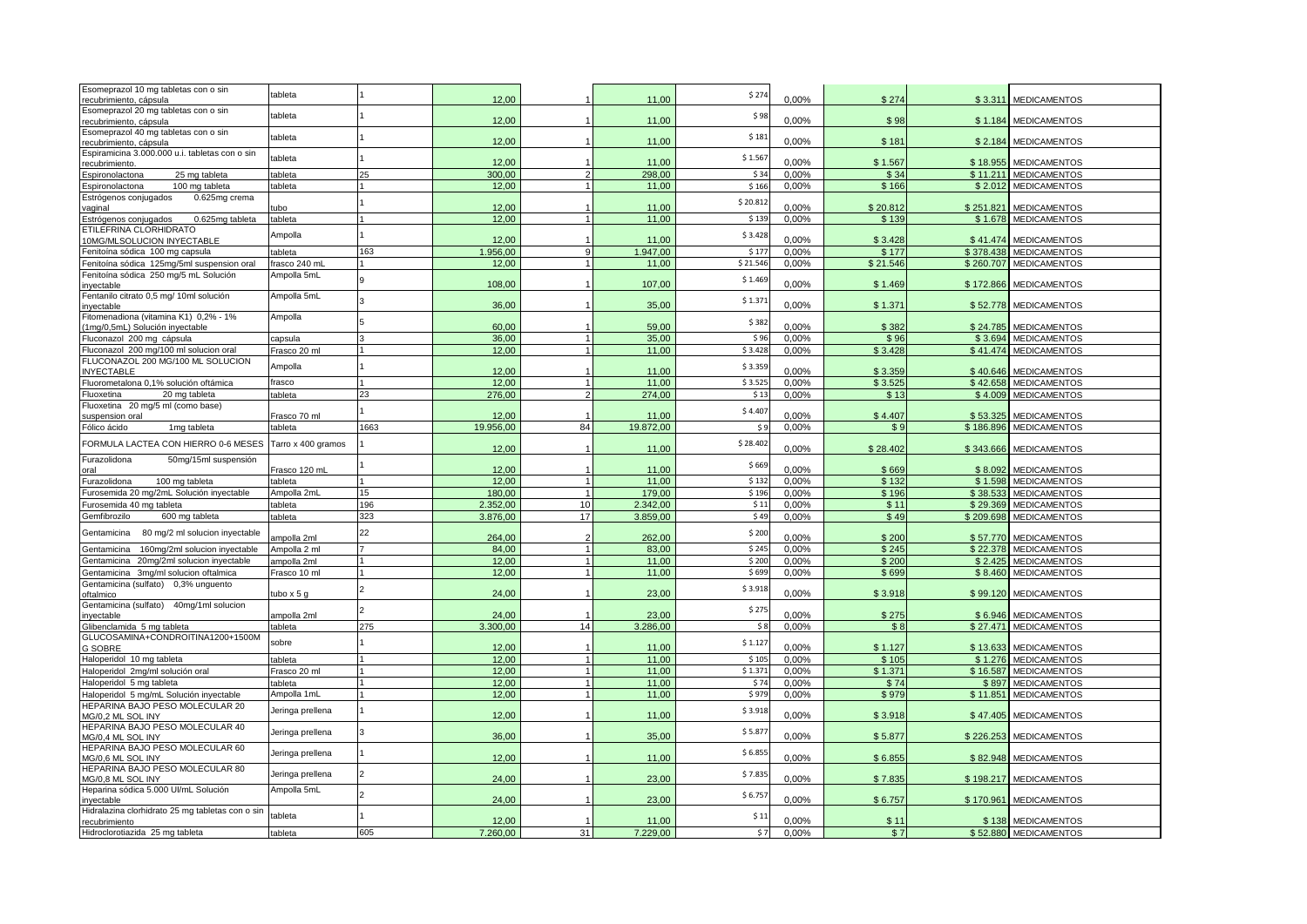| Esomeprazol 10 mg tabletas con o sin             | tableta            |      |           |    |           | \$274    |       |          |           |                        |
|--------------------------------------------------|--------------------|------|-----------|----|-----------|----------|-------|----------|-----------|------------------------|
| ecubrimiento, cápsula                            |                    |      | 12,00     |    | 11,00     |          | 0,00% | \$274    | \$3.311   | <b>MEDICAMENTOS</b>    |
| Esomeprazol 20 mg tabletas con o sin             | tableta            |      |           |    |           | \$98     |       |          |           |                        |
| recubrimiento, cápsula                           |                    |      | 12,00     |    | 11,00     |          | 0,00% | \$98     | \$1.184   | <b>MEDICAMENTOS</b>    |
| Esomeprazol 40 mg tabletas con o sin             | ableta             |      |           |    |           | \$181    |       |          |           |                        |
| ecubrimiento, cápsula                            |                    |      | 12,00     |    | 11,00     |          | 0,00% | \$181    | \$2.184   | <b>MEDICAMENTOS</b>    |
| Espiramicina 3.000.000 u.i. tabletas con o sin   | tableta            |      |           |    |           |          |       |          |           |                        |
| <u>recubrimiento.</u>                            |                    |      | 12.00     |    | 11,00     | \$1.567  | 0.00% | \$1.567  | \$18.955  | <b>MEDICAMENTOS</b>    |
| Espironolactona<br>25 mg tableta                 | tableta            | 25   | 300,00    |    | 298,00    | \$34     | 0,00% | \$34     | \$11.211  | <b>MEDICAMENTOS</b>    |
| Espironolactona<br>100 mg tableta                | tableta            |      | 12,00     |    | 11,00     | \$166    | 0,00% | \$166    | \$2.012   | <b>MEDICAMENTOS</b>    |
| 0.625mg crema                                    |                    |      |           |    |           |          |       |          |           |                        |
| Estrógenos conjugados                            | ubo                |      | 12,00     |    | 11,00     | \$20.812 | 0,00% | \$20.812 | \$251.821 | <b>MEDICAMENTOS</b>    |
| vaginal                                          |                    |      | 12.00     |    |           |          |       |          |           |                        |
| 0.625mg tableta<br>Estrógenos conjugados         | tableta            |      |           |    | 11,00     | \$139    | 0,00% | \$139    | \$1.678   | <b>MEDICAMENTOS</b>    |
| ETILEFRINA CLORHIDRATO                           | Ampolla            |      |           |    |           | \$3.428  |       |          |           |                        |
| 10MG/MLSOLUCION INYECTABLE                       |                    |      | 12,00     |    | 11,00     |          | 0,00% | \$3.428  | \$41,474  | <b>MEDICAMENTOS</b>    |
| Fenitoína sódica 100 mg capsula                  | tableta            | 163  | 1.956,00  | 9  | 1.947,00  | \$177    | 0,00% | \$177    | \$378.438 | <b>MEDICAMENTOS</b>    |
| Fenitoína sódica 125mg/5ml suspension oral       | frasco 240 mL      |      | 12,00     |    | 11,00     | \$21.546 | 0,00% | \$21.546 | \$260.707 | <b>MEDICAMENTOS</b>    |
| Fenitoína sódica 250 mg/5 mL Solución            | Ampolla 5mL        |      |           |    |           |          |       |          |           |                        |
| nyectable                                        |                    |      | 108,00    |    | 107,00    | \$1.469  | 0,00% | \$1.469  | \$172.866 | <b>MEDICAMENTOS</b>    |
| Fentanilo citrato 0,5 mg/ 10ml solución          | Ampolla 5mL        |      |           |    |           |          |       |          |           |                        |
| inyectable                                       |                    |      | 36,00     |    | 35,00     | \$1.371  | 0.00% | \$1.371  | \$52.778  | <b>MEDICAMENTOS</b>    |
| Fitomenadiona (vitamina K1) 0,2% - 1%            | Ampolla            |      |           |    |           |          |       |          |           |                        |
| (1mg/0,5mL) Solución inyectable                  |                    |      | 60.00     |    | 59,00     | \$382    | 0.00% | \$382    | \$24,785  | <b>MEDICAMENTOS</b>    |
|                                                  |                    |      |           |    |           |          |       |          |           |                        |
| Fluconazol 200 mg cápsula                        | capsula            |      | 36,00     |    | 35,00     | \$96     | 0,00% | \$96     | \$3.694   | <b>MEDICAMENTOS</b>    |
| Fluconazol 200 mg/100 ml solucion oral           | Frasco 20 ml       |      | 12,00     |    | 11,00     | \$3.428  | 0,00% | \$3.428  | \$41.474  | <b>MEDICAMENTOS</b>    |
| FLUCONAZOL 200 MG/100 ML SOLUCION                | Ampolla            |      |           |    |           | \$3.359  |       |          |           |                        |
| <b>INYECTABLE</b>                                |                    |      | 12,00     |    | 11,00     |          | 0.00% | \$3.359  | \$40.646  | <b>MEDICAMENTOS</b>    |
| Fluorometalona 0,1% solución oftámica            | frasco             |      | 12,00     |    | 11,00     | \$3.525  | 0.00% | \$3.525  | \$42.658  | <b>MEDICAMENTOS</b>    |
| <sup>=</sup> luoxetina<br>20 mg tableta          | ableta             | 23   | 276,00    |    | 274,00    | \$13     | 0,00% | \$13     | \$4.009   | <b>MEDICAMENTOS</b>    |
| Fluoxetina 20 mg/5 ml (como base)                |                    |      |           |    |           |          |       |          |           |                        |
| suspension oral                                  | Frasco 70 ml       |      | 12,00     |    | 11,00     | \$4.407  | 0,00% | \$4.407  | \$53,325  | <b>MEDICAMENTOS</b>    |
| Fólico ácido                                     |                    | 1663 | 19.956,00 | 84 | 19.872,00 | \$9      | 0,00% | \$9      | \$186.896 | <b>MEDICAMENTOS</b>    |
| 1mg tableta                                      | tableta            |      |           |    |           |          |       |          |           |                        |
| FORMULA LACTEA CON HIERRO 0-6 MESES              | Tarro x 400 gramos |      |           |    |           | \$28.402 |       |          |           |                        |
|                                                  |                    |      | 12,00     |    | 11.00     |          | 0.00% | \$28.402 | \$343.666 | <b>MEDICAMENTOS</b>    |
| Furazolidona<br>50mg/15ml suspensión             |                    |      |           |    |           | \$669    |       |          |           |                        |
| oral                                             | Frasco 120 mL      |      | 12,00     |    | 11,00     |          | 0,00% | \$669    | \$8.092   | <b>MEDICAMENTOS</b>    |
| 100 mg tableta<br>Furazolidona                   | tableta            |      | 12.00     |    | 11.00     | \$132    | 0.00% | \$132    | \$1.598   | <b>MEDICAMENTOS</b>    |
| urosemida 20 mg/2mL Solución inyectable          | Ampolla 2mL        | 15   | 180,00    |    | 179,00    | \$196    | 0,00% | \$196    | \$38.533  | <b>MEDICAMENTOS</b>    |
| Furosemida 40 mg tableta                         | tableta            | 196  | 2.352.00  | 10 | 2.342,00  | \$11     | 0,00% | \$11     | \$29,369  | <b>MEDICAMENTOS</b>    |
| Gemfibrozilo<br>600 mg tableta                   | tableta            | 323  | 3.876,00  | 17 | 3.859,00  | \$49     | 0,00% | \$49     | \$209.698 | <b>MEDICAMENTOS</b>    |
|                                                  |                    |      |           |    |           |          |       |          |           |                        |
| Gentamicina<br>80 mg/2 ml solucion inyectable    |                    | 22   |           |    |           | \$200    |       |          |           |                        |
|                                                  | ampolla 2ml        |      | 264,00    |    | 262,00    |          | 0,00% | \$200    | \$57,770  | <b>MEDICAMENTOS</b>    |
| Gentamicina<br>160mg/2ml solucion inyectable     | Ampolla 2 ml       |      | 84,00     |    | 83.00     | \$245    | 0,00% | \$245    | \$22.378  | <b>MEDICAMENTOS</b>    |
| 20mg/2ml solucion inyectable<br>Gentamicina      | ampolla 2ml        |      | 12,00     |    |           |          |       |          |           |                        |
| Gentamicina<br>3mg/ml solucion oftalmica         | Frasco 10 ml       |      |           |    | 11,00     | \$200    | 0,00% | \$200    | \$2.425   | <b>MEDICAMENTOS</b>    |
| Gentamicina (sulfato) 0,3% unguento              |                    |      |           |    |           | \$699    |       |          |           |                        |
|                                                  |                    |      | 12,00     |    | 11,00     |          | 0,00% | \$699    | \$8.460   | <b>MEDICAMENTOS</b>    |
|                                                  |                    |      |           |    |           | \$3.918  |       |          |           |                        |
| oftalmico                                        | tubo x 5 g         |      | 24,00     |    | 23,00     |          | 0,00% | \$3.918  | \$99.120  | <b>MEDICAMENTOS</b>    |
| Gentamicina (sulfato)<br>40mg/1ml solucion       |                    |      |           |    |           | \$275    |       |          |           |                        |
| inyectable                                       | ampolla 2ml        |      | 24,00     |    | 23,00     |          | 0,00% | \$275    | \$6.946   | <b>MEDICAMENTOS</b>    |
| Glibenclamida 5 mg tableta                       | tableta            | 275  | 3.300,00  | 14 | 3.286,00  | \$8      | 0,00% | \$8      | \$27.471  | <b>MEDICAMENTOS</b>    |
| GLUCOSAMINA+CONDROITINA1200+1500M                | sobre              |      |           |    |           | \$1.127  |       |          |           |                        |
| <b>G SOBRE</b>                                   |                    |      | 12,00     |    | 11,00     |          | 0,00% | \$1.127  | \$13.633  | <b>MEDICAMENTOS</b>    |
| Haloperidol 10 mg tableta                        | tableta            |      | 12,00     |    | 11,00     | \$105    | 0,00% | \$105    | \$1.276   | <b>MEDICAMENTOS</b>    |
| Haloperidol 2mg/ml solución oral                 | Frasco 20 ml       |      | 12.00     |    | 11.00     | \$1.371  | 0.00% | \$1.371  | \$16.587  | <b>MEDICAMENTOS</b>    |
|                                                  | tableta            |      | 12,00     |    | 11,00     | \$74     | 0,00% | \$74     | \$897     | <b>MEDICAMENTOS</b>    |
| Haloperidol 5 mg tableta                         |                    |      |           |    |           |          |       |          |           |                        |
| Haloperidol 5 mg/mL Solución inyectable          | Ampolla 1mL        |      | 12,00     |    | 11,00     | \$979    | 0,00% | \$979    | \$11.851  | <b>MEDICAMENTOS</b>    |
| HEPARINA BAJO PESO MOLECULAR 20                  | Jeringa prellena   |      |           |    |           | \$3.918  |       |          |           |                        |
| MG/0,2 ML SOL INY                                |                    |      | 12,00     |    | 11,00     |          | 0,00% | \$3.918  | \$47.405  | <b>MEDICAMENTOS</b>    |
| HEPARINA BAJO PESO MOLECULAR 40                  | Jeringa prellena   |      |           |    |           | \$5.877  |       |          |           |                        |
| MG/0,4 ML SOL INY                                |                    |      | 36,00     |    | 35,00     |          | 0,00% | \$5.877  | \$226.253 | <b>MEDICAMENTOS</b>    |
| HEPARINA BAJO PESO MOLECULAR 60                  |                    |      |           |    |           | \$6.855  |       |          |           |                        |
| MG/0.6 ML SOL INY                                | Jeringa prellena   |      | 12.00     |    | 11,00     |          | 0.00% | \$6.855  | \$82,948  | <b>MEDICAMENTOS</b>    |
| HEPARINA BAJO PESO MOLECULAR 80                  |                    |      |           |    |           |          |       |          |           |                        |
| MG/0.8 ML SOL INY                                | Jeringa prellena   |      | 24,00     |    | 23,00     | \$7.835  | 0,00% | \$7.835  |           | \$198.217 MEDICAMENTOS |
| Heparina sódica 5.000 UI/mL Solución             | Ampolla 5mL        |      |           |    |           |          |       |          |           |                        |
| invectable                                       |                    |      | 24,00     |    | 23,00     | \$6.757  | 0,00% | \$6.757  | \$170.961 | <b>MEDICAMENTOS</b>    |
| Hidralazina clorhidrato 25 mg tabletas con o sin |                    |      |           |    |           |          |       |          |           |                        |
| recubrimiento                                    | tableta            |      | 12.00     |    | 11.00     | \$11     | 0.00% | \$11     | \$138     | <b>MEDICAMENTOS</b>    |
| Hidroclorotiazida 25 mg tableta                  | tableta            | 605  | 7.260,00  | 31 | 7.229,00  | \$7      | 0,00% | \$7      |           | \$52.880 MEDICAMENTOS  |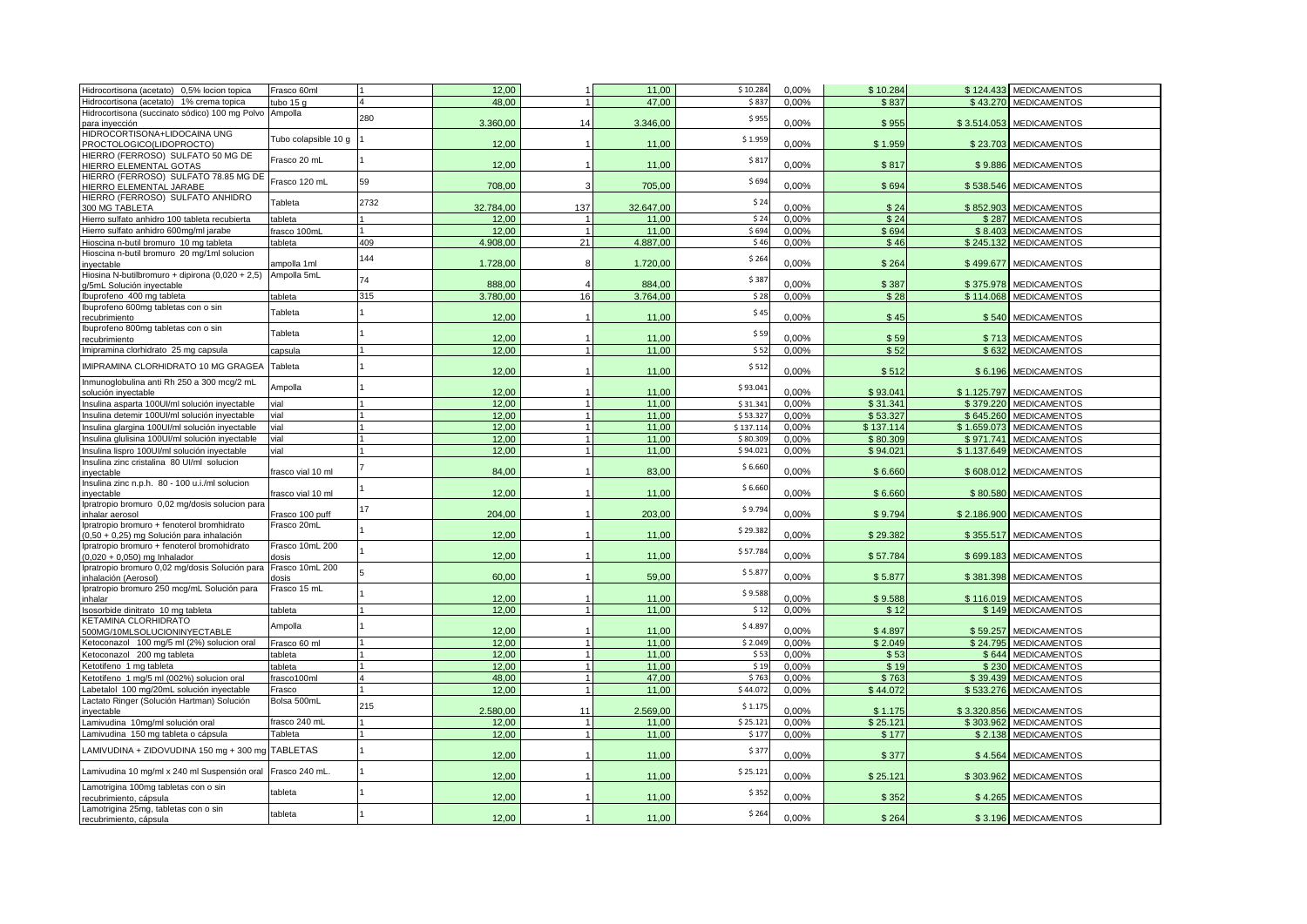| Hidrocortisona (acetato) 0,5% locion topica                                            | Frasco 60ml              |      | 12,00     |                | 11,00     | \$10.284  | 0,00% | \$10.284  |             | \$124.433 MEDICAMENTOS   |
|----------------------------------------------------------------------------------------|--------------------------|------|-----------|----------------|-----------|-----------|-------|-----------|-------------|--------------------------|
| Hidrocortisona (acetato) 1% crema topica                                               | ubo 15 g                 |      | 48.00     |                | 47.00     | \$83      | 0,00% | \$837     |             | \$43.270 MEDICAMENTOS    |
| Hidrocortisona (succinato sódico) 100 mg Polvo                                         | Ampolla                  |      |           |                |           |           |       |           |             |                          |
| para inyección                                                                         |                          | 280  | 3.360.00  | 14             | 3.346,00  | \$955     | 0.00% | \$955     |             | \$3.514.053 MEDICAMENTOS |
| HIDROCORTISONA+LIDOCAINA UNG<br>PROCTOLOGICO(LIDOPROCTO)                               | Tubo colapsible 10 g     |      | 12,00     |                | 11,00     | \$1.959   | 0.00% | \$1.959   |             | \$23.703 MEDICAMENTOS    |
| HIERRO (FERROSO) SULFATO 50 MG DE<br><b>IIERRO ELEMENTAL GOTAS</b>                     | Frasco 20 mL             |      | 12,00     |                | 11,00     | \$817     | 0,00% | \$817     | \$9.886     | <b>MEDICAMENTOS</b>      |
| HIERRO (FERROSO) SULFATO 78.85 MG DE<br><b>IIERRO ELEMENTAL JARABE</b>                 | Frasco 120 mL            | 59   | 708,00    |                | 705,00    | \$694     | 0.00% | \$694     | \$538.546   | <b>MEDICAMENTOS</b>      |
| HIERRO (FERROSO) SULFATO ANHIDRO<br>300 MG TABLETA                                     | Tableta                  | 2732 | 32.784,00 | 137            | 32.647,00 | \$24      | 0.00% | \$24      | \$852.903   | <b>MEDICAMENTOS</b>      |
| lierro sulfato anhidro 100 tableta recubierta                                          | tableta                  |      | 12,00     | $\overline{1}$ | 11,00     | \$24      | 0,00% | \$24      | \$287       | <b>MEDICAMENTOS</b>      |
| lierro sulfato anhidro 600mg/ml jarabe                                                 | rasco 100mL              |      | 12.00     |                | 11.00     | \$694     | 0.00% | \$694     | \$8.403     | <b>MEDICAMENTOS</b>      |
| lioscina n-butil bromuro 10 mg tableta                                                 | ableta                   | 409  | 4.908.00  | 21             | 4.887,00  | \$46      | 0,00% | \$46      |             | \$245.132 MEDICAMENTOS   |
| Hioscina n-butil bromuro 20 mg/1ml solucion                                            |                          |      |           |                |           |           |       |           |             |                          |
| nyectable                                                                              | ampolla 1ml              | 144  | 1.728.00  | Я              | 1.720,00  | \$264     | 0.00% | \$264     | \$499.677   | <b>MEDICAMENTOS</b>      |
| Hiosina N-butilbromuro + dipirona (0,020 + 2,5)<br>g/5mL Solución inyectable           | Ampolla 5mL              | 74   | 888,00    |                | 884,00    | \$387     | 0,00% | \$387     | \$375.978   | <b>MEDICAMENTOS</b>      |
| Ibuprofeno 400 mg tableta                                                              | tableta                  | 315  | 3.780,00  | 16             | 3.764,00  | \$28      | 0,00% | \$28      |             | \$114.068 MEDICAMENTOS   |
| Ibuprofeno 600mg tabletas con o sin                                                    |                          |      |           |                |           |           |       |           |             |                          |
| recubrimiento<br>Ibuprofeno 800mg tabletas con o sin                                   | Tableta                  |      | 12.00     |                | 11.00     | \$45      | 0.00% | \$45      |             | \$540 MEDICAMENTOS       |
| recubrimiento                                                                          | Tableta                  |      | 12,00     |                | 11,00     | \$59      | 0,00% | \$59      | \$713       | <b>MEDICAMENTOS</b>      |
| Imipramina clorhidrato 25 mg capsula                                                   | capsula                  |      | 12,00     |                | 11.00     | \$52      | 0,00% | \$52      |             | \$632 MEDICAMENTOS       |
|                                                                                        |                          |      |           |                |           |           |       |           |             |                          |
| IMIPRAMINA CLORHIDRATO 10 MG GRAGEA<br>Inmunoglobulina anti Rh 250 a 300 mcg/2 mL      | Tableta                  |      | 12,00     |                | 11,00     | \$512     | 0,00% | \$512     |             | \$6.196 MEDICAMENTOS     |
| solución invectable                                                                    | Ampolla                  |      | 12.00     |                | 11.00     | \$93.041  | 0.00% | \$93.041  |             | \$1.125.797 MEDICAMENTOS |
| Insulina asparta 100UI/ml solución inyectable                                          | vial                     |      | 12.00     |                | 11,00     | \$31.341  | 0,00% | \$31.341  | \$379.220   | <b>MEDICAMENTOS</b>      |
| Insulina detemir 100UI/ml solución inyectable                                          | vial                     |      | 12,00     |                | 11,00     | \$53.327  | 0,00% | \$53.327  |             | \$645.260 MEDICAMENTOS   |
| Insulina glargina 100UI/ml solución inyectable                                         | vial                     |      | 12,00     | 1              | 11,00     | \$137.114 | 0,00% | \$137.114 |             | \$1.659.073 MEDICAMENTOS |
| nsulina glulisina 100UI/ml solución invectable                                         | vial                     |      | 12.00     |                | 11.00     | \$80,309  | 0.00% | \$80,309  | \$971.741   | <b>MEDICAMENTOS</b>      |
| nsulina lispro 100UI/ml solución inyectable                                            | vial                     |      | 12,00     |                | 11,00     | \$94.021  | 0,00% | \$94.021  |             | \$1.137.649 MEDICAMENTOS |
| Insulina zinc cristalina 80 UI/ml solucion<br>inyectable                               | rasco vial 10 ml         |      | 84,00     |                | 83,00     | \$6.660   | 0,00% | \$6.660   |             | \$608.012 MEDICAMENTOS   |
| Insulina zinc n.p.h. 80 - 100 u.i./ml solucion<br>nyectable                            | frasco vial 10 ml        |      | 12,00     |                | 11,00     | \$6.660   | 0,00% | \$6.660   | \$80.580    | <b>MEDICAMENTOS</b>      |
| Ipratropio bromuro 0,02 mg/dosis solucion para<br>nhalar aerosol                       | Frasco 100 puff          | 17   | 204,00    |                | 203,00    | \$9.794   | 0,00% | \$9.794   | \$2.186.900 | <b>MEDICAMENTOS</b>      |
| Ipratropio bromuro + fenoterol bromhidrato<br>0,50 + 0,25) mg Solución para inhalación | Frasco 20mL              |      | 12,00     |                | 11,00     | \$29.382  | 0,00% | \$29.382  | \$355.517   | <b>MEDICAMENTOS</b>      |
| Ipratropio bromuro + fenoterol bromohidrato                                            | Frasco 10mL 200          |      |           |                |           | \$57.784  |       |           |             |                          |
| 0,020 + 0,050) mg Inhalador                                                            | aizot                    |      | 12,00     |                | 11,00     |           | 0,00% | \$57.784  |             | \$699.183 MEDICAMENTOS   |
| Ipratropio bromuro 0,02 mg/dosis Solución para<br>nhalación (Aerosol)                  | Frasco 10mL 200<br>losis |      | 60,00     |                | 59,00     | \$5.87    | 0,00% | \$5.877   |             | \$381.398 MEDICAMENTOS   |
| pratropio bromuro 250 mcg/mL Solución para<br>inhalar                                  | Frasco 15 mL             |      | 12.00     |                | 11.00     | \$9.588   | 0.00% | \$9.588   |             | \$116.019 MEDICAMENTOS   |
| sosorbide dinitrato 10 mg tableta                                                      | tableta                  |      | 12,00     |                | 11,00     | \$12      | 0,00% | \$12      |             | \$149 MEDICAMENTOS       |
| KETAMINA CLORHIDRATO                                                                   |                          |      |           |                |           |           |       |           |             |                          |
| 500MG/10MLSOLUCIONINYECTABLE                                                           | Ampolla                  |      | 12.00     |                | 11,00     | \$4.897   | 0.00% | \$4.897   |             | \$59.257 MEDICAMENTOS    |
| Ketoconazol 100 mg/5 ml (2%) solucion oral                                             | Frasco 60 ml             |      | 12.00     |                | 11.00     | \$2.049   | 0.00% | \$2.049   |             | \$24.795 MEDICAMENTOS    |
| Ketoconazol 200 mg tableta                                                             | tableta                  |      | 12.00     |                | 11.00     | \$53      | 0.00% | \$53      |             | \$644 MEDICAMENTOS       |
| Cetotifeno 1 mg tableta                                                                | ableta                   |      | 12,00     | $\overline{1}$ | 11,00     | \$19      | 0,00% | \$19      |             | \$230 MEDICAMENTOS       |
| Ketotifeno 1 mg/5 ml (002%) solucion oral                                              | frasco100ml              |      | 48,00     |                | 47.00     | \$763     | 0,00% | \$763     |             | \$39.439 MEDICAMENTOS    |
| abetalol 100 mg/20mL solución inyectable                                               | Frasco                   |      | 12.00     |                | 11.00     | \$44.072  | 0.00% | \$44.072  |             | \$533.276 MEDICAMENTOS   |
| actato Ringer (Solución Hartman) Solución                                              | Bolsa 500mL              | 215  |           |                |           | \$1.175   |       |           |             |                          |
| nyectable                                                                              |                          |      | 2.580,00  | 11             | 2.569,00  |           | 0,00% | \$1.175   |             | \$3.320.856 MEDICAMENTOS |
| amivudina 10mg/ml solución oral                                                        | frasco 240 mL            |      | 12,00     |                | 11.00     | \$25.121  | 0,00% | \$25.121  |             | \$303.962 MEDICAMENTOS   |
| amivudina 150 mg tableta o cápsula                                                     | Tableta                  |      | 12,00     |                | 11,00     | \$177     | 0,00% | \$177     |             | \$2.138 MEDICAMENTOS     |
| LAMIVUDINA + ZIDOVUDINA 150 mg + 300 mg                                                | <b>TABLETAS</b>          |      | 12,00     |                | 11,00     | \$377     | 0,00% | \$377     |             | \$4.564 MEDICAMENTOS     |
| Lamivudina 10 mg/ml x 240 ml Suspensión oral                                           | Frasco 240 mL.           |      | 12,00     |                | 11,00     | \$25.121  | 0,00% | \$25.121  | \$303.962   | <b>MEDICAMENTOS</b>      |
| Lamotrigina 100mg tabletas con o sin<br>recubrimiento, cápsula                         | ableta                   |      | 12,00     |                | 11,00     | \$352     | 0,00% | \$352     |             | \$4.265 MEDICAMENTOS     |
| Lamotrigina 25mg, tabletas con o sin<br>recubrimiento, cápsula                         | tableta                  |      | 12,00     |                | 11,00     | \$264     | 0,00% | \$264     |             | \$3.196 MEDICAMENTOS     |
|                                                                                        |                          |      |           |                |           |           |       |           |             |                          |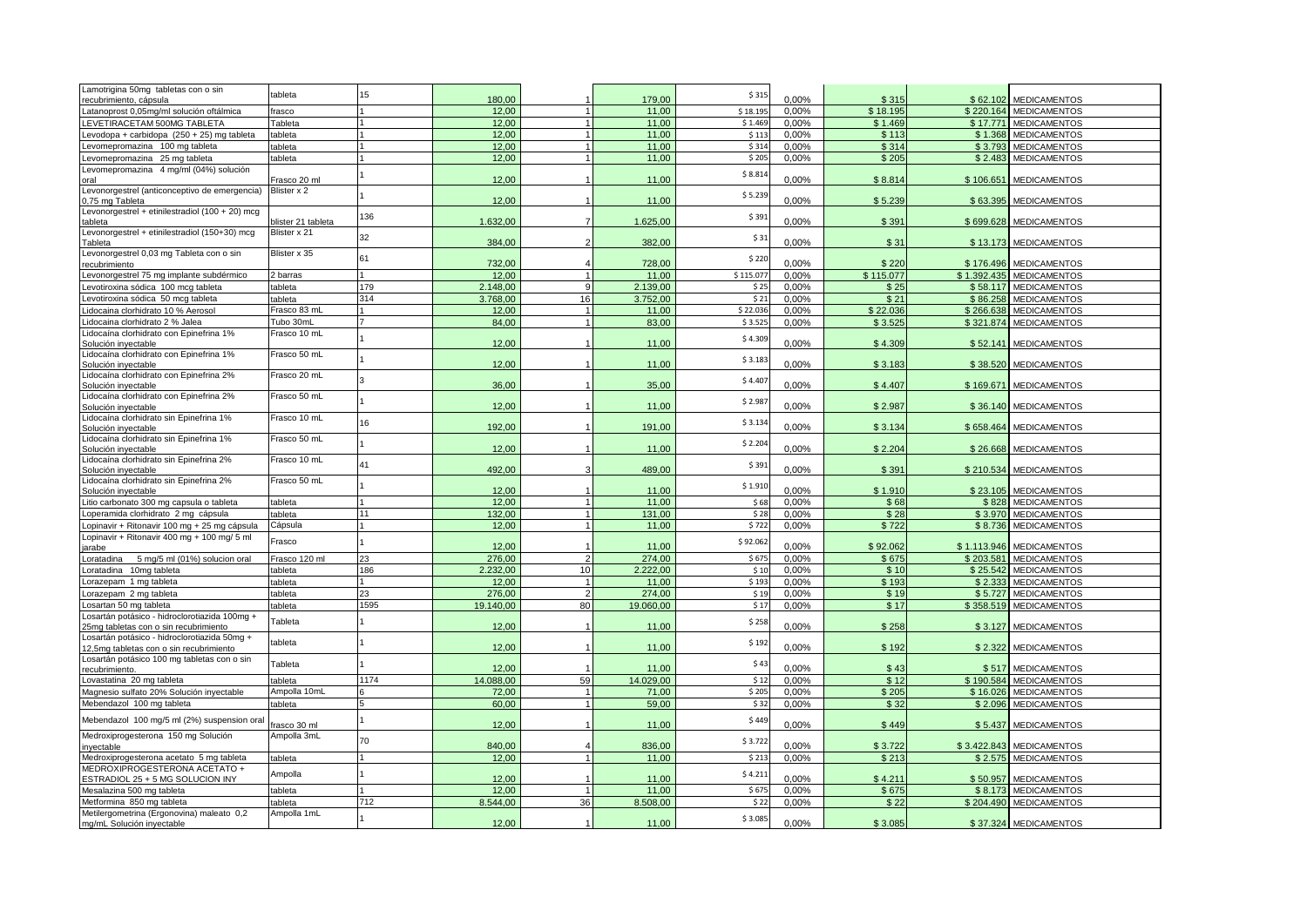| Lamotrigina 50mg tabletas con o sin             | tableta            | 15   | 180,00    |                | 179,00    | \$315     | 0.00% |           |             |                        |
|-------------------------------------------------|--------------------|------|-----------|----------------|-----------|-----------|-------|-----------|-------------|------------------------|
| ecubrimiento, cápsula                           |                    |      |           |                |           |           |       | \$315     | \$62.102    | <b>MEDICAMENTOS</b>    |
| Latanoprost 0,05mg/ml solución oftálmica        | frasco             |      | 12.00     |                | 11,00     | \$18.195  | 0.00% | \$18.195  | \$220.164   | <b>MEDICAMENTOS</b>    |
| <b>EVETIRACETAM 500MG TABLETA</b>               | Tableta            |      | 12,00     |                | 11.00     | \$1.469   | 0,00% | \$1.469   | \$17,771    | <b>MEDICAMENTOS</b>    |
| Levodopa + carbidopa (250 + 25) mg tableta      | tableta            |      | 12.00     |                | 11,00     | \$113     | 0.00% | \$113     | \$1.368     | <b>MEDICAMENTOS</b>    |
|                                                 |                    |      |           |                |           |           |       |           |             |                        |
| evomepromazina 100 mg tableta                   | tableta            |      | 12.00     |                | 11,00     | \$314     | 0,00% | \$314     | \$3.793     | <b>MEDICAMENTOS</b>    |
| Levomepromazina 25 mg tableta                   | tableta            |      | 12,00     |                | 11,00     | \$205     | 0,00% | \$205     | \$2.483     | <b>MEDICAMENTOS</b>    |
| Levomepromazina 4 mg/ml (04%) solución          |                    |      |           |                |           | \$8.814   |       |           |             |                        |
| วral                                            | Frasco 20 ml       |      | 12,00     |                | 11,00     |           | 0,00% | \$8.814   | \$106.651   | <b>MEDICAMENTOS</b>    |
| Levonorgestrel (anticonceptivo de emergencia)   | Blister x 2        |      |           |                |           |           |       |           |             |                        |
| 0,75 mg Tableta                                 |                    |      | 12,00     |                | 11,00     | \$5.239   | 0.00% | \$5.239   | \$63.395    | <b>MEDICAMENTOS</b>    |
| Levonorgestrel + etinilestradiol (100 + 20) mcg |                    |      |           |                |           |           |       |           |             |                        |
| tableta                                         | olister 21 tableta | 136  | 1.632,00  | $\overline{7}$ | 1.625,00  | \$391     | 0,00% | \$391     | \$699.628   | <b>MEDICAMENTOS</b>    |
|                                                 | Blister x 21       |      |           |                |           |           |       |           |             |                        |
| Levonorgestrel + etinilestradiol (150+30) mcg   |                    | 32   |           |                |           | \$31      |       |           |             |                        |
| Tableta                                         |                    |      | 384,00    | $\overline{2}$ | 382,00    |           | 0,00% | \$31      | \$13.173    | <b>MEDICAMENTOS</b>    |
| Levonorgestrel 0,03 mg Tableta con o sin        | Blister x 35       | 61   |           |                |           | \$220     |       |           |             |                        |
| recubrimiento                                   |                    |      | 732,00    |                | 728,00    |           | 0,00% | \$220     | \$176.496   | <b>MEDICAMENTOS</b>    |
| Levonorgestrel 75 mg implante subdérmico        | 2 barras           |      | 12,00     |                | 11,00     | \$115.077 | 0,00% | \$115.077 | \$1.392.435 | <b>MEDICAMENTOS</b>    |
| evotiroxina sódica 100 mcg tableta              | tableta            | 179  | 2.148,00  | 9              | 2.139,00  | \$25      | 0.00% | \$25      | \$58.117    | <b>MEDICAMENTOS</b>    |
|                                                 |                    |      | 3.768.00  | 16             |           | \$21      |       |           |             |                        |
| Levotiroxina sódica 50 mcg tableta              | tableta            | 314  |           |                | 3.752.00  |           | 0.00% | \$21      | \$86,258    | <b>MEDICAMENTOS</b>    |
| idocaina clorhidrato 10 % Aerosol               | Frasco 83 mL       |      | 12,00     |                | 11,00     | \$22.036  | 0.00% | \$22.036  | \$266.638   | <b>MEDICAMENTOS</b>    |
| idocaina clorhidrato 2 % Jalea                  | Tubo 30mL          |      | 84,00     |                | 83,00     | \$3.525   | 0,00% | \$3.525   |             | \$321.874 MEDICAMENTOS |
| Lidocaína clorhidrato con Epinefrina 1%         | Frasco 10 mL       |      |           |                |           |           |       |           |             |                        |
| Solución invectable                             |                    |      | 12,00     |                | 11,00     | \$4.309   | 0.00% | \$4.309   | \$52.141    | <b>MEDICAMENTOS</b>    |
| Lidocaína clorhidrato con Epinefrina 1%         | Frasco 50 mL       |      |           |                |           |           |       |           |             |                        |
| Solución inyectable                             |                    |      | 12,00     |                | 11,00     | \$3.183   | 0,00% | \$3.183   | \$38.520    | <b>MEDICAMENTOS</b>    |
|                                                 |                    |      |           |                |           |           |       |           |             |                        |
| Lidocaína clorhidrato con Epinefrina 2%         | Frasco 20 mL       |      |           |                |           | \$4.407   |       |           |             |                        |
| Solución inyectable                             |                    |      | 36,00     |                | 35,00     |           | 0.00% | \$4.407   | \$169.671   | <b>MEDICAMENTOS</b>    |
| Lidocaína clorhidrato con Epinefrina 2%         | Frasco 50 mL       |      |           |                |           | \$2.987   |       |           |             |                        |
| Solución inyectable                             |                    |      | 12,00     |                | 11,00     |           | 0,00% | \$2.987   | \$36.140    | <b>MEDICAMENTOS</b>    |
| Lidocaína clorhidrato sin Epinefrina 1%         | Frasco 10 mL       | 16   |           |                |           |           |       |           |             |                        |
| Solución inyectable                             |                    |      | 192,00    |                | 191,00    | \$3.134   | 0,00% | \$3.134   | \$658.464   | <b>MEDICAMENTOS</b>    |
| Lidocaína clorhidrato sin Epinefrina 1%         | Frasco 50 mL       |      |           |                |           |           |       |           |             |                        |
| Solución invectable                             |                    |      | 12,00     |                | 11,00     | \$2.204   | 0,00% | \$2.204   | \$26.668    | <b>MEDICAMENTOS</b>    |
| Lidocaína clorhidrato sin Epinefrina 2%         | Frasco 10 mL       |      |           |                |           |           |       |           |             |                        |
|                                                 |                    | 41   | 492,00    | 3              | 489,00    | \$391     | 0,00% | \$391     | \$210.534   | <b>MEDICAMENTOS</b>    |
| Solución inyectable                             |                    |      |           |                |           |           |       |           |             |                        |
| Lidocaína clorhidrato sin Epinefrina 2%         | Frasco 50 mL       |      |           |                |           | \$1.910   |       |           |             |                        |
| Solución inyectable                             |                    |      | 12,00     |                | 11,00     |           | 0.00% | \$1.910   | \$23.105    | <b>MEDICAMENTOS</b>    |
| Litio carbonato 300 mg capsula o tableta        | tableta            |      | 12,00     |                | 11,00     | \$68      | 0,00% | \$68      | \$828       | <b>MEDICAMENTOS</b>    |
| Loperamida clorhidrato 2 mg cápsula             | tableta            | 11   | 132.00    |                | 131.00    | \$28      | 0.00% | \$28      | \$3.970     | <b>MEDICAMENTOS</b>    |
| opinavir + Ritonavir 100 mg + 25 mg cápsula     | Cápsula            |      | 12.00     |                | 11,00     | \$722     | 0,00% | \$722     | \$8.736     | <b>MEDICAMENTOS</b>    |
| Lopinavir + Ritonavir 400 mg + 100 mg/ 5 ml     |                    |      |           |                |           |           |       |           |             |                        |
| jarabe                                          | Frasco             |      | 12,00     |                | 11,00     | \$92.062  | 0,00% | \$92.062  | \$1.113.946 | <b>MEDICAMENTOS</b>    |
| 5 mg/5 ml (01%) solucion oral                   | Frasco 120 ml      | 23   | 276,00    | $\mathcal{P}$  | 274.00    | \$675     | 0.00% | \$675     | \$203.581   | <b>MEDICAMENTOS</b>    |
| _oratadina                                      |                    |      |           |                |           |           |       |           |             |                        |
| oratadina 10mg tableta                          | tableta            | 186  | 2.232,00  | 10             | 2.222,00  | \$10      | 0,00% | \$10      | \$25.542    | <b>MEDICAMENTOS</b>    |
| Lorazepam 1 mg tableta                          | tableta            |      | 12,00     |                | 11,00     | \$193     | 0,00% | \$193     | \$2.333     | <b>MEDICAMENTOS</b>    |
| Lorazepam 2 mg tableta                          | tableta            | 23   | 276.00    |                | 274.00    | \$19      | 0.00% | \$19      | \$5.727     | <b>MEDICAMENTOS</b>    |
| Losartan 50 mg tableta                          | tableta            | 1595 | 19.140,00 | 80             | 19.060,00 | \$17      | 0,00% | \$17      | \$358.519   | <b>MEDICAMENTOS</b>    |
| Losartán potásico - hidroclorotiazida 100mg +   |                    |      |           |                |           |           |       |           |             |                        |
|                                                 | Tableta            |      | 12,00     |                | 11,00     | \$258     | 0,00% | \$258     | \$3.127     | <b>MEDICAMENTOS</b>    |
| 25mg tabletas con o sin recubrimiento           |                    |      |           |                |           |           |       |           |             |                        |
| Losartán potásico - hidroclorotiazida 50mg +    | tableta            |      |           |                |           | \$192     |       |           |             |                        |
| 12,5mg tabletas con o sin recubrimiento         |                    |      | 12,00     |                | 11,00     |           | 0,00% | \$192     | \$2.322     | <b>MEDICAMENTOS</b>    |
| Losartán potásico 100 mg tabletas con o sin     | Tableta            |      |           |                |           | \$43      |       |           |             |                        |
| recubrimiento.                                  |                    |      | 12.00     |                | 11.00     |           | 0.00% | \$43      | \$517       | <b>MEDICAMENTOS</b>    |
| Lovastatina 20 mg tableta                       | tableta            | 1174 | 14.088,00 | 59             | 14.029,00 | \$12      | 0,00% | \$12      | \$190.584   | <b>MEDICAMENTOS</b>    |
| Magnesio sulfato 20% Solución inyectable        | Ampolla 10mL       |      | 72,00     |                | 71,00     | \$205     | 0.00% | \$205     | \$16.026    | <b>MEDICAMENTOS</b>    |
| Mebendazol 100 mg tableta                       | tableta            |      | 60,00     |                | 59,00     | \$32      | 0,00% | \$32      | \$2.096     | <b>MEDICAMENTOS</b>    |
|                                                 |                    |      |           |                |           |           |       |           |             |                        |
| Mebendazol 100 mg/5 ml (2%) suspension oral     |                    |      |           |                |           | \$449     |       |           |             |                        |
|                                                 | rasco 30 ml        |      | 12,00     |                | 11,00     |           | 0,00% | \$449     | \$5.437     | <b>MEDICAMENTOS</b>    |
| Medroxiprogesterona 150 mg Solución             | Ampolla 3mL        | 70   |           |                |           | \$3.722   |       |           |             |                        |
| inyectable                                      |                    |      | 840,00    |                | 836,00    |           | 0,00% | \$3.722   | \$3.422.843 | <b>MEDICAMENTOS</b>    |
| Medroxiprogesterona acetato 5 mg tableta        | tableta            |      | 12,00     |                | 11,00     | \$213     | 0,00% | \$213     | \$2.575     | <b>MEDICAMENTOS</b>    |
| MEDROXIPROGESTERONA ACETATO +                   |                    |      |           |                |           |           |       |           |             |                        |
| ESTRADIOL 25 + 5 MG SOLUCION INY                | Ampolla            |      | 12,00     |                | 11,00     | \$4.211   | 0,00% | \$4.211   | \$50.957    | <b>MEDICAMENTOS</b>    |
| Mesalazina 500 mg tableta                       | tableta            |      | 12,00     |                | 11,00     | \$675     | 0,00% | \$675     | \$8.173     | <b>MEDICAMENTOS</b>    |
| Metformina 850 mg tableta                       | ableta             | 712  | 8.544,00  | 36             | 8.508,00  | \$22      | 0,00% | \$22      | \$204.490   | <b>MEDICAMENTOS</b>    |
|                                                 |                    |      |           |                |           |           |       |           |             |                        |
| Metilergometrina (Ergonovina) maleato 0,2       | Ampolla 1mL        |      |           |                |           | \$3.085   |       |           |             |                        |
| mg/mL Solución inyectable                       |                    |      | 12.00     |                | 11,00     |           | 0.00% | \$3.085   |             | \$37.324 MEDICAMENTOS  |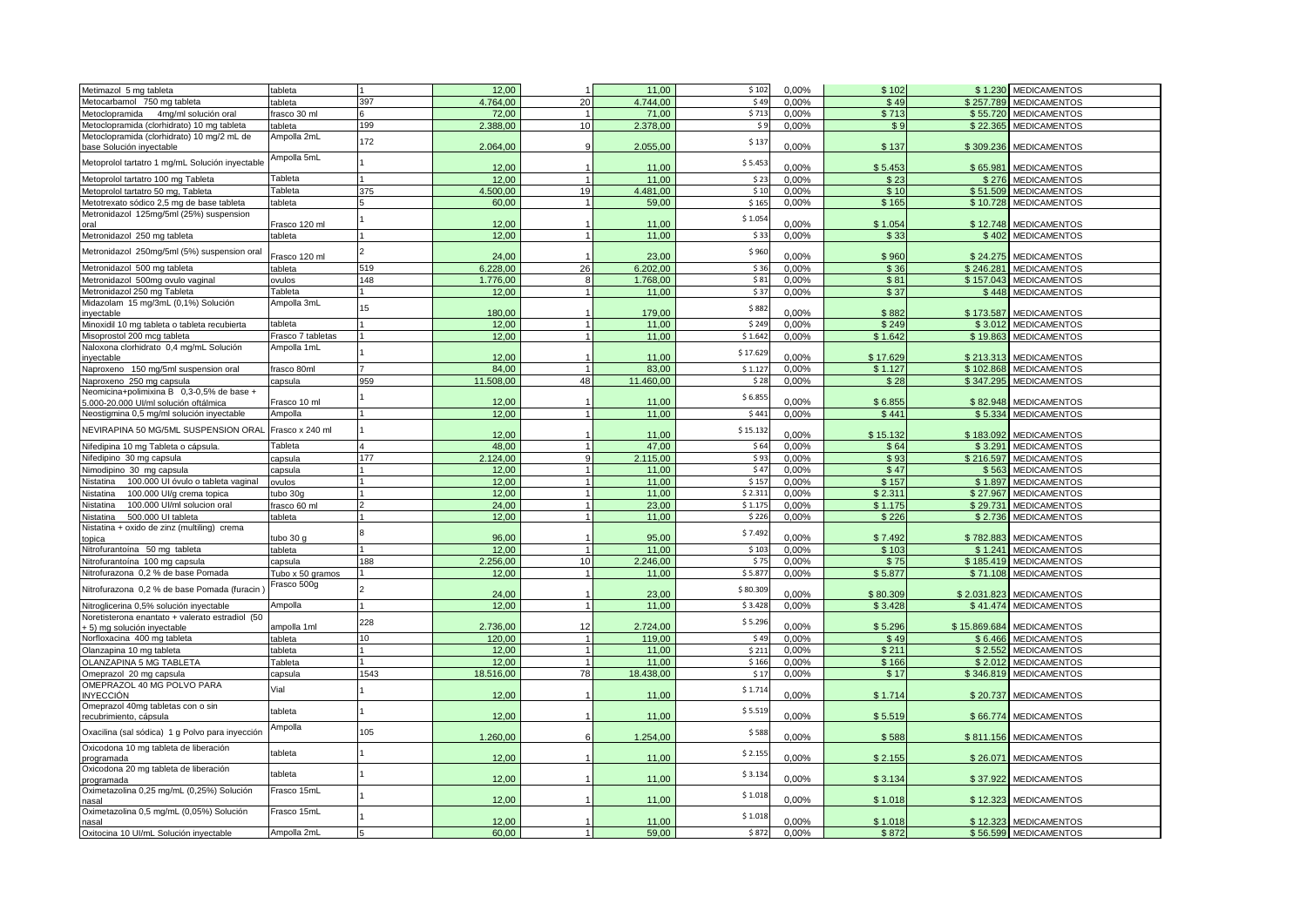| Metimazol 5 mg tableta                                                    | tableta                         |      | 12.00     |                | 11.00     | \$102    | 0.00% | \$102    |              | \$1.230 MEDICAMENTOS  |
|---------------------------------------------------------------------------|---------------------------------|------|-----------|----------------|-----------|----------|-------|----------|--------------|-----------------------|
| Metocarbamol 750 mg tableta                                               | ableta                          | 397  | 4.764,00  | 20             | 4.744.00  | \$49     | 0,00% | \$49     | \$257.789    | <b>MEDICAMENTOS</b>   |
| Metoclopramida<br>4mg/ml solución oral                                    | rasco 30 ml                     |      | 72,00     |                | 71.00     | \$713    | 0,00% | \$713    | \$55.720     | <b>MEDICAMENTOS</b>   |
| Metoclopramida (clorhidrato) 10 mg tableta                                | ableta                          | 199  | 2.388.00  | 10             | 2.378.00  | 59       | 0,00% | \$9      | \$22.365     | <b>MEDICAMENTOS</b>   |
| Metoclopramida (clorhidrato) 10 mg/2 mL de<br>base Solución inyectable    | Ampolla 2mL                     | 172  | 2.064,00  |                | 2.055,00  | \$137    | 0,00% | \$137    | \$309.236    | <b>MEDICAMENTOS</b>   |
| Metoprolol tartatro 1 mg/mL Solución inyectable                           | Ampolla 5mL                     |      | 12,00     |                | 11,00     | \$5.453  | 0,00% | \$5.453  | \$65.981     | <b>MEDICAMENTOS</b>   |
| Metoprolol tartatro 100 mg Tableta                                        | Tableta                         |      | 12.00     |                | 11.00     | \$23     | 0.00% | \$23     | \$276        | <b>MEDICAMENTOS</b>   |
| Metoprolol tartatro 50 mg, Tableta                                        | Tableta                         | 375  | 4.500.00  | 19             | 4.481.00  | \$10     | 0.00% | \$10     | \$51.509     | <b>MEDICAMENTOS</b>   |
| Metotrexato sódico 2,5 mg de base tableta                                 | tableta                         |      | 60,00     |                | 59,00     | \$165    | 0,00% | \$165    | \$10.728     | <b>MEDICAMENTOS</b>   |
| Metronidazol 125mg/5ml (25%) suspension                                   |                                 |      |           |                |           |          |       |          |              |                       |
| oral                                                                      | rasco 120 ml                    |      | 12,00     |                | 11,00     | \$1.054  | 0,00% | \$1.054  | \$12.748     | <b>MEDICAMENTOS</b>   |
| Metronidazol 250 mg tableta                                               | tableta                         |      | 12,00     |                | 11,00     | \$33     | 0,00% | \$33     | \$402        | <b>MEDICAMENTOS</b>   |
| Metronidazol 250mg/5ml (5%) suspension oral                               | Frasco 120 ml                   |      | 24,00     |                | 23,00     | \$960    | 0,00% | \$960    | \$24,275     | <b>MEDICAMENTOS</b>   |
| Metronidazol 500 mg tableta                                               | tableta                         | 519  | 6.228,00  | 26             | 6.202,00  | \$36     | 0,00% | \$36     | \$246.281    | <b>MEDICAMENTOS</b>   |
| Metronidazol 500mg ovulo vaginal                                          | ovulos                          | 148  | 1.776.00  |                | 1.768.00  | \$81     | 0.00% | \$81     | \$157.043    | <b>MEDICAMENTOS</b>   |
| Metronidazol 250 mg Tableta                                               | Tableta                         |      | 12,00     |                | 11.00     | \$37     | 0,00% | \$37     | \$448        | <b>MEDICAMENTOS</b>   |
| Midazolam 15 mg/3mL (0,1%) Solución                                       | Ampolla 3mL                     | 15   |           |                |           | \$882    |       |          |              |                       |
| inyectable                                                                |                                 |      | 180.00    |                | 179,00    |          | 0,00% | \$882    | \$173.587    | <b>MEDICAMENTOS</b>   |
| Minoxidil 10 mg tableta o tableta recubierta                              | tableta                         |      | 12,00     |                | 11,00     | \$249    | 0,00% | \$249    | \$3.012      | <b>MEDICAMENTOS</b>   |
| Misoprostol 200 mcg tableta                                               | Frasco 7 tabletas               |      | 12,00     |                | 11,00     | \$1.642  | 0,00% | \$1.642  | \$19.863     | <b>MEDICAMENTOS</b>   |
| Naloxona clorhidrato 0,4 mg/mL Solución<br>inyectable                     | Ampolla 1mL                     |      | 12,00     |                | 11.00     | \$17.629 | 0.00% | \$17.629 | \$213.313    | <b>MEDICAMENTOS</b>   |
| Naproxeno 150 mg/5ml suspension oral                                      | frasco 80ml                     |      | 84,00     |                | 83,00     | \$1.127  | 0,00% | \$1.127  | \$102.868    | <b>MEDICAMENTOS</b>   |
| Naproxeno 250 mg capsula                                                  | capsula                         | 959  | 11.508.00 | 48             | 11.460,00 | \$28     | 0.00% | \$28     | \$347.295    | <b>MEDICAMENTOS</b>   |
| Neomicina+polimixina B 0,3-0,5% de base +                                 |                                 |      |           |                |           |          |       |          |              |                       |
| 5.000-20.000 UI/ml solución oftálmica                                     | Frasco 10 ml                    |      | 12,00     |                | 11,00     | \$6.855  | 0,00% | \$6.855  | \$82.948     | <b>MEDICAMENTOS</b>   |
| Neostigmina 0,5 mg/ml solución inyectable                                 | Ampolla                         |      | 12.00     |                | 11,00     | \$441    | 0,00% | \$441    | \$5.334      | <b>MEDICAMENTOS</b>   |
| NEVIRAPINA 50 MG/5ML SUSPENSION ORAL                                      | Frasco x 240 ml                 |      |           |                |           | \$15.132 |       |          |              |                       |
|                                                                           |                                 |      | 12,00     |                | 11,00     |          | 0,00% | \$15.132 | \$183.092    | <b>MEDICAMENTOS</b>   |
| Nifedipina 10 mg Tableta o cápsula.                                       | <b>Tableta</b>                  |      | 48.00     |                | 47.00     | \$64     | 0.00% | \$64     | \$3.291      | <b>MEDICAMENTOS</b>   |
| Vifedipino 30 mg capsula                                                  | capsula                         | 177  | 2.124,00  |                | 2.115,00  | \$93     | 0,00% | \$93     | \$216.597    | <b>MEDICAMENTOS</b>   |
| Nimodipino 30 mg capsula                                                  | capsula                         |      | 12,00     |                | 11,00     | \$47     | 0,00% | \$47     | \$563        | <b>MEDICAMENTOS</b>   |
| 100.000 UI óvulo o tableta vaginal<br>Vistatina                           | ovulos                          |      | 12.00     |                | 11.00     | \$157    | 0,00% | \$157    | \$1.897      | <b>MEDICAMENTOS</b>   |
| 100.000 UI/g crema topica<br>listatina                                    | tubo 30g                        |      | 12,00     |                | 11,00     | \$2.311  | 0,00% | \$2.311  | \$27.967     | <b>MEDICAMENTOS</b>   |
| Vistatina<br>100,000 UI/ml solucion oral                                  | frasco 60 ml                    |      | 24,00     |                | 23,00     | \$1.175  | 0,00% | \$1.175  | \$29.731     | <b>MEDICAMENTOS</b>   |
| 500.000 UI tableta<br>Vistatina                                           | ableta                          |      | 12.00     |                | 11,00     | \$226    | 0,00% | \$226    | \$2.736      | <b>MEDICAMENTOS</b>   |
| Nistatina + oxido de zinz (multiling) crema                               |                                 |      |           |                |           | \$7.492  |       |          |              |                       |
| opica                                                                     | ubo 30 a                        |      | 96.00     |                | 95.00     |          | 0.00% | \$7.492  | \$782.883    | <b>MEDICAMENTOS</b>   |
| Vitrofurantoína 50 mg tableta                                             | tableta                         |      | 12,00     |                | 11,00     | \$103    | 0,00% | \$103    | \$1.241      | <b>MEDICAMENTOS</b>   |
| Vitrofurantoína 100 mg capsula                                            | capsula                         | 188  | 2.256,00  | 10             | 2.246,00  | \$75     | 0,00% | \$75     | \$185.419    | <b>MEDICAMENTOS</b>   |
| Nitrofurazona 0,2 % de base Pomada                                        | Tubo x 50 gramos<br>Frasco 500g |      | 12,00     |                | 11,00     | \$5.877  | 0,00% | \$5.877  | \$71.108     | <b>MEDICAMENTOS</b>   |
| Nitrofurazona 0,2 % de base Pomada (furacin                               |                                 |      | 24,00     |                | 23,00     | \$80.309 | 0,00% | \$80.309 | \$2.031.823  | <b>MEDICAMENTOS</b>   |
| Nitroglicerina 0,5% solución inyectable                                   | Ampolla                         |      | 12.00     |                | 11.00     | \$3.428  | 0.00% | \$3.428  | \$41.474     | <b>MEDICAMENTOS</b>   |
| Noretisterona enantato + valerato estradiol (50                           |                                 |      |           |                |           |          |       |          |              |                       |
| - 5) mg solución inyectable                                               | ampolla 1ml                     | 228  | 2.736,00  | 12             | 2.724,00  | \$5.296  | 0.00% | \$5.296  | \$15.869.684 | <b>MEDICAMENTOS</b>   |
| Norfloxacina 400 mg tableta                                               | ableta                          | 10   | 120.00    |                | 119.00    | \$49     | 0,00% | \$49     | \$6.466      | <b>MEDICAMENTOS</b>   |
| Olanzapina 10 mg tableta                                                  | tableta                         |      | 12,00     |                | 11,00     | \$211    | 0,00% | \$211    | \$2.552      | <b>MEDICAMENTOS</b>   |
| OLANZAPINA 5 MG TABLETA                                                   | <b>Tableta</b>                  |      | 12.00     | $\overline{1}$ | 11.00     | \$166    | 0.00% | \$166    | \$2.012      | <b>MEDICAMENTOS</b>   |
| Omeprazol 20 mg capsula                                                   | capsula                         | 1543 | 18.516,00 | 78             | 18.438,00 | \$17     | 0,00% | \$17     | \$346.819    | <b>MEDICAMENTOS</b>   |
| OMEPRAZOL 40 MG POLVO PARA<br><b>INYECCIÓN</b>                            | Vial                            |      | 12.00     |                | 11,00     | \$1.714  | 0,00% | \$1.714  | \$20.737     | <b>MEDICAMENTOS</b>   |
| Omeprazol 40mg tabletas con o sin                                         | tableta                         |      | 12,00     |                |           | \$5.519  |       |          |              |                       |
| recubrimiento, cápsula<br>Oxacilina (sal sódica) 1 g Polvo para inyección | Ampolla                         | 105  |           |                | 11,00     | \$588    | 0,00% | \$5.519  | \$66.774     | <b>MEDICAMENTOS</b>   |
| Oxicodona 10 mg tableta de liberación                                     |                                 |      | 1.260,00  |                | 1.254,00  |          | 0,00% | \$588    | \$811.156    | <b>MEDICAMENTOS</b>   |
| programada                                                                | tableta                         |      | 12.00     |                | 11.00     | \$2.155  | 0.00% | \$2.155  | \$26,071     | <b>MEDICAMENTOS</b>   |
| Oxicodona 20 mg tableta de liberación<br>programada                       | tableta                         |      | 12.00     |                | 11,00     | \$3.134  | 0,00% | \$3.134  |              | \$37.922 MEDICAMENTOS |
| Oximetazolina 0,25 mg/mL (0,25%) Solución<br>nasal                        | Frasco 15mL                     |      | 12,00     |                | 11,00     | \$1.018  | 0,00% | \$1.018  | \$12.323     | <b>MEDICAMENTOS</b>   |
| Oximetazolina 0,5 mg/mL (0,05%) Solución<br>nasal                         | Frasco 15mL                     |      | 12.00     |                | 11.00     | \$1.018  | 0.00% | \$1.018  | \$12,323     | <b>MEDICAMENTOS</b>   |
| Oxitocina 10 UI/mL Solución inyectable                                    | Ampolla 2mL                     |      | 60,00     |                | 59,00     | \$872    | 0,00% | \$872    |              | \$56.599 MEDICAMENTOS |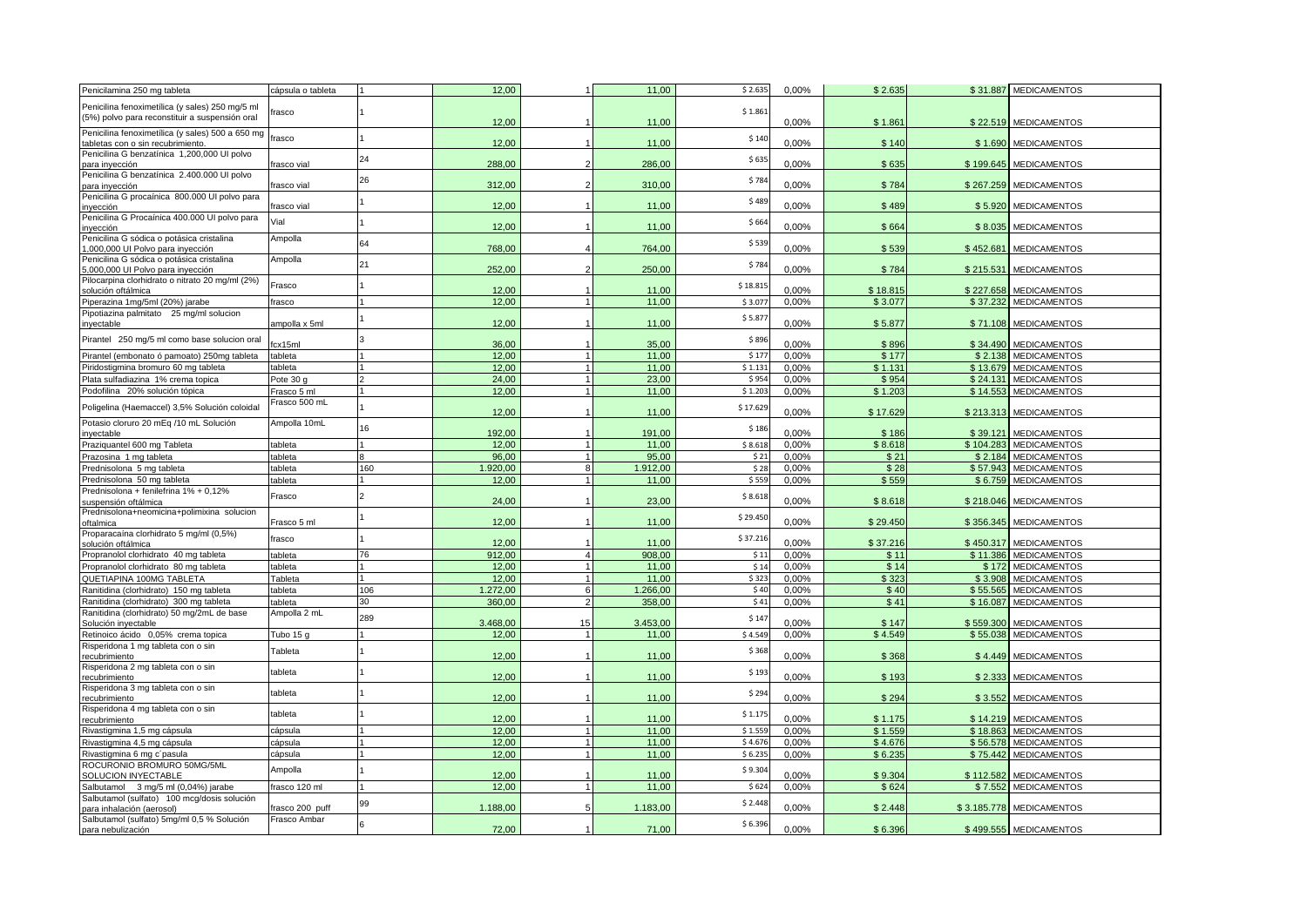| Penicilamina 250 mg tableta                                                           | cápsula o tableta            |               | 12.00    |                | 11,00    | \$2.635          | 0,00% | \$2.635  |           | \$31.887 MEDICAMENTOS    |
|---------------------------------------------------------------------------------------|------------------------------|---------------|----------|----------------|----------|------------------|-------|----------|-----------|--------------------------|
| Penicilina fenoximetílica (y sales) 250 mg/5 ml                                       |                              |               |          |                |          |                  |       |          |           |                          |
| (5%) polvo para reconstituir a suspensión oral                                        | rasco                        |               |          |                |          | \$1.861          |       |          |           |                          |
|                                                                                       |                              |               | 12,00    |                | 11,00    |                  | 0,00% | \$1.861  |           | \$22.519 MEDICAMENTOS    |
| Penicilina fenoximetílica (y sales) 500 a 650 mg<br>tabletas con o sin recubrimiento. | frasco                       |               | 12,00    |                | 11.00    | \$140            | 0.00% | \$140    | \$1.690   | <b>MEDICAMENTOS</b>      |
| Penicilina G benzatínica 1,200,000 UI polvo                                           |                              |               |          |                |          |                  |       |          |           |                          |
| para inyección                                                                        | ʻrasco vial                  | 24            | 288,00   |                | 286,00   | \$63             | 0,00% | \$635    |           | \$199.645 MEDICAMENTOS   |
| Penicilina G benzatínica 2.400.000 UI polvo                                           |                              |               |          |                |          |                  |       |          |           |                          |
| para inyección                                                                        | rasco vial                   | 26            | 312,00   |                | 310.00   | \$784            | 0.00% | \$784    |           | \$267.259 MEDICAMENTOS   |
| Penicilina G procaínica 800.000 Ul polvo para                                         |                              |               |          |                |          | \$489            |       |          |           |                          |
| inyección                                                                             | rasco vial                   |               | 12.00    |                | 11,00    |                  | 0.00% | \$489    |           | \$5.920 MEDICAMENTOS     |
| Penicilina G Procaínica 400.000 UI polvo para                                         | Vial                         |               |          |                |          | \$664            |       |          |           |                          |
| inyección<br>Penicilina G sódica o potásica cristalina                                |                              |               | 12,00    |                | 11,00    |                  | 0,00% | \$664    |           | \$8.035 MEDICAMENTOS     |
| .000,000 Ul Polvo para inyección                                                      | Ampolla                      | 64            | 768,00   |                | 764,00   | \$53             | 0,00% | \$539    | \$452.681 | <b>MEDICAMENTOS</b>      |
| Penicilina G sódica o potásica cristalina                                             | Ampolla                      |               |          |                |          |                  |       |          |           |                          |
| 5,000,000 UI Polvo para inyección                                                     |                              | 21            | 252,00   |                | 250,00   | \$78             | 0,00% | \$784    | \$215.531 | <b>MEDICAMENTOS</b>      |
| Pilocarpina clorhidrato o nitrato 20 mg/ml (2%)                                       |                              |               |          |                |          |                  |       |          |           |                          |
| solución oftálmica                                                                    | Frasco                       |               | 12,00    |                | 11.00    | \$18.81          | 0,00% | \$18.815 | \$227.658 | <b>MEDICAMENTOS</b>      |
| Piperazina 1mg/5ml (20%) jarabe                                                       | frasco                       |               | 12,00    | $\mathbf{1}$   | 11,00    | \$3.07           | 0.00% | \$3.077  | \$37.232  | <b>MEDICAMENTOS</b>      |
| Pipotiazina palmitato 25 mg/ml solucion                                               |                              |               |          |                |          | \$5.87           |       |          |           |                          |
| inyectable                                                                            | ampolla x 5ml                |               | 12,00    |                | 11,00    |                  | 0,00% | \$5.877  | \$71.108  | <b>MEDICAMENTOS</b>      |
| Pirantel 250 mg/5 ml como base solucion oral                                          |                              |               |          |                |          | \$89             |       |          |           |                          |
|                                                                                       | cx15ml                       |               | 36.00    |                | 35.00    |                  | 0.00% | \$896    | \$34,490  | <b>MEDICAMENTOS</b>      |
| Pirantel (embonato ó pamoato) 250mg tableta                                           | tableta                      |               | 12,00    | $\mathbf{1}$   | 11,00    | \$177<br>\$1.131 | 0,00% | \$177    |           | \$2.138 MEDICAMENTOS     |
| Piridostigmina bromuro 60 mg tableta                                                  | tableta                      |               | 12.00    | $\mathbf{1}$   | 11.00    | \$954            | 0,00% | \$1.131  | \$13,679  | <b>MEDICAMENTOS</b>      |
| Plata sulfadiazina 1% crema topica                                                    | Pote 30 g                    |               | 24,00    | $\overline{1}$ | 23,00    | \$1.203          | 0,00% | \$954    | \$24.131  | <b>MEDICAMENTOS</b>      |
| Podofilina 20% solución tópica                                                        | Frasco 5 ml<br>Frasco 500 mL |               | 12,00    |                | 11,00    |                  | 0,00% | \$1.203  |           | \$14.553 MEDICAMENTOS    |
| Poligelina (Haemaccel) 3,5% Solución coloidal                                         |                              |               | 12.00    |                | 11.00    | \$17.629         | 0.00% | \$17.629 |           | \$213.313 MEDICAMENTOS   |
| Potasio cloruro 20 mEq /10 mL Solución                                                | Ampolla 10mL                 |               |          |                |          |                  |       |          |           |                          |
| inyectable                                                                            |                              | 16            | 192,00   |                | 191,00   | \$186            | 0,00% | \$186    |           | \$39.121 MEDICAMENTOS    |
| Praziquantel 600 mg Tableta                                                           | tableta                      |               | 12,00    |                | 11,00    | \$8.618          | 0,00% | \$8.618  | \$104.283 | <b>MEDICAMENTOS</b>      |
| Prazosina 1 mg tableta                                                                | tableta                      |               | 96,00    | 1              | 95,00    | \$21             | 0,00% | \$21     |           | \$2.184 MEDICAMENTOS     |
| Prednisolona 5 mg tableta                                                             | tableta                      | 160           | 1.920,00 | 8              | 1.912,00 | \$28             | 0,00% | \$28     |           | \$57.943 MEDICAMENTOS    |
| Prednisolona 50 mg tableta                                                            | tableta                      |               | 12.00    |                | 11,00    | \$559            | 0,00% | \$559    | \$6.759   | <b>MEDICAMENTOS</b>      |
| Prednisolona + fenilefrina 1% + 0,12%                                                 | Frasco                       | $\mathcal{P}$ |          |                |          | \$8.618          |       |          |           |                          |
| suspensión oftálmica                                                                  |                              |               | 24,00    |                | 23,00    |                  | 0,00% | \$8.618  |           | \$218.046 MEDICAMENTOS   |
| Prednisolona+neomicina+polimixina solucion                                            |                              |               |          |                |          | \$29.450         |       |          |           |                          |
| oftalmica                                                                             | Frasco 5 ml                  |               | 12,00    |                | 11,00    |                  | 0,00% | \$29.450 |           | \$356.345 MEDICAMENTOS   |
| Proparacaína clorhidrato 5 mg/ml (0,5%)<br>solución oftálmica                         | frasco                       |               | 12.00    |                | 11.00    | \$37.216         | 0.00% | \$37,216 |           | \$450.317 MEDICAMENTOS   |
| Propranolol clorhidrato 40 mg tableta                                                 | tableta                      | 76            | 912,00   | 4              | 908,00   | \$11             | 0,00% | \$11     | \$11.386  | <b>MEDICAMENTOS</b>      |
| Propranolol clorhidrato 80 mg tableta                                                 |                              |               | 12,00    |                | 11,00    | \$14             | 0,00% | \$14     |           | \$172 MEDICAMENTOS       |
| QUETIAPINA 100MG TABLETA                                                              | tableta<br>Tableta           |               | 12.00    |                | 11.00    | \$323            | 0.00% | \$323    | \$3.908   | <b>MEDICAMENTOS</b>      |
| Ranitidina (clorhidrato) 150 mg tableta                                               | tableta                      | 106           | 1.272,00 | 6              | 1.266,00 | \$40             | 0,00% | \$40     | \$55.565  | <b>MEDICAMENTOS</b>      |
| Ranitidina (clorhidrato) 300 mg tableta                                               | tableta                      | 30            | 360,00   | $\mathcal{P}$  | 358,00   | \$41             | 0,00% | \$41     | \$16.087  | <b>MEDICAMENTOS</b>      |
| Ranitidina (clorhidrato) 50 mg/2mL de base                                            | Ampolla 2 mL                 |               |          |                |          |                  |       |          |           |                          |
| Solución inyectable                                                                   |                              | 289           | 3.468,00 | 15             | 3.453,00 | \$147            | 0,00% | \$147    | \$559.300 | <b>MEDICAMENTOS</b>      |
| Retinoico ácido 0,05% crema topica                                                    | Tubo 15 g                    |               | 12.00    | $\mathbf{1}$   | 11.00    | \$4.549          | 0.00% | \$4.549  | \$55.038  | <b>MEDICAMENTOS</b>      |
| Risperidona 1 mg tableta con o sin                                                    |                              |               |          |                |          |                  |       |          |           |                          |
| recubrimiento                                                                         | Tableta                      |               | 12,00    |                | 11,00    | \$368            | 0,00% | \$368    | \$4.449   | <b>MEDICAMENTOS</b>      |
| Risperidona 2 mg tableta con o sin                                                    | tableta                      |               |          |                |          | \$19             |       |          |           |                          |
| recubrimiento                                                                         |                              |               | 12,00    |                | 11,00    |                  | 0,00% | \$193    | \$2.333   | <b>MEDICAMENTOS</b>      |
| Risperidona 3 mg tableta con o sin                                                    | tableta                      |               |          |                |          | \$294            |       |          |           |                          |
| recubrimiento                                                                         |                              |               | 12,00    |                | 11,00    |                  | 0,00% | \$294    |           | \$3.552 MEDICAMENTOS     |
| Risperidona 4 mg tableta con o sin<br>recubrimiento                                   | tableta                      |               | 12.00    |                | 11.00    | \$1.175          | 0.00% | \$1.175  |           | \$14,219 MEDICAMENTOS    |
| Rivastigmina 1,5 mg cápsula                                                           | cápsula                      |               | 12,00    |                | 11,00    | \$1.559          | 0,00% | \$1.559  | \$18.863  | <b>MEDICAMENTOS</b>      |
| Rivastigmina 4,5 mg cápsula                                                           | cápsula                      |               | 12,00    |                | 11,00    | \$4.676          | 0,00% | \$4.676  | \$56.578  | <b>MEDICAMENTOS</b>      |
| Rivastigmina 6 mg c'pasula                                                            | cápsula                      |               | 12,00    | $\mathbf{1}$   | 11.00    | \$6.235          | 0,00% | \$6.235  | \$75.442  | <b>MEDICAMENTOS</b>      |
| ROCURONIO BROMURO 50MG/5ML                                                            |                              |               |          |                |          |                  |       |          |           |                          |
| <b>SOLUCION INYECTABLE</b>                                                            | Ampolla                      |               | 12.00    |                | 11.00    | \$9.304          | 0.00% | \$9.304  | \$112.582 | <b>MEDICAMENTOS</b>      |
| 3 mg/5 ml (0,04%) jarabe<br>Salbutamol                                                | frasco 120 ml                |               | 12.00    | $\mathbf{1}$   | 11.00    | \$62             | 0.00% | \$624    | \$7.552   | <b>MEDICAMENTOS</b>      |
| Salbutamol (sulfato) 100 mcg/dosis solución                                           |                              |               |          |                |          |                  |       |          |           |                          |
|                                                                                       |                              |               |          |                |          |                  |       |          |           |                          |
| para inhalación (aerosol)                                                             | frasco 200 puff              | 99            | 1.188,00 |                | 1.183,00 | \$2.448          | 0,00% | \$2.448  |           | \$3.185.778 MEDICAMENTOS |
| Salbutamol (sulfato) 5mg/ml 0,5 % Solución<br>para nebulización                       | Frasco Ambar                 | 6             | 72,00    |                | 71,00    | \$6.396          | 0,00% | \$6.396  |           | \$499.555 MEDICAMENTOS   |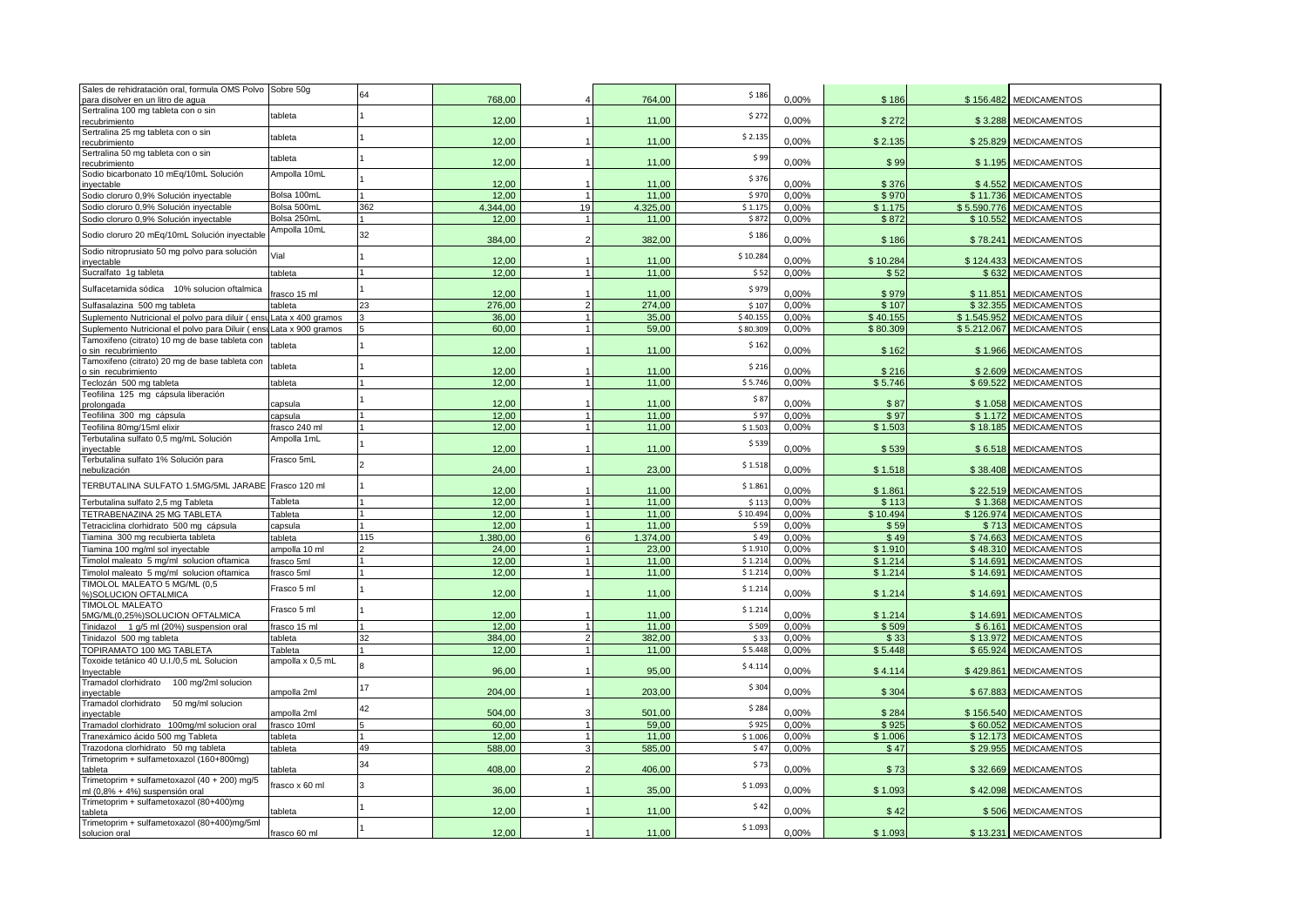| Sales de rehidratación oral, formula OMS Polvo                                 | Sobre 50g         | 64  | 768,00         |                | 764,00         | \$186    | 0,00%          | \$186    | \$156.482          | <b>MEDICAMENTOS</b>                        |
|--------------------------------------------------------------------------------|-------------------|-----|----------------|----------------|----------------|----------|----------------|----------|--------------------|--------------------------------------------|
| para disolver en un litro de agua<br>Sertralina 100 mg tableta con o sin       |                   |     |                |                |                |          |                |          |                    |                                            |
| recubrimiento                                                                  | tableta           |     | 12,00          |                | 11,00          | \$272    | 0,00%          | \$272    | \$3.288            | <b>MEDICAMENTOS</b>                        |
| Sertralina 25 mg tableta con o sin                                             |                   |     |                |                |                |          |                |          |                    |                                            |
| recubrimiento                                                                  | ableta            |     | 12,00          |                | 11,00          | \$2.135  | 0.00%          | \$2.135  | \$25.829           | <b>MEDICAMENTOS</b>                        |
| Sertralina 50 mg tableta con o sin<br>recubrimiento                            | tableta           |     | 12,00          |                | 11,00          | \$99     | 0,00%          | \$99     | \$1.195            | <b>MEDICAMENTOS</b>                        |
| Sodio bicarbonato 10 mEq/10mL Solución                                         | Ampolla 10mL      |     |                |                |                |          |                |          |                    |                                            |
| inyectable                                                                     |                   |     | 12,00          |                | 11,00          | \$376    | 0.00%          | \$376    |                    | \$4.552 MEDICAMENTOS                       |
| Sodio cloruro 0,9% Solución inyectable                                         | Bolsa 100mL       |     | 12,00          | $\mathbf{1}$   | 11.00          | \$970    | 0,00%          | \$970    | \$11.736           | <b>MEDICAMENTOS</b>                        |
| Sodio cloruro 0,9% Solución inyectable                                         | Bolsa 500mL       | 362 | 4.344.00       | 19             | 4.325,00       | \$1.175  | 0,00%          | \$1.175  | \$5.590.776        | <b>MEDICAMENTOS</b>                        |
| Sodio cloruro 0,9% Solución inyectable                                         | Bolsa 250mL       |     | 12,00          |                | 11,00          | \$872    | 0,00%          | \$872    |                    | \$10.552 MEDICAMENTOS                      |
| Sodio cloruro 20 mEq/10mL Solución inyectable                                  | Ampolla 10mL      | 32  | 384,00         |                | 382,00         | \$186    | 0,00%          | \$186    | \$78.241           | <b>MEDICAMENTOS</b>                        |
| Sodio nitroprusiato 50 mg polvo para solución<br>nyectable                     | Vial              |     | 12,00          |                | 11,00          | \$10.284 | 0,00%          | \$10.284 | \$124.433          | <b>MEDICAMENTOS</b>                        |
| Sucralfato 1g tableta                                                          | tableta           |     | 12,00          |                | 11,00          | \$52     | 0,00%          | \$52     | \$632              | <b>MEDICAMENTOS</b>                        |
|                                                                                |                   |     |                |                |                |          |                |          |                    |                                            |
| Sulfacetamida sódica<br>10% solucion oftalmica                                 | rasco 15 ml       |     | 12.00          |                | 11.00          | \$979    | 0.00%          | \$979    | \$11.851           | <b>MEDICAMENTOS</b>                        |
| Sulfasalazina 500 mg tableta                                                   | tableta           | 23. | 276,00         |                | 274,00         | \$107    | 0.00%          | \$107    | \$32.355           | <b>MEDICAMENTOS</b>                        |
| Suplemento Nutricional el polvo para diluir (ensu                              | Lata x 400 gramos |     | 36,00          |                | 35,00          | \$40.155 | 0,00%          | \$40.155 | \$1.545.952        | <b>MEDICAMENTOS</b>                        |
| Suplemento Nutricional el polvo para Diluir (ens                               | Lata x 900 gramos |     | 60,00          |                | 59.00          | \$80.309 | 0.00%          | \$80.309 |                    | \$5.212.067 MEDICAMENTOS                   |
| Tamoxifeno (citrato) 10 mg de base tableta con<br>o sin recubrimiento          | tableta           |     | 12,00          |                | 11,00          | \$162    | 0,00%          | \$162    | \$1.966            | <b>MEDICAMENTOS</b>                        |
| Tamoxifeno (citrato) 20 mg de base tableta con                                 | tableta           |     |                |                |                | \$216    |                |          |                    |                                            |
| o sin recubrimiento                                                            |                   |     | 12,00          |                | 11,00          |          | 0,00%          | \$216    | \$2.609            | <b>MEDICAMENTOS</b>                        |
| Teclozán 500 mg tableta                                                        | tableta           |     | 12,00          | $\mathbf{1}$   | 11,00          | \$5.746  | 0,00%          | \$5.746  | \$69.522           | <b>MEDICAMENTOS</b>                        |
| Teofilina 125 mg cápsula liberación                                            |                   |     |                |                |                | \$87     |                |          |                    |                                            |
| prolongada                                                                     | capsula           |     | 12,00<br>12.00 |                | 11,00<br>11.00 | \$97     | 0,00%<br>0.00% | \$87     | \$1.058<br>\$1.172 | <b>MEDICAMENTOS</b><br><b>MEDICAMENTOS</b> |
| Teofilina 300 mg cápsula                                                       | capsula           |     |                |                |                | \$1.503  |                | \$97     |                    |                                            |
| Teofilina 80mg/15ml elixir                                                     | rasco 240 ml      |     | 12,00          |                | 11,00          |          | 0,00%          | \$1.503  |                    | \$18.185 MEDICAMENTOS                      |
| Terbutalina sulfato 0,5 mg/mL Solución<br>nyectable                            | Ampolla 1mL       |     | 12,00          |                | 11,00          | \$539    | 0,00%          | \$539    | \$6.518            | <b>MEDICAMENTOS</b>                        |
| Terbutalina sulfato 1% Solución para<br>nebulización                           | Frasco 5mL        |     | 24,00          |                | 23,00          | \$1.518  | 0,00%          | \$1.518  |                    | \$38.408 MEDICAMENTOS                      |
| TERBUTALINA SULFATO 1.5MG/5ML JARABE                                           | Frasco 120 ml     |     | 12,00          |                | 11,00          | \$1.861  | 0,00%          | \$1.861  | \$22.519           | <b>MEDICAMENTOS</b>                        |
| Terbutalina sulfato 2,5 mg Tableta                                             | Tableta           |     | 12.00          |                | 11.00          | \$113    | 0.00%          | \$113    | \$1.368            | <b>MEDICAMENTOS</b>                        |
| TETRABENAZINA 25 MG TABLETA                                                    | Tableta           |     | 12.00          | $\mathbf{1}$   | 11.00          | \$10.494 | 0.00%          | \$10.494 |                    | \$126,974 MEDICAMENTOS                     |
| Tetraciclina clorhidrato 500 mg cápsula                                        | capsula           |     | 12,00          |                | 11,00          | \$59     | 0,00%          | \$59     | \$713              | <b>MEDICAMENTOS</b>                        |
| Tiamina 300 mg recubierta tableta                                              | tableta           | 115 | 1.380,00       | 6              | 1.374,00       | \$49     | 0,00%          | \$49     | \$74.663           | <b>MEDICAMENTOS</b>                        |
| Tiamina 100 mg/ml sol inyectable                                               | ampolla 10 ml     |     | 24,00          |                | 23,00          | \$1.910  | 0,00%          | \$1.910  | \$48.310           | <b>MEDICAMENTOS</b>                        |
| Timolol maleato 5 mg/ml solucion oftamica                                      | frasco 5ml        |     | 12.00          | $\overline{1}$ | 11.00          | \$1.214  | 0.00%          | \$1.214  | \$14.691           | <b>MEDICAMENTOS</b>                        |
| Timolol maleato 5 mg/ml solucion oftamica                                      | frasco 5ml        |     | 12,00          |                | 11,00          | \$1.214  | 0,00%          | \$1.214  | \$14.691           | <b>MEDICAMENTOS</b>                        |
| TIMOLOL MALEATO 5 MG/ML (0,5                                                   |                   |     |                |                |                |          |                |          |                    |                                            |
| %)SOLUCION OFTALMICA                                                           | Frasco 5 ml       |     | 12,00          |                | 11,00          | \$1.214  | 0,00%          | \$1.214  | \$14.691           | <b>MEDICAMENTOS</b>                        |
| <b>TIMOLOL MALEATO</b><br>5MG/ML(0,25%)SOLUCION OFTALMICA                      | Frasco 5 ml       |     | 12,00          |                | 11,00          | \$1.214  | 0.00%          | \$1.214  | \$14.691           | <b>MEDICAMENTOS</b>                        |
| Tinidazol 1 g/5 ml (20%) suspension oral                                       | frasco 15 ml      |     | 12.00          | $\mathbf{1}$   | 11,00          | \$509    | 0.00%          | \$509    | \$6.161            | <b>MEDICAMENTOS</b>                        |
| Tinidazol 500 mg tableta                                                       | tableta           | 32  | 384.00         | $\mathcal{P}$  | 382.00         | \$33     | 0.00%          | \$33     | \$13.972           | <b>MEDICAMENTOS</b>                        |
| TOPIRAMATO 100 MG TABLETA                                                      | Tableta           |     | 12,00          |                | 11,00          | \$5.448  | 0,00%          | \$5.448  |                    | \$65.924 MEDICAMENTOS                      |
| Toxoide tetánico 40 U.I./0,5 mL Solucion<br>Inyectable                         | ampolla x 0,5 mL  |     | 96,00          |                | 95,00          | \$4.114  | 0.00%          | \$4.114  | \$429.861          | <b>MEDICAMENTOS</b>                        |
| Tramadol clorhidrato 100 mg/2ml solucion                                       |                   | 17  |                |                |                | \$304    |                |          |                    |                                            |
| inyectable<br>50 mg/ml solucion<br>Tramadol clorhidrato                        | ampolla 2ml       | 42  | 204,00         |                | 203,00         |          | 0,00%          | \$304    |                    | \$67.883 MEDICAMENTOS                      |
| nyectable                                                                      | ampolla 2ml       |     | 504,00         |                | 501,00         | \$284    | 0,00%          | \$284    | \$156.540          | <b>MEDICAMENTOS</b>                        |
| Tramadol clorhidrato 100mg/ml solucion oral                                    | frasco 10ml       |     | 60,00          |                | 59,00          | \$925    | 0,00%          | \$925    | \$60.052           | <b>MEDICAMENTOS</b>                        |
| Tranexámico ácido 500 mg Tableta                                               | tableta           |     | 12,00          | $\mathbf{1}$   | 11.00          | \$1.006  | 0.00%          | \$1.006  | \$12.173           | <b>MEDICAMENTOS</b>                        |
| Trazodona clorhidrato 50 mg tableta                                            | ableta            | 49  | 588,00         |                | 585,00         | \$47     | 0.00%          | \$47     | \$29.955           | <b>MEDICAMENTOS</b>                        |
| Trimetoprim + sulfametoxazol (160+800mg)                                       |                   | 34  |                |                |                | \$73     |                |          |                    |                                            |
| tableta                                                                        | ableta            |     | 408,00         |                | 406,00         |          | 0,00%          | \$73     | \$32.669           | <b>MEDICAMENTOS</b>                        |
| Trimetoprim + sulfametoxazol (40 + 200) mg/5<br>nl (0,8% + 4%) suspensión oral | rasco x 60 ml     |     | 36,00          |                | 35,00          | \$1.093  | 0,00%          | \$1.093  | \$42.098           | <b>MEDICAMENTOS</b>                        |
| Trimetoprim + sulfametoxazol (80+400)mg<br>tableta                             | ableta            |     | 12,00          |                | 11,00          | \$42     | 0,00%          | \$42     |                    | \$506 MEDICAMENTOS                         |
| Trimetoprim + sulfametoxazol (80+400)mg/5ml                                    |                   |     |                |                |                | \$1.093  |                |          |                    |                                            |
| solucion oral                                                                  | frasco 60 ml      |     | 12.00          |                | 11,00          |          | 0.00%          | \$1.093  |                    | \$13.231 MEDICAMENTOS                      |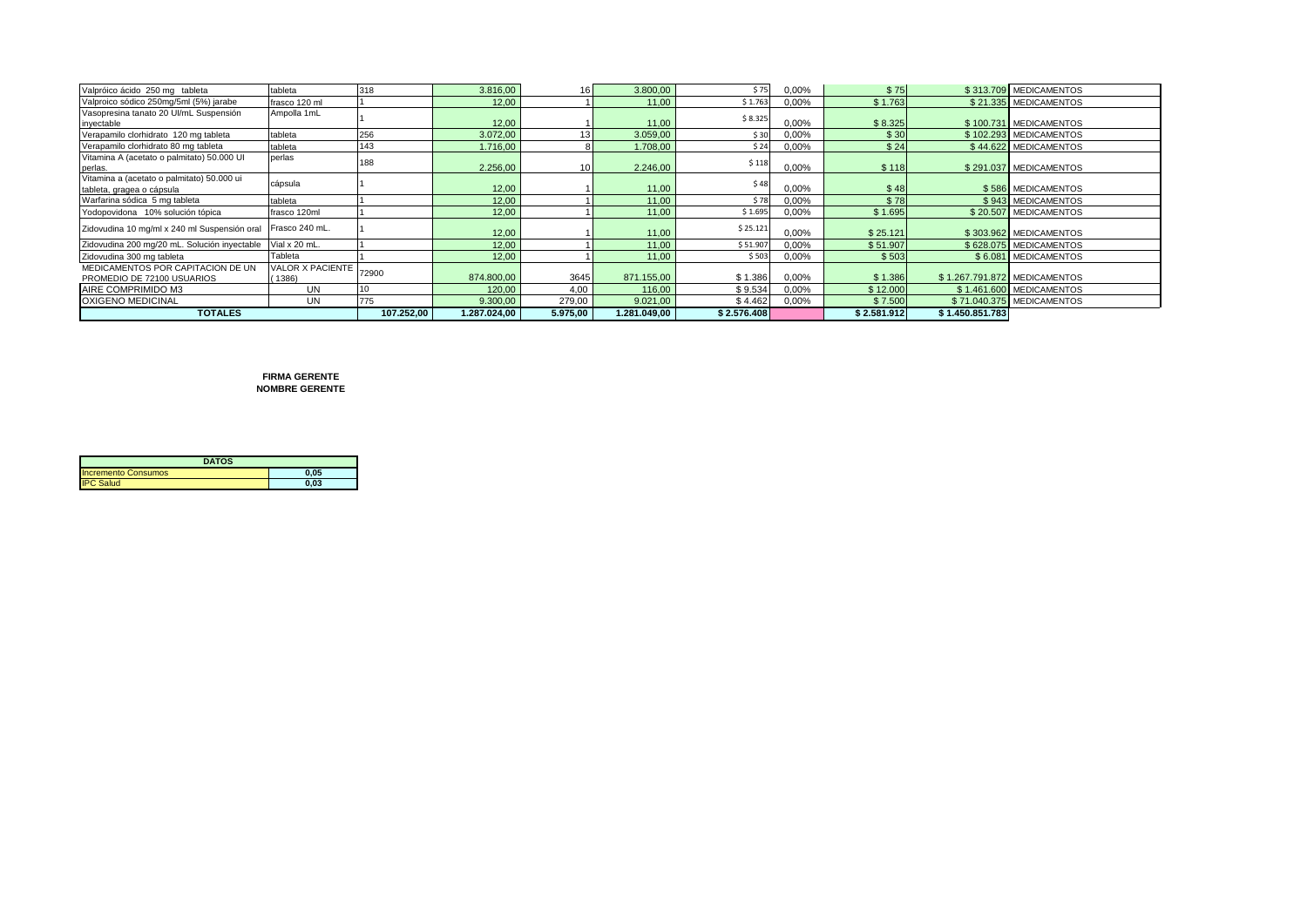| Zidovudina 200 mg/20 mL. Solución inyectable<br>Zidovudina 300 mg tableta          | Vial x 20 mL.<br>Tableta |     | 12,00<br>12,00 | 11.00<br>11,00 | \$51.90<br>\$503 | 0,00%<br>0,00% | \$51.907<br>\$503 | \$628.075 MEDICAMENTOS<br>\$6.081 MEDICAMENTOS |
|------------------------------------------------------------------------------------|--------------------------|-----|----------------|----------------|------------------|----------------|-------------------|------------------------------------------------|
|                                                                                    |                          |     |                |                |                  |                |                   |                                                |
| Zidovudina 10 mg/ml x 240 ml Suspensión oral                                       | Frasco 240 mL.           |     | 12,00          | 11,00          | \$25.121         | 0,00%          | \$25.121          | \$303.962 MEDICAMENTOS                         |
| Yodopovidona 10% solución tópica                                                   | frasco 120ml             |     | 12,00          | 11,00          | \$1.695          | 0,00%          | \$1.695           | \$20.507 MEDICAMENTOS                          |
| tableta, gragea o cápsula<br>Warfarina sódica 5 mg tableta                         | cápsula<br>tableta       |     | 12,00<br>12,00 | 11,00<br>11,00 | \$48<br>\$78     | 0,00%<br>0,00% | \$48<br>\$78      | \$586 MEDICAMENTOS<br>\$943 MEDICAMENTOS       |
| perlas.<br>Vitamina a (acetato o palmitato) 50.000 ui                              |                          | 188 | 2.256,00       | 2.246,00       | \$118            | 0,00%          | \$118             | \$291.037 MEDICAMENTOS                         |
| Verapamilo clorhidrato 80 mg tableta<br>Vitamina A (acetato o palmitato) 50.000 UI | tableta<br>perlas        | 143 | 1.716,00       | 1.708,00       | \$24             | 0,00%          | \$24              | \$44.622 MEDICAMENTOS                          |
| Verapamilo clorhidrato 120 mg tableta                                              | tableta                  | 256 | 3.072,00       | 3.059,00       | \$30             | $0.00\%$       | \$30              | \$102.293 MEDICAMENTOS                         |
| Vasopresina tanato 20 UI/mL Suspensión<br>inyectable                               | Ampolla 1mL              |     | 12,00          | 11,00          | \$8.325          | 0.00%          | \$8.325           | \$100.731 MEDICAMENTOS                         |
| Valproico sódico 250mg/5ml (5%) jarabe                                             | frasco 120 ml            |     | 12,00          | 11,00          | \$1.763          | 0,00%          | \$1.763           | \$21.335 MEDICAMENTOS                          |
| Valpróico ácido 250 mg tableta                                                     | tableta                  | 318 | 3.816,00       | 3.800,00       | \$75             | 0,00%          | \$75              | \$313.709 MEDICAMENTOS                         |

**NOMBRE GERENTE FIRMA GERENTE**

| <b>DATOS</b>               |      |  |  |  |  |  |  |  |
|----------------------------|------|--|--|--|--|--|--|--|
| <b>Incremento Consumos</b> | 0.05 |  |  |  |  |  |  |  |
| <b>IPC Salud</b>           | 0.03 |  |  |  |  |  |  |  |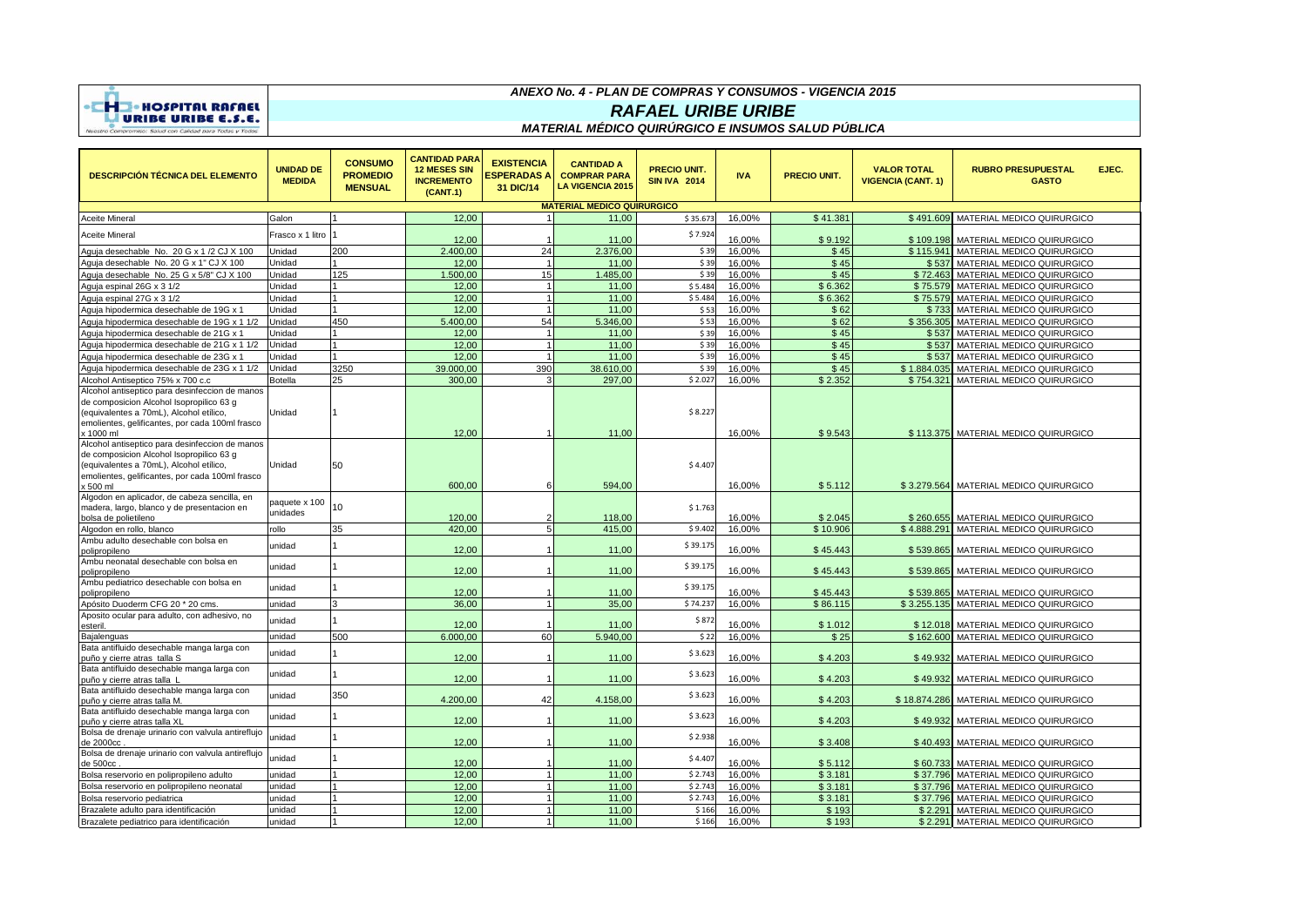

#### *ANEXO No. 4 - PLAN DE COMPRAS Y CONSUMOS - VIGENCIA 2015*

# *RAFAEL URIBE URIBE*

*MATERIAL MÉDICO QUIRÚRGICO E INSUMOS SALUD PÚBLICA*

| DESCRIPCIÓN TÉCNICA DEL ELEMENTO                                                                                                                                                                      | <b>UNIDAD DE</b><br><b>MEDIDA</b> | <b>CONSUMO</b><br><b>PROMEDIO</b><br><b>MENSUAL</b> | <b>CANTIDAD PARA</b><br><b>12 MESES SIN</b><br><b>INCREMENTO</b><br>(CANT.1) | <b>EXISTENCIA</b><br><b>ESPERADAS A</b><br>31 DIC/14 | <b>CANTIDAD A</b><br><b>COMPRAR PARA</b><br><b>LA VIGENCIA 2015</b> | <b>PRECIO UNIT.</b><br><b>SIN IVA 2014</b> | <b>IVA</b> | <b>PRECIO UNIT.</b> | <b>VALOR TOTAL</b><br><b>VIGENCIA (CANT. 1)</b> | <b>RUBRO PRESUPUESTAL</b><br>EJEC.<br><b>GASTO</b> |
|-------------------------------------------------------------------------------------------------------------------------------------------------------------------------------------------------------|-----------------------------------|-----------------------------------------------------|------------------------------------------------------------------------------|------------------------------------------------------|---------------------------------------------------------------------|--------------------------------------------|------------|---------------------|-------------------------------------------------|----------------------------------------------------|
|                                                                                                                                                                                                       |                                   |                                                     |                                                                              |                                                      | <b>MATERIAL MEDICO QUIRURGICO</b>                                   |                                            |            |                     |                                                 |                                                    |
| <b>Aceite Mineral</b>                                                                                                                                                                                 | Galon                             |                                                     | 12.00                                                                        | $\overline{1}$                                       | 11.00                                                               | \$35.673                                   | 16.00%     | \$41.381            |                                                 | \$491,609 MATERIAL MEDICO QUIRURGICO               |
| Aceite Mineral                                                                                                                                                                                        | Frasco x 1 litro                  |                                                     | 12.00                                                                        |                                                      | 11.00                                                               | \$7.924                                    | 16.00%     | \$9.192             | \$109.198                                       | MATERIAL MEDICO QUIRURGICO                         |
| Aguja desechable No. 20 G x 1 /2 CJ X 100                                                                                                                                                             | Unidad                            | 200                                                 | 2.400.00                                                                     | 24                                                   | 2.376.00                                                            | \$39                                       | 16.00%     | \$45                | \$115.941                                       | MATERIAL MEDICO QUIRURGICO                         |
| Aquia desechable No. 20 G x 1" CJ X 100                                                                                                                                                               | Unidad                            |                                                     | 12,00                                                                        | $\overline{1}$                                       | 11,00                                                               | \$39                                       | 16,00%     | \$45                | \$537                                           | MATERIAL MEDICO QUIRURGICO                         |
| Aquia desechable No. 25 G x 5/8" CJ X 100                                                                                                                                                             | Unidad                            | 125                                                 | 1.500,00                                                                     | 15                                                   | 1.485,00                                                            | \$39                                       | 16,00%     | \$45                | \$72.463                                        | MATERIAL MEDICO QUIRURGICO                         |
| Aquia espinal 26G x 3 1/2                                                                                                                                                                             | Unidad                            |                                                     | 12.00                                                                        | $\overline{1}$                                       | 11.00                                                               | \$5.484                                    | 16.00%     | \$6.362             | \$75.579                                        | MATERIAL MEDICO QUIRURGICO                         |
| Aquia espinal 27G x 3 1/2                                                                                                                                                                             | Unidad                            |                                                     | 12.00                                                                        | $\mathbf{1}$                                         | 11.00                                                               | \$5.484                                    | 16,00%     | \$6.362             | \$75,579                                        | MATERIAL MEDICO QUIRURGICO                         |
| Aquia hipodermica desechable de 19G x 1                                                                                                                                                               | Unidad                            | 1                                                   | 12.00                                                                        | $\overline{1}$                                       | 11.00                                                               | \$53                                       | 16,00%     | \$62                | \$733                                           | MATERIAL MEDICO QUIRURGICO                         |
| Aguja hipodermica desechable de 19G x 1 1/2                                                                                                                                                           | Unidad                            | 450                                                 | 5.400.00                                                                     | 54                                                   | 5.346,00                                                            | \$53                                       | 16,00%     | \$62                | \$356,305                                       | MATERIAL MEDICO QUIRURGICO                         |
| Aguia hipodermica desechable de 21G x 1                                                                                                                                                               | Unidad                            |                                                     | 12.00                                                                        | $\overline{1}$                                       | 11.00                                                               | \$39                                       | 16.00%     | \$45                | \$537                                           | MATERIAL MEDICO QUIRURGICO                         |
| Aguja hipodermica desechable de 21G x 1 1/2                                                                                                                                                           | Unidad                            |                                                     | 12,00                                                                        | $\overline{1}$                                       | 11,00                                                               | \$39                                       | 16,00%     | \$45                | \$537                                           | MATERIAL MEDICO QUIRURGICO                         |
| Aquia hipodermica desechable de 23G x 1                                                                                                                                                               | Unidad                            |                                                     | 12.00                                                                        | $\overline{1}$                                       | 11.00                                                               | \$39                                       | 16,00%     | \$45                | \$537                                           | MATERIAL MEDICO QUIRURGICO                         |
| Aquia hipodermica desechable de 23G x 1 1/2                                                                                                                                                           | Unidad                            | 3250                                                | 39.000.00                                                                    | 390                                                  | 38.610.00                                                           | \$39                                       | 16,00%     | \$45                | \$1.884,035                                     | MATERIAL MEDICO QUIRURGICO                         |
| Alcohol Antiseptico 75% x 700 c.c                                                                                                                                                                     | <b>Botella</b>                    | 25                                                  | 300,00                                                                       | 3                                                    | 297,00                                                              | \$2.027                                    | 16,00%     | \$2.352             | \$754.321                                       | MATERIAL MEDICO QUIRURGICO                         |
| Alcohol antiseptico para desinfeccion de manos<br>de composicion Alcohol Isopropilico 63 g<br>(equivalentes a 70mL), Alcohol etílico,<br>emolientes, gelificantes, por cada 100ml frasco<br>x 1000 ml | Unidad                            |                                                     | 12.00                                                                        |                                                      | 11,00                                                               | \$8.227                                    | 16,00%     | \$9.543             |                                                 | \$113,375 MATERIAL MEDICO QUIRURGICO               |
| Alcohol antiseptico para desinfeccion de manos<br>de composicion Alcohol Isopropilico 63 g<br>(equivalentes a 70mL), Alcohol etílico,<br>emolientes, gelificantes, por cada 100ml frasco<br>x 500 ml  | Unidad                            | 50                                                  | 600,00                                                                       | 6                                                    | 594,00                                                              | \$4.407                                    | 16,00%     | \$5.112             |                                                 | \$3.279.564 MATERIAL MEDICO QUIRURGICO             |
| Algodon en aplicador, de cabeza sencilla, en                                                                                                                                                          |                                   |                                                     |                                                                              |                                                      |                                                                     |                                            |            |                     |                                                 |                                                    |
| madera, largo, blanco y de presentacion en<br>bolsa de polietileno                                                                                                                                    | paquete x 100<br>unidades         | 10                                                  | 120,00                                                                       |                                                      | 118,00                                                              | \$1.763                                    | 16.00%     | \$2.045             | \$260.655                                       | MATERIAL MEDICO QUIRURGICO                         |
| Algodon en rollo, blanco                                                                                                                                                                              | rollo                             | 35                                                  | 420.00                                                                       | 5                                                    | 415.00                                                              | \$9.402                                    | 16.00%     | \$10,906            | \$4.888.291                                     | <b>MATERIAL MEDICO QUIRURGICO</b>                  |
| Ambu adulto desechable con bolsa en<br>polipropileno                                                                                                                                                  | unidad                            |                                                     | 12,00                                                                        |                                                      | 11,00                                                               | \$39.175                                   | 16,00%     | \$45.443            |                                                 | \$539.865 MATERIAL MEDICO QUIRURGICO               |
| Ambu neonatal desechable con bolsa en<br>polipropileno                                                                                                                                                | unidad                            | 1                                                   | 12,00                                                                        |                                                      | 11,00                                                               | \$39.175                                   | 16,00%     | \$45.443            | \$539.865                                       | MATERIAL MEDICO QUIRURGICO                         |
| Ambu pediatrico desechable con bolsa en<br>polipropileno                                                                                                                                              | unidad                            | 1                                                   | 12,00                                                                        |                                                      | 11,00                                                               | \$39.175                                   | 16,00%     | \$45.443            | \$539.865                                       | MATERIAL MEDICO QUIRURGICO                         |
| Apósito Duoderm CFG 20 * 20 cms.                                                                                                                                                                      | unidad                            | વ                                                   | 36,00                                                                        |                                                      | 35,00                                                               | \$74.237                                   | 16,00%     | \$86.115            | \$3.255.135                                     | MATERIAL MEDICO QUIRURGICO                         |
| Aposito ocular para adulto, con adhesivo, no<br>esteril.                                                                                                                                              | unidad                            | 1                                                   | 12,00                                                                        |                                                      | 11,00                                                               | \$872                                      | 16,00%     | \$1.012             | \$12.018                                        | MATERIAL MEDICO QUIRURGICO                         |
| Bajalenguas                                                                                                                                                                                           | unidad                            | 500                                                 | 6.000,00                                                                     | 60                                                   | 5.940,00                                                            | \$22                                       | 16.00%     | \$25                | \$162,600                                       | MATERIAL MEDICO QUIRURGICO                         |
| Bata antifluido desechable manga larga con<br>puño y cierre atras talla S                                                                                                                             | unidad                            |                                                     | 12,00                                                                        |                                                      | 11,00                                                               | \$3.623                                    | 16,00%     | \$4.203             | \$49.932                                        | MATERIAL MEDICO QUIRURGICO                         |
| Bata antifluido desechable manga larga con<br>puño y cierre atras talla I                                                                                                                             | unidad                            | 1                                                   | 12,00                                                                        |                                                      | 11,00                                                               | \$3.623                                    | 16,00%     | \$4.203             | \$49,932                                        | MATERIAL MEDICO QUIRURGICO                         |
| Bata antifluido desechable manga larga con<br>puño y cierre atras talla M.                                                                                                                            | unidad                            | 350                                                 | 4.200.00                                                                     | 42                                                   | 4.158.00                                                            | \$3.623                                    | 16.00%     | \$4.203             | \$18,874,286                                    | MATERIAL MEDICO QUIRURGICO                         |
| Bata antifluido desechable manga larga con<br>puño y cierre atras talla XL                                                                                                                            | unidad                            |                                                     | 12,00                                                                        |                                                      | 11,00                                                               | \$3.623                                    | 16,00%     | \$4.203             | \$49.932                                        | MATERIAL MEDICO QUIRURGICO                         |
| Bolsa de drenaje urinario con valvula antireflujo<br>de 2000cc                                                                                                                                        | unidad                            | 1                                                   | 12,00                                                                        |                                                      | 11,00                                                               | \$2.938                                    | 16,00%     | \$3.408             | \$40.493                                        | MATERIAL MEDICO QUIRURGICO                         |
| Bolsa de drenaje urinario con valvula antireflujo<br>de 500cc                                                                                                                                         | unidad                            | 1                                                   | 12.00                                                                        |                                                      | 11,00                                                               | \$4.407                                    | 16.00%     | \$5.112             |                                                 | \$60.733 MATERIAL MEDICO QUIRURGICO                |
| Bolsa reservorio en polipropileno adulto                                                                                                                                                              | unidad                            |                                                     | 12.00                                                                        |                                                      | 11,00                                                               | \$2.743                                    | 16,00%     | \$3.181             | \$37.796                                        | MATERIAL MEDICO QUIRURGICO                         |
| Bolsa reservorio en polipropileno neonatal                                                                                                                                                            | unidad                            |                                                     | 12,00                                                                        | $\overline{1}$                                       | 11,00                                                               | \$2.743                                    | 16,00%     | \$3.181             | \$37.796                                        | MATERIAL MEDICO QUIRURGICO                         |
| Bolsa reservorio pediatrica                                                                                                                                                                           | unidad                            |                                                     | 12.00                                                                        | $\overline{1}$                                       | 11.00                                                               | \$2.743                                    | 16.00%     | \$3.181             | \$37.796                                        | MATERIAL MEDICO QUIRURGICO                         |
| Brazalete adulto para identificación                                                                                                                                                                  | unidad                            |                                                     | 12.00                                                                        | $\mathbf{1}$                                         | 11.00                                                               | \$166                                      | 16.00%     | \$193               | \$2.291                                         | MATERIAL MEDICO QUIRURGICO                         |
| Brazalete pediatrico para identificación                                                                                                                                                              | unidad                            |                                                     | 12.00                                                                        | $\overline{1}$                                       | 11.00                                                               | \$166                                      | 16.00%     | \$193               |                                                 | \$2.291 MATERIAL MEDICO QUIRURGICO                 |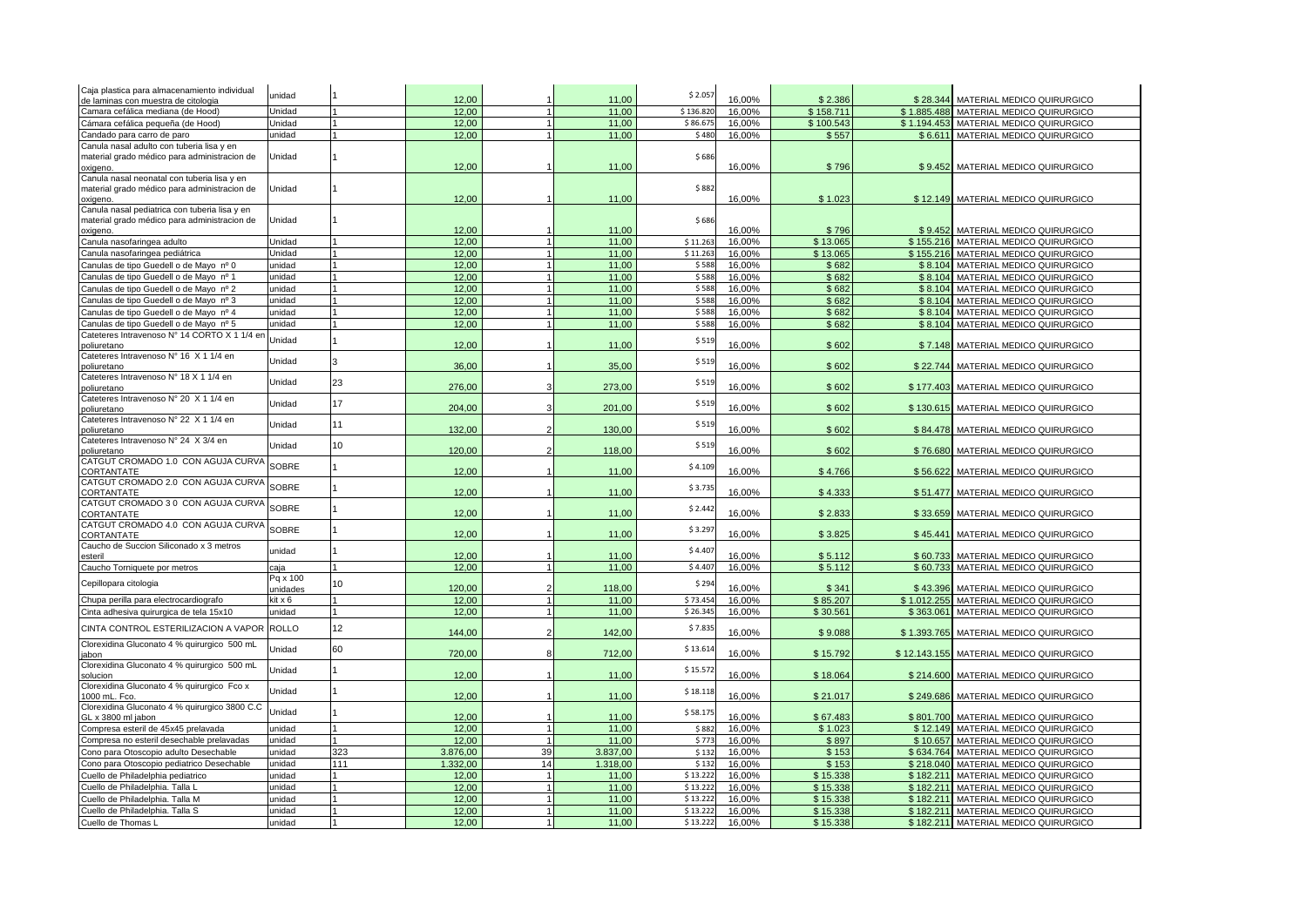| Caja plastica para almacenamiento individual  | unidad       |     |          |                |          | \$2.057   |        |           |             |                                         |
|-----------------------------------------------|--------------|-----|----------|----------------|----------|-----------|--------|-----------|-------------|-----------------------------------------|
| de laminas con muestra de citologia           |              |     | 12,00    |                | 11,00    |           | 16,00% | \$2.386   |             | \$28.344 MATERIAL MEDICO QUIRURGICO     |
| Camara cefálica mediana (de Hood)             | Unidad       |     | 12.00    |                | 11,00    | \$136.820 | 16,00% | \$158.711 | \$1.885.488 | MATERIAL MEDICO QUIRURGICO              |
| Cámara cefálica pequeña (de Hood)             | Unidad       |     | 12,00    |                | 11,00    | \$86.675  | 16,00% | \$100.543 | \$1.194.453 | MATERIAL MEDICO QUIRURGICO              |
| Candado para carro de paro                    | unidad       |     | 12,00    | $\overline{1}$ | 11,00    | \$480     | 16,00% | \$557     | \$6.611     | MATERIAL MEDICO QUIRURGICO              |
|                                               |              |     |          |                |          |           |        |           |             |                                         |
| Canula nasal adulto con tuberia lisa y en     |              |     |          |                |          |           |        |           |             |                                         |
| material grado médico para administracion de  | Unidad       |     |          |                |          | \$686     |        |           |             |                                         |
| oxigeno.                                      |              |     | 12.00    |                | 11,00    |           | 16,00% | \$796     |             | \$9.452 MATERIAL MEDICO QUIRURGICO      |
| Canula nasal neonatal con tuberia lisa y en   |              |     |          |                |          |           |        |           |             |                                         |
| material grado médico para administracion de  | Unidad       | 1   |          |                |          | \$882     |        |           |             |                                         |
| oxigeno                                       |              |     | 12,00    |                | 11,00    |           | 16,00% | \$1.023   |             | \$12.149 MATERIAL MEDICO QUIRURGICO     |
| Canula nasal pediatrica con tuberia lisa y en |              |     |          |                |          |           |        |           |             |                                         |
|                                               |              |     |          |                |          |           |        |           |             |                                         |
| material grado médico para administracion de  | Unidad       | 1   |          |                |          | \$686     |        |           |             |                                         |
| oxigeno                                       |              |     | 12,00    |                | 11,00    |           | 16,00% | \$796     |             | \$9.452 MATERIAL MEDICO QUIRURGICO      |
| Canula nasofaringea adulto                    | Unidad       | 1   | 12.00    |                | 11,00    | \$11.263  | 16,00% | \$13.065  | \$155.216   | MATERIAL MEDICO QUIRURGICO              |
| Canula nasofaringea pediátrica                | Unidad       |     | 12,00    |                | 11,00    | \$11.263  | 16,00% | \$13.065  | \$155.216   | MATERIAL MEDICO QUIRURGICO              |
|                                               |              |     |          |                |          |           |        |           |             |                                         |
| Canulas de tipo Guedell o de Mayo nº 0        | unidad       |     | 12,00    |                | 11,00    | \$588     | 16,00% | \$682     | \$8.104     | MATERIAL MEDICO QUIRURGICO              |
| Canulas de tipo Guedell o de Mayo nº 1        | unidad       |     | 12,00    |                | 11,00    | \$588     | 16,00% | \$682     | \$8.104     | MATERIAL MEDICO QUIRURGICO              |
| Canulas de tipo Guedell o de Mayo nº 2        | unidad       |     | 12.00    |                | 11.00    | \$588     | 16,00% | \$682     | \$8.104     | MATERIAL MEDICO QUIRURGICO              |
| Canulas de tipo Guedell o de Mayo nº 3        | unidad       |     | 12.00    |                | 11.00    | \$588     | 16.00% | \$682     | \$8.104     | MATERIAL MEDICO QUIRURGICO              |
|                                               |              |     |          |                |          |           |        |           |             |                                         |
| Canulas de tipo Guedell o de Mayo nº 4        | unidad       |     | 12,00    |                | 11,00    | \$588     | 16,00% | \$682     | \$8.104     | MATERIAL MEDICO QUIRURGICO              |
| Canulas de tipo Guedell o de Mayo nº 5        | unidad       |     | 12.00    |                | 11,00    | \$588     | 16,00% | \$682     |             | \$8.104 MATERIAL MEDICO QUIRURGICO      |
| Cateteres Intravenoso Nº 14 CORTO X 1 1/4 en  |              |     |          |                |          |           |        |           |             |                                         |
| poliuretano                                   | Unidad       |     | 12,00    |                | 11,00    | \$519     | 16,00% | \$602     |             | \$7.148 MATERIAL MEDICO QUIRURGICO      |
| Cateteres Intravenoso Nº 16 X 1 1/4 en        |              |     |          |                |          |           |        |           |             |                                         |
|                                               | Unidad       | 3   |          |                |          | \$519     |        |           |             |                                         |
| poliuretano                                   |              |     | 36,00    |                | 35,00    |           | 16,00% | \$602     |             | \$22.744 MATERIAL MEDICO QUIRURGICO     |
| Cateteres Intravenoso Nº 18 X 1 1/4 en        | Unidad       | 23  |          |                |          | \$519     |        |           |             |                                         |
| poliuretano                                   |              |     | 276,00   |                | 273,00   |           | 16,00% | \$602     |             | \$177.403 MATERIAL MEDICO QUIRURGICO    |
| Cateteres Intravenoso Nº 20 X 1 1/4 en        |              |     |          |                |          |           |        |           |             |                                         |
| poliuretano                                   | Unidad       | 17  | 204,00   |                | 201,00   | \$519     | 16,00% | \$602     |             | \$130.615 MATERIAL MEDICO QUIRURGICO    |
| Cateteres Intravenoso Nº 22 X 1 1/4 en        |              |     |          |                |          |           |        |           |             |                                         |
|                                               | Unidad       | 11  | 132,00   |                | 130,00   | \$519     | 16,00% | \$602     |             | \$84.478 MATERIAL MEDICO QUIRURGICO     |
| poliuretano                                   |              |     |          |                |          |           |        |           |             |                                         |
| Cateteres Intravenoso Nº 24 X 3/4 en          | Unidad       | 10  |          |                |          | \$51      |        |           |             |                                         |
| poliuretano                                   |              |     | 120,00   |                | 118,00   |           | 16,00% | \$602     |             | \$76.680 MATERIAL MEDICO QUIRURGICO     |
| CATGUT CROMADO 1.0 CON AGUJA CURVA            | SOBRE        |     |          |                |          |           |        |           |             |                                         |
| <b>CORTANTATE</b>                             |              |     | 12,00    |                | 11,00    | \$4.109   | 16,00% | \$4.766   |             | \$56.622 MATERIAL MEDICO QUIRURGICO     |
| CATGUT CROMADO 2.0 CON AGUJA CURVA            |              |     |          |                |          |           |        |           |             |                                         |
| <b>CORTANTATE</b>                             | SOBRE        |     | 12,00    |                | 11,00    | \$3.735   | 16,00% | \$4.333   |             | \$51.477 MATERIAL MEDICO QUIRURGICO     |
|                                               |              |     |          |                |          |           |        |           |             |                                         |
| CATGUT CROMADO 3 0 CON AGUJA CURVA            | <b>SOBRE</b> |     |          |                |          | \$2.442   |        |           |             |                                         |
| CORTANTATE                                    |              |     | 12.00    |                | 11,00    |           | 16.00% | \$2.833   |             | \$33.659 MATERIAL MEDICO QUIRURGICO     |
| CATGUT CROMADO 4.0 CON AGUJA CURVA            | SOBRE        |     |          |                |          |           |        |           |             |                                         |
| CORTANTATE                                    |              |     | 12,00    |                | 11,00    | \$3.297   | 16,00% | \$3.825   | \$45.441    | MATERIAL MEDICO QUIRURGICO              |
| Caucho de Succion Siliconado x 3 metros       |              |     |          |                |          |           |        |           |             |                                         |
| esteril                                       | unidad       |     | 12.00    |                | 11.00    | \$4.407   | 16.00% | \$5.112   | \$60.733    | MATERIAL MEDICO QUIRURGICO              |
|                                               |              |     | 12.00    |                |          | \$4.407   |        | \$5.112   |             |                                         |
| Caucho Torniquete por metros                  | caja         |     |          |                | 11,00    |           | 16.00% |           |             | \$60.733 MATERIAL MEDICO QUIRURGICO     |
|                                               | Pq x 100     | 10  |          |                |          | \$294     |        |           |             |                                         |
| Cepillopara citologia                         | unidades     |     | 120,00   |                | 118,00   |           | 16,00% | \$341     |             | \$43.396 MATERIAL MEDICO QUIRURGICO     |
| Chupa perilla para electrocardiografo         | kit x 6      |     | 12.00    |                | 11,00    | \$73.454  | 16.00% | \$85,207  | \$1.012.255 | MATERIAL MEDICO QUIRURGICO              |
|                                               | unidad       |     | 12,00    |                | 11,00    | \$26.345  |        | \$30.561  | \$363.061   |                                         |
| Cinta adhesiva quirurgica de tela 15x10       |              |     |          |                |          |           | 16,00% |           |             | MATERIAL MEDICO QUIRURGICO              |
| CINTA CONTROL ESTERILIZACION A VAPOR          | <b>ROLLO</b> | 12  |          |                |          | \$7.835   |        |           |             |                                         |
|                                               |              |     | 144,00   |                | 142,00   |           | 16,00% | \$9.088   |             | \$1.393.765 MATERIAL MEDICO QUIRURGICO  |
| Clorexidina Gluconato 4 % quirurgico 500 mL   |              | 60  |          |                |          |           |        |           |             |                                         |
| jabon                                         | Unidad       |     | 720,00   | 8              | 712,00   | \$13.614  | 16,00% | \$15.792  |             | \$12.143.155 MATERIAL MEDICO QUIRURGICO |
| Clorexidina Gluconato 4 % quirurgico 500 mL   |              |     |          |                |          |           |        |           |             |                                         |
| solucion                                      | Unidad       |     | 12,00    |                | 11,00    | \$15.572  | 16,00% | \$18.064  |             | \$214.600 MATERIAL MEDICO QUIRURGICO    |
|                                               |              |     |          |                |          |           |        |           |             |                                         |
| Clorexidina Gluconato 4 % quirurgico Fco x    | Unidad       |     |          |                |          | \$18.118  |        |           |             |                                         |
| 1000 mL. Fco.                                 |              |     | 12,00    |                | 11,00    |           | 16,00% | \$21.017  |             | \$249.686 MATERIAL MEDICO QUIRURGICO    |
| Clorexidina Gluconato 4 % quirurgico 3800 C.C |              | 1   |          |                |          |           |        |           |             |                                         |
| GL x 3800 ml jabon                            | Unidad       |     | 12.00    |                | 11,00    | \$58.175  | 16,00% | \$67,483  |             | \$801.700 MATERIAL MEDICO QUIRURGICO    |
| Compresa esteril de 45x45 prelavada           | unidad       |     | 12,00    |                | 11,00    | \$882     | 16,00% | \$1.023   |             | \$12.149 MATERIAL MEDICO QUIRURGICO     |
|                                               |              |     |          |                |          |           |        |           |             |                                         |
| Compresa no esteril desechable prelavadas     | unidad       |     | 12,00    |                | 11,00    | \$773     | 16,00% | \$897     | \$10.657    | MATERIAL MEDICO QUIRURGICO              |
| Cono para Otoscopio adulto Desechable         | unidad       | 323 | 3.876.00 | 39             | 3.837,00 | \$132     | 16,00% | \$153     | \$634.764   | MATERIAL MEDICO QUIRURGICO              |
| Cono para Otoscopio pediatrico Desechable     | unidad       | 111 | .332,00  | 14             | 1.318,00 | \$132     | 16,00% | \$153     | \$218.040   | MATERIAL MEDICO QUIRURGICO              |
| Cuello de Philadelphia pediatrico             | unidad       |     | 12,00    |                | 11,00    | \$13.222  | 16,00% | \$15.338  | \$182.211   | MATERIAL MEDICO QUIRURGICO              |
|                                               |              |     |          |                |          |           |        |           |             |                                         |
| Cuello de Philadelphia. Talla L               | unidad       |     | 12,00    | 1              | 11,00    | \$13.222  | 16,00% | \$15.338  | \$182.211   | MATERIAL MEDICO QUIRURGICO              |
| Cuello de Philadelphia. Talla M               | unidad       |     | 12,00    |                | 11,00    | \$13.222  | 16,00% | \$15.338  | \$182.211   | MATERIAL MEDICO QUIRURGICO              |
| Cuello de Philadelphia. Talla S               | unidad       |     | 12,00    |                | 11,00    | \$13.222  | 16,00% | \$15.338  |             | \$182.211 MATERIAL MEDICO QUIRURGICO    |
| Cuello de Thomas L                            | unidad       |     | 12.00    |                | 11,00    | \$13.222  | 16,00% | \$15.338  |             | \$182.211 MATERIAL MEDICO QUIRURGICO    |
|                                               |              |     |          |                |          |           |        |           |             |                                         |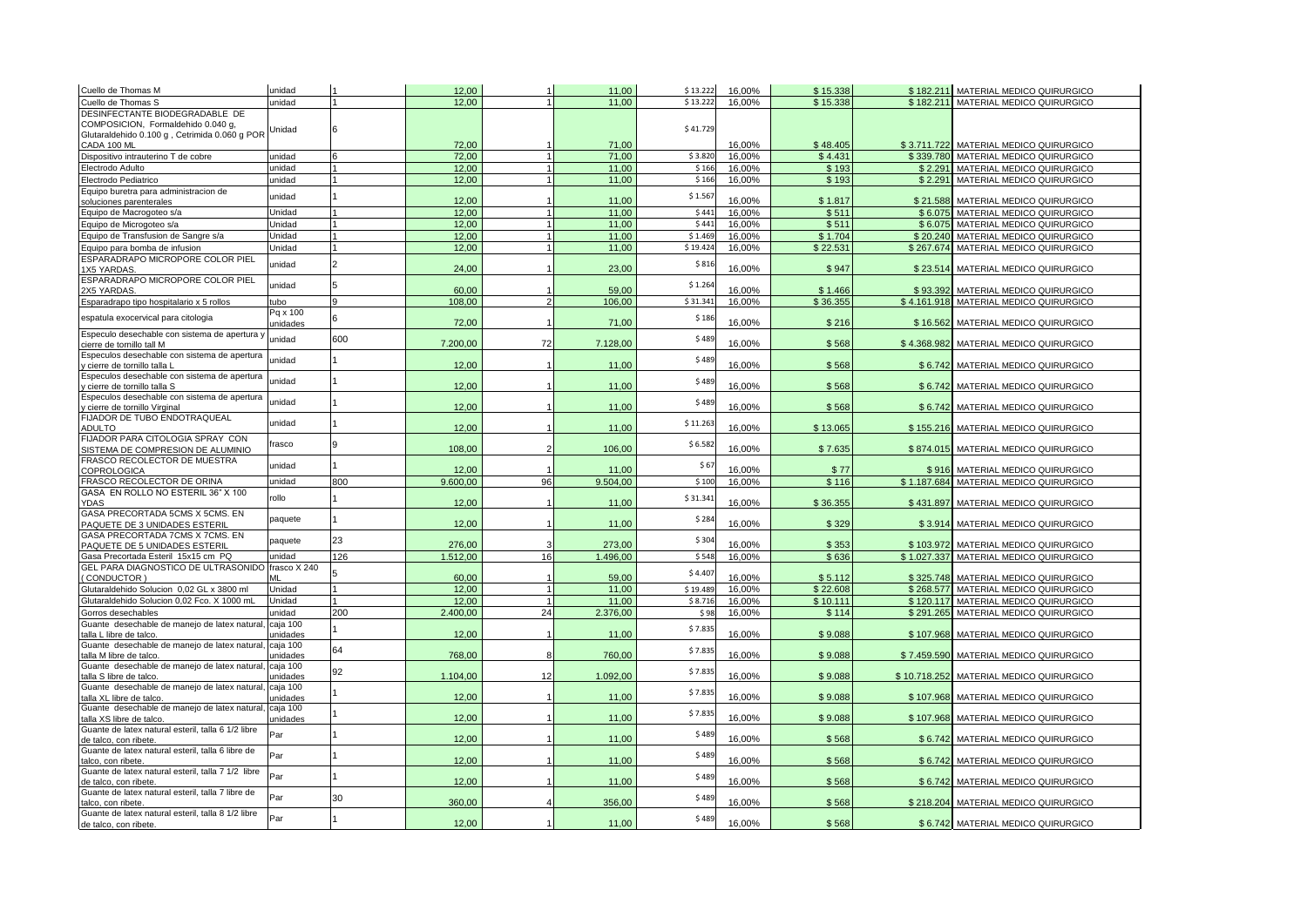| Cuello de Thomas M                                                          | unidad               |                | 12.00    |                         | 11,00    | \$13.222 | 16,00% | \$15.338 |             | \$182.211 MATERIAL MEDICO QUIRURGICO    |
|-----------------------------------------------------------------------------|----------------------|----------------|----------|-------------------------|----------|----------|--------|----------|-------------|-----------------------------------------|
| Cuello de Thomas S                                                          | <b>unidad</b>        |                | 12.00    |                         | 11,00    | \$13.222 | 16,00% | \$15,338 |             | \$182.211 MATERIAL MEDICO QUIRURGICO    |
| DESINFECTANTE BIODEGRADABLE DE                                              |                      |                |          |                         |          |          |        |          |             |                                         |
| COMPOSICION, Formaldehido 0.040 g,                                          | Unidad               |                |          |                         |          | \$41.729 |        |          |             |                                         |
| Glutaraldehido 0.100 g , Cetrimida 0.060 g POR                              |                      |                |          |                         |          |          |        |          |             |                                         |
| CADA 100 ML                                                                 |                      |                | 72,00    |                         | 71.00    |          | 16.00% | \$48,405 |             | \$3.711.722 MATERIAL MEDICO QUIRURGICO  |
| Dispositivo intrauterino T de cobre                                         | unidad               | 6              | 72,00    | $\overline{1}$          | 71,00    | \$3.820  | 16,00% | \$4.431  |             | \$339.780 MATERIAL MEDICO QUIRURGICO    |
| Electrodo Adulto                                                            | unidad               |                | 12.00    |                         | 11.00    | \$166    | 16.00% | \$193    |             | \$2.291 MATERIAL MEDICO QUIRURGICO      |
| Electrodo Pediatrico                                                        | unidad               |                | 12.00    |                         | 11,00    | \$166    | 16,00% | \$193    |             | \$2.291 MATERIAL MEDICO QUIRURGICO      |
| Equipo buretra para administracion de                                       | unidad               |                |          |                         |          | \$1.567  |        |          |             |                                         |
| soluciones parenterales                                                     |                      |                | 12.00    |                         | 11,00    |          | 16,00% | \$1.817  |             | \$21.588 MATERIAL MEDICO QUIRURGICO     |
| Equipo de Macrogoteo s/a                                                    | Jnidad               |                | 12.00    |                         | 11.00    | \$441    | 16.00% | \$51'    |             | \$6.075 MATERIAL MEDICO QUIRURGICO      |
| Equipo de Microgoteo s/a                                                    | Unidad               |                | 12,00    |                         | 11,00    | \$441    | 16,00% | \$51'    |             | \$6.075 MATERIAL MEDICO QUIRURGICO      |
| Equipo de Transfusion de Sangre s/a                                         | Unidad               |                | 12,00    | $\overline{1}$          | 11,00    | \$1.469  | 16,00% | \$1.704  |             | \$20.240 MATERIAL MEDICO QUIRURGICO     |
| Equipo para bomba de infusion                                               | Unidad               |                | 12.00    |                         | 11,00    | \$19.424 | 16.00% | \$22.531 |             | \$267,674 MATERIAL MEDICO QUIRURGICO    |
| ESPARADRAPO MICROPORE COLOR PIEL<br>1X5 YARDAS                              | unidad               | $\mathfrak{D}$ | 24,00    |                         | 23,00    | \$816    | 16,00% | \$947    |             | \$23.514 MATERIAL MEDICO QUIRURGICO     |
| ESPARADRAPO MICROPORE COLOR PIEL                                            | unidad               | 5              |          |                         |          | \$1.264  |        |          |             |                                         |
| 2X5 YARDAS.                                                                 |                      |                | 60.00    |                         | 59.00    |          | 16.00% | \$1.466  | \$93.392    | MATERIAL MEDICO QUIRURGICO              |
| Esparadrapo tipo hospitalario x 5 rollos                                    | tubo                 |                | 108,00   |                         | 106,00   | \$31.341 | 16,00% | \$36.355 |             | \$4.161.918 MATERIAL MEDICO QUIRURGICO  |
| espatula exocervical para citologia                                         | Pq x 100             |                |          |                         |          | \$186    |        |          |             |                                         |
|                                                                             | unidades             |                | 72,00    |                         | 71,00    |          | 16,00% | \$216    | \$16.562    | MATERIAL MEDICO QUIRURGICO              |
| Especulo desechable con sistema de apertura y                               | unidad               | 600            |          |                         |          | \$489    |        |          |             |                                         |
| cierre de tornillo tall M                                                   |                      |                | 7.200,00 | 72                      | 7.128,00 |          | 16,00% | \$568    |             | \$4.368.982 MATERIAL MEDICO QUIRURGICO  |
| Especulos desechable con sistema de apertura<br>cierre de tornillo talla L  | unidad               |                | 12,00    |                         | 11,00    | \$489    | 16,00% | \$568    |             | \$6.742 MATERIAL MEDICO QUIRURGICO      |
| Especulos desechable con sistema de apertura                                |                      |                |          |                         |          |          |        |          |             |                                         |
| cierre de tornillo talla S                                                  | unidad               |                | 12,00    |                         | 11,00    | \$489    | 16,00% | \$568    |             | \$6.742 MATERIAL MEDICO QUIRURGICO      |
| Especulos desechable con sistema de apertura                                | unidad               |                |          |                         |          | \$489    |        |          |             |                                         |
| cierre de tornillo Virginal                                                 |                      |                | 12,00    |                         | 11,00    |          | 16,00% | \$568    | \$6.742     | MATERIAL MEDICO QUIRURGICO              |
| FIJADOR DE TUBO ENDOTRAQUEAL                                                | unidad               |                |          |                         |          | \$11.263 |        |          |             |                                         |
| ADULTO                                                                      |                      |                | 12,00    |                         | 11.00    |          | 16.00% | \$13.065 |             | \$155,216 MATERIAL MEDICO QUIRURGICO    |
| FIJADOR PARA CITOLOGIA SPRAY CON                                            | frasco               | $\mathsf{q}$   | 108,00   |                         | 106,00   | \$6.582  | 16,00% | \$7.635  |             | \$874.015 MATERIAL MEDICO QUIRURGICO    |
| SISTEMA DE COMPRESION DE ALUMINIO<br>FRASCO RECOLECTOR DE MUESTRA           |                      |                |          |                         |          |          |        |          |             |                                         |
| COPROLOGICA                                                                 | unidad               |                | 12.00    |                         | 11.00    | \$67     | 16.00% | \$77     |             | \$916 MATERIAL MEDICO QUIRURGICO        |
| FRASCO RECOLECTOR DE ORINA                                                  | unidad               | 800            | 9.600,00 | 96                      | 9.504,00 | \$100    | 16,00% | \$116    |             | \$1.187.684 MATERIAL MEDICO QUIRURGICO  |
| GASA EN ROLLO NO ESTERIL 36" X 100                                          |                      |                |          |                         |          |          |        |          |             |                                         |
| YDAS                                                                        | rollo                |                | 12,00    | $\overline{1}$          | 11,00    | \$31.341 | 16,00% | \$36.355 |             | \$431.897 MATERIAL MEDICO QUIRURGICO    |
| GASA PRECORTADA 5CMS X 5CMS. EN                                             |                      |                |          |                         |          |          |        |          |             |                                         |
| PAQUETE DE 3 UNIDADES ESTERII                                               | paquete              |                | 12,00    | $\overline{\mathbf{1}}$ | 11,00    | \$284    | 16,00% | \$329    |             | \$3.914 MATERIAL MEDICO QUIRURGICO      |
| GASA PRECORTADA 7CMS X 7CMS. EN                                             | paquete              | 23             |          |                         |          | \$304    |        |          |             |                                         |
| PAQUETE DE 5 UNIDADES ESTERIL                                               |                      |                | 276.00   |                         | 273.00   |          | 16.00% | \$353    |             | \$103,972 MATERIAL MEDICO QUIRURGICO    |
| Gasa Precortada Esteril 15x15 cm PQ                                         | unidad               | 126            | 1.512,00 | 16                      | 1.496,00 | \$548    | 16,00% | \$636    | \$1.027.337 | MATERIAL MEDICO QUIRURGICO              |
| GEL PARA DIAGNOSTICO DE ULTRASONIDO                                         | frasco X 240         |                |          |                         |          | \$4.407  |        |          |             |                                         |
| CONDUCTOR)                                                                  | MI                   |                | 60.00    |                         | 59.00    |          | 16.00% | \$5.112  | \$325.748   | MATERIAL MEDICO QUIRURGICO              |
| Glutaraldehido Solucion 0,02 GL x 3800 ml                                   | Unidad               |                | 12.00    |                         | 11.00    | \$19.489 | 16.00% | \$22,608 |             | \$268.577 MATERIAL MEDICO QUIRURGICO    |
| Glutaraldehido Solucion 0,02 Fco. X 1000 mL                                 | Unidad               |                | 12,00    |                         | 11,00    | \$8.716  | 16,00% | \$10.11' |             | \$120.117 MATERIAL MEDICO QUIRURGICO    |
| Gorros desechables                                                          | unidad               | 200            | 2.400,00 | 24                      | 2.376,00 | \$98     | 16,00% | \$114    |             | \$291.265 MATERIAL MEDICO QUIRURGICO    |
| Guante desechable de manejo de latex natural                                | caja 100             |                |          |                         |          | \$7.835  |        |          |             |                                         |
| talla L libre de talco.                                                     | unidades             |                | 12,00    | -1                      | 11,00    |          | 16,00% | \$9.088  |             | \$107.968 MATERIAL MEDICO QUIRURGICO    |
| Guante desechable de manejo de latex natural,                               | caja 100             | 64             | 768.00   | 8                       | 760,00   | \$7.835  | 16.00% | \$9.088  |             | \$7.459.590 MATERIAL MEDICO QUIRURGICO  |
| talla M libre de talco.                                                     | unidades<br>caja 100 |                |          |                         |          |          |        |          |             |                                         |
| Guante desechable de manejo de latex natural<br>talla S libre de talco.     | unidades             | 92             | 1.104,00 | 12                      | 1.092,00 | \$7.835  | 16,00% | \$9.088  |             | \$10.718.252 MATERIAL MEDICO QUIRURGICO |
| Guante desechable de manejo de latex natural,                               | caja 100             |                |          |                         |          |          |        |          |             |                                         |
| talla XL libre de talco.                                                    | <i>unidades</i>      |                | 12.00    |                         | 11,00    | \$7.835  | 16,00% | \$9.088  |             | \$107.968 MATERIAL MEDICO QUIRURGICO    |
| Guante desechable de manejo de latex natural                                | caja 100             |                |          |                         |          |          |        |          |             |                                         |
| talla XS libre de talco.                                                    | unidades             |                | 12,00    |                         | 11,00    | \$7.835  | 16,00% | \$9.088  |             | \$107.968 MATERIAL MEDICO QUIRURGICO    |
| Guante de latex natural esteril, talla 6 1/2 libre                          | Par                  |                |          |                         |          | \$489    |        |          |             |                                         |
| de talco, con ribete.                                                       |                      |                | 12,00    |                         | 11,00    |          | 16,00% | \$568    |             | \$6.742 MATERIAL MEDICO QUIRURGICO      |
| Guante de latex natural esteril, talla 6 libre de                           | Par                  |                |          |                         |          | \$489    |        |          |             |                                         |
| talco, con ribete.                                                          |                      |                | 12,00    | $\overline{1}$          | 11,00    |          | 16,00% | \$568    |             | \$6.742 MATERIAL MEDICO QUIRURGICO      |
| Guante de latex natural esteril, talla 7 1/2 libre                          | Par                  |                |          | -1                      | 11,00    | \$489    | 16,00% | \$568    | \$6.742     | MATERIAL MEDICO QUIRURGICO              |
| le talco, con ribete.                                                       |                      |                |          |                         |          |          |        |          |             |                                         |
|                                                                             |                      |                | 12,00    |                         |          |          |        |          |             |                                         |
| Guante de latex natural esteril, talla 7 libre de                           | Par                  | 30             |          |                         |          | \$489    |        |          |             |                                         |
| talco, con ribete.                                                          |                      |                | 360,00   |                         | 356,00   |          | 16,00% | \$568    |             | \$218.204 MATERIAL MEDICO QUIRURGICO    |
| Guante de latex natural esteril, talla 8 1/2 libre<br>de talco, con ribete. | Par                  |                | 12,00    |                         | 11,00    | \$489    | 16,00% | \$568    |             | \$6.742 MATERIAL MEDICO QUIRURGICO      |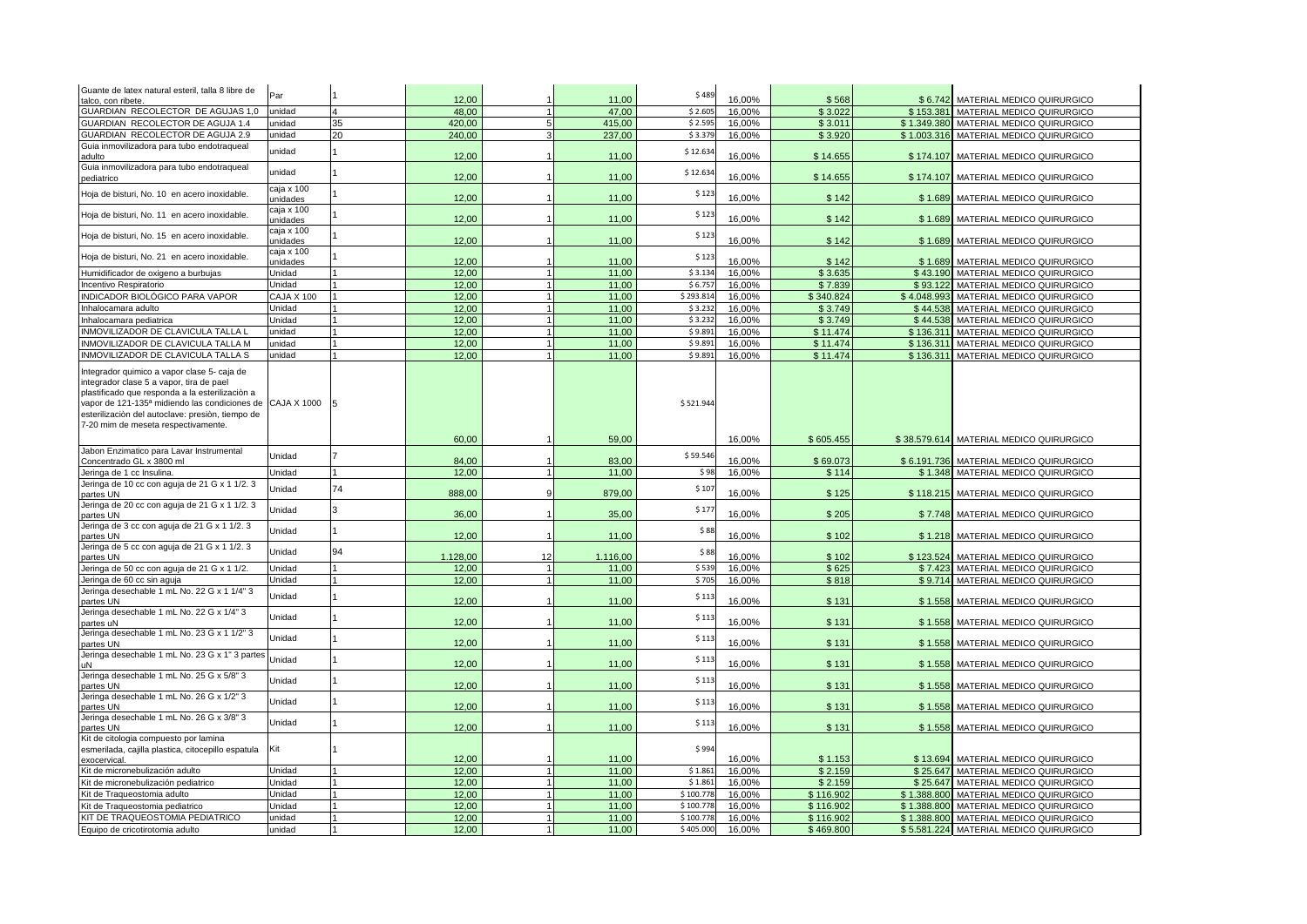| Guante de latex natural esteril, talla 8 libre de                                                                                                                                                                                                                                      | Par                    |              |          |                |          | \$489     | 16,00% |           |             |                                         |
|----------------------------------------------------------------------------------------------------------------------------------------------------------------------------------------------------------------------------------------------------------------------------------------|------------------------|--------------|----------|----------------|----------|-----------|--------|-----------|-------------|-----------------------------------------|
| talco, con ribete.                                                                                                                                                                                                                                                                     |                        |              | 12,00    |                | 11,00    |           |        | \$568     |             | \$6.742 MATERIAL MEDICO QUIRURGICO      |
| GUARDIAN RECOLECTOR DE AGUJAS 1,0                                                                                                                                                                                                                                                      | unidad                 |              | 48.00    |                | 47.00    | \$2.605   | 16,00% | \$3.022   | \$153.381   | MATERIAL MEDICO QUIRURGICO              |
| GUARDIAN RECOLECTOR DE AGUJA 1.4                                                                                                                                                                                                                                                       | unidad                 | 35           | 420,00   | 5              | 415,00   | \$2.595   | 16,00% | \$3.011   | \$1.349.380 | MATERIAL MEDICO QUIRURGICO              |
| GUARDIAN RECOLECTOR DE AGUJA 2.9                                                                                                                                                                                                                                                       | unidad                 | 20           | 240,00   |                | 237,00   | \$3.379   | 16,00% | \$3.920   | \$1.003.316 | MATERIAL MEDICO QUIRURGICO              |
| Guia inmovilizadora para tubo endotraqueal<br>adulto                                                                                                                                                                                                                                   | unidad                 |              | 12.00    |                | 11,00    | \$12.634  | 16,00% | \$14.655  |             | \$174.107 MATERIAL MEDICO QUIRURGICO    |
| Guia inmovilizadora para tubo endotraqueal<br>pediatrico                                                                                                                                                                                                                               | unidad                 |              | 12,00    |                | 11,00    | \$12.634  | 16,00% | \$14.655  |             | \$174.107 MATERIAL MEDICO QUIRURGICO    |
| Hoja de bisturi, No. 10 en acero inoxidable.                                                                                                                                                                                                                                           | caja x 100             |              |          |                |          | \$123     |        |           |             |                                         |
|                                                                                                                                                                                                                                                                                        | unidades               |              | 12,00    |                | 11,00    |           | 16,00% | \$142     |             | \$1.689 MATERIAL MEDICO QUIRURGICO      |
| Hoja de bisturi, No. 11 en acero inoxidable.                                                                                                                                                                                                                                           | caja x 100<br>unidades |              | 12,00    |                | 11,00    | \$123     | 16,00% | \$142     |             | \$1.689 MATERIAL MEDICO QUIRURGICO      |
| Hoja de bisturi, No. 15 en acero inoxidable.                                                                                                                                                                                                                                           | caja x 100<br>unidades |              | 12,00    |                | 11,00    | \$123     | 16,00% | \$142     | \$1.689     | MATERIAL MEDICO QUIRURGICO              |
| Hoja de bisturi, No. 21 en acero inoxidable.                                                                                                                                                                                                                                           | caja x 100<br>unidades |              | 12.00    |                | 11.00    | \$123     | 16.00% | \$142     | \$1.689     | MATERIAL MEDICO QUIRURGICO              |
| Humidificador de oxigeno a burbujas                                                                                                                                                                                                                                                    | Unidad                 |              | 12,00    |                | 11,00    | \$3.134   | 16,00% | \$3.635   |             | \$43.190 MATERIAL MEDICO QUIRURGICO     |
| Incentivo Respiratorio                                                                                                                                                                                                                                                                 | Unidad                 |              | 12,00    |                | 11,00    | \$6.757   | 16,00% | \$7.839   |             | \$93.122 MATERIAL MEDICO QUIRURGICO     |
| INDICADOR BIOLÓGICO PARA VAPOR                                                                                                                                                                                                                                                         | <b>CAJA X 100</b>      |              | 12,00    | $\overline{1}$ | 11,00    | \$293.814 | 16,00% | \$340.824 | \$4.048.993 | MATERIAL MEDICO QUIRURGICO              |
|                                                                                                                                                                                                                                                                                        |                        |              |          |                |          |           |        |           |             |                                         |
| Inhalocamara adulto                                                                                                                                                                                                                                                                    | Unidad                 |              | 12,00    |                | 11,00    | \$3.232   | 16,00% | \$3.749   | \$44.538    | MATERIAL MEDICO QUIRURGICO              |
| Inhalocamara pediatrica                                                                                                                                                                                                                                                                | Unidad                 |              | 12.00    |                | 11.00    | \$3.232   | 16.00% | \$3.749   | \$44,538    | MATERIAL MEDICO QUIRURGICO              |
| INMOVILIZADOR DE CLAVICULA TALLA I                                                                                                                                                                                                                                                     | unidad                 |              | 12,00    | $\overline{1}$ | 11,00    | \$9.891   | 16,00% | \$11.474  | \$136.311   | MATERIAL MEDICO QUIRURGICO              |
| INMOVILIZADOR DE CLAVICULA TALLA M                                                                                                                                                                                                                                                     | unidad                 |              | 12,00    |                | 11,00    | \$9.891   | 16,00% | \$11.474  | \$136.311   | MATERIAL MEDICO QUIRURGICO              |
| INMOVILIZADOR DE CLAVICULA TALLA S                                                                                                                                                                                                                                                     | unidad                 |              | 12.00    |                | 11,00    | \$9.891   | 16,00% | \$11.474  | \$136.311   | MATERIAL MEDICO QUIRURGICO              |
| Integrador quimico a vapor clase 5- caja de<br>integrador clase 5 a vapor, tira de pael<br>plastificado que responda a la esterilización a<br>vapor de 121-135ª midiendo las condiciones de<br>esterilización del autoclave: presión, tiempo de<br>7-20 mim de meseta respectivamente. | <b>CAJA X 1000</b>     |              |          |                |          | \$521.944 |        |           |             |                                         |
|                                                                                                                                                                                                                                                                                        |                        |              | 60,00    |                | 59,00    |           | 16,00% | \$605.455 |             | \$38.579.614 MATERIAL MEDICO QUIRURGICO |
| Jabon Enzimatico para Lavar Instrumental<br>Concentrado GL x 3800 ml                                                                                                                                                                                                                   | Unidad                 |              | 84,00    |                | 83,00    | \$59.546  | 16,00% | \$69.073  |             | \$6.191.736 MATERIAL MEDICO QUIRURGICO  |
| Jeringa de 1 cc Insulina.                                                                                                                                                                                                                                                              | Unidad                 | 1            | 12,00    |                | 11,00    | \$98      | 16,00% | \$114     |             | \$1.348 MATERIAL MEDICO QUIRURGICO      |
| Jeringa de 10 cc con aguja de 21 G x 1 1/2. 3<br>partes UN                                                                                                                                                                                                                             | Unidad                 | 74           | 888,00   | a              | 879,00   | \$107     | 16,00% | \$125     | \$118.215   | MATERIAL MEDICO QUIRURGICO              |
| Jeringa de 20 cc con aguja de 21 G x 1 1/2. 3                                                                                                                                                                                                                                          | Unidad                 | 3            | 36,00    |                |          | \$177     | 16,00% | \$205     | \$7.748     | MATERIAL MEDICO QUIRURGICO              |
| partes UN<br>Jeringa de 3 cc con aguja de 21 G x 1 1/2. 3                                                                                                                                                                                                                              |                        |              |          |                | 35,00    |           |        |           |             |                                         |
| partes UN                                                                                                                                                                                                                                                                              | Unidad                 |              | 12,00    |                | 11,00    | \$88      | 16,00% | \$102     |             | \$1.218 MATERIAL MEDICO QUIRURGICO      |
| Jeringa de 5 cc con aguja de 21 G x 1 1/2. 3<br>partes UN                                                                                                                                                                                                                              | Unidad                 | 94           | 1.128,00 | 12             | 1.116,00 | \$88      | 16,00% | \$102     |             | \$123.524 MATERIAL MEDICO QUIRURGICO    |
| Jeringa de 50 cc con aguja de 21 G x 1 1/2.                                                                                                                                                                                                                                            | Unidad                 | 1            | 12,00    |                | 11,00    | \$539     | 16,00% | \$625     | \$7.423     | MATERIAL MEDICO QUIRURGICO              |
| Jeringa de 60 cc sin aguja                                                                                                                                                                                                                                                             | Unidad                 |              | 12.00    |                | 11,00    | \$705     | 16,00% | \$818     | \$9.714     | MATERIAL MEDICO QUIRURGICO              |
| Jeringa desechable 1 mL No. 22 G x 1 1/4" 3<br>partes UN                                                                                                                                                                                                                               | Unidad                 | 1            | 12,00    |                | 11,00    | \$113     | 16,00% | \$131     | \$1.558     | MATERIAL MEDICO QUIRURGICO              |
| Jeringa desechable 1 mL No. 22 G x 1/4" 3                                                                                                                                                                                                                                              | Unidad                 | 1            |          |                |          | \$113     |        |           |             |                                         |
| partes uN<br>Jeringa desechable 1 mL No. 23 G x 1 1/2" 3                                                                                                                                                                                                                               | Unidad                 | $\mathbf{1}$ | 12,00    |                | 11,00    | \$113     | 16,00% | \$131     |             | \$1.558 MATERIAL MEDICO QUIRURGICO      |
| partes UN<br>Jeringa desechable 1 mL No. 23 G x 1" 3 partes                                                                                                                                                                                                                            |                        | 1            | 12,00    |                | 11,00    |           | 16,00% | \$131     | \$1.558     | MATERIAL MEDICO QUIRURGICO              |
| uN<br>Jeringa desechable 1 mL No. 25 G x 5/8" 3                                                                                                                                                                                                                                        | Unidad                 |              | 12,00    |                | 11,00    | \$113     | 16,00% | \$131     | \$1.558     | MATERIAL MEDICO QUIRURGICO              |
| partes UN<br>Jeringa desechable 1 mL No. 26 G x 1/2" 3                                                                                                                                                                                                                                 | Unidad                 |              | 12,00    |                | 11,00    | \$113     | 16,00% | \$131     | \$1.558     | MATERIAL MEDICO QUIRURGICO              |
| partes UN                                                                                                                                                                                                                                                                              | Unidad                 |              | 12,00    |                | 11,00    | \$113     | 16,00% | \$131     | \$1.558     | MATERIAL MEDICO QUIRURGICO              |
| Jeringa desechable 1 mL No. 26 G x 3/8" 3<br>partes UN                                                                                                                                                                                                                                 | Unidad                 |              | 12,00    |                | 11,00    | \$113     | 16,00% | \$131     |             | \$1.558 MATERIAL MEDICO QUIRURGICO      |
| Kit de citologia compuesto por lamina<br>esmerilada, cajilla plastica, citocepillo espatula<br>exocervical                                                                                                                                                                             | Kit                    | 1            | 12.00    |                | 11,00    | \$994     | 16,00% | \$1.153   |             | \$13.694 MATERIAL MEDICO QUIRURGICO     |
| Kit de micronebulización adulto                                                                                                                                                                                                                                                        | Unidad                 |              | 12,00    | $\overline{1}$ | 11,00    | \$1.861   | 16,00% | \$2.159   | \$25.647    | MATERIAL MEDICO QUIRURGICO              |
| Kit de micronebulización pediatrico                                                                                                                                                                                                                                                    | Unidad                 |              | 12,00    |                | 11,00    | \$1.861   | 16,00% | \$2.159   | \$25.647    | MATERIAL MEDICO QUIRURGICO              |
| Kit de Traqueostomia adulto                                                                                                                                                                                                                                                            | Unidad                 |              | 12,00    |                | 11.00    | \$100.778 | 16,00% | \$116.902 | \$1,388,800 | MATERIAL MEDICO QUIRURGICO              |
| Kit de Traqueostomia pediatrico                                                                                                                                                                                                                                                        | Unidad                 |              | 12,00    | 1              | 11,00    | \$100.778 | 16,00% | \$116.902 | \$1.388.800 | MATERIAL MEDICO QUIRURGICO              |
|                                                                                                                                                                                                                                                                                        |                        |              | 12.00    |                |          | \$100.778 |        |           |             |                                         |
| KIT DE TRAQUEOSTOMIA PEDIATRICO                                                                                                                                                                                                                                                        | unidad                 |              |          |                | 11.00    |           | 16.00% | \$116.902 | \$1.388.800 | MATERIAL MEDICO QUIRURGICO              |
| Equipo de cricotirotomia adulto                                                                                                                                                                                                                                                        | unidad                 |              | 12,00    |                | 11,00    | \$405.000 | 16,00% | \$469.800 |             | \$5.581.224 MATERIAL MEDICO QUIRURGICO  |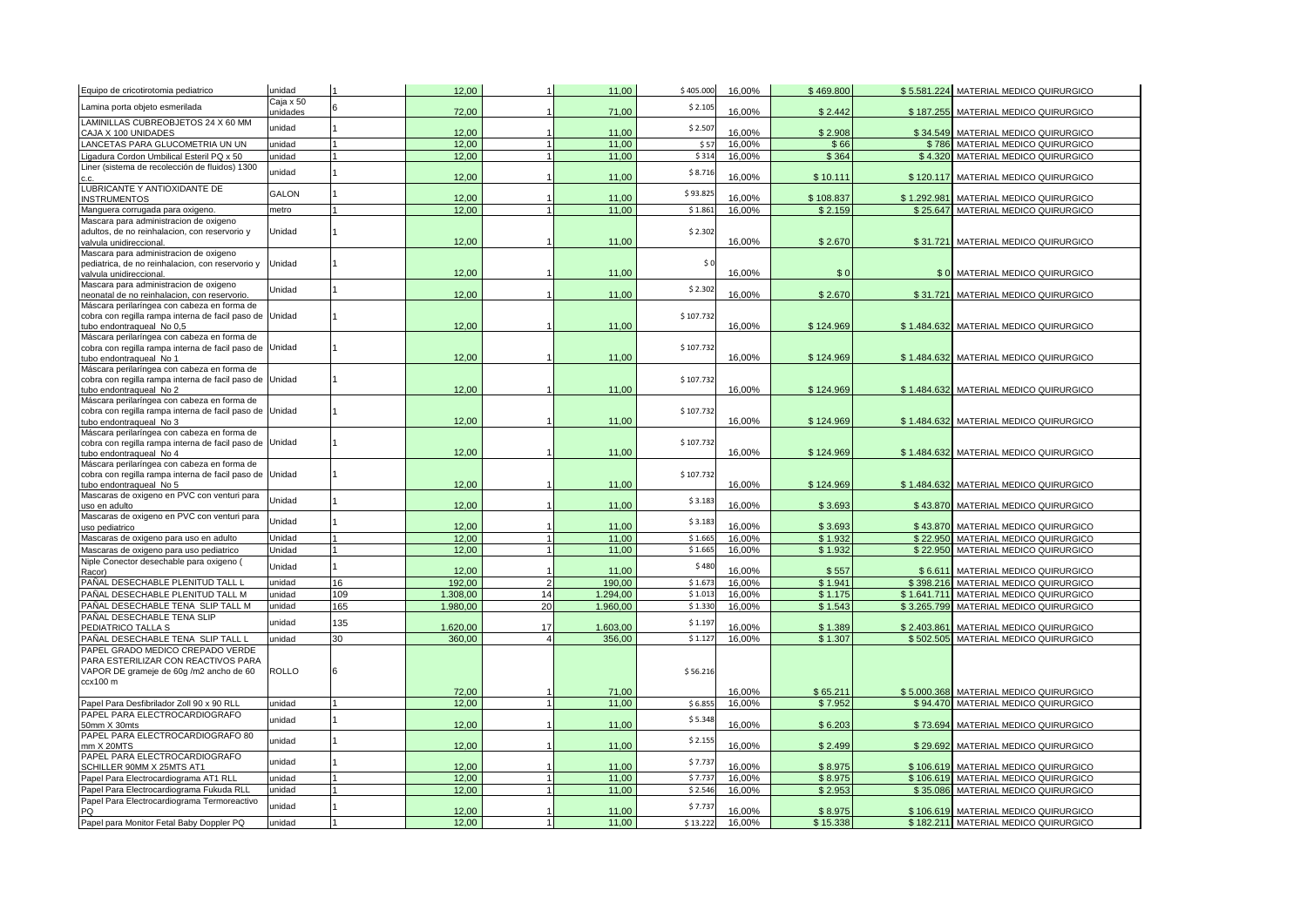| Equipo de cricotirotomia pediatrico                                                                    | unidad                |                | 12,00           |                | 11,00           | \$405.000 | 16,00%           | \$469.800          |                          | \$5.581.224 MATERIAL MEDICO QUIRURGICO                   |
|--------------------------------------------------------------------------------------------------------|-----------------------|----------------|-----------------|----------------|-----------------|-----------|------------------|--------------------|--------------------------|----------------------------------------------------------|
| Lamina porta objeto esmerilada                                                                         | Caja x 50<br>ınidades | 6              | 72,00           |                | 71,00           | \$2.105   | 16,00%           | \$2.442            |                          | \$187.255 MATERIAL MEDICO QUIRURGICO                     |
| LAMINILLAS CUBREOBJETOS 24 X 60 MM<br>CAJA X 100 UNIDADES                                              | unidad                |                | 12,00           |                | 11,00           | \$2.507   | 16,00%           | \$2.908            | \$34.549                 | MATERIAL MEDICO QUIRURGICO                               |
| ANCETAS PARA GLUCOMETRIA UN UN                                                                         | unidad                | $\overline{1}$ | 12,00           |                | 11.00           | \$57      | 16,00%           | \$66               | \$786                    | MATERIAL MEDICO QUIRURGICO                               |
| Ligadura Cordon Umbilical Esteril PQ x 50                                                              | inidad                | $\mathbf{1}$   | 12,00           | $\overline{1}$ | 11,00           | \$314     | 16,00%           | \$364              | \$4.320                  | MATERIAL MEDICO QUIRURGICO                               |
| Liner (sistema de recolección de fluidos) 1300                                                         | unidad                |                | 12,00           |                | 11,00           | \$8.716   | 16,00%           | \$10.11'           | \$120.117                | MATERIAL MEDICO QUIRURGICO                               |
| LUBRICANTE Y ANTIOXIDANTE DE<br><b>INSTRUMENTOS</b>                                                    | <b>GALON</b>          | $\mathbf{1}$   | 12,00           |                | 11,00           | \$93.825  | 16,00%           | \$108.837          | \$1.292.981              | MATERIAL MEDICO QUIRURGICO                               |
| Manguera corrugada para oxigeno.                                                                       | metro                 | $\mathbf{1}$   | 12,00           |                | 11,00           | \$1.861   | 16,00%           | \$2.159            | \$25.647                 | MATERIAL MEDICO QUIRURGICO                               |
| Mascara para administracion de oxigeno                                                                 |                       |                |                 |                |                 |           |                  |                    |                          |                                                          |
| adultos, de no reinhalacion, con reservorio y                                                          | Unidad                |                |                 |                |                 | \$2.302   |                  |                    |                          |                                                          |
| valvula unidireccional.                                                                                |                       |                | 12,00           |                | 11,00           |           | 16,00%           | \$2.670            | \$31.721                 | MATERIAL MEDICO QUIRURGICO                               |
| Mascara para administracion de oxigeno                                                                 |                       |                |                 |                |                 |           |                  |                    |                          |                                                          |
| pediatrica, de no reinhalacion, con reservorio y                                                       | Unidad                |                | 12,00           |                | 11,00           | \$0       |                  | \$0                |                          | \$0 MATERIAL MEDICO QUIRURGICO                           |
| valvula unidireccional.<br>Mascara para administracion de oxigeno                                      |                       |                |                 |                |                 |           | 16,00%           |                    |                          |                                                          |
| neonatal de no reinhalacion, con reservorio.                                                           | Unidad                |                | 12,00           |                | 11,00           | \$2.302   | 16,00%           | \$2.670            | \$31.721                 | MATERIAL MEDICO QUIRURGICO                               |
| Máscara perilaríngea con cabeza en forma de                                                            |                       |                |                 |                |                 |           |                  |                    |                          |                                                          |
| cobra con regilla rampa interna de facil paso de Unidad                                                |                       | $\overline{1}$ |                 |                |                 | \$107.732 |                  |                    |                          |                                                          |
| ubo endontraqueal No 0,5                                                                               |                       |                | 12,00           |                | 11,00           |           | 16,00%           | \$124.969          |                          | \$1.484.632 MATERIAL MEDICO QUIRURGICO                   |
| Máscara perilaríngea con cabeza en forma de                                                            |                       |                |                 |                |                 |           |                  |                    |                          |                                                          |
| cobra con regilla rampa interna de facil paso de Unidad                                                |                       | 1              | 12.00           |                |                 | \$107.732 |                  |                    |                          |                                                          |
| ubo endontraqueal No 1                                                                                 |                       |                |                 |                | 11,00           |           | 16,00%           | \$124.969          |                          | \$1.484.632 MATERIAL MEDICO QUIRURGICO                   |
| Máscara perilaríngea con cabeza en forma de<br>cobra con regilla rampa interna de facil paso de Unidad |                       | 11             |                 |                |                 | \$107.732 |                  |                    |                          |                                                          |
| tubo endontraqueal No 2                                                                                |                       |                | 12,00           |                | 11,00           |           | 16,00%           | \$124.969          |                          | \$1.484.632 MATERIAL MEDICO QUIRURGICO                   |
| Máscara perilaríngea con cabeza en forma de                                                            |                       |                |                 |                |                 |           |                  |                    |                          |                                                          |
| cobra con regilla rampa interna de facil paso de Unidad                                                |                       | 11             |                 |                |                 | \$107.732 |                  |                    |                          |                                                          |
| tubo endontraqueal No 3                                                                                |                       |                | 12,00           |                | 11,00           |           | 16,00%           | \$124.969          |                          | \$1.484.632 MATERIAL MEDICO QUIRURGICO                   |
| Máscara perilaríngea con cabeza en forma de                                                            |                       |                |                 |                |                 |           |                  |                    |                          |                                                          |
| cobra con regilla rampa interna de facil paso de Unidad                                                |                       |                |                 |                |                 | \$107.732 |                  |                    |                          |                                                          |
| ubo endontraqueal No 4                                                                                 |                       |                | 12,00           |                | 11,00           |           | 16,00%           | \$124.969          |                          | \$1.484.632 MATERIAL MEDICO QUIRURGICO                   |
| Máscara perilaríngea con cabeza en forma de<br>cobra con regilla rampa interna de facil paso de Unidad |                       | 11             |                 |                |                 | \$107.732 |                  |                    |                          |                                                          |
| tubo endontraqueal No 5                                                                                |                       |                | 12,00           |                | 11,00           |           | 16,00%           | \$124.969          |                          | \$1.484.632 MATERIAL MEDICO QUIRURGICO                   |
| Mascaras de oxigeno en PVC con venturi para                                                            |                       |                |                 |                |                 |           |                  |                    |                          |                                                          |
| uso en adulto                                                                                          | Unidad                | 1              | 12,00           |                | 11,00           | \$3.183   | 16,00%           | \$3.693            |                          | \$43.870 MATERIAL MEDICO QUIRURGICO                      |
| Mascaras de oxigeno en PVC con venturi para                                                            | Unidad                |                |                 |                |                 | \$3.183   |                  |                    |                          |                                                          |
| uso pediatrico                                                                                         |                       |                | 12,00           |                | 11,00           |           | 16,00%           | \$3.693            |                          | \$43.870 MATERIAL MEDICO QUIRURGICO                      |
| Mascaras de oxigeno para uso en adulto                                                                 | Unidad                | $\mathbf{1}$   | 12.00           | $\mathbf{1}$   | 11.00           | \$1.665   | 16,00%           | \$1.932            |                          | \$22.950 MATERIAL MEDICO QUIRURGICO                      |
| Mascaras de oxigeno para uso pediatrico                                                                | Unidad                | $\mathbf{1}$   | 12.00           | $\overline{1}$ | 11,00           | \$1.665   | 16,00%           | \$1.932            |                          | \$22.950 MATERIAL MEDICO QUIRURGICO                      |
| Niple Conector desechable para oxigeno (                                                               | Unidad                | $\mathbf{1}$   |                 |                |                 | \$480     |                  |                    |                          |                                                          |
| Racor)<br>PAÑAL DESECHABLE PLENITUD TALL L                                                             | unidad                | 16             | 12,00<br>192.00 | 2              | 11,00<br>190,00 | \$1.673   | 16.00%           | \$557              | \$6.611                  | MATERIAL MEDICO QUIRURGICO                               |
| PAÑAL DESECHABLE PLENITUD TALL M                                                                       | unidad                | 109            | 1.308,00        | 14             | 1.294,00        | \$1.013   | 16,00%<br>16,00% | \$1.941<br>\$1.175 | \$398.216<br>\$1.641.711 | MATERIAL MEDICO QUIRURGICO<br>MATERIAL MEDICO QUIRURGICO |
| PAÑAL DESECHABLE TENA SLIP TALL M                                                                      | unidad                | 165            | 1.980,00        | 20             | 1.960,00        | \$1.330   | 16,00%           | \$1.543            | \$3.265.799              | MATERIAL MEDICO QUIRURGICO                               |
| PAÑAL DESECHABLE TENA SLIP                                                                             |                       |                |                 |                |                 |           |                  |                    |                          |                                                          |
| PEDIATRICO TALLA S                                                                                     | unidad                | 135            | 1.620,00        | 17             | 1.603,00        | \$1.197   | 16,00%           | \$1.389            | \$2,403,861              | MATERIAL MEDICO QUIRURGICO                               |
| PAÑAL DESECHABLE TENA SLIP TALL L                                                                      | unidad                | 30             | 360.00          | $\overline{4}$ | 356,00          | \$1.127   | 16.00%           | \$1.307            |                          | \$502.505 MATERIAL MEDICO QUIRURGICO                     |
| PAPEL GRADO MEDICO CREPADO VERDE                                                                       |                       |                |                 |                |                 |           |                  |                    |                          |                                                          |
| PARA ESTERILIZAR CON REACTIVOS PARA                                                                    |                       |                |                 |                |                 |           |                  |                    |                          |                                                          |
| VAPOR DE grameje de 60g /m2 ancho de 60                                                                | <b>ROLLO</b>          | 6              |                 |                |                 | \$56.216  |                  |                    |                          |                                                          |
| ccx100 m                                                                                               |                       |                |                 |                |                 |           |                  |                    |                          |                                                          |
|                                                                                                        |                       |                | 72,00           |                | 71,00           |           | 16,00%           | \$65.211           |                          | \$5.000.368 MATERIAL MEDICO QUIRURGICO                   |
| Papel Para Desfibrilador Zoll 90 x 90 RLL                                                              | unidad                |                | 12,00           |                | 11,00           | \$6.855   | 16,00%           | \$7.952            |                          | \$94.470 MATERIAL MEDICO QUIRURGICO                      |
| PAPEL PARA ELECTROCARDIOGRAFO<br>50mm X 30mts                                                          | unidad                |                | 12,00           |                | 11,00           | \$5.348   | 16,00%           | \$6.203            |                          | \$73.694 MATERIAL MEDICO QUIRURGICO                      |
| PAPEL PARA ELECTROCARDIOGRAFO 80                                                                       |                       |                |                 |                |                 |           |                  |                    |                          |                                                          |
| mm X 20MTS                                                                                             | unidad                |                | 12,00           |                | 11,00           | \$2.155   | 16,00%           | \$2.499            | \$29.692                 | MATERIAL MEDICO QUIRURGICO                               |
| PAPEL PARA ELECTROCARDIOGRAFO                                                                          |                       |                |                 |                |                 |           |                  |                    |                          |                                                          |
| SCHILLER 90MM X 25MTS AT1                                                                              | unidad                |                | 12,00           |                | 11,00           | \$7.737   | 16,00%           | \$8.975            | \$106.619                | MATERIAL MEDICO QUIRURGICO                               |
| Papel Para Electrocardiograma AT1 RLL                                                                  | ınidad                |                | 12,00           |                | 11,00           | \$7.737   | 16,00%           | \$8.975            |                          | \$106.619 MATERIAL MEDICO QUIRURGICO                     |
| Papel Para Electrocardiograma Fukuda RLI                                                               | inidad                |                | 12,00           | $\mathbf{1}$   | 11,00           | \$2.546   | 16,00%           | \$2.953            |                          | \$35.086 MATERIAL MEDICO QUIRURGICO                      |
| Papel Para Electrocardiograma Termoreactivo                                                            | unidad                |                |                 |                |                 | \$7.737   |                  |                    |                          |                                                          |
| PQ                                                                                                     |                       |                | 12,00           |                | 11,00           |           | 16,00%           | \$8.975            |                          | \$106.619 MATERIAL MEDICO QUIRURGICO                     |
| Papel para Monitor Fetal Baby Doppler PQ                                                               | unidad                |                | 12,00           | $\mathbf{1}$   | 11,00           | \$13.222  | 16,00%           | \$15.338           |                          | \$182.211 MATERIAL MEDICO QUIRURGICO                     |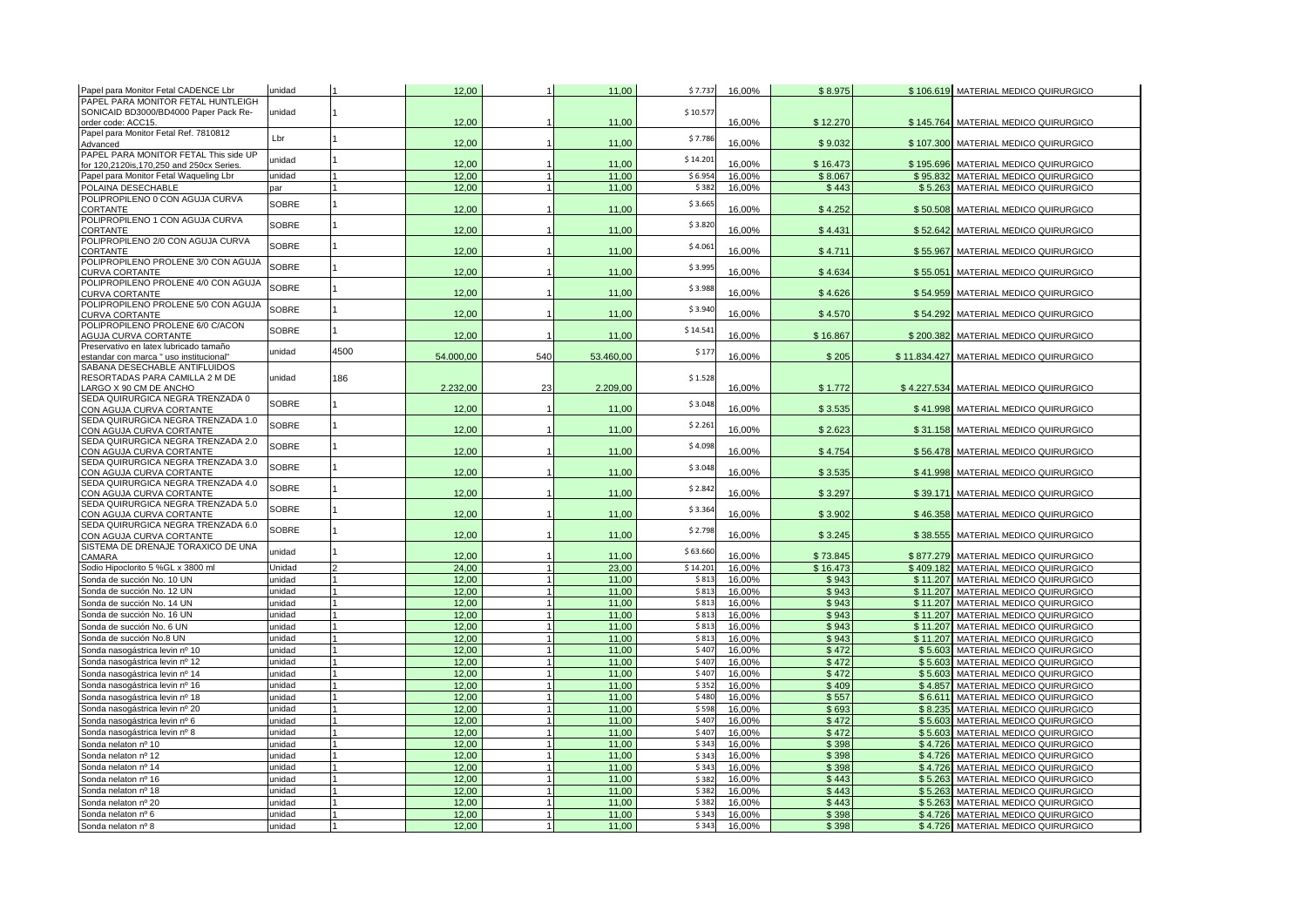| Papel para Monitor Fetal CADENCE Lbr                            | unidad       |      | 12,00     |                | 11,00     | \$7.737  | 16,00% | \$8.975  |              | \$106.619 MATERIAL MEDICO QUIRURGICO |
|-----------------------------------------------------------------|--------------|------|-----------|----------------|-----------|----------|--------|----------|--------------|--------------------------------------|
| PAPEL PARA MONITOR FETAL HUNTLEIGH                              |              |      |           |                |           |          |        |          |              |                                      |
| SONICAID BD3000/BD4000 Paper Pack Re-                           | unidad       |      |           |                |           | \$10.577 |        |          |              |                                      |
| order code: ACC15.                                              |              |      | 12,00     |                | 11,00     |          | 16,00% | \$12.270 | \$145.764    | MATERIAL MEDICO QUIRURGICO           |
| Papel para Monitor Fetal Ref. 7810812                           | Lbr          |      |           |                |           | \$7.786  |        |          |              |                                      |
| Advanced<br>PAPEL PARA MONITOR FETAL This side UP               |              |      | 12,00     |                | 11,00     |          | 16,00% | \$9.032  | \$107.300    | MATERIAL MEDICO QUIRURGICO           |
| for 120,2120is,170,250 and 250cx Series.                        | unidad       |      | 12,00     |                | 11,00     | \$14.201 | 16,00% | \$16.473 | \$195.696    | MATERIAL MEDICO QUIRURGICO           |
| Papel para Monitor Fetal Waqueling Lbr                          | unidad       |      | 12,00     | $\overline{1}$ | 11.00     | \$6.954  | 16,00% | \$8.067  | \$95.832     | MATERIAL MEDICO QUIRURGICO           |
| POLAINA DESECHABLE                                              | par          |      | 12,00     | $\overline{1}$ | 11,00     | \$382    | 16,00% | \$443    | \$5.263      | MATERIAL MEDICO QUIRURGICO           |
| POLIPROPILENO 0 CON AGUJA CURVA                                 |              |      |           |                |           |          |        |          |              |                                      |
| CORTANTE                                                        | SOBRE        |      | 12,00     |                | 11,00     | \$3.665  | 16,00% | \$4.252  | \$50.508     | MATERIAL MEDICO QUIRURGICO           |
| POLIPROPILENO 1 CON AGUJA CURVA                                 | SOBRE        |      |           |                |           | \$3.820  |        |          |              |                                      |
| <b>CORTANTE</b>                                                 |              |      | 12,00     |                | 11,00     |          | 16,00% | \$4.431  | \$52.642     | MATERIAL MEDICO QUIRURGICO           |
| POLIPROPILENO 2/0 CON AGUJA CURVA                               | SOBRE        | 1    |           |                |           | \$4.061  |        |          |              |                                      |
| CORTANTE                                                        |              |      | 12,00     |                | 11,00     |          | 16,00% | \$4.711  | \$55.967     | MATERIAL MEDICO QUIRURGICO           |
| POLIPROPILENO PROLENE 3/0 CON AGUJA<br><b>CURVA CORTANTE</b>    | SOBRE        |      | 12,00     |                | 11,00     | \$3.995  | 16,00% | \$4.634  | \$55.051     | MATERIAL MEDICO QUIRURGICO           |
| POLIPROPILENO PROLENE 4/0 CON AGUJA                             |              |      |           |                |           |          |        |          |              |                                      |
| <b>CURVA CORTANTE</b>                                           | SOBRE        |      | 12.00     |                | 11,00     | \$3.988  | 16,00% | \$4.626  | \$54.959     | MATERIAL MEDICO QUIRURGICO           |
| POLIPROPILENO PROLENE 5/0 CON AGUJA                             |              |      |           |                |           |          |        |          |              |                                      |
| <b>CURVA CORTANTE</b>                                           | SOBRE        |      | 12,00     |                | 11,00     | \$3.940  | 16,00% | \$4.570  | \$54.292     | MATERIAL MEDICO QUIRURGICO           |
| POLIPROPILENO PROLENE 6/0 C/ACON                                | SOBRE        |      |           |                |           | \$14.541 |        |          |              |                                      |
| AGUJA CURVA CORTANTE                                            |              |      | 12,00     |                | 11,00     |          | 16,00% | \$16.867 | \$200.382    | MATERIAL MEDICO QUIRURGICO           |
| Preservativo en latex lubricado tamaño                          | unidad       | 4500 |           |                |           | \$177    |        |          |              |                                      |
| estandar con marca " uso institucional"                         |              |      | 54.000,00 | 540            | 53.460,00 |          | 16,00% | \$205    | \$11.834.427 | MATERIAL MEDICO QUIRURGICO           |
| SABANA DESECHABLE ANTIFLUIDOS<br>RESORTADAS PARA CAMILLA 2 M DE | unidad       | 186  |           |                |           | \$1.528  |        |          |              |                                      |
| <b>LARGO X 90 CM DE ANCHO</b>                                   |              |      | 2.232,00  | 23             | 2.209,00  |          | 16,00% | \$1.772  | \$4.227.534  | MATERIAL MEDICO QUIRURGICO           |
| SEDA QUIRURGICA NEGRA TRENZADA 0                                |              |      |           |                |           |          |        |          |              |                                      |
| CON AGUJA CURVA CORTANTE                                        | SOBRE        | 1    | 12,00     |                | 11,00     | \$3.048  | 16,00% | \$3.535  | \$41,998     | MATERIAL MEDICO QUIRURGICO           |
| SEDA QUIRURGICA NEGRA TRENZADA 1.0                              | SOBRE        |      |           |                |           | \$2.261  |        |          |              |                                      |
| CON AGUJA CURVA CORTANTE                                        |              |      | 12,00     |                | 11,00     |          | 16,00% | \$2.623  | \$31.158     | MATERIAL MEDICO QUIRURGICO           |
| SEDA QUIRURGICA NEGRA TRENZADA 2.0                              | <b>SOBRE</b> |      |           |                |           | \$4.098  |        |          |              |                                      |
| CON AGUJA CURVA CORTANTE                                        |              |      | 12,00     |                | 11,00     |          | 16,00% | \$4.754  | \$56.478     | MATERIAL MEDICO QUIRURGICO           |
| SEDA QUIRURGICA NEGRA TRENZADA 3.0                              | SOBRE        |      | 12,00     |                | 11,00     | \$3.048  | 16,00% | \$3.535  | \$41.998     | MATERIAL MEDICO QUIRURGICO           |
| CON AGUJA CURVA CORTANTE<br>SEDA QUIRURGICA NEGRA TRENZADA 4.0  |              |      |           |                |           |          |        |          |              |                                      |
| CON AGUJA CURVA CORTANTE                                        | SOBRE        |      | 12,00     |                | 11,00     | \$2.842  | 16,00% | \$3.297  | \$39.171     | MATERIAL MEDICO QUIRURGICO           |
| SEDA QUIRURGICA NEGRA TRENZADA 5.0                              |              |      |           |                |           |          |        |          |              |                                      |
| CON AGUJA CURVA CORTANTE                                        | SOBRE        |      | 12,00     |                | 11,00     | \$3.364  | 16,00% | \$3.902  | \$46.358     | MATERIAL MEDICO QUIRURGICO           |
| SEDA QUIRURGICA NEGRA TRENZADA 6.0                              | SOBRE        |      |           |                |           | \$2.798  |        |          |              |                                      |
| CON AGUJA CURVA CORTANTE                                        |              |      | 12,00     |                | 11,00     |          | 16,00% | \$3.245  | \$38.555     | MATERIAL MEDICO QUIRURGICO           |
| SISTEMA DE DRENAJE TORAXICO DE UNA                              | unidad       |      |           |                |           | \$63.660 |        |          |              |                                      |
| CAMARA                                                          |              |      | 12.00     |                | 11.00     |          | 16.00% | \$73.845 | \$877.279    | MATERIAL MEDICO QUIRURGICO           |
| Sodio Hipoclorito 5 %GL x 3800 ml                               | Unidad       |      | 24,00     |                | 23,00     | \$14.201 | 16,00% | \$16.473 | \$409.182    | MATERIAL MEDICO QUIRURGICO           |
| Sonda de succión No. 10 UN                                      | unidad       |      | 12,00     | $\overline{1}$ | 11,00     | \$813    | 16,00% | \$943    | \$11,207     | MATERIAL MEDICO QUIRURGICO           |
| Sonda de succión No. 12 UN                                      | unidad       |      | 12,00     | $\overline{1}$ | 11,00     | \$813    | 16,00% | \$943    | \$11.207     | MATERIAL MEDICO QUIRURGICO           |
| Sonda de succión No. 14 UN                                      | unidad       |      | 12,00     | $\overline{1}$ | 11,00     | \$813    | 16,00% | \$943    | \$11,207     | MATERIAL MEDICO QUIRURGICO           |
| Sonda de succión No. 16 UN                                      | unidad       |      | 12,00     |                | 11,00     | \$813    | 16,00% | \$943    | \$11.207     | MATERIAL MEDICO QUIRURGICO           |
| Sonda de succión No. 6 UN                                       | unidad       |      | 12,00     | $\overline{1}$ | 11,00     | \$813    | 16,00% | \$943    | \$11.207     | MATERIAL MEDICO QUIRURGICO           |
| Sonda de succión No.8 UN                                        | unidad       |      | 12.00     |                | 11.00     | \$813    | 16.00% | \$943    | \$11,207     | MATERIAL MEDICO QUIRURGICO           |
| Sonda nasogástrica levin nº 10                                  | unidad       |      | 12,00     | $\overline{1}$ | 11,00     | \$407    | 16,00% | \$472    | \$5.603      | MATERIAL MEDICO QUIRURGICO           |
| Sonda nasogástrica levin nº 12                                  | unidad       |      | 12,00     | $\overline{1}$ | 11,00     | \$407    | 16,00% | \$472    | \$5.603      | MATERIAL MEDICO QUIRURGICO           |
| Sonda nasogástrica levin nº 14                                  | unidad       |      | 12,00     | $\overline{1}$ | 11,00     | \$407    | 16,00% | \$472    | \$5.603      | MATERIAL MEDICO QUIRURGICO           |
| Sonda nasogástrica levin nº 16                                  | unidad       |      | 12,00     | $\overline{1}$ | 11.00     | \$352    | 16,00% | \$409    | \$4.857      | MATERIAL MEDICO QUIRURGICO           |
| Sonda nasogástrica levin nº 18                                  | unidad       |      | 12,00     | $\overline{1}$ | 11.00     | \$480    | 16,00% | \$557    | \$6.61       | MATERIAL MEDICO QUIRURGICO           |
| Sonda nasogástrica levin nº 20                                  | unidad       |      | 12.00     | 1              | 11.00     | \$598    | 16.00% | \$693    | \$8.235      | MATERIAL MEDICO QUIRURGICO           |
| Sonda nasogástrica levin nº 6                                   | unidad       |      | 12,00     | $\overline{1}$ | 11,00     | \$407    | 16,00% | \$472    | \$5.603      | MATERIAL MEDICO QUIRURGICO           |
| Sonda nasogástrica levin nº 8                                   | unidad       |      | 12,00     | $\overline{1}$ | 11,00     | \$407    | 16,00% | \$472    | \$5.603      | MATERIAL MEDICO QUIRURGICO           |
| Sonda nelaton nº 10                                             | unidad       |      | 12.00     | $\mathbf{1}$   | 11.00     | \$343    | 16,00% | \$398    | \$4.726      | MATERIAL MEDICO QUIRURGICO           |
| Sonda nelaton nº 12                                             | unidad       |      | 12,00     | $\overline{1}$ | 11,00     | \$343    | 16,00% | \$398    | \$4.726      | MATERIAL MEDICO QUIRURGICO           |
| Sonda nelaton nº 14                                             | unidad       |      | 12,00     | $\overline{1}$ | 11,00     | \$343    | 16,00% | \$398    | \$4.726      | MATERIAL MEDICO QUIRURGICO           |
| Sonda nelaton nº 16                                             | unidad       |      | 12.00     | $\overline{1}$ | 11.00     | \$382    | 16,00% | \$443    | \$5.263      | MATERIAL MEDICO QUIRURGICO           |
| Sonda nelaton nº 18                                             | unidad       |      | 12,00     | $\overline{1}$ | 11,00     | \$382    | 16,00% | \$443    | \$5.263      | MATERIAL MEDICO QUIRURGICO           |
| Sonda nelaton nº 20                                             | unidad       |      | 12,00     | $\overline{1}$ | 11,00     | \$382    | 16,00% | \$443    | \$5.26       | MATERIAL MEDICO QUIRURGICO           |
| Sonda nelaton nº 6                                              | unidad       |      | 12,00     |                | 11,00     | \$343    | 16,00% | \$398    | \$4.726      | MATERIAL MEDICO QUIRURGICO           |
| Sonda nelaton nº 8                                              | unidad       |      | 12.00     |                | 11.00     | \$343    | 16,00% | \$398    |              | \$4.726 MATERIAL MEDICO QUIRURGICO   |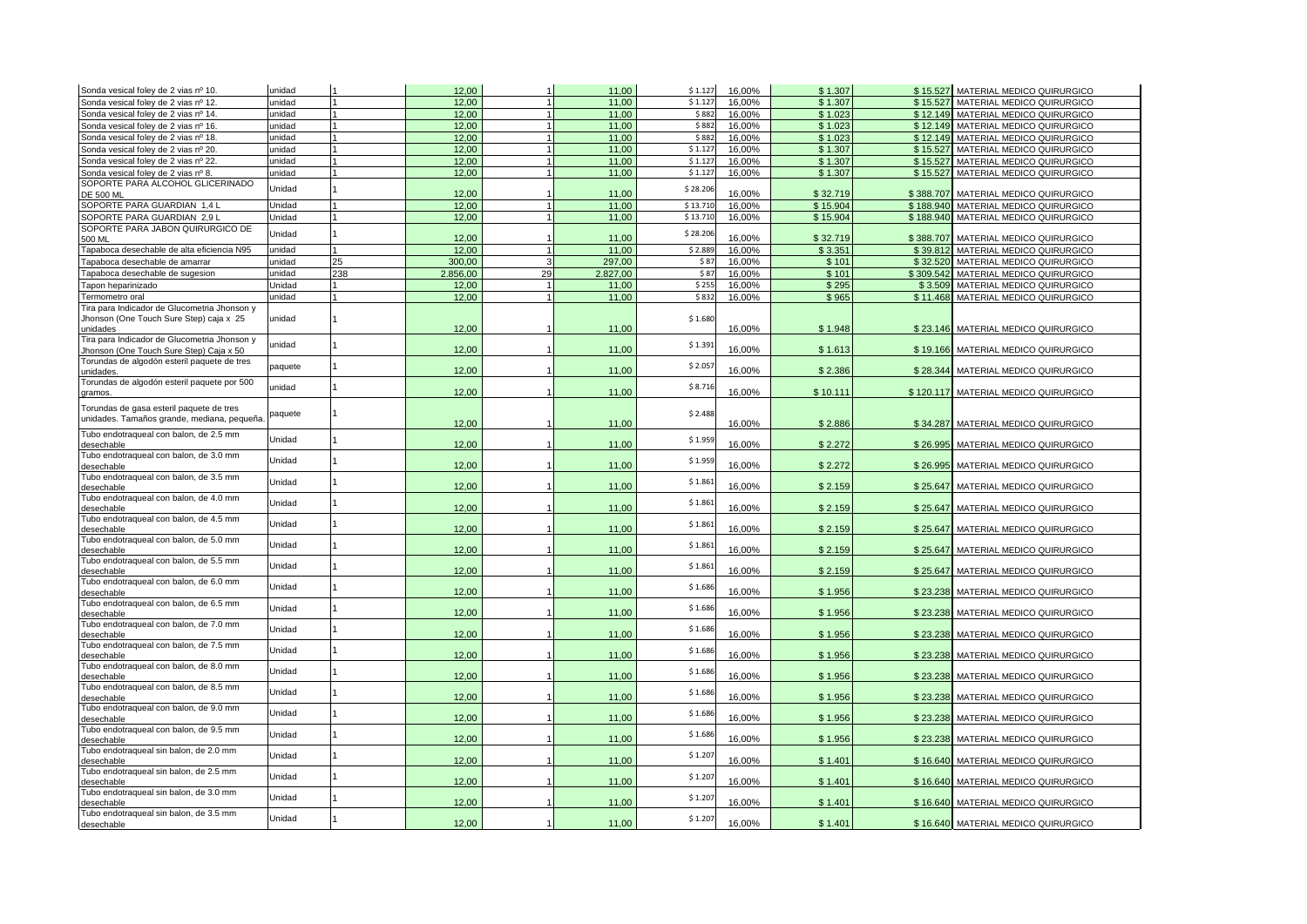| Sonda vesical foley de 2 vias nº 10.                                                                | unidad  |     | 12,00    |                | 11,00    | \$1.127  | 16,00% | \$1.307  |          | \$15.527 MATERIAL MEDICO QUIRURGICO  |
|-----------------------------------------------------------------------------------------------------|---------|-----|----------|----------------|----------|----------|--------|----------|----------|--------------------------------------|
| Sonda vesical folev de 2 vias nº 12.                                                                | unidad  |     | 12.00    |                | 11.00    | \$1.127  | 16.00% | \$1.307  |          | \$15,527 MATERIAL MEDICO QUIRURGICO  |
| Sonda vesical foley de 2 vias nº 14.                                                                | unidad  |     | 12,00    |                | 11,00    | \$882    | 16,00% | \$1.023  |          | \$12.149 MATERIAL MEDICO QUIRURGICO  |
| Sonda vesical foley de 2 vias nº 16.                                                                | unidad  |     | 12,00    |                | 11,00    | \$882    | 16,00% | \$1.023  |          | \$12.149 MATERIAL MEDICO QUIRURGICO  |
| Sonda vesical foley de 2 vias nº 18.                                                                | unidad  | 1   | 12.00    |                | 11.00    | \$882    | 16,00% | \$1.023  |          | \$12.149 MATERIAL MEDICO QUIRURGICO  |
| Sonda vesical foley de 2 vias nº 20.                                                                | unidad  | 1   | 12,00    |                | 11,00    | \$1.12   | 16,00% | \$1.307  | \$15.527 | MATERIAL MEDICO QUIRURGICO           |
| Sonda vesical foley de 2 vias nº 22.                                                                | unidad  |     | 12,00    |                | 11,00    | \$1.127  | 16,00% | \$1.307  | \$15.527 | MATERIAL MEDICO QUIRURGICO           |
| Sonda vesical foley de 2 vias nº 8.                                                                 | unidad  |     | 12,00    |                | 11,00    | \$1.127  | 16,00% | \$1.307  |          | \$15.527 MATERIAL MEDICO QUIRURGICO  |
| SOPORTE PARA ALCOHOL GLICERINADO<br><b>DE 500 MI</b>                                                | Unidad  |     | 12,00    |                | 11,00    | \$28.206 | 16,00% | \$32.719 |          | \$388.707 MATERIAL MEDICO QUIRURGICO |
| SOPORTE PARA GUARDIAN 1,4 L                                                                         | Unidad  |     | 12.00    |                | 11,00    | \$13.710 | 16,00% | \$15.904 |          | \$188.940 MATERIAL MEDICO QUIRURGICO |
| SOPORTE PARA GUARDIAN 2,9 L                                                                         | Unidad  |     | 12,00    |                | 11,00    | \$13.710 | 16,00% | \$15.904 |          | \$188.940 MATERIAL MEDICO QUIRURGICO |
| SOPORTE PARA JABON QUIRURGICO DE<br>500 ML                                                          | Unidad  |     | 12,00    |                | 11,00    | \$28.206 | 16,00% | \$32.719 |          | \$388.707 MATERIAL MEDICO QUIRURGICO |
| Tapaboca desechable de alta eficiencia N95                                                          | unidad  | 1   | 12.00    | $\mathbf{1}$   | 11.00    | \$2.889  | 16,00% | \$3.351  |          | \$39.812 MATERIAL MEDICO QUIRURGICO  |
| apaboca desechable de amarrar                                                                       | unidad  | 25  | 300,00   | 3              | 297,00   | \$87     | 16,00% | \$101    | \$32.520 | MATERIAL MEDICO QUIRURGICO           |
| Fapaboca desechable de sugesion                                                                     | unidad  | 238 | 2.856,00 | 29             | 2.827,00 | \$87     | 16,00% | \$101    |          | \$309.542 MATERIAL MEDICO QUIRURGICO |
| <sup>r</sup> apon heparinizado                                                                      | Unidad  |     | 12,00    |                | 11,00    | \$255    | 16,00% | \$295    | \$3.509  | MATERIAL MEDICO QUIRURGICO           |
| Fermometro oral                                                                                     | unidad  | 1   | 12.00    |                | 11,00    | \$832    | 16,00% | \$965    | \$11.468 | MATERIAL MEDICO QUIRURGICO           |
| Fira para Indicador de Glucometria Jhonson y<br>Jhonson (One Touch Sure Step) caja x 25<br>ınidades | unidad  |     | 12,00    |                | 11,00    | \$1.680  | 16,00% | \$1.948  |          | \$23.146 MATERIAL MEDICO QUIRURGICO  |
| Fira para Indicador de Glucometria Jhonson y<br>Ihonson (One Touch Sure Step) Caja x 50             | unidad  |     | 12,00    | $\overline{1}$ | 11,00    | \$1.391  | 16,00% | \$1.613  |          | \$19.166 MATERIAL MEDICO QUIRURGICO  |
| Forundas de algodón esteril paquete de tres<br>nidades.                                             | paquete |     | 12,00    |                | 11,00    | \$2.05   | 16,00% | \$2.386  |          | \$28.344 MATERIAL MEDICO QUIRURGICO  |
| Forundas de algodón esteril paquete por 500                                                         | unidad  |     |          |                |          | \$8.716  |        |          |          |                                      |
| gramos.<br>Forundas de gasa esteril paquete de tres                                                 |         |     | 12,00    |                | 11,00    |          | 16,00% | \$10.111 |          | \$120.117 MATERIAL MEDICO QUIRURGICO |
| inidades. Tamaños grande, mediana, pequeña.                                                         | paquete |     | 12,00    |                | 11,00    | \$2.488  | 16,00% | \$2.886  |          | \$34.287 MATERIAL MEDICO QUIRURGICO  |
| Tubo endotraqueal con balon, de 2.5 mm<br>lesechable                                                | Unidad  |     | 12,00    |                | 11,00    | \$1.959  | 16,00% | \$2.272  | \$26.995 | MATERIAL MEDICO QUIRURGICO           |
| Tubo endotraqueal con balon, de 3.0 mm                                                              | Unidad  |     | 12,00    |                | 11,00    | \$1.959  | 16,00% | \$2.272  | \$26.995 | MATERIAL MEDICO QUIRURGICO           |
| lesechable<br>Tubo endotraqueal con balon, de 3.5 mm                                                | Unidad  |     |          |                |          | \$1.861  |        |          |          |                                      |
| desechable<br>Tubo endotraqueal con balon, de 4.0 mm                                                | Unidad  |     | 12,00    |                | 11,00    | \$1.861  | 16,00% | \$2.159  |          | \$25.647 MATERIAL MEDICO QUIRURGICO  |
| lesechable<br>Tubo endotraqueal con balon, de 4.5 mm                                                | Unidad  |     | 12,00    |                | 11,00    | \$1.861  | 16,00% | \$2.159  |          | \$25.647 MATERIAL MEDICO QUIRURGICO  |
| lesechable<br>ubo endotraqueal con balon, de 5.0 mm                                                 |         |     | 12,00    |                | 11,00    |          | 16,00% | \$2.159  |          | \$25.647 MATERIAL MEDICO QUIRURGICO  |
| esechable                                                                                           | Unidad  |     | 12,00    | -1             | 11,00    | \$1.861  | 16,00% | \$2.159  |          | \$25.647 MATERIAL MEDICO QUIRURGICO  |
| Fubo endotraqueal con balon, de 5.5 mm<br>lesechable                                                | Unidad  |     | 12,00    |                | 11,00    | \$1.86   | 16,00% | \$2.159  |          | \$25.647 MATERIAL MEDICO QUIRURGICO  |
| Fubo endotraqueal con balon, de 6.0 mm<br>lesechable                                                | Unidad  |     | 12,00    | $\overline{1}$ | 11,00    | \$1.686  | 16,00% | \$1.956  | \$23.238 | MATERIAL MEDICO QUIRURGICO           |
| Fubo endotraqueal con balon, de 6.5 mm<br>desechable                                                | Unidad  |     | 12,00    | $\overline{1}$ | 11,00    | \$1.686  | 16,00% | \$1.956  |          | \$23.238 MATERIAL MEDICO QUIRURGICO  |
| Fubo endotraqueal con balon, de 7.0 mm<br>lesechable                                                | Unidad  |     | 12,00    |                | 11,00    | \$1.686  | 16,00% | \$1.956  | \$23.238 | MATERIAL MEDICO QUIRURGICO           |
| ubo endotraqueal con balon, de 7.5 mm<br>lesechable                                                 | Unidad  |     | 12,00    |                | 11,00    | \$1.686  | 16,00% | \$1.956  | \$23.238 | MATERIAL MEDICO QUIRURGICO           |
| Tubo endotraqueal con balon, de 8.0 mm                                                              | Unidad  |     | 12,00    |                | 11,00    | \$1.686  | 16,00% | \$1.956  | \$23.238 | MATERIAL MEDICO QUIRURGICO           |
| desechable<br>Tubo endotraqueal con balon, de 8.5 mm                                                | Unidad  |     |          |                |          | \$1.686  |        |          |          |                                      |
| lesechable<br>Fubo endotraqueal con balon, de 9.0 mm                                                |         |     | 12,00    |                | 11,00    |          | 16,00% | \$1.956  | \$23.238 | MATERIAL MEDICO QUIRURGICO           |
| desechable                                                                                          | Unidad  |     | 12,00    |                | 11,00    | \$1.686  | 16,00% | \$1.956  | \$23.238 | MATERIAL MEDICO QUIRURGICO           |
| Tubo endotraqueal con balon, de 9.5 mm<br>esechable                                                 | Unidad  |     | 12,00    | -1             | 11,00    | \$1.686  | 16,00% | \$1.956  | \$23.238 | MATERIAL MEDICO QUIRURGICO           |
| Fubo endotraqueal sin balon, de 2.0 mm<br>lesechable                                                | Unidad  |     | 12,00    |                | 11,00    | \$1.20   | 16,00% | \$1.401  | \$16.640 | MATERIAL MEDICO QUIRURGICO           |
| Tubo endotraqueal sin balon, de 2.5 mm<br>lesechable                                                | Unidad  |     | 12,00    |                | 11,00    | \$1.20   | 16,00% | \$1.401  |          | \$16.640 MATERIAL MEDICO QUIRURGICO  |
| Fubo endotraqueal sin balon, de 3.0 mm<br>lesechable                                                | Unidad  |     | 12,00    |                | 11,00    | \$1.20   | 16,00% | \$1.401  |          | \$16.640 MATERIAL MEDICO QUIRURGICO  |
| Tubo endotraqueal sin balon, de 3.5 mm<br>desechable                                                | Unidad  |     | 12.00    |                | 11.00    | \$1.207  | 16,00% | \$1.401  |          | \$16.640 MATERIAL MEDICO QUIRURGICO  |
|                                                                                                     |         |     |          |                |          |          |        |          |          |                                      |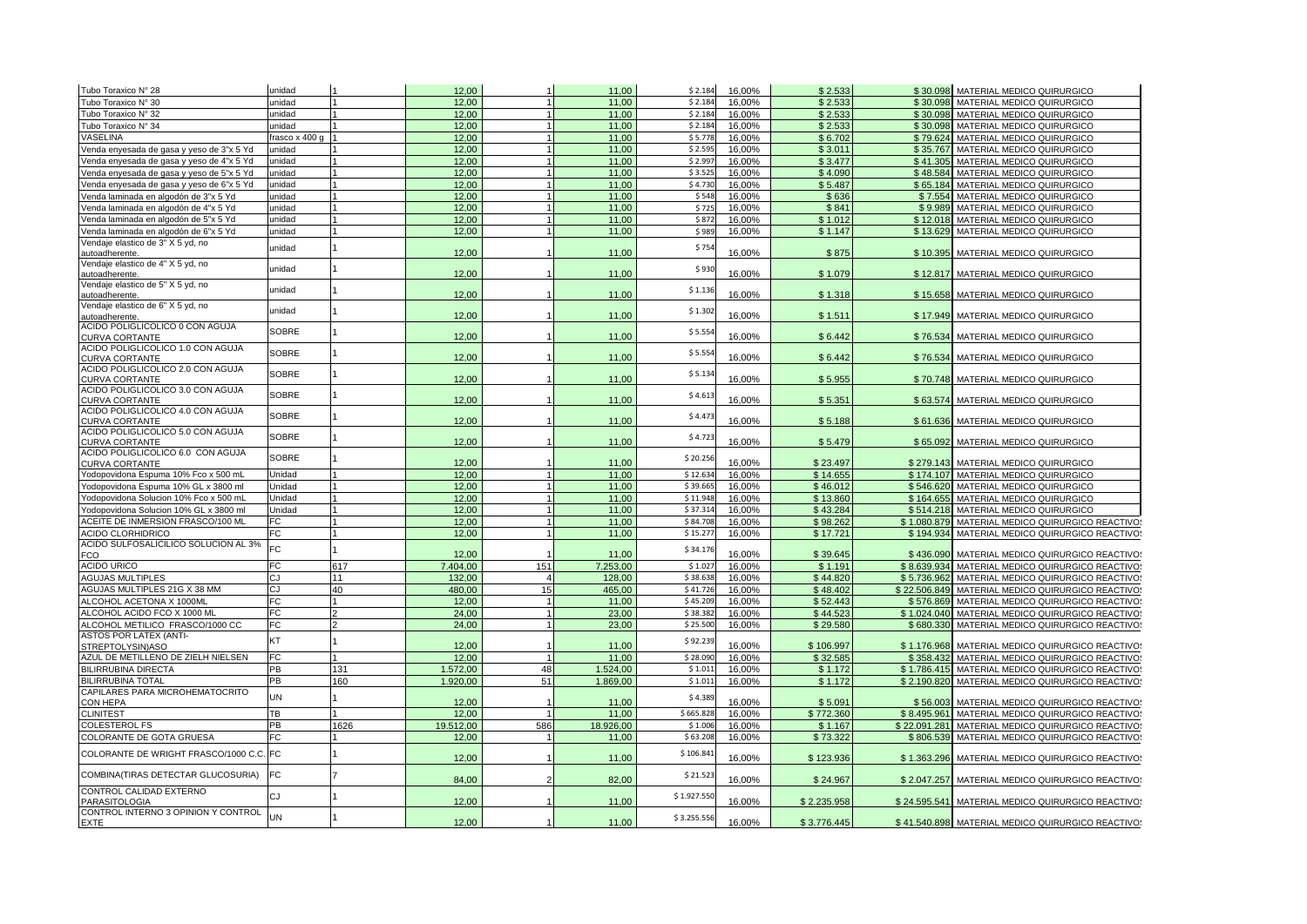| Tubo Toraxico N° 28                                        | unidad         |                | 12,00          |                | 11,00     | \$2.184     | 16,00% | \$2.533     |              | \$30.098 MATERIAL MEDICO QUIRURGICO               |
|------------------------------------------------------------|----------------|----------------|----------------|----------------|-----------|-------------|--------|-------------|--------------|---------------------------------------------------|
| Tubo Toraxico N° 30                                        | unidad         |                | 12,00          |                | 11,00     | \$2.184     | 16,00% | \$2.533     |              | \$30.098 MATERIAL MEDICO QUIRURGICO               |
| Tubo Toraxico N° 32                                        | unidad         |                | 12.00          |                | 11.00     | \$2.184     | 16.00% | \$2.533     | \$30.098     | MATERIAL MEDICO QUIRURGICO                        |
| Tubo Toraxico N° 34                                        | unidad         |                | 12,00          |                | 11,00     | \$2.184     | 16,00% | \$2.533     | \$30.098     | MATERIAL MEDICO QUIRURGICO                        |
| VASELINA                                                   | frasco x 400 g |                | 12,00          |                | 11,00     | \$5.778     | 16,00% | \$6.702     | \$79.624     | MATERIAL MEDICO QUIRURGICO                        |
| Venda enyesada de gasa y yeso de 3"x 5 Yd                  | unidad         |                | 12.00          |                | 11.00     | \$2.595     | 16,00% | \$3.011     | \$35.767     | MATERIAL MEDICO QUIRURGICO                        |
| Venda enyesada de gasa y yeso de 4"x 5 Yd                  | unidad         |                | 12.00          |                | 11.00     | \$2.997     | 16.00% | \$3.477     | \$41.305     | MATERIAL MEDICO QUIRURGICO                        |
| /enda enyesada de gasa y yeso de 5"x 5 Yd                  | unidad         |                | 12,00          |                | 11,00     | \$3.52      | 16,00% | \$4.090     | \$48.584     | MATERIAL MEDICO QUIRURGICO                        |
| /enda enyesada de gasa y yeso de 6"x 5 Yd                  | unidad         |                | 12,00          |                | 11,00     | \$4.730     | 16,00% | \$5.487     | \$65.184     | MATERIAL MEDICO QUIRURGICO                        |
| Venda laminada en algodón de 3"x 5 Yd                      | unidad         |                | 12.00          |                | 11.00     | \$548       | 16.00% | \$636       | \$7.554      | MATERIAL MEDICO QUIRURGICO                        |
| /enda laminada en algodón de 4"x 5 Yd                      | unidad         |                | 12,00          |                | 11,00     | \$725       | 16,00% | \$841       | \$9.989      | MATERIAL MEDICO QUIRURGICO                        |
| /enda laminada en algodón de 5"x 5 Yd                      | unidad         |                | 12,00          |                | 11,00     | \$872       | 16,00% | \$1.012     | \$12.018     | MATERIAL MEDICO QUIRURGICO                        |
| /enda laminada en algodón de 6"x 5 Yd                      | unidad         |                | 12,00          |                | 11,00     | \$989       | 16,00% | \$1.147     | \$13.629     | MATERIAL MEDICO QUIRURGICO                        |
| Vendaje elastico de 3" X 5 yd, no<br>autoadherente.        | unidad         |                | 12,00          |                | 11,00     | \$75        | 16,00% | \$875       | \$10.395     | MATERIAL MEDICO QUIRURGICO                        |
| /endaje elastico de 4" X 5 yd, no<br>autoadherente.        | unidad         |                | 12,00          | $\overline{1}$ | 11,00     | \$93        | 16,00% | \$1.079     |              | \$12.817 MATERIAL MEDICO QUIRURGICO               |
| Vendaje elastico de 5" X 5 yd, no                          | unidad         |                |                |                |           | \$1.13      |        |             |              |                                                   |
| autoadherente.                                             |                |                | 12,00          |                | 11,00     |             | 16.00% | \$1.318     |              | \$15.658 MATERIAL MEDICO QUIRURGICO               |
| Vendaje elastico de 6" X 5 yd, no<br>autoadherente         | unidad         |                | 12,00          |                | 11,00     | \$1.302     | 16,00% | \$1.511     |              | \$17.949 MATERIAL MEDICO QUIRURGICO               |
| ACIDO POLIGLICOLICO 0 CON AGUJA                            | SOBRE          |                |                |                |           | \$5.554     |        |             |              |                                                   |
| <b>CURVA CORTANTE</b>                                      |                |                | 12,00          |                | 11,00     |             | 16,00% | \$6.442     |              | \$76.534 MATERIAL MEDICO QUIRURGICO               |
| ACIDO POLIGLICOLICO 1.0 CON AGUJA<br><b>CURVA CORTANTE</b> | SOBRE          |                | 12,00          |                | 11,00     | \$5.554     | 16,00% | \$6.442     | \$76.534     | MATERIAL MEDICO QUIRURGICO                        |
| ACIDO POLIGLICOLICO 2.0 CON AGUJA<br><b>CURVA CORTANTE</b> | SOBRE          |                | 12,00          |                | 11,00     | \$5.134     | 16,00% | \$5.955     | \$70.748     | MATERIAL MEDICO QUIRURGICO                        |
| ACIDO POLIGLICOLICO 3.0 CON AGUJA<br><b>CURVA CORTANTE</b> | <b>SOBRE</b>   |                | 12,00          |                | 11,00     | \$4.61      | 16,00% | \$5.351     |              | \$63.574 MATERIAL MEDICO QUIRURGICO               |
| ACIDO POLIGLICOLICO 4.0 CON AGUJA<br>CURVA CORTANTE        | SOBRE          |                | 12,00          |                | 11,00     | \$4.473     | 16,00% | \$5.188     |              | \$61.636 MATERIAL MEDICO QUIRURGICO               |
| ACIDO POLIGLICOLICO 5.0 CON AGUJA<br><b>CURVA CORTANTE</b> | SOBRE          |                | 12,00          |                | 11,00     | \$4.72      | 16,00% | \$5.479     |              | \$65.092 MATERIAL MEDICO QUIRURGICO               |
| ACIDO POLIGLICOLICO 6.0 CON AGUJA                          | SOBRE          |                |                |                |           | \$20.25     |        |             |              |                                                   |
| CURVA CORTANTE                                             |                |                | 12,00          |                | 11,00     |             | 16,00% | \$23.497    |              | \$279.143 MATERIAL MEDICO QUIRURGICO              |
| Yodopovidona Espuma 10% Fco x 500 mL                       | Jnidad         |                | 12.00          |                | 11.00     | \$12.634    | 16.00% | \$14.655    |              | \$174.107 MATERIAL MEDICO QUIRURGICO              |
| Yodopovidona Espuma 10% GL x 3800 ml                       | Unidad         |                | 12,00          |                | 11,00     | \$39.665    | 16,00% | \$46.012    | \$546.620    | MATERIAL MEDICO QUIRURGICO                        |
| Yodopovidona Solucion 10% Fco x 500 mL                     | Unidad         |                | 12,00          |                | 11,00     | \$11.948    | 16,00% | \$13.860    | \$164.655    | MATERIAL MEDICO QUIRURGICO                        |
| Yodopovidona Solucion 10% GL x 3800 ml                     | Unidad         |                | 12.00          |                | 11,00     | \$37.314    | 16.00% | \$43.284    | \$514,218    | MATERIAL MEDICO QUIRURGICO                        |
| ACEITE DE INMERSION FRASCO/100 ML                          | FC.            |                | 12,00<br>12,00 |                | 11,00     | \$84.70     | 16,00% | \$98.262    | \$1.080.879  | MATERIAL MEDICO QUIRURGICO REACTIVO               |
| ACIDO CLORHIDRICO<br>ACIDO SULFOSALICILICO SOLUCION AL 3%  | FC.            |                |                |                | 11,00     | \$15.277    | 16,00% | \$17.721    | \$194.934    | MATERIAL MEDICO QUIRURGICO REACTIVO               |
| FCO                                                        | FC             |                | 12.00          |                | 11.00     | \$34.176    | 16.00% | \$39.645    |              | \$436.090 MATERIAL MEDICO QUIRURGICO REACTIVO     |
| <b>ACIDO URICO</b>                                         | FC.            | 617            | 7.404,00       | 151            | 7.253,00  | \$1.02      | 16,00% | \$1.191     | \$8.639.934  | MATERIAL MEDICO QUIRURGICO REACTIVO               |
| <b>AGUJAS MULTIPLES</b>                                    | CJ             | 11             | 132,00         | $\overline{4}$ | 128,00    | \$38.638    | 16,00% | \$44.820    |              | \$5.736.962 MATERIAL MEDICO QUIRURGICO REACTIVO   |
| AGUJAS MULTIPLES 21G X 38 MM                               | CJ             | 40             | 480.00         | 15             | 465,00    | \$41.726    | 16.00% | \$48.402    |              | \$22.506.849 MATERIAL MEDICO QUIRURGICO REACTIVO  |
| ALCOHOL ACETONA X 1000ML                                   | FC             |                | 12.00          |                | 11.00     | \$45.20     | 16.00% | \$52,443    | \$576,869    | MATERIAL MEDICO QUIRURGICO REACTIVO               |
| ALCOHOL ACIDO FCO X 1000 ML                                | FC             | $\overline{2}$ | 24,00          |                | 23,00     | \$38.382    | 16,00% | \$44.523    | \$1.024.040  | MATERIAL MEDICO QUIRURGICO REACTIVO               |
| ALCOHOL METILICO FRASCO/1000 CC                            | FC             | $\mathcal{P}$  | 24,00          |                | 23,00     | \$25.500    | 16,00% | \$29.580    | \$680.330    | MATERIAL MEDICO QUIRURGICO REACTIVO               |
| <b>ASTOS POR LATEX (ANTI-</b><br>STREPTOLYSIN)ASO          | KT             |                | 12.00          |                | 11.00     | \$92.239    | 16.00% | \$106.997   | \$1.176.968  | MATERIAL MEDICO QUIRURGICO REACTIVOS              |
| AZUL DE METILLENO DE ZIELH NIELSEN                         | FС             |                | 12,00          |                | 11,00     | \$28.090    | 16,00% | \$32.585    |              | \$358.432 MATERIAL MEDICO QUIRURGICO REACTIVO     |
| BILIRRUBINA DIRECTA                                        | PB             | 131            | 1.572,00       | 48             | 1.524,00  | \$1.011     | 16,00% | \$1.172     |              | \$1.786.415 MATERIAL MEDICO QUIRURGICO REACTIVO   |
| <b>BILIRRUBINA TOTAL</b>                                   | PB             | 160            | 1.920,00       | 51             | 1.869,00  | \$1.011     | 16,00% | \$1.172     |              | \$2.190.820 MATERIAL MEDICO QUIRURGICO REACTIVO   |
| CAPILARES PARA MICROHEMATOCRITO                            |                |                |                |                |           |             |        |             |              |                                                   |
| CON HEPA                                                   | UN             |                | 12,00          |                | 11,00     | \$4.389     | 16,00% | \$5.091     |              | \$56.003 MATERIAL MEDICO QUIRURGICO REACTIVO      |
| <b>CLINITEST</b>                                           | TB             |                | 12.00          | $\overline{1}$ | 11,00     | \$665.828   | 16,00% | \$772.360   | \$8.495.961  | MATERIAL MEDICO QUIRURGICO REACTIVO               |
| COLESTEROL FS                                              | PB             | 1626           | 19.512.00      | 586            | 18.926.00 | \$1.006     | 16.00% | \$1.167     | \$22.091.281 | MATERIAL MEDICO QUIRURGICO REACTIVO               |
| COLORANTE DE GOTA GRUESA                                   | FС             |                | 12,00          | $\overline{1}$ | 11,00     | \$63.208    | 16,00% | \$73.322    |              | \$806.539 MATERIAL MEDICO QUIRURGICO REACTIVO     |
| COLORANTE DE WRIGHT FRASCO/1000 C.C. FC                    |                |                | 12,00          |                | 11,00     | \$106.841   | 16,00% | \$123.936   |              | \$1.363.296 MATERIAL MEDICO QUIRURGICO REACTIVO   |
| COMBINA(TIRAS DETECTAR GLUCOSURIA)                         | FC             |                | 84,00          | $\overline{2}$ | 82,00     | \$21.52     | 16,00% | \$24.967    |              | \$2.047.257 MATERIAL MEDICO QUIRURGICO REACTIVOS  |
| CONTROL CALIDAD EXTERNO<br>PARASITOLOGIA                   | СJ             |                | 12,00          |                | 11,00     | \$1.927.55  | 16,00% | \$2.235.958 |              | \$24.595.541 MATERIAL MEDICO QUIRURGICO REACTIVOS |
| CONTROL INTERNO 3 OPINION Y CONTROL<br><b>EXTE</b>         | JN             |                | 12,00          |                | 11,00     | \$3.255.556 | 16.00% | \$3.776.445 |              | \$41.540.898 MATERIAL MEDICO QUIRURGICO REACTIVOS |
|                                                            |                |                |                |                |           |             |        |             |              |                                                   |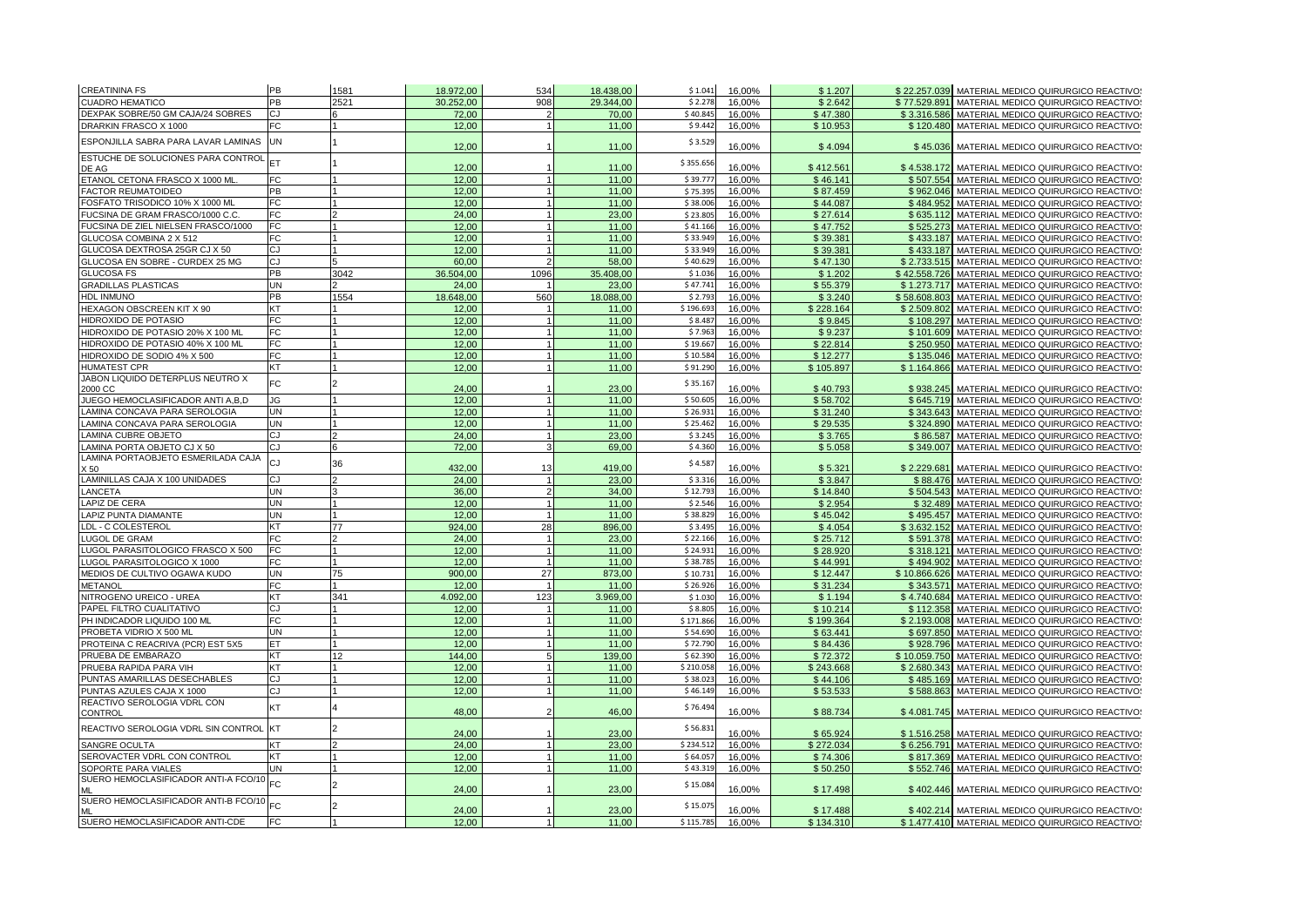| <b>CREATININA FS</b>                        | PB        | 1581 | 18.972,00 | 534            | 18.438,00 | \$1.041   | 16,00% | \$1.207   |              | \$22.257.039 MATERIAL MEDICO QUIRURGICO REACTIVO |
|---------------------------------------------|-----------|------|-----------|----------------|-----------|-----------|--------|-----------|--------------|--------------------------------------------------|
| <b>CUADRO HEMATICO</b>                      | PB        | 2521 | 30.252.00 | 908            | 29.344.00 | \$2.278   | 16,00% | \$2.642   |              | \$77.529.891 MATERIAL MEDICO QUIRURGICO REACTIVO |
| DEXPAK SOBRE/50 GM CAJA/24 SOBRES           | CJ        |      | 72,00     | $\overline{2}$ | 70,00     | \$40.845  | 16,00% | \$47.380  | \$3.316.586  | MATERIAL MEDICO QUIRURGICO REACTIVO              |
| DRARKIN FRASCO X 1000                       | FC        |      | 12.00     |                | 11.00     | \$9.442   | 16.00% | \$10.953  |              | \$120,480 MATERIAL MEDICO QUIRURGICO REACTIVO    |
| ESPONJILLA SABRA PARA LAVAR LAMINAS         | <b>UN</b> |      | 12,00     |                | 11.00     | \$3.529   | 16,00% | \$4.094   | \$45.036     | MATERIAL MEDICO QUIRURGICO REACTIVO              |
| ESTUCHE DE SOLUCIONES PARA CONTROL<br>DE AG | ET.       |      | 12,00     |                | 11,00     | \$355.656 | 16,00% | \$412.561 |              | \$4.538.172 MATERIAL MEDICO QUIRURGICO REACTIVO  |
| ETANOL CETONA FRASCO X 1000 ML              | FC        |      | 12.00     |                | 11.00     | \$39.77   | 16.00% | \$46.141  |              | \$507.554 MATERIAL MEDICO QUIRURGICO REACTIVO    |
| <b>FACTOR REUMATOIDEO</b>                   | PB        |      | 12,00     |                | 11,00     | \$75.39   | 16,00% | \$87.459  |              | \$962.046 MATERIAL MEDICO QUIRURGICO REACTIVO    |
| FOSFATO TRISODICO 10% X 1000 ML             | FC        |      | 12,00     |                | 11,00     | \$38.006  | 16,00% | \$44.087  | \$484.952    | MATERIAL MEDICO QUIRURGICO REACTIVO              |
| FUCSINA DE GRAM FRASCO/1000 C.C.            | FC        |      | 24,00     |                | 23,00     | \$23.80   | 16,00% | \$27.614  |              | \$635.112 MATERIAL MEDICO QUIRURGICO REACTIVO    |
| FUCSINA DE ZIEL NIELSEN FRASCO/1000         | FC        |      | 12.00     |                | 11.00     | \$41.166  | 16.00% | \$47.752  | \$525.273    | MATERIAL MEDICO QUIRURGICO REACTIVO              |
| GLUCOSA COMBINA 2 X 512                     | FC        |      | 12,00     |                | 11,00     | \$33.949  | 16,00% | \$39.381  |              | \$433.187 MATERIAL MEDICO QUIRURGICO REACTIVO    |
| GLUCOSA DEXTROSA 25GR CJ X 50               | CJ        |      | 12,00     |                | 11,00     | \$33.949  | 16,00% | \$39.381  |              | \$433.187 MATERIAL MEDICO QUIRURGICO REACTIVO    |
| GLUCOSA EN SOBRE - CURDEX 25 MG             | CJ        |      | 60,00     |                | 58,00     | \$40.629  | 16,00% | \$47.130  | \$2.733.515  | MATERIAL MEDICO QUIRURGICO REACTIVO              |
| <b>GLUCOSA FS</b>                           | PB        | 3042 | 36.504.00 | 1096           | 35,408.00 | \$1.036   | 16.00% | \$1,202   | \$42,558,726 | MATERIAL MEDICO QUIRURGICO REACTIVO              |
| <b>GRADILLAS PLASTICAS</b>                  | UN        |      | 24,00     |                | 23,00     | \$47.741  | 16,00% | \$55.379  | \$1.273.717  | MATERIAL MEDICO QUIRURGICO REACTIVO              |
| <b>HDL INMUNO</b>                           | PB        | 1554 | 18.648,00 | 560            | 18.088,00 | \$2.793   | 16,00% | \$3.240   | \$58.608.803 | MATERIAL MEDICO QUIRURGICO REACTIVO              |
| HEXAGON OBSCREEN KIT X 90                   | KT        |      | 12.00     |                | 11.00     | \$196.693 | 16.00% | \$228.164 | \$2.509.802  | MATERIAL MEDICO QUIRURGICO REACTIVO              |
| HIDROXIDO DE POTASIO                        | FC        |      | 12,00     |                | 11,00     | \$8.487   | 16,00% | \$9.845   | \$108.297    | MATERIAL MEDICO QUIRURGICO REACTIVO              |
| HIDROXIDO DE POTASIO 20% X 100 ML           | FC        |      | 12,00     |                | 11,00     | \$7.96    | 16,00% | \$9.237   | \$101.609    | MATERIAL MEDICO QUIRURGICO REACTIVO              |
| HIDROXIDO DE POTASIO 40% X 100 ML           | FC        |      | 12,00     |                | 11,00     | \$19.667  | 16,00% | \$22.814  | \$250.950    | MATERIAL MEDICO QUIRURGICO REACTIVO              |
| HIDROXIDO DE SODIO 4% X 500                 | FC        |      | 12.00     |                | 11.00     | \$10.584  | 16.00% | \$12,277  | \$135.046    | MATERIAL MEDICO QUIRURGICO REACTIVO              |
| <b>HUMATEST CPR</b>                         | КT        |      | 12,00     |                | 11,00     | \$91.290  | 16,00% | \$105.897 | \$1.164.866  | MATERIAL MEDICO QUIRURGICO REACTIVOS             |
| JABON LIQUIDO DETERPLUS NEUTRO X<br>2000 CC | FC        |      | 24,00     |                | 23,00     | \$35.167  | 16,00% | \$40.793  | \$938.245    | MATERIAL MEDICO QUIRURGICO REACTIVO              |
| JUEGO HEMOCLASIFICADOR ANTI A.B.D           | JG        |      | 12.00     |                | 11.00     | \$50.60   | 16.00% | \$58,702  | \$645.719    | MATERIAL MEDICO QUIRURGICO REACTIVO              |
| LAMINA CONCAVA PARA SEROLOGIA               | UN        |      | 12.00     |                | 11.00     | \$26.931  | 16.00% | \$31.240  | \$343.643    | MATERIAL MEDICO QUIRURGICO REACTIVO              |
| LAMINA CONCAVA PARA SEROLOGIA               | UN        |      | 12,00     |                | 11,00     | \$25.462  | 16,00% | \$29.535  |              | \$324.890 MATERIAL MEDICO QUIRURGICO REACTIVO    |
| <b>LAMINA CUBRE OBJETO</b>                  | CJ        |      | 24,00     | $\overline{1}$ | 23.00     | \$3.245   | 16.00% | \$3.765   | \$86,587     | MATERIAL MEDICO QUIRURGICO REACTIVO              |
| LAMINA PORTA OBJETO CJ X 50                 | CJ        |      | 72.00     |                | 69.00     | \$4.360   | 16.00% | \$5.058   | \$349.007    | MATERIAL MEDICO QUIRURGICO REACTIVOS             |
| LAMINA PORTAOBJETO ESMERILADA CAJA          | CJ        |      |           |                |           |           |        |           |              |                                                  |
| X 50                                        |           | 36   | 432,00    | 13             | 419,00    | \$4.587   | 16,00% | \$5.321   | \$2.229.681  | MATERIAL MEDICO QUIRURGICO REACTIVO              |
| LAMINILLAS CAJA X 100 UNIDADES              | CJ        |      | 24,00     |                | 23,00     | \$3.316   | 16,00% | \$3.847   |              | \$88.476 MATERIAL MEDICO QUIRURGICO REACTIVO     |
| LANCETA                                     | UN        |      | 36,00     | $\overline{2}$ | 34,00     | \$12.793  | 16,00% | \$14.840  | \$504.543    | MATERIAL MEDICO QUIRURGICO REACTIVO              |
| LAPIZ DE CERA                               | UN        |      | 12.00     |                | 11.00     | \$2.546   | 16.00% | \$2.954   | \$32,489     | MATERIAL MEDICO QUIRURGICO REACTIVO              |
| LAPIZ PUNTA DIAMANTE                        | UN        |      | 12,00     |                | 11,00     | \$38.829  | 16,00% | \$45.042  | \$495.457    | MATERIAL MEDICO QUIRURGICO REACTIVO              |
| LDL - C COLESTEROL                          | KT        | 77   | 924.00    | 28             | 896.00    | \$3.495   | 16.00% | \$4.054   | \$3.632.152  | MATERIAL MEDICO QUIRURGICO REACTIVO              |
| <b>LUGOL DE GRAM</b>                        | FC        | 2    | 24,00     |                | 23,00     | \$22.166  | 16.00% | \$25,712  | \$591.378    | MATERIAL MEDICO QUIRURGICO REACTIVO              |
| LUGOL PARASITOLOGICO FRASCO X 500           | FC        |      | 12,00     |                | 11,00     | \$24.931  | 16,00% | \$28.920  | \$318.121    | MATERIAL MEDICO QUIRURGICO REACTIVO              |
| LUGOL PARASITOLOGICO X 1000                 | FC        |      | 12,00     |                | 11,00     | \$38.785  | 16,00% | \$44.991  | \$494.902    | MATERIAL MEDICO QUIRURGICO REACTIVO              |
| MEDIOS DE CULTIVO OGAWA KUDO                | UN        | 75   | 900.00    | 27             | 873.00    | \$10.731  | 16.00% | \$12,447  | \$10.866.626 | MATERIAL MEDICO QUIRURGICO REACTIVO              |
| <b>METANOL</b>                              | FC        |      | 12.00     |                | 11.00     | \$26.926  | 16.00% | \$31.234  | \$343.571    | MATERIAL MEDICO QUIRURGICO REACTIVO              |
| NITROGENO UREICO - UREA                     | KT        | 341  | 4.092,00  | 123            | 3.969,00  | \$1.030   | 16,00% | \$1.194   | \$4.740.684  | MATERIAL MEDICO QUIRURGICO REACTIVO              |
| PAPEL FILTRO CUALITATIVO                    | CJ        |      | 12,00     |                | 11.00     | \$8.805   | 16,00% | \$10.214  | \$112.358    | MATERIAL MEDICO QUIRURGICO REACTIVO              |
| PH INDICADOR LIQUIDO 100 ML                 | FC        |      | 12.00     |                | 11.00     | \$171.866 | 16.00% | \$199.364 | \$2.193.008  | MATERIAL MEDICO QUIRURGICO REACTIVO              |
| PROBETA VIDRIO X 500 ML                     | UN        |      | 12,00     |                | 11,00     | \$54.690  | 16,00% | \$63.441  | \$697.850    | MATERIAL MEDICO QUIRURGICO REACTIVO              |
| PROTEINA C REACRIVA (PCR) EST 5X5           | ET        |      | 12,00     |                | 11,00     | \$72.790  | 16,00% | \$84.436  | \$928.796    | MATERIAL MEDICO QUIRURGICO REACTIVO              |
| PRUEBA DE EMBARAZO                          | KT        | 12   | 144.00    | 5              | 139.00    | \$62.390  | 16.00% | \$72,372  | \$10.059.750 | MATERIAL MEDICO QUIRURGICO REACTIVO              |
| PRUEBA RAPIDA PARA VIH                      | KT        |      | 12,00     |                | 11.00     | \$210.058 | 16.00% | \$243.668 | \$2.680.343  | MATERIAL MEDICO QUIRURGICO REACTIVO              |
| PUNTAS AMARILLAS DESECHABLES                | CJ        |      | 12,00     |                | 11,00     | \$38.02   | 16,00% | \$44.106  | \$485.169    | MATERIAL MEDICO QUIRURGICO REACTIVO              |
| PUNTAS AZULES CAJA X 1000                   | CJ        |      | 12,00     |                | 11,00     | \$46.149  | 16,00% | \$53.533  | \$588.863    | MATERIAL MEDICO QUIRURGICO REACTIVO              |
| REACTIVO SEROLOGIA VDRL CON                 | КT        |      |           |                |           | \$76.494  |        |           |              |                                                  |
| <b>CONTROL</b>                              |           |      | 48,00     |                | 46,00     |           | 16.00% | \$88.734  |              | \$4.081.745 MATERIAL MEDICO QUIRURGICO REACTIVO  |
| REACTIVO SEROLOGIA VDRL SIN CONTROL         | <b>KT</b> |      | 24,00     |                | 23.00     | \$56.83   | 16.00% | \$65.924  |              | \$1.516.258 MATERIAL MEDICO QUIRURGICO REACTIVO  |
| SANGRE OCULTA                               | КT        |      | 24,00     |                | 23,00     | \$234.512 | 16,00% | \$272.034 |              | \$6.256.791 MATERIAL MEDICO QUIRURGICO REACTIVO  |
| SEROVACTER VDRL CON CONTROL                 | KT        |      | 12,00     |                | 11,00     | \$64.057  | 16,00% | \$74.306  |              | \$817.369 MATERIAL MEDICO QUIRURGICO REACTIVO    |
| SOPORTE PARA VIALES                         | UN        |      | 12,00     |                | 11,00     | \$43.319  | 16,00% | \$50.250  |              | \$552.746 MATERIAL MEDICO QUIRURGICO REACTIVO    |
| SUERO HEMOCLASIFICADOR ANTI-A FCO/10        | FC.       |      | 24,00     |                | 23,00     | \$15.08   | 16,00% | \$17.498  |              | \$402.446 MATERIAL MEDICO QUIRURGICO REACTIVO    |
| SUERO HEMOCLASIFICADOR ANTI-B FCO/10        | FC.       |      | 24,00     |                | 23,00     | \$15.07   | 16,00% | \$17,488  |              | \$402.214 MATERIAL MEDICO QUIRURGICO REACTIVO    |
| SUERO HEMOCLASIFICADOR ANTI-CDE             | FC        |      | 12.00     |                | 11.00     | \$115.785 | 16.00% | \$134.310 |              | \$1.477.410 MATERIAL MEDICO QUIRURGICO REACTIVO  |
|                                             |           |      |           |                |           |           |        |           |              |                                                  |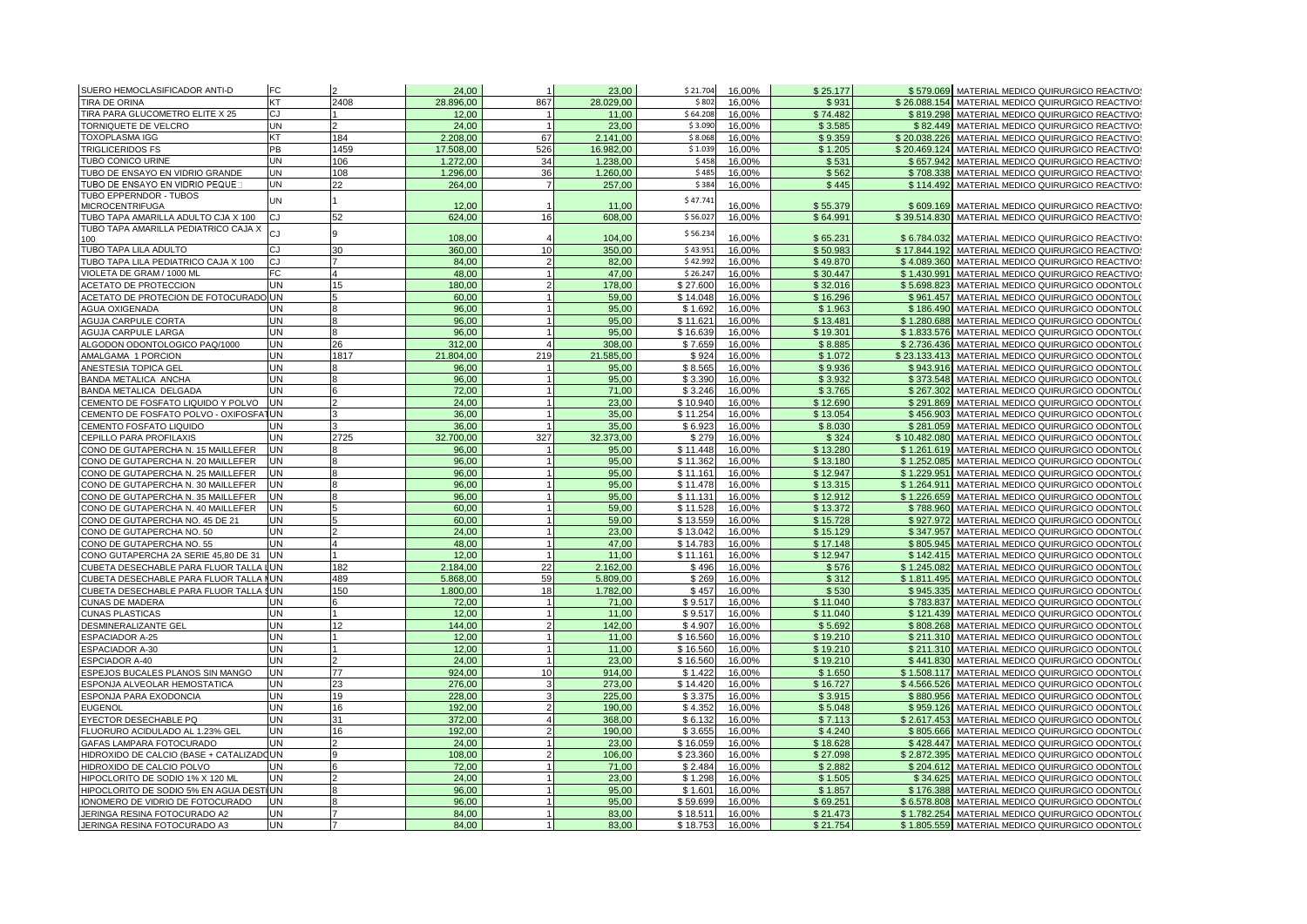| SUERO HEMOCLASIFICADOR ANTI-D                                     | FC        |          | 24.00            | $\overline{1}$                 | 23.00            | \$21.704           | 16,00%           | \$25.177           |                          | \$579.069 MATERIAL MEDICO QUIRURGICO REACTIVOS                           |
|-------------------------------------------------------------------|-----------|----------|------------------|--------------------------------|------------------|--------------------|------------------|--------------------|--------------------------|--------------------------------------------------------------------------|
| <b>TIRA DE ORINA</b>                                              | KT        | 2408     | 28.896,00        | 867                            | 28.029.00        | \$802              | 16,00%           | \$931              |                          | \$26.088.154 MATERIAL MEDICO QUIRURGICO REACTIVOS                        |
| TIRA PARA GLUCOMETRO ELITE X 25                                   | CJ        |          | 12,00            | $\overline{1}$                 | 11,00            | \$64.208           | 16,00%           | \$74.482           |                          | \$819.298 MATERIAL MEDICO QUIRURGICO REACTIVO                            |
| TORNIQUETE DE VELCRO                                              | <b>UN</b> |          | 24.00            | 1                              | 23.00            | \$3.090            | 16,00%           | \$3.585            |                          | \$82.449 MATERIAL MEDICO QUIRURGICO REACTIVOS                            |
| TOXOPLASMA IGG                                                    | KT        | 184      | 2.208.00         | 67                             | 2.141.00         | \$8.068            | 16.00%           | \$9.359            | \$20.038.226             | MATERIAL MEDICO QUIRURGICO REACTIVOS                                     |
| TRIGLICERIDOS FS                                                  | PB        | 1459     | 17.508,00        | 526                            | 16.982,00        | \$1.039            | 16,00%           | \$1.205            |                          | \$20.469.124 MATERIAL MEDICO QUIRURGICO REACTIVOS                        |
| TUBO CONICO URINE                                                 | <b>UN</b> | 106      | 1.272,00         | 34                             | 1.238,00         | \$458              | 16,00%           | \$531              |                          | \$657.942 MATERIAL MEDICO QUIRURGICO REACTIVOS                           |
| TUBO DE ENSAYO EN VIDRIO GRANDE                                   | UN        | 108      | 1.296,00         | 36                             | 1.260,00         | \$48               | 16,00%           | \$562              | \$708.338                | MATERIAL MEDICO QUIRURGICO REACTIVOS                                     |
| TUBO DE ENSAYO EN VIDRIO PEQUET                                   | UN        | 22       | 264,00           | $\overline{7}$                 | 257,00           | \$384              | 16,00%           | \$445              |                          | \$114.492 MATERIAL MEDICO QUIRURGICO REACTIVOS                           |
| TUBO EPPERNDOR - TUBOS<br><b>MICROCENTRIFUGA</b>                  | <b>UN</b> |          | 12.00            |                                | 11.00            | \$47.74            | 16.00%           | \$55.379           |                          | \$609.169 MATERIAL MEDICO QUIRURGICO REACTIVO:                           |
| TUBO TAPA AMARILLA ADULTO CJA X 100                               |           | 52       | 624,00           | 16                             | 608,00           | \$56.02            | 16,00%           | \$64.991           |                          | \$39.514.830 MATERIAL MEDICO QUIRURGICO REACTIVOS                        |
| TUBO TAPA AMARILLA PEDIATRICO CAJA X<br>100                       | CJ        |          | 108,00           |                                | 104.00           | \$56.234           | 16,00%           | \$65.231           |                          | \$6.784.032 MATERIAL MEDICO QUIRURGICO REACTIVO                          |
| TUBO TAPA LILA ADULTO                                             | CJ        | 30       | 360,00           | 10                             | 350,00           | \$43.95            | 16,00%           | \$50.983           |                          | \$17.844.192 MATERIAL MEDICO QUIRURGICO REACTIVOS                        |
| TUBO TAPA LILA PEDIATRICO CAJA X 100                              | CJ        |          | 84,00            | $\overline{2}$                 | 82,00            | \$42.992           | 16,00%           | \$49.870           |                          | \$4.089.360 MATERIAL MEDICO QUIRURGICO REACTIVOS                         |
| VIOLETA DE GRAM / 1000 ML                                         | FC        | $\Delta$ | 48,00            |                                | 47,00            | \$26.247           | 16,00%           | \$30.447           |                          | \$1.430.991 MATERIAL MEDICO QUIRURGICO REACTIVOS                         |
| ACETATO DE PROTECCION                                             | UN        | 15       | 180.00           | $\mathcal{P}$                  | 178.00           | \$27,600           | 16.00%           | \$32,016           | \$5.698.823              | MATERIAL MEDICO QUIRURGICO ODONTOL                                       |
| ACETATO DE PROTECION DE FOTOCURADO                                | UN        |          | 60.00            | $\mathbf{1}$                   | 59,00            | \$14.048           | 16,00%           | \$16.296           |                          | \$961.457 MATERIAL MEDICO QUIRURGICO ODONTOLO                            |
| AGUA OXIGENADA                                                    | UN        |          | 96,00            | $\mathbf{1}$                   | 95,00            | \$1.692            | 16,00%           | \$1.963            |                          | \$186.490 MATERIAL MEDICO QUIRURGICO ODONTOLO                            |
| AGUJA CARPULE CORTA                                               | UN        |          | 96.00            | $\overline{1}$                 | 95.00            | \$11.621           | 16.00%           | \$13.481           |                          | \$1.280.688 MATERIAL MEDICO QUIRURGICO ODONTOLO                          |
| AGUJA CARPULE LARGA                                               | UN        |          | 96,00            |                                | 95,00            | \$16.639           | 16,00%           | \$19.301           | \$1.833.576              | MATERIAL MEDICO QUIRURGICO ODONTOL                                       |
| ALGODON ODONTOLOGICO PAQ/1000                                     | UN        | 26       | 312,00           | $\boldsymbol{\Lambda}$         | 308,00           | \$7.659            | 16,00%           | \$8.885            | \$2.736.436              | MATERIAL MEDICO QUIRURGICO ODONTOL                                       |
| AMALGAMA 1 PORCION                                                | UN        | 1817     | 21.804.00        | 219                            | 21.585.00        | \$924              | 16.00%           | \$1.072            | \$23,133,413             | MATERIAL MEDICO QUIRURGICO ODONTOLO                                      |
| ANESTESIA TOPICA GEL                                              | UN        |          | 96,00            | $\mathbf{1}$                   | 95,00            | \$8.565            | 16,00%           | \$9.936            | \$943.916                | MATERIAL MEDICO QUIRURGICO ODONTOL                                       |
| <b>BANDA METALICA ANCHA</b>                                       | UN        |          | 96,00            | $\overline{1}$                 | 95,00            | \$3.390            | 16,00%           | \$3.932            |                          | \$373.548 MATERIAL MEDICO QUIRURGICO ODONTOLO                            |
| BANDA METALICA DELGADA                                            | UN        |          | 72,00            | 11                             | 71,00            | \$3.246            | 16,00%           | \$3.765            |                          | \$267.302 MATERIAL MEDICO QUIRURGICO ODONTOLO                            |
| CEMENTO DE FOSFATO LIQUIDO Y POLVO                                | <b>UN</b> |          | 24,00            | 1 <sup>1</sup>                 | 23,00            | \$10.940           | 16,00%           | \$12.690           | \$291.869                | MATERIAL MEDICO QUIRURGICO ODONTOL                                       |
| CEMENTO DE FOSFATO POLVO - OXIFOSFATUN                            |           |          | 36,00            | $\overline{1}$                 | 35.00            | \$11.254           | 16,00%           | \$13.054           | \$456.903                | MATERIAL MEDICO QUIRURGICO ODONTOL                                       |
| CEMENTO FOSFATO LIQUIDO                                           | UN        |          | 36,00            | 1                              | 35,00            | \$6.923            | 16,00%           | \$8.030            | \$281.059                | MATERIAL MEDICO QUIRURGICO ODONTOL                                       |
| CEPILLO PARA PROFILAXIS                                           | <b>UN</b> | 2725     | 32,700.00        | 327                            | 32.373.00        | \$279              | 16.00%           | \$324              |                          | \$10.482.080 MATERIAL MEDICO QUIRURGICO ODONTOLO                         |
| CONO DE GUTAPERCHA N. 15 MAILLEFER                                | UN        |          | 96,00            | $\overline{1}$                 | 95,00            | \$11,448           | 16,00%           | \$13.280           |                          | \$1.261.619 MATERIAL MEDICO QUIRURGICO ODONTOLO                          |
| CONO DE GUTAPERCHA N. 20 MAILLEFER                                | UN        |          | 96,00            | 1                              | 95,00            | \$11.362           | 16,00%           | \$13.180           | \$1.252.085              | MATERIAL MEDICO QUIRURGICO ODONTOL                                       |
| CONO DE GUTAPERCHA N. 25 MAILLEFER                                | UN        |          | 96.00            | $\mathbf{1}$                   | 95.00            | \$11.161           | 16.00%           | \$12,947           | \$1.229.951              | MATERIAL MEDICO QUIRURGICO ODONTOLO                                      |
| CONO DE GUTAPERCHA N. 30 MAILLEFER                                | UN        |          | 96,00            |                                | 95,00            | \$11,478           | 16,00%           | \$13.315           | \$1.264.911              | MATERIAL MEDICO QUIRURGICO ODONTOL                                       |
| CONO DE GUTAPERCHA N. 35 MAILLEFER                                | UN        |          | 96,00            | $\overline{1}$                 | 95,00            | \$11.131           | 16,00%           | \$12.912           | \$1.226.659              | MATERIAL MEDICO QUIRURGICO ODONTOL                                       |
| CONO DE GUTAPERCHA N. 40 MAILLEFER                                | UN        |          | 60.00            | $\overline{1}$                 | 59.00            | \$11.528           | 16.00%           | \$13.372           | \$788.960                | MATERIAL MEDICO QUIRURGICO ODONTOL                                       |
| CONO DE GUTAPERCHA NO. 45 DE 21                                   | UN        |          | 60,00            | $\mathbf{1}$                   | 59,00            | \$13.559           | 16,00%           | \$15.728           | \$927.972                | MATERIAL MEDICO QUIRURGICO ODONTOL                                       |
| CONO DE GUTAPERCHA NO. 50                                         | UN        |          | 24,00            | $\mathbf{1}$                   | 23,00            | \$13.042           | 16,00%           | \$15.129           | \$347.957                | MATERIAL MEDICO QUIRURGICO ODONTOL                                       |
|                                                                   | UN        |          | 48,00            | $\overline{1}$                 | 47,00            | \$14.783           |                  | \$17.148           |                          |                                                                          |
| CONO DE GUTAPERCHA NO. 55<br>CONO GUTAPERCHA 2A SERIE 45,80 DE 31 | <b>UN</b> |          | 12.00            | $\overline{1}$                 | 11.00            | \$11.161           | 16,00%<br>16.00% | \$12,947           | \$805.945<br>\$142.415   | MATERIAL MEDICO QUIRURGICO ODONTOL<br>MATERIAL MEDICO QUIRURGICO ODONTOL |
| CUBETA DESECHABLE PARA FLUOR TALLA I                              | <b>UN</b> | 182      | 2.184.00         | 22                             | 2.162,00         | \$496              | 16,00%           | \$576              | \$1.245.08               | MATERIAL MEDICO QUIRURGICO ODONTOL                                       |
| CUBETA DESECHABLE PARA FLUOR TALLA I UN                           |           | 489      | 5.868,00         | 59                             | 5.809,00         | \$269              | 16,00%           | \$312              |                          | \$1.811.495 MATERIAL MEDICO QUIRURGICO ODONTOLO                          |
| CUBETA DESECHABLE PARA FLUOR TALLA SUN                            |           | 150      | 1.800.00         | 18                             | 1.782.00         | \$457              | 16,00%           | \$530              |                          | \$945.335 MATERIAL MEDICO QUIRURGICO ODONTOLO                            |
| CUNAS DE MADERA                                                   | UN        |          | 72,00            | $\overline{1}$                 | 71,00            | \$9.517            | 16,00%           | \$11.040           | \$783.837                | MATERIAL MEDICO QUIRURGICO ODONTOL                                       |
| <b>CUNAS PLASTICAS</b>                                            | UN        |          | 12,00            | $\overline{1}$                 | 11.00            | \$9.517            | 16,00%           | \$11.040           | \$121.439                | MATERIAL MEDICO QUIRURGICO ODONTOL                                       |
| DESMINERALIZANTE GEL                                              | UN        | 12       | 144.00           | $\mathcal{P}$                  | 142.00           | \$4.907            | 16,00%           | \$5.692            | \$808,268                | MATERIAL MEDICO QUIRURGICO ODONTOLO                                      |
|                                                                   | UN        |          | 12,00            | $\mathbf{1}$                   | 11,00            | \$16.560           | 16,00%           | \$19.210           | \$211.310                | MATERIAL MEDICO QUIRURGICO ODONTOL                                       |
| ESPACIADOR A-25<br>ESPACIADOR A-30                                | UN        |          | 12,00            | $\overline{1}$                 | 11.00            | \$16.560           | 16,00%           | \$19.210           |                          | \$211.310 MATERIAL MEDICO QUIRURGICO ODONTOLO                            |
| ESPCIADOR A-40                                                    | UN        |          | 24,00            | 11                             | 23,00            | \$16.560           | 16,00%           | \$19.210           |                          | \$441.830 MATERIAL MEDICO QUIRURGICO ODONTOLO                            |
| ESPEJOS BUCALES PLANOS SIN MANGO                                  | <b>UN</b> | 77       | 924,00           | 10                             | 914,00           | \$1.422            | 16,00%           | \$1.650            |                          | \$1.508.117 MATERIAL MEDICO QUIRURGICO ODONTOLO                          |
| <b>ESPONJA ALVEOLAR HEMOSTATICA</b>                               | UN        |          | 276,00           | 3                              | 273,00           | \$14.420           | 16,00%           | \$16.727           | \$4.566.526              | MATERIAL MEDICO QUIRURGICO ODONTOL                                       |
| ESPONJA PARA EXODONCIA                                            | UN        | 19       | 228,00           | 3                              | 225,00           | \$3.375            | 16,00%           | \$3.915            | \$880.956                |                                                                          |
| <b>EUGENOL</b>                                                    | UN        | 16       | 192.00           | $\mathcal{P}$                  | 190.00           | \$4.352            | 16.00%           | \$5.048            | \$959.126                | MATERIAL MEDICO QUIRURGICO ODONTOL<br>MATERIAL MEDICO QUIRURGICO ODONTOL |
|                                                                   |           |          |                  | $\overline{4}$                 |                  |                    |                  |                    |                          |                                                                          |
| EYECTOR DESECHABLE PQ<br>FLUORURO ACIDULADO AL 1.23% GEL          | UN<br>UN  | 31<br>16 | 372,00<br>192,00 |                                | 368,00<br>190,00 | \$6.132<br>\$3.655 | 16,00%<br>16,00% | \$7.113<br>\$4.240 | \$2.617.453<br>\$805.666 | MATERIAL MEDICO QUIRURGICO ODONTOL<br>MATERIAL MEDICO QUIRURGICO ODONTOL |
| GAFAS LAMPARA FOTOCURADO                                          | UN        |          | 24.00            | $\mathbf{1}$                   | 23.00            | \$16.059           | 16.00%           | \$18,628           |                          | \$428,447 MATERIAL MEDICO QUIRURGICO ODONTOLO                            |
|                                                                   |           |          |                  |                                |                  |                    |                  |                    |                          |                                                                          |
| HIDROXIDO DE CALCIO (BASE + CATALIZADO UN                         |           |          | 108,00           | $\overline{2}$<br>$\mathbf{1}$ | 106,00           | \$23.360           | 16,00%           | \$27.098           | \$2.872.395              | MATERIAL MEDICO QUIRURGICO ODONTOL                                       |
| HIDROXIDO DE CALCIO POLVO                                         | UN<br>UN  |          | 72,00            | $\mathbf{1}$                   | 71,00            | \$2.484            | 16,00%           | \$2.882            | \$204.612<br>\$34.625    | MATERIAL MEDICO QUIRURGICO ODONTOL                                       |
| HIPOCLORITO DE SODIO 1% X 120 ML                                  |           |          | 24.00            |                                | 23.00            | \$1.298            | 16.00%           | \$1.505            |                          | MATERIAL MEDICO QUIRURGICO ODONTOL                                       |
| HIPOCLORITO DE SODIO 5% EN AGUA DESTIUN                           |           |          | 96,00            | $\mathbf{1}$                   | 95,00            | \$1.601            | 16,00%           | \$1.857            | \$176.388<br>\$6.578.808 | MATERIAL MEDICO QUIRURGICO ODONTOL                                       |
| <b>IONOMERO DE VIDRIO DE FOTOCURADO</b>                           | UN        |          | 96,00            | $\mathbf{1}$                   | 95,00            | \$59.699           | 16,00%           | \$69.251           |                          | MATERIAL MEDICO QUIRURGICO ODONTOL                                       |
| JERINGA RESINA FOTOCURADO A2                                      | UN        |          | 84,00            |                                | 83,00            | \$18.511           | 16,00%           | \$21.473           |                          | \$1.782.254 MATERIAL MEDICO QUIRURGICO ODONTOLO                          |
| JERINGA RESINA FOTOCURADO A3                                      | <b>UN</b> |          | 84.00            |                                | 83.00            | \$18.753           | 16,00%           | \$21.754           |                          | \$1.805.559 MATERIAL MEDICO QUIRURGICO ODONTOL                           |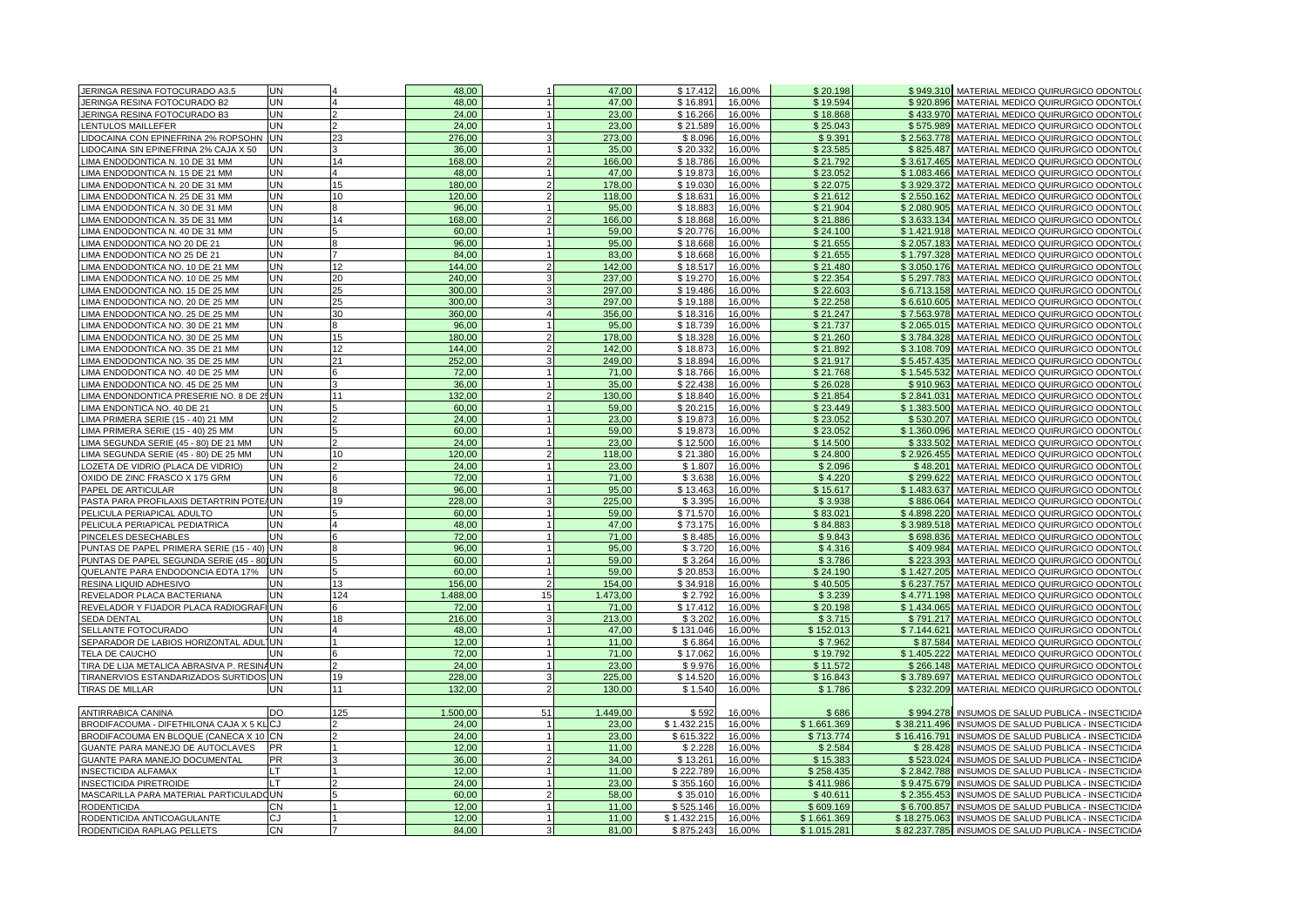| JERINGA RESINA FOTOCURADO A3.5             | <b>UN</b> |                | 48,00    |                | 47,00    | \$17.412               | 16,00% | \$20.198    |              | \$949.310 MATERIAL MEDICO QUIRURGICO ODONTOLO       |
|--------------------------------------------|-----------|----------------|----------|----------------|----------|------------------------|--------|-------------|--------------|-----------------------------------------------------|
| JERINGA RESINA FOTOCURADO B2               | <b>UN</b> |                | 48,00    |                | 47.00    | \$16.891               | 16,00% | \$19.594    |              | \$920.896 MATERIAL MEDICO QUIRURGICO ODONTOLO       |
| JERINGA RESINA FOTOCURADO B3               | <b>UN</b> | $\overline{2}$ | 24,00    | $\overline{1}$ | 23,00    | \$16.266               | 16,00% | \$18.868    |              | \$433.970 MATERIAL MEDICO QUIRURGICO ODONTOLO       |
| <b>ENTULOS MAILLEFER</b>                   | <b>UN</b> | $\overline{2}$ | 24,00    | $\overline{1}$ | 23,00    | \$21.589               | 16,00% | \$25.043    | \$575.989    | MATERIAL MEDICO QUIRURGICO ODONTOL                  |
| <b>IDOCAINA CON EPINEFRINA 2% ROPSOHN</b>  | UN        | 23             | 276.00   |                | 273.00   | \$8.096                | 16.00% | \$9.391     |              | \$2.563.778 MATERIAL MEDICO QUIRURGICO ODONTOLO     |
| IDOCAINA SIN EPINEFRINA 2% CAJA X 50       | <b>UN</b> | 3              | 36,00    | $\overline{1}$ | 35,00    | \$20.332               | 16,00% | \$23.585    |              | \$825.487 MATERIAL MEDICO QUIRURGICO ODONTOLO       |
| LIMA ENDODONTICA N. 10 DE 31 MM            | <b>UN</b> | 14             | 168,00   | $\mathcal{P}$  | 166,00   | \$18.786               | 16,00% | \$21.792    |              | \$3.617.465 MATERIAL MEDICO QUIRURGICO ODONTOLO     |
| LIMA ENDODONTICA N. 15 DE 21 MM            | <b>UN</b> |                | 48,00    |                | 47,00    | \$19.873               | 16,00% | \$23.052    | \$1.083.466  | MATERIAL MEDICO QUIRURGICO ODONTOL                  |
| LIMA ENDODONTICA N. 20 DE 31 MM            | <b>UN</b> | 15             | 180,00   | $\overline{2}$ | 178,00   | \$19.030               | 16,00% | \$22.075    |              | \$3.929.372 MATERIAL MEDICO QUIRURGICO ODONTOLO     |
| IMA ENDODONTICA N. 25 DE 31 MM             | <b>UN</b> | 10             | 120,00   | $\mathcal{P}$  | 118,00   | \$18.63'               | 16,00% | \$21.612    | \$2.550.162  | MATERIAL MEDICO QUIRURGICO ODONTOLO                 |
| IMA ENDODONTICA N. 30 DE 31 MM             | <b>UN</b> | $\mathbf{R}$   | 96.00    |                | 95.00    | \$18,883               | 16.00% | \$21.904    | \$2.080.905  | MATERIAL MEDICO QUIRURGICO ODONTOLO                 |
| LIMA ENDODONTICA N. 35 DE 31 MM            | <b>UN</b> | 14             | 168,00   | $\mathcal{P}$  | 166,00   | \$18.868               | 16,00% | \$21.886    |              | \$3.633.134 MATERIAL MEDICO QUIRURGICO ODONTOLO     |
| IMA ENDODONTICA N. 40 DE 31 MM             | <b>UN</b> | 5              | 60,00    | $\overline{1}$ | 59,00    | \$20.776               | 16,00% | \$24.100    |              | \$1.421.918 MATERIAL MEDICO QUIRURGICO ODONTOL      |
| IMA ENDODONTICA NO 20 DE 21                | <b>UN</b> | $\mathbf{8}$   | 96,00    | $\mathbf{1}$   | 95.00    | \$18.668               | 16,00% | \$21.655    | \$2.057.183  | MATERIAL MEDICO QUIRURGICO ODONTOL                  |
| IMA ENDODONTICA NO 25 DE 21                | <b>UN</b> |                | 84,00    |                | 83,00    | \$18.668               | 16,00% | \$21.655    | \$1.797.328  | MATERIAL MEDICO QUIRURGICO ODONTOL                  |
| IMA ENDODONTICA NO. 10 DE 21 MM            | <b>UN</b> | 12             | 144.00   | $\mathcal{D}$  | 142.00   | \$18.517               | 16,00% | \$21.480    | \$3.050.176  | MATERIAL MEDICO QUIRURGICO ODONTOL                  |
| IMA ENDODONTICA NO. 10 DE 25 MM            | <b>UN</b> | 20             | 240,00   |                | 237,00   | \$19.270               | 16,00% | \$22.354    | \$5.297.783  | MATERIAL MEDICO QUIRURGICO ODONTOL                  |
| IMA ENDODONTICA NO. 15 DE 25 MM            | <b>UN</b> | 25             | 300,00   |                | 297.00   | \$19.486               | 16,00% | \$22.603    |              | \$6.713.158 MATERIAL MEDICO QUIRURGICO ODONTOLO     |
| LIMA ENDODONTICA NO. 20 DE 25 MM           | <b>UN</b> | 25             | 300.00   |                | 297,00   | \$19.188               | 16,00% | \$22.258    |              | \$6.610.605 MATERIAL MEDICO QUIRURGICO ODONTOLO     |
| IMA ENDODONTICA NO. 25 DE 25 MM            | <b>UN</b> | 30             | 360.00   |                | 356,00   | \$18.316               | 16,00% | \$21.247    | \$7.563.978  | MATERIAL MEDICO QUIRURGICO ODONTOL                  |
| IMA ENDODONTICA NO. 30 DE 21 MM            | <b>UN</b> |                | 96,00    |                | 95,00    | \$18.739               | 16,00% | \$21.737    | \$2.065.015  | MATERIAL MEDICO QUIRURGICO ODONTOL                  |
| IMA ENDODONTICA NO. 30 DE 25 MM            | <b>UN</b> | 15             | 180.00   | $\mathcal{D}$  | 178.00   | \$18,328               | 16,00% | \$21.260    | \$3.784.328  | MATERIAL MEDICO QUIRURGICO ODONTOL                  |
| IMA ENDODONTICA NO. 35 DE 21 MM            | <b>UN</b> | 12             | 144,00   |                | 142,00   | \$18.873               | 16,00% | \$21.892    | \$3.108.709  | MATERIAL MEDICO QUIRURGICO ODONTOL                  |
| LIMA ENDODONTICA NO. 35 DE 25 MM           | <b>UN</b> | 21             | 252,00   | $\mathbf{3}$   | 249,00   | \$18.894               | 16,00% | \$21.917    |              | \$5.457.435 MATERIAL MEDICO QUIRURGICO ODONTOL      |
| LIMA ENDODONTICA NO. 40 DE 25 MM           | <b>UN</b> | 6              | 72,00    | $\overline{1}$ | 71,00    | \$18.766               | 16,00% | \$21.768    |              | \$1.545.532 MATERIAL MEDICO QUIRURGICO ODONTOLO     |
| IMA ENDODONTICA NO. 45 DE 25 MM            | <b>UN</b> | $\mathbf{z}$   | 36,00    |                | 35,00    | \$22.438               | 16,00% | \$26.028    | \$910.963    | MATERIAL MEDICO QUIRURGICO ODONTOL                  |
| IMA ENDONDONTICA PRESERIE NO. 8 DE 25 UN   |           | 11             | 132,00   |                | 130,00   | \$18.840               | 16,00% | \$21.854    | \$2.841.031  | MATERIAL MEDICO QUIRURGICO ODONTOL                  |
| <b>IMA ENDONTICA NO. 40 DE 21</b>          | <b>UN</b> | 5              | 60.00    | $\overline{1}$ | 59,00    | \$20.215               | 16,00% | \$23.449    | \$1.383.500  | MATERIAL MEDICO QUIRURGICO ODONTOL                  |
| IMA PRIMERA SERIE (15 - 40) 21 MM          | <b>UN</b> | $\overline{2}$ | 24,00    | $\overline{1}$ | 23,00    | \$19.873               | 16,00% | \$23.052    | \$530.207    | MATERIAL MEDICO QUIRURGICO ODONTOL                  |
| LIMA PRIMERA SERIE (15 - 40) 25 MM         | <b>UN</b> | 5              | 60,00    | $\mathbf{1}$   | 59,00    | \$19.873               | 16,00% | \$23.052    |              | \$1.360.096 MATERIAL MEDICO QUIRURGICO ODONTOL      |
| LIMA SEGUNDA SERIE (45 - 80) DE 21 MM      | <b>UN</b> | $\overline{2}$ | 24.00    | $\overline{1}$ | 23.00    | \$12,500               | 16,00% | \$14.500    |              | \$333.502 MATERIAL MEDICO QUIRURGICO ODONTOLO       |
| LIMA SEGUNDA SERIE (45 - 80) DE 25 MM      | <b>UN</b> | 10             | 120,00   |                | 118,00   | \$21.380               | 16,00% | \$24.800    | \$2.926.455  | MATERIAL MEDICO QUIRURGICO ODONTOL                  |
| LOZETA DE VIDRIO (PLACA DE VIDRIO)         | <b>UN</b> |                | 24,00    |                | 23,00    | \$1.807                | 16,00% | \$2.096     |              | \$48.201 MATERIAL MEDICO QUIRURGICO ODONTOLO        |
| OXIDO DE ZINC FRASCO X 175 GRM             | <b>UN</b> | <b>6</b>       | 72.00    | $\overline{1}$ | 71.00    | \$3.638                | 16,00% | \$4.220     | \$299.622    | MATERIAL MEDICO QUIRURGICO ODONTOL                  |
| PAPEL DE ARTICULAR                         | <b>UN</b> | l R            | 96.00    | $\overline{1}$ | 95,00    | $\overline{\$}$ 13.463 | 16.00% | \$15.617    | \$1.483.637  | MATERIAL MEDICO QUIRURGICO ODONTOL                  |
| PASTA PARA PROFILAXIS DETARTRIN POTE/IUN   |           | 19             | 228,00   | 3              | 225,00   | \$3.395                | 16,00% | \$3.938     |              | \$886.064 MATERIAL MEDICO QUIRURGICO ODONTOL        |
| PELICULA PERIAPICAL ADULTO                 | <b>UN</b> | 5              | 60.00    | $\overline{1}$ | 59.00    | \$71,570               | 16.00% | \$83.021    |              | \$4.898.220 MATERIAL MEDICO QUIRURGICO ODONTOLO     |
| PELICULA PERIAPICAL PEDIATRICA             | <b>UN</b> | $\overline{4}$ | 48,00    | $\overline{1}$ | 47,00    | \$73.175               | 16,00% | \$84.883    | \$3.989.518  | MATERIAL MEDICO QUIRURGICO ODONTOL                  |
| PINCELES DESECHABLES                       | <b>UN</b> | 6              | 72,00    |                | 71,00    | \$8.485                | 16,00% | \$9.843     | \$698.836    | MATERIAL MEDICO QUIRURGICO ODONTOL                  |
| PUNTAS DE PAPEL PRIMERA SERIE (15 - 40) UN |           | $\mathbf{R}$   | 96.00    | $\overline{1}$ | 95.00    | \$3.720                | 16.00% | \$4.316     | \$409.984    | MATERIAL MEDICO QUIRURGICO ODONTOL                  |
| PUNTAS DE PAPEL SEGUNDA SERIE (45 - 80) UN |           | 5              | 60,00    | $\overline{1}$ | 59,00    | \$3.264                | 16,00% | \$3.786     | \$223.39     | MATERIAL MEDICO QUIRURGICO ODONTOLO                 |
| QUELANTE PARA ENDODONCIA EDTA 17%          | <b>UN</b> | 5              | 60.00    | $\overline{1}$ | 59.00    | $\sqrt{$}20.853$       | 16,00% | \$24.190    | \$1.427.205  | MATERIAL MEDICO QUIRURGICO ODONTOL                  |
| RESINA LIQUID ADHESIVO                     | <b>UN</b> | 13             | 156,00   | $\overline{2}$ | 154,00   | \$34.918               | 16,00% | \$40.505    |              | \$6.237.757 MATERIAL MEDICO QUIRURGICO ODONTOLO     |
| REVELADOR PLACA BACTERIANA                 | <b>UN</b> | 124            | 1.488,00 | 15             | 1.473,00 | \$2.792                | 16,00% | \$3.239     | \$4,771,198  | MATERIAL MEDICO QUIRURGICO ODONTOL                  |
| REVELADOR Y FIJADOR PLACA RADIOGRAFI UN    |           | 6              | 72,00    | $\overline{1}$ | 71.00    | \$17.412               | 16,00% | \$20.198    | \$1.434.065  | MATERIAL MEDICO QUIRURGICO ODONTOL                  |
| <b>SEDA DENTAL</b>                         | <b>UN</b> | 18             | 216.00   | 3              | 213.00   | \$3.202                | 16.00% | \$3.715     | \$791.217    | MATERIAL MEDICO QUIRURGICO ODONTOL                  |
| SELLANTE FOTOCURADO                        | <b>UN</b> | $\overline{4}$ | 48,00    | $\overline{1}$ | 47,00    | \$131.046              | 16,00% | \$152.013   | \$7.144.621  | MATERIAL MEDICO QUIRURGICO ODONTOL                  |
| SEPARADOR DE LABIOS HORIZONTAL ADULTUN     |           |                | 12.00    | $\overline{1}$ | 11.00    | \$6.864                | 16.00% | \$7.962     | \$87.584     | MATERIAL MEDICO QUIRURGICO ODONTOL                  |
| TELA DE CAUCHO                             | <b>UN</b> | 6              | 72,00    | $\overline{1}$ | 71,00    | \$17.062               | 16,00% | \$19.792    | \$1.405.222  | MATERIAL MEDICO QUIRURGICO ODONTOL                  |
| TIRA DE LIJA METALICA ABRASIVA P. RESINAUN |           |                | 24,00    |                | 23,00    | \$9.976                | 16,00% | \$11.572    | \$266.148    | MATERIAL MEDICO QUIRURGICO ODONTOL                  |
| TIRANERVIOS ESTANDARIZADOS SURTIDOS UN     |           | 19             | 228,00   | 3              | 225,00   | \$14.520               | 16,00% | \$16.843    | \$3.789.697  | MATERIAL MEDICO QUIRURGICO ODONTOL                  |
| <b>TIRAS DE MILLAR</b>                     | <b>UN</b> | 11             | 132,00   | $\mathcal{P}$  | 130,00   | \$1.540                | 16,00% | \$1.786     |              | \$232.209 MATERIAL MEDICO QUIRURGICO ODONTOL        |
|                                            |           |                |          |                |          |                        |        |             |              |                                                     |
| ANTIRRABICA CANINA                         | <b>DO</b> | 125            | 1.500,00 | 51             | 1.449,00 | \$592                  | 16,00% | \$686       |              | \$994.278 INSUMOS DE SALUD PUBLICA - INSECTICIDA    |
| BRODIFACOUMA - DIFETHILONA CAJA X 5 KLCJ   |           | $\overline{2}$ | 24,00    | $\overline{1}$ | 23,00    | \$1.432.215            | 16,00% | \$1.661.369 |              | \$38.211.496 INSUMOS DE SALUD PUBLICA - INSECTICIDA |
| BRODIFACOUMA EN BLOQUE (CANECA X 10 CN     |           | $\overline{2}$ | 24,00    | 1              | 23,00    | \$615.322              | 16,00% | \$713.774   |              | \$16.416.791 INSUMOS DE SALUD PUBLICA - INSECTICIDA |
| GUANTE PARA MANEJO DE AUTOCLAVES           | <b>PR</b> | $\overline{1}$ | 12,00    | 1              | 11.00    | \$2.228                | 16,00% | \$2.584     | \$28.428     | INSUMOS DE SALUD PUBLICA - INSECTICIDA              |
| GUANTE PARA MANEJO DOCUMENTAL              | <b>PR</b> | 3              | 36,00    | $\overline{2}$ | 34,00    | \$13.261               | 16,00% | \$15.383    |              | \$523.024 INSUMOS DE SALUD PUBLICA - INSECTICIDA    |
| <b>INSECTICIDA ALFAMAX</b>                 | LT        | $\overline{1}$ | 12,00    | $\overline{1}$ | 11,00    | \$222.789              | 16,00% | \$258.435   | \$2.842.788  | INSUMOS DE SALUD PUBLICA - INSECTICIDA              |
| INSECTICIDA PIRETROIDE                     | LT        |                | 24,00    | $\mathbf{1}$   | 23,00    | \$355.160              | 16,00% | \$411.986   |              | \$9.475.679 INSUMOS DE SALUD PUBLICA - INSECTICIDA  |
| MASCARILLA PARA MATERIAL PARTICULADO UN    |           | 5              | 60.00    | $\mathcal{P}$  | 58,00    | \$35.010               | 16,00% | \$40.611    |              | \$2.355.453 INSUMOS DE SALUD PUBLICA - INSECTICIDA  |
| <b>RODENTICIDA</b>                         | <b>CN</b> | $\overline{1}$ | 12,00    |                | 11,00    | \$525.146              | 16,00% | \$609.169   |              | \$6.700.857 INSUMOS DE SALUD PUBLICA - INSECTICIDA  |
| RODENTICIDA ANTICOAGULANTE                 | CJ.       | $\overline{1}$ | 12.00    |                | 11.00    | \$1.432.215            | 16.00% | \$1.661.369 | \$18,275,063 | INSUMOS DE SALUD PUBLICA - INSECTICIDA              |
| RODENTICIDA RAPLAG PELLETS                 | <b>CN</b> | 17             | 84,00    | 3              | 81,00    | \$875.243              | 16,00% | \$1.015.281 |              | \$82.237.785 INSUMOS DE SALUD PUBLICA - INSECTICIDA |